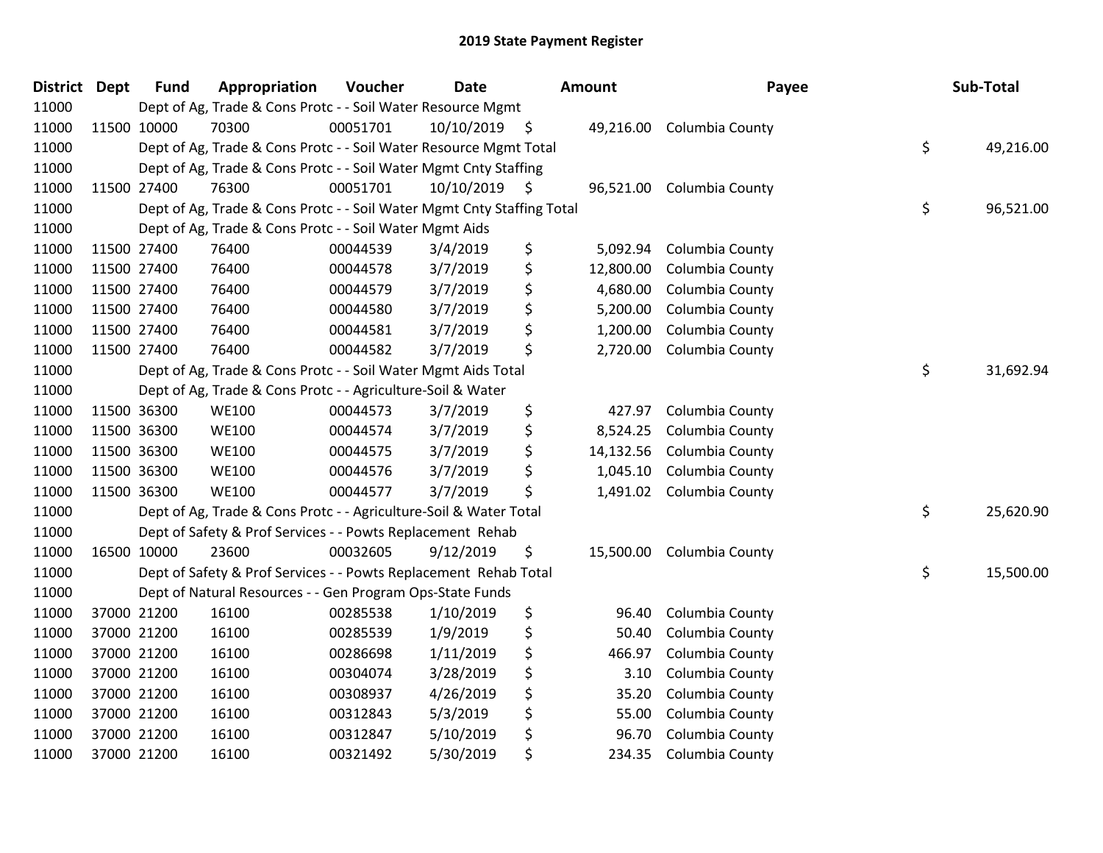| District | <b>Dept</b> | <b>Fund</b> | Appropriation                                                          | Voucher  | <b>Date</b>     | <b>Amount</b>   | Payee           | Sub-Total       |
|----------|-------------|-------------|------------------------------------------------------------------------|----------|-----------------|-----------------|-----------------|-----------------|
| 11000    |             |             | Dept of Ag, Trade & Cons Protc - - Soil Water Resource Mgmt            |          |                 |                 |                 |                 |
| 11000    |             | 11500 10000 | 70300                                                                  | 00051701 | $10/10/2019$ \$ | 49,216.00       | Columbia County |                 |
| 11000    |             |             | Dept of Ag, Trade & Cons Protc - - Soil Water Resource Mgmt Total      |          |                 |                 |                 | \$<br>49,216.00 |
| 11000    |             |             | Dept of Ag, Trade & Cons Protc - - Soil Water Mgmt Cnty Staffing       |          |                 |                 |                 |                 |
| 11000    |             | 11500 27400 | 76300                                                                  | 00051701 | $10/10/2019$ \$ | 96,521.00       | Columbia County |                 |
| 11000    |             |             | Dept of Ag, Trade & Cons Protc - - Soil Water Mgmt Cnty Staffing Total |          |                 |                 |                 | \$<br>96,521.00 |
| 11000    |             |             | Dept of Ag, Trade & Cons Protc - - Soil Water Mgmt Aids                |          |                 |                 |                 |                 |
| 11000    |             | 11500 27400 | 76400                                                                  | 00044539 | 3/4/2019        | \$<br>5,092.94  | Columbia County |                 |
| 11000    | 11500 27400 |             | 76400                                                                  | 00044578 | 3/7/2019        | \$<br>12,800.00 | Columbia County |                 |
| 11000    |             | 11500 27400 | 76400                                                                  | 00044579 | 3/7/2019        | \$<br>4,680.00  | Columbia County |                 |
| 11000    | 11500 27400 |             | 76400                                                                  | 00044580 | 3/7/2019        | \$<br>5,200.00  | Columbia County |                 |
| 11000    |             | 11500 27400 | 76400                                                                  | 00044581 | 3/7/2019        | \$<br>1,200.00  | Columbia County |                 |
| 11000    |             | 11500 27400 | 76400                                                                  | 00044582 | 3/7/2019        | \$<br>2,720.00  | Columbia County |                 |
| 11000    |             |             | Dept of Ag, Trade & Cons Protc - - Soil Water Mgmt Aids Total          |          |                 |                 |                 | \$<br>31,692.94 |
| 11000    |             |             | Dept of Ag, Trade & Cons Protc - - Agriculture-Soil & Water            |          |                 |                 |                 |                 |
| 11000    |             | 11500 36300 | <b>WE100</b>                                                           | 00044573 | 3/7/2019        | \$<br>427.97    | Columbia County |                 |
| 11000    |             | 11500 36300 | <b>WE100</b>                                                           | 00044574 | 3/7/2019        | \$<br>8,524.25  | Columbia County |                 |
| 11000    |             | 11500 36300 | <b>WE100</b>                                                           | 00044575 | 3/7/2019        | \$<br>14,132.56 | Columbia County |                 |
| 11000    | 11500 36300 |             | <b>WE100</b>                                                           | 00044576 | 3/7/2019        | \$<br>1,045.10  | Columbia County |                 |
| 11000    |             | 11500 36300 | <b>WE100</b>                                                           | 00044577 | 3/7/2019        | \$<br>1,491.02  | Columbia County |                 |
| 11000    |             |             | Dept of Ag, Trade & Cons Protc - - Agriculture-Soil & Water Total      |          |                 |                 |                 | \$<br>25,620.90 |
| 11000    |             |             | Dept of Safety & Prof Services - - Powts Replacement Rehab             |          |                 |                 |                 |                 |
| 11000    |             | 16500 10000 | 23600                                                                  | 00032605 | 9/12/2019       | \$<br>15,500.00 | Columbia County |                 |
| 11000    |             |             | Dept of Safety & Prof Services - - Powts Replacement Rehab Total       |          |                 |                 |                 | \$<br>15,500.00 |
| 11000    |             |             | Dept of Natural Resources - - Gen Program Ops-State Funds              |          |                 |                 |                 |                 |
| 11000    |             | 37000 21200 | 16100                                                                  | 00285538 | 1/10/2019       | \$<br>96.40     | Columbia County |                 |
| 11000    |             | 37000 21200 | 16100                                                                  | 00285539 | 1/9/2019        | \$<br>50.40     | Columbia County |                 |
| 11000    |             | 37000 21200 | 16100                                                                  | 00286698 | 1/11/2019       | \$<br>466.97    | Columbia County |                 |
| 11000    |             | 37000 21200 | 16100                                                                  | 00304074 | 3/28/2019       | \$<br>3.10      | Columbia County |                 |
| 11000    |             | 37000 21200 | 16100                                                                  | 00308937 | 4/26/2019       | \$<br>35.20     | Columbia County |                 |
| 11000    |             | 37000 21200 | 16100                                                                  | 00312843 | 5/3/2019        | \$<br>55.00     | Columbia County |                 |
| 11000    |             | 37000 21200 | 16100                                                                  | 00312847 | 5/10/2019       | \$<br>96.70     | Columbia County |                 |
| 11000    |             | 37000 21200 | 16100                                                                  | 00321492 | 5/30/2019       | \$<br>234.35    | Columbia County |                 |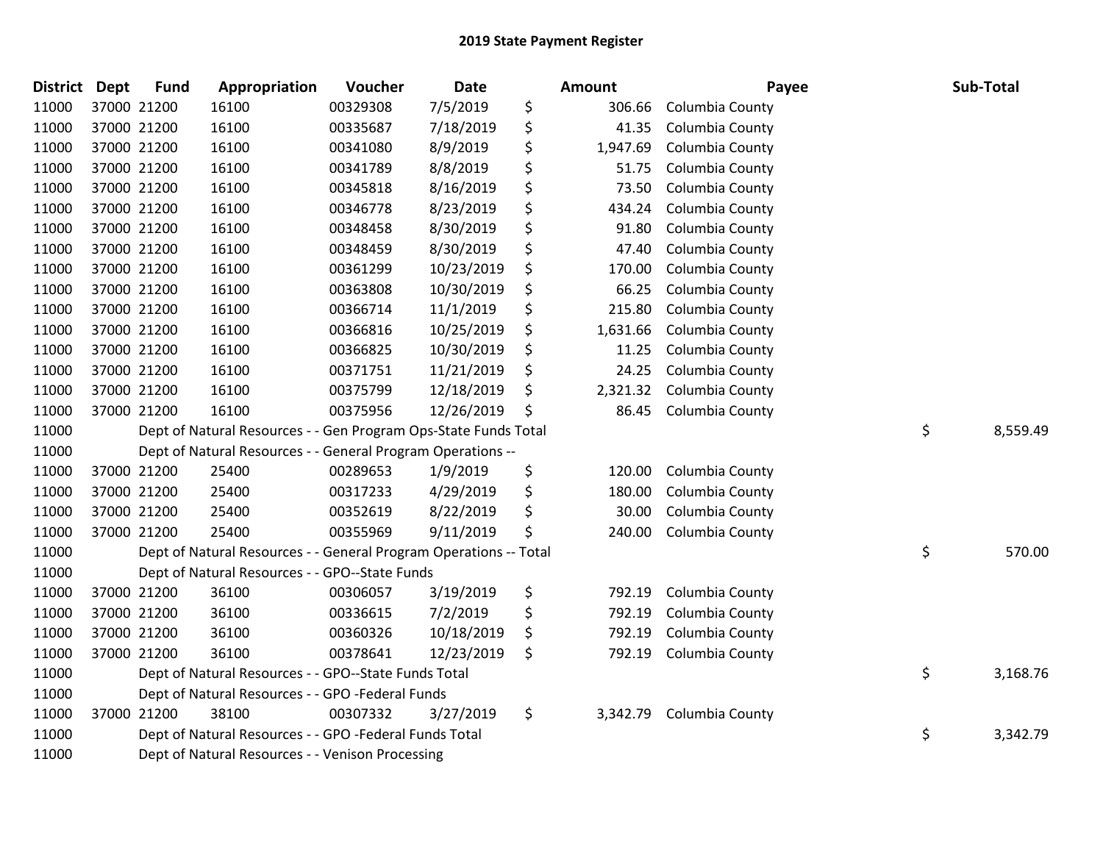| <b>District Dept</b> | <b>Fund</b> | Appropriation                                                     | Voucher  | Date       | <b>Amount</b>  | Payee           | Sub-Total      |
|----------------------|-------------|-------------------------------------------------------------------|----------|------------|----------------|-----------------|----------------|
| 11000                | 37000 21200 | 16100                                                             | 00329308 | 7/5/2019   | \$<br>306.66   | Columbia County |                |
| 11000                | 37000 21200 | 16100                                                             | 00335687 | 7/18/2019  | \$<br>41.35    | Columbia County |                |
| 11000                | 37000 21200 | 16100                                                             | 00341080 | 8/9/2019   | \$<br>1,947.69 | Columbia County |                |
| 11000                | 37000 21200 | 16100                                                             | 00341789 | 8/8/2019   | \$<br>51.75    | Columbia County |                |
| 11000                | 37000 21200 | 16100                                                             | 00345818 | 8/16/2019  | \$<br>73.50    | Columbia County |                |
| 11000                | 37000 21200 | 16100                                                             | 00346778 | 8/23/2019  | \$<br>434.24   | Columbia County |                |
| 11000                | 37000 21200 | 16100                                                             | 00348458 | 8/30/2019  | \$<br>91.80    | Columbia County |                |
| 11000                | 37000 21200 | 16100                                                             | 00348459 | 8/30/2019  | \$<br>47.40    | Columbia County |                |
| 11000                | 37000 21200 | 16100                                                             | 00361299 | 10/23/2019 | \$<br>170.00   | Columbia County |                |
| 11000                | 37000 21200 | 16100                                                             | 00363808 | 10/30/2019 | \$<br>66.25    | Columbia County |                |
| 11000                | 37000 21200 | 16100                                                             | 00366714 | 11/1/2019  | \$<br>215.80   | Columbia County |                |
| 11000                | 37000 21200 | 16100                                                             | 00366816 | 10/25/2019 | \$<br>1,631.66 | Columbia County |                |
| 11000                | 37000 21200 | 16100                                                             | 00366825 | 10/30/2019 | \$<br>11.25    | Columbia County |                |
| 11000                | 37000 21200 | 16100                                                             | 00371751 | 11/21/2019 | \$<br>24.25    | Columbia County |                |
| 11000                | 37000 21200 | 16100                                                             | 00375799 | 12/18/2019 | \$<br>2,321.32 | Columbia County |                |
| 11000                | 37000 21200 | 16100                                                             | 00375956 | 12/26/2019 | \$<br>86.45    | Columbia County |                |
| 11000                |             | Dept of Natural Resources - - Gen Program Ops-State Funds Total   |          |            |                |                 | \$<br>8,559.49 |
| 11000                |             | Dept of Natural Resources - - General Program Operations --       |          |            |                |                 |                |
| 11000                | 37000 21200 | 25400                                                             | 00289653 | 1/9/2019   | \$<br>120.00   | Columbia County |                |
| 11000                | 37000 21200 | 25400                                                             | 00317233 | 4/29/2019  | \$<br>180.00   | Columbia County |                |
| 11000                | 37000 21200 | 25400                                                             | 00352619 | 8/22/2019  | \$<br>30.00    | Columbia County |                |
| 11000                | 37000 21200 | 25400                                                             | 00355969 | 9/11/2019  | \$<br>240.00   | Columbia County |                |
| 11000                |             | Dept of Natural Resources - - General Program Operations -- Total |          |            |                |                 | \$<br>570.00   |
| 11000                |             | Dept of Natural Resources - - GPO--State Funds                    |          |            |                |                 |                |
| 11000                | 37000 21200 | 36100                                                             | 00306057 | 3/19/2019  | \$<br>792.19   | Columbia County |                |
| 11000                | 37000 21200 | 36100                                                             | 00336615 | 7/2/2019   | \$<br>792.19   | Columbia County |                |
| 11000                | 37000 21200 | 36100                                                             | 00360326 | 10/18/2019 | \$<br>792.19   | Columbia County |                |
| 11000                | 37000 21200 | 36100                                                             | 00378641 | 12/23/2019 | \$<br>792.19   | Columbia County |                |
| 11000                |             | Dept of Natural Resources - - GPO--State Funds Total              |          |            |                |                 | \$<br>3,168.76 |
| 11000                |             | Dept of Natural Resources - - GPO -Federal Funds                  |          |            |                |                 |                |
| 11000                | 37000 21200 | 38100                                                             | 00307332 | 3/27/2019  | \$<br>3,342.79 | Columbia County |                |
| 11000                |             | Dept of Natural Resources - - GPO -Federal Funds Total            |          |            |                |                 | \$<br>3,342.79 |
| 11000                |             | Dept of Natural Resources - - Venison Processing                  |          |            |                |                 |                |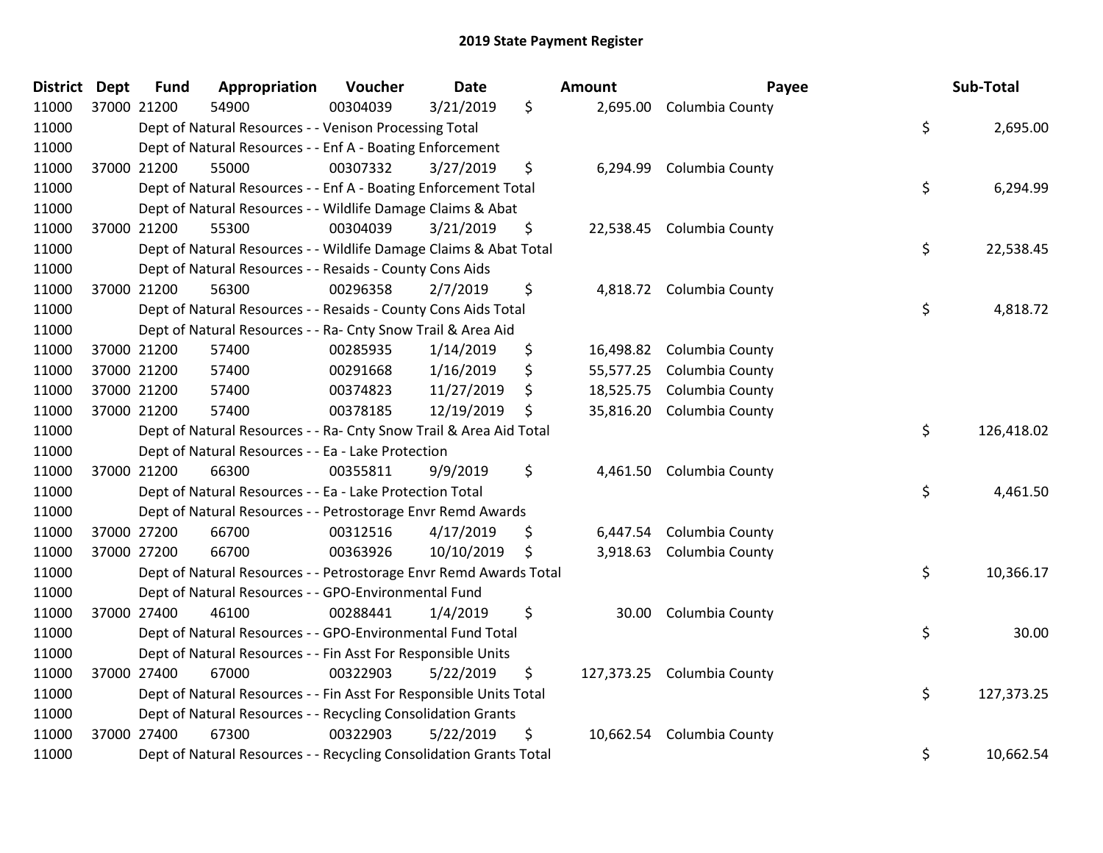| District Dept | <b>Fund</b> | Appropriation                                                      | Voucher  | <b>Date</b> |     | Amount    | Payee                      | Sub-Total        |
|---------------|-------------|--------------------------------------------------------------------|----------|-------------|-----|-----------|----------------------------|------------------|
| 11000         | 37000 21200 | 54900                                                              | 00304039 | 3/21/2019   | \$  |           | 2,695.00 Columbia County   |                  |
| 11000         |             | Dept of Natural Resources - - Venison Processing Total             |          |             |     |           |                            | \$<br>2,695.00   |
| 11000         |             | Dept of Natural Resources - - Enf A - Boating Enforcement          |          |             |     |           |                            |                  |
| 11000         | 37000 21200 | 55000                                                              | 00307332 | 3/27/2019   | \$  |           | 6,294.99 Columbia County   |                  |
| 11000         |             | Dept of Natural Resources - - Enf A - Boating Enforcement Total    |          |             |     |           |                            | \$<br>6,294.99   |
| 11000         |             | Dept of Natural Resources - - Wildlife Damage Claims & Abat        |          |             |     |           |                            |                  |
| 11000         | 37000 21200 | 55300                                                              | 00304039 | 3/21/2019   | \$  | 22,538.45 | Columbia County            |                  |
| 11000         |             | Dept of Natural Resources - - Wildlife Damage Claims & Abat Total  |          |             |     |           |                            | \$<br>22,538.45  |
| 11000         |             | Dept of Natural Resources - - Resaids - County Cons Aids           |          |             |     |           |                            |                  |
| 11000         | 37000 21200 | 56300                                                              | 00296358 | 2/7/2019    | \$  |           | 4,818.72 Columbia County   |                  |
| 11000         |             | Dept of Natural Resources - - Resaids - County Cons Aids Total     |          |             |     |           |                            | \$<br>4,818.72   |
| 11000         |             | Dept of Natural Resources - - Ra- Cnty Snow Trail & Area Aid       |          |             |     |           |                            |                  |
| 11000         | 37000 21200 | 57400                                                              | 00285935 | 1/14/2019   | \$  |           | 16,498.82 Columbia County  |                  |
| 11000         | 37000 21200 | 57400                                                              | 00291668 | 1/16/2019   | \$  | 55,577.25 | Columbia County            |                  |
| 11000         | 37000 21200 | 57400                                                              | 00374823 | 11/27/2019  | \$  | 18,525.75 | Columbia County            |                  |
| 11000         | 37000 21200 | 57400                                                              | 00378185 | 12/19/2019  | \$  | 35,816.20 | Columbia County            |                  |
| 11000         |             | Dept of Natural Resources - - Ra- Cnty Snow Trail & Area Aid Total |          |             |     |           |                            | \$<br>126,418.02 |
| 11000         |             | Dept of Natural Resources - - Ea - Lake Protection                 |          |             |     |           |                            |                  |
| 11000         | 37000 21200 | 66300                                                              | 00355811 | 9/9/2019    | \$  | 4,461.50  | Columbia County            |                  |
| 11000         |             | Dept of Natural Resources - - Ea - Lake Protection Total           |          |             |     |           |                            | \$<br>4,461.50   |
| 11000         |             | Dept of Natural Resources - - Petrostorage Envr Remd Awards        |          |             |     |           |                            |                  |
| 11000         | 37000 27200 | 66700                                                              | 00312516 | 4/17/2019   | \$  | 6,447.54  | Columbia County            |                  |
| 11000         | 37000 27200 | 66700                                                              | 00363926 | 10/10/2019  | -\$ |           | 3,918.63 Columbia County   |                  |
| 11000         |             | Dept of Natural Resources - - Petrostorage Envr Remd Awards Total  |          |             |     |           |                            | \$<br>10,366.17  |
| 11000         |             | Dept of Natural Resources - - GPO-Environmental Fund               |          |             |     |           |                            |                  |
| 11000         | 37000 27400 | 46100                                                              | 00288441 | 1/4/2019    | \$  | 30.00     | Columbia County            |                  |
| 11000         |             | Dept of Natural Resources - - GPO-Environmental Fund Total         |          |             |     |           |                            | \$<br>30.00      |
| 11000         |             | Dept of Natural Resources - - Fin Asst For Responsible Units       |          |             |     |           |                            |                  |
| 11000         | 37000 27400 | 67000                                                              | 00322903 | 5/22/2019   | \$  |           | 127,373.25 Columbia County |                  |
| 11000         |             | Dept of Natural Resources - - Fin Asst For Responsible Units Total |          |             |     |           |                            | \$<br>127,373.25 |
| 11000         |             | Dept of Natural Resources - - Recycling Consolidation Grants       |          |             |     |           |                            |                  |
| 11000         | 37000 27400 | 67300                                                              | 00322903 | 5/22/2019   | \$  | 10,662.54 | Columbia County            |                  |
| 11000         |             | Dept of Natural Resources - - Recycling Consolidation Grants Total |          |             |     |           |                            | \$<br>10,662.54  |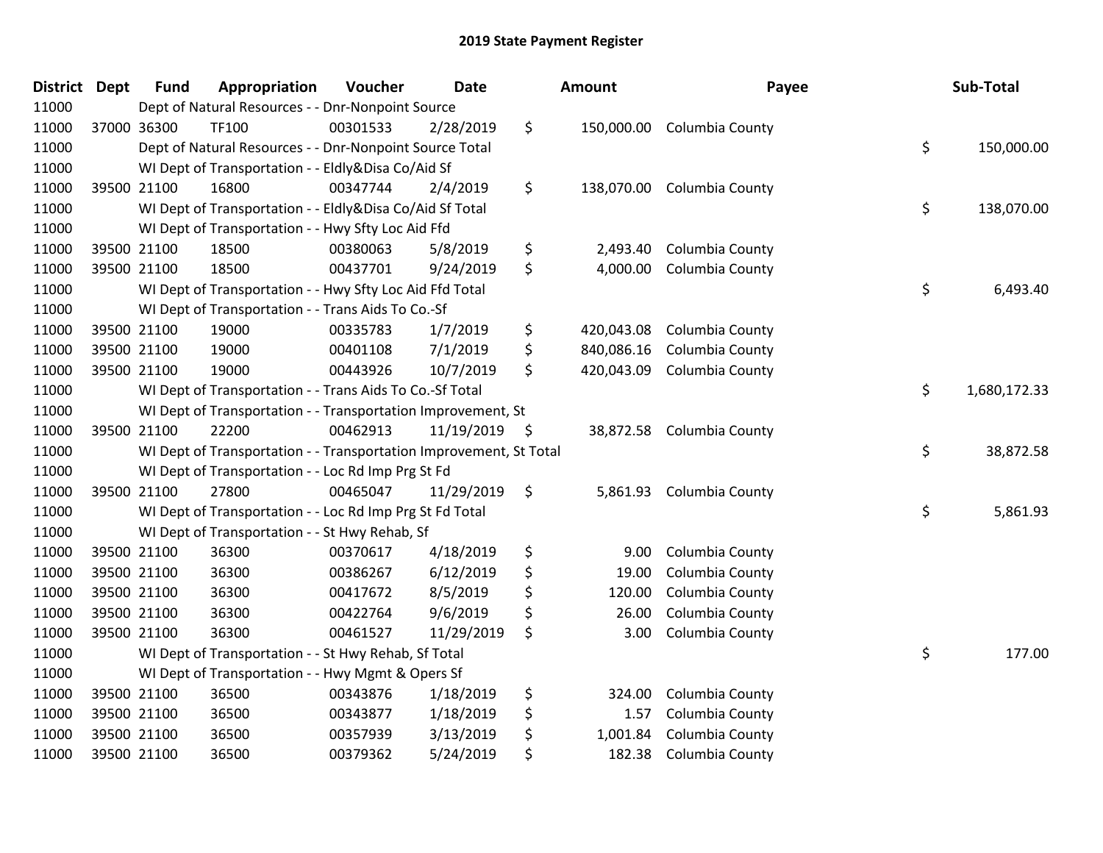| District Dept |             | <b>Fund</b> | Appropriation                                                      | Voucher  | <b>Date</b> | Amount           | Payee                      | Sub-Total          |
|---------------|-------------|-------------|--------------------------------------------------------------------|----------|-------------|------------------|----------------------------|--------------------|
| 11000         |             |             | Dept of Natural Resources - - Dnr-Nonpoint Source                  |          |             |                  |                            |                    |
| 11000         |             | 37000 36300 | TF100                                                              | 00301533 | 2/28/2019   | \$               | 150,000.00 Columbia County |                    |
| 11000         |             |             | Dept of Natural Resources - - Dnr-Nonpoint Source Total            |          |             |                  |                            | \$<br>150,000.00   |
| 11000         |             |             | WI Dept of Transportation - - Eldly&Disa Co/Aid Sf                 |          |             |                  |                            |                    |
| 11000         |             | 39500 21100 | 16800                                                              | 00347744 | 2/4/2019    | \$<br>138,070.00 | Columbia County            |                    |
| 11000         |             |             | WI Dept of Transportation - - Eldly&Disa Co/Aid Sf Total           |          |             |                  |                            | \$<br>138,070.00   |
| 11000         |             |             | WI Dept of Transportation - - Hwy Sfty Loc Aid Ffd                 |          |             |                  |                            |                    |
| 11000         |             | 39500 21100 | 18500                                                              | 00380063 | 5/8/2019    | \$<br>2,493.40   | Columbia County            |                    |
| 11000         |             | 39500 21100 | 18500                                                              | 00437701 | 9/24/2019   | \$<br>4,000.00   | Columbia County            |                    |
| 11000         |             |             | WI Dept of Transportation - - Hwy Sfty Loc Aid Ffd Total           |          |             |                  |                            | \$<br>6,493.40     |
| 11000         |             |             | WI Dept of Transportation - - Trans Aids To Co.-Sf                 |          |             |                  |                            |                    |
| 11000         |             | 39500 21100 | 19000                                                              | 00335783 | 1/7/2019    | \$<br>420,043.08 | Columbia County            |                    |
| 11000         | 39500 21100 |             | 19000                                                              | 00401108 | 7/1/2019    | \$<br>840,086.16 | Columbia County            |                    |
| 11000         |             | 39500 21100 | 19000                                                              | 00443926 | 10/7/2019   | \$<br>420,043.09 | Columbia County            |                    |
| 11000         |             |             | WI Dept of Transportation - - Trans Aids To Co.-Sf Total           |          |             |                  |                            | \$<br>1,680,172.33 |
| 11000         |             |             | WI Dept of Transportation - - Transportation Improvement, St       |          |             |                  |                            |                    |
| 11000         |             | 39500 21100 | 22200                                                              | 00462913 | 11/19/2019  | \$<br>38,872.58  | Columbia County            |                    |
| 11000         |             |             | WI Dept of Transportation - - Transportation Improvement, St Total |          |             |                  |                            | \$<br>38,872.58    |
| 11000         |             |             | WI Dept of Transportation - - Loc Rd Imp Prg St Fd                 |          |             |                  |                            |                    |
| 11000         |             | 39500 21100 | 27800                                                              | 00465047 | 11/29/2019  | \$<br>5,861.93   | Columbia County            |                    |
| 11000         |             |             | WI Dept of Transportation - - Loc Rd Imp Prg St Fd Total           |          |             |                  |                            | \$<br>5,861.93     |
| 11000         |             |             | WI Dept of Transportation - - St Hwy Rehab, Sf                     |          |             |                  |                            |                    |
| 11000         |             | 39500 21100 | 36300                                                              | 00370617 | 4/18/2019   | \$<br>9.00       | Columbia County            |                    |
| 11000         | 39500 21100 |             | 36300                                                              | 00386267 | 6/12/2019   | \$<br>19.00      | Columbia County            |                    |
| 11000         |             | 39500 21100 | 36300                                                              | 00417672 | 8/5/2019    | \$<br>120.00     | Columbia County            |                    |
| 11000         |             | 39500 21100 | 36300                                                              | 00422764 | 9/6/2019    | \$<br>26.00      | Columbia County            |                    |
| 11000         |             | 39500 21100 | 36300                                                              | 00461527 | 11/29/2019  | \$<br>3.00       | Columbia County            |                    |
| 11000         |             |             | WI Dept of Transportation - - St Hwy Rehab, Sf Total               |          |             |                  |                            | \$<br>177.00       |
| 11000         |             |             | WI Dept of Transportation - - Hwy Mgmt & Opers Sf                  |          |             |                  |                            |                    |
| 11000         |             | 39500 21100 | 36500                                                              | 00343876 | 1/18/2019   | \$<br>324.00     | Columbia County            |                    |
| 11000         |             | 39500 21100 | 36500                                                              | 00343877 | 1/18/2019   | \$<br>1.57       | Columbia County            |                    |
| 11000         |             | 39500 21100 | 36500                                                              | 00357939 | 3/13/2019   | \$<br>1,001.84   | Columbia County            |                    |
| 11000         |             | 39500 21100 | 36500                                                              | 00379362 | 5/24/2019   | \$<br>182.38     | Columbia County            |                    |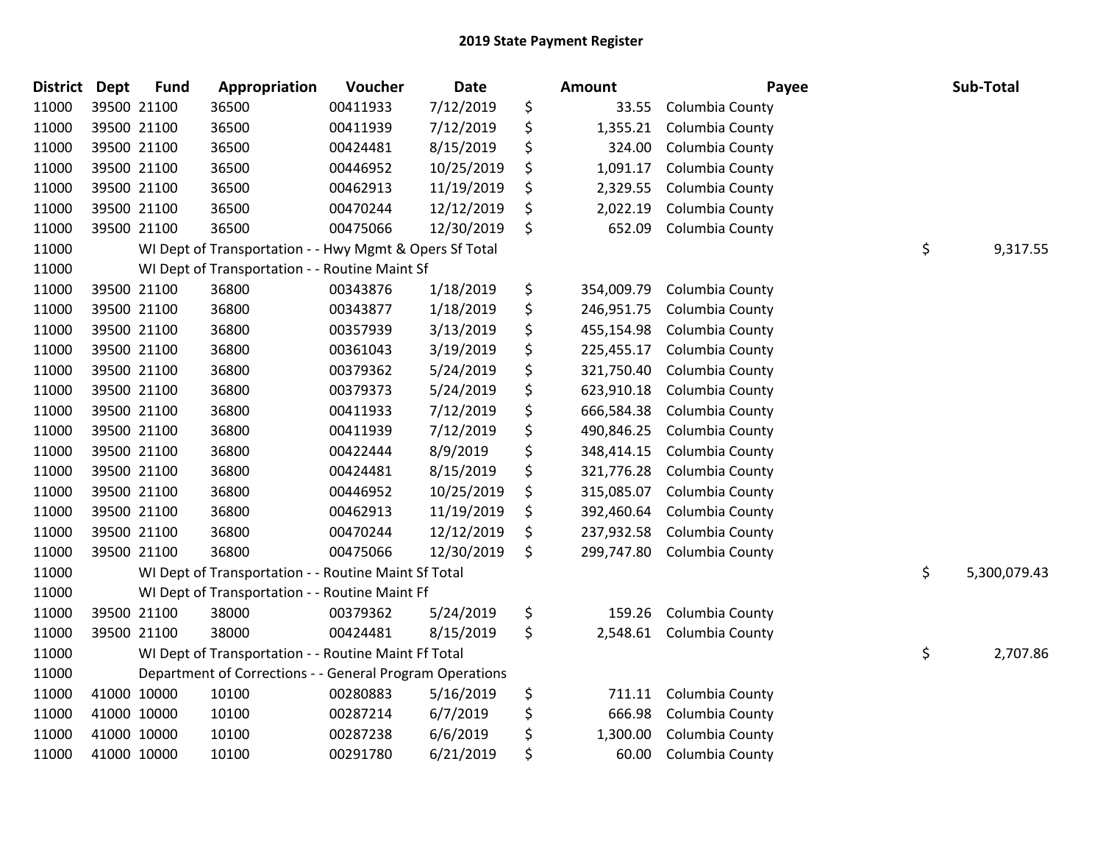| <b>District</b> | <b>Dept</b> | <b>Fund</b> | Appropriation                                            | Voucher  | Date       |     | Amount     | Payee           | Sub-Total          |
|-----------------|-------------|-------------|----------------------------------------------------------|----------|------------|-----|------------|-----------------|--------------------|
| 11000           |             | 39500 21100 | 36500                                                    | 00411933 | 7/12/2019  | \$  | 33.55      | Columbia County |                    |
| 11000           |             | 39500 21100 | 36500                                                    | 00411939 | 7/12/2019  | \$  | 1,355.21   | Columbia County |                    |
| 11000           |             | 39500 21100 | 36500                                                    | 00424481 | 8/15/2019  | \$  | 324.00     | Columbia County |                    |
| 11000           |             | 39500 21100 | 36500                                                    | 00446952 | 10/25/2019 | \$  | 1,091.17   | Columbia County |                    |
| 11000           |             | 39500 21100 | 36500                                                    | 00462913 | 11/19/2019 | \$  | 2,329.55   | Columbia County |                    |
| 11000           |             | 39500 21100 | 36500                                                    | 00470244 | 12/12/2019 | \$, | 2,022.19   | Columbia County |                    |
| 11000           |             | 39500 21100 | 36500                                                    | 00475066 | 12/30/2019 | \$  | 652.09     | Columbia County |                    |
| 11000           |             |             | WI Dept of Transportation - - Hwy Mgmt & Opers Sf Total  |          |            |     |            |                 | \$<br>9,317.55     |
| 11000           |             |             | WI Dept of Transportation - - Routine Maint Sf           |          |            |     |            |                 |                    |
| 11000           |             | 39500 21100 | 36800                                                    | 00343876 | 1/18/2019  | \$  | 354,009.79 | Columbia County |                    |
| 11000           |             | 39500 21100 | 36800                                                    | 00343877 | 1/18/2019  | \$  | 246,951.75 | Columbia County |                    |
| 11000           |             | 39500 21100 | 36800                                                    | 00357939 | 3/13/2019  | \$  | 455,154.98 | Columbia County |                    |
| 11000           |             | 39500 21100 | 36800                                                    | 00361043 | 3/19/2019  | \$  | 225,455.17 | Columbia County |                    |
| 11000           |             | 39500 21100 | 36800                                                    | 00379362 | 5/24/2019  | \$  | 321,750.40 | Columbia County |                    |
| 11000           |             | 39500 21100 | 36800                                                    | 00379373 | 5/24/2019  | \$  | 623,910.18 | Columbia County |                    |
| 11000           |             | 39500 21100 | 36800                                                    | 00411933 | 7/12/2019  | \$  | 666,584.38 | Columbia County |                    |
| 11000           |             | 39500 21100 | 36800                                                    | 00411939 | 7/12/2019  | \$  | 490,846.25 | Columbia County |                    |
| 11000           |             | 39500 21100 | 36800                                                    | 00422444 | 8/9/2019   | \$  | 348,414.15 | Columbia County |                    |
| 11000           |             | 39500 21100 | 36800                                                    | 00424481 | 8/15/2019  | \$  | 321,776.28 | Columbia County |                    |
| 11000           |             | 39500 21100 | 36800                                                    | 00446952 | 10/25/2019 | \$  | 315,085.07 | Columbia County |                    |
| 11000           |             | 39500 21100 | 36800                                                    | 00462913 | 11/19/2019 | \$  | 392,460.64 | Columbia County |                    |
| 11000           |             | 39500 21100 | 36800                                                    | 00470244 | 12/12/2019 | \$  | 237,932.58 | Columbia County |                    |
| 11000           |             | 39500 21100 | 36800                                                    | 00475066 | 12/30/2019 | \$  | 299,747.80 | Columbia County |                    |
| 11000           |             |             | WI Dept of Transportation - - Routine Maint Sf Total     |          |            |     |            |                 | \$<br>5,300,079.43 |
| 11000           |             |             | WI Dept of Transportation - - Routine Maint Ff           |          |            |     |            |                 |                    |
| 11000           |             | 39500 21100 | 38000                                                    | 00379362 | 5/24/2019  | \$  | 159.26     | Columbia County |                    |
| 11000           |             | 39500 21100 | 38000                                                    | 00424481 | 8/15/2019  | \$  | 2,548.61   | Columbia County |                    |
| 11000           |             |             | WI Dept of Transportation - - Routine Maint Ff Total     |          |            |     |            |                 | \$<br>2,707.86     |
| 11000           |             |             | Department of Corrections - - General Program Operations |          |            |     |            |                 |                    |
| 11000           |             | 41000 10000 | 10100                                                    | 00280883 | 5/16/2019  | \$  | 711.11     | Columbia County |                    |
| 11000           | 41000 10000 |             | 10100                                                    | 00287214 | 6/7/2019   | \$  | 666.98     | Columbia County |                    |
| 11000           |             | 41000 10000 | 10100                                                    | 00287238 | 6/6/2019   | \$  | 1,300.00   | Columbia County |                    |
| 11000           | 41000 10000 |             | 10100                                                    | 00291780 | 6/21/2019  | \$  | 60.00      | Columbia County |                    |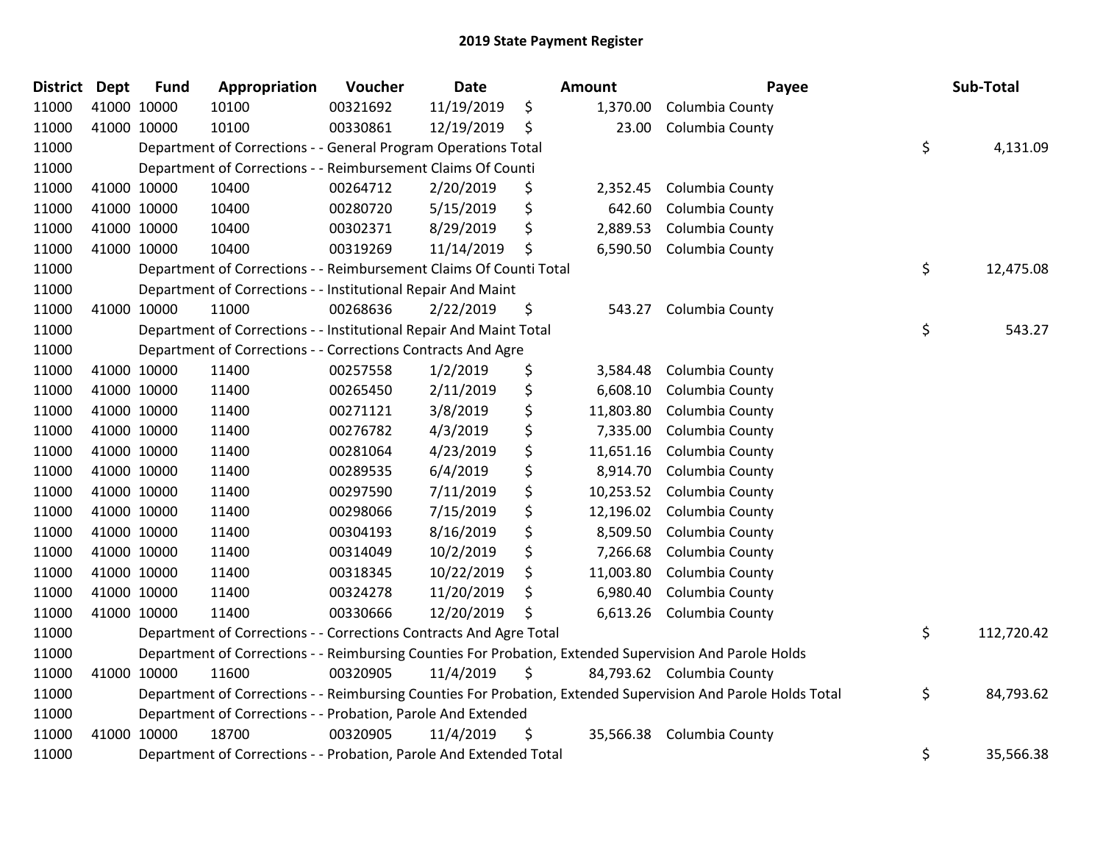| <b>District Dept</b> | <b>Fund</b> | Appropriation                                                      | Voucher  | <b>Date</b> | Amount          | Payee                                                                                                         | Sub-Total        |
|----------------------|-------------|--------------------------------------------------------------------|----------|-------------|-----------------|---------------------------------------------------------------------------------------------------------------|------------------|
| 11000                | 41000 10000 | 10100                                                              | 00321692 | 11/19/2019  | \$<br>1,370.00  | Columbia County                                                                                               |                  |
| 11000                | 41000 10000 | 10100                                                              | 00330861 | 12/19/2019  | \$<br>23.00     | Columbia County                                                                                               |                  |
| 11000                |             | Department of Corrections - - General Program Operations Total     |          |             |                 |                                                                                                               | \$<br>4,131.09   |
| 11000                |             | Department of Corrections - - Reimbursement Claims Of Counti       |          |             |                 |                                                                                                               |                  |
| 11000                | 41000 10000 | 10400                                                              | 00264712 | 2/20/2019   | \$<br>2,352.45  | Columbia County                                                                                               |                  |
| 11000                | 41000 10000 | 10400                                                              | 00280720 | 5/15/2019   | \$<br>642.60    | Columbia County                                                                                               |                  |
| 11000                | 41000 10000 | 10400                                                              | 00302371 | 8/29/2019   | \$<br>2,889.53  | Columbia County                                                                                               |                  |
| 11000                | 41000 10000 | 10400                                                              | 00319269 | 11/14/2019  | \$<br>6,590.50  | Columbia County                                                                                               |                  |
| 11000                |             | Department of Corrections - - Reimbursement Claims Of Counti Total |          |             |                 |                                                                                                               | \$<br>12,475.08  |
| 11000                |             | Department of Corrections - - Institutional Repair And Maint       |          |             |                 |                                                                                                               |                  |
| 11000                | 41000 10000 | 11000                                                              | 00268636 | 2/22/2019   | \$<br>543.27    | Columbia County                                                                                               |                  |
| 11000                |             | Department of Corrections - - Institutional Repair And Maint Total |          |             |                 |                                                                                                               | \$<br>543.27     |
| 11000                |             | Department of Corrections - - Corrections Contracts And Agre       |          |             |                 |                                                                                                               |                  |
| 11000                | 41000 10000 | 11400                                                              | 00257558 | 1/2/2019    | \$<br>3,584.48  | Columbia County                                                                                               |                  |
| 11000                | 41000 10000 | 11400                                                              | 00265450 | 2/11/2019   | \$<br>6,608.10  | Columbia County                                                                                               |                  |
| 11000                | 41000 10000 | 11400                                                              | 00271121 | 3/8/2019    | \$<br>11,803.80 | Columbia County                                                                                               |                  |
| 11000                | 41000 10000 | 11400                                                              | 00276782 | 4/3/2019    | \$<br>7,335.00  | Columbia County                                                                                               |                  |
| 11000                | 41000 10000 | 11400                                                              | 00281064 | 4/23/2019   | \$<br>11,651.16 | Columbia County                                                                                               |                  |
| 11000                | 41000 10000 | 11400                                                              | 00289535 | 6/4/2019    | \$<br>8,914.70  | Columbia County                                                                                               |                  |
| 11000                | 41000 10000 | 11400                                                              | 00297590 | 7/11/2019   | \$<br>10,253.52 | Columbia County                                                                                               |                  |
| 11000                | 41000 10000 | 11400                                                              | 00298066 | 7/15/2019   | \$<br>12,196.02 | Columbia County                                                                                               |                  |
| 11000                | 41000 10000 | 11400                                                              | 00304193 | 8/16/2019   | \$<br>8,509.50  | Columbia County                                                                                               |                  |
| 11000                | 41000 10000 | 11400                                                              | 00314049 | 10/2/2019   | \$<br>7,266.68  | Columbia County                                                                                               |                  |
| 11000                | 41000 10000 | 11400                                                              | 00318345 | 10/22/2019  | \$<br>11,003.80 | Columbia County                                                                                               |                  |
| 11000                | 41000 10000 | 11400                                                              | 00324278 | 11/20/2019  | \$<br>6,980.40  | Columbia County                                                                                               |                  |
| 11000                | 41000 10000 | 11400                                                              | 00330666 | 12/20/2019  | \$<br>6,613.26  | Columbia County                                                                                               |                  |
| 11000                |             | Department of Corrections - - Corrections Contracts And Agre Total |          |             |                 |                                                                                                               | \$<br>112,720.42 |
| 11000                |             |                                                                    |          |             |                 | Department of Corrections - - Reimbursing Counties For Probation, Extended Supervision And Parole Holds       |                  |
| 11000                | 41000 10000 | 11600                                                              | 00320905 | 11/4/2019   | \$              | 84,793.62 Columbia County                                                                                     |                  |
| 11000                |             |                                                                    |          |             |                 | Department of Corrections - - Reimbursing Counties For Probation, Extended Supervision And Parole Holds Total | \$<br>84,793.62  |
| 11000                |             | Department of Corrections - - Probation, Parole And Extended       |          |             |                 |                                                                                                               |                  |
| 11000                | 41000 10000 | 18700                                                              | 00320905 | 11/4/2019   | \$<br>35,566.38 | Columbia County                                                                                               |                  |
| 11000                |             | Department of Corrections - - Probation, Parole And Extended Total |          |             |                 |                                                                                                               | \$<br>35,566.38  |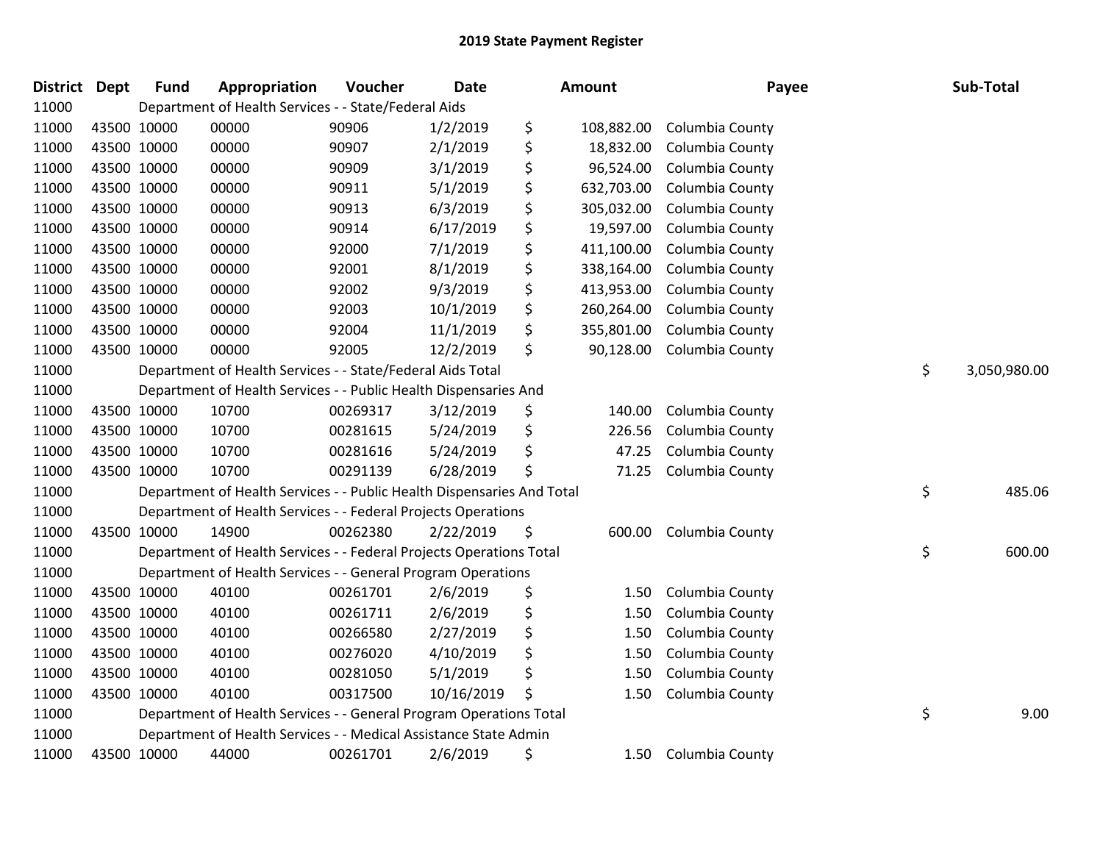| District Dept |             | <b>Fund</b> | Appropriation                                                          | Voucher  | Date       | <b>Amount</b>    | Payee           | Sub-Total          |
|---------------|-------------|-------------|------------------------------------------------------------------------|----------|------------|------------------|-----------------|--------------------|
| 11000         |             |             | Department of Health Services - - State/Federal Aids                   |          |            |                  |                 |                    |
| 11000         | 43500 10000 |             | 00000                                                                  | 90906    | 1/2/2019   | \$<br>108,882.00 | Columbia County |                    |
| 11000         | 43500 10000 |             | 00000                                                                  | 90907    | 2/1/2019   | \$<br>18,832.00  | Columbia County |                    |
| 11000         | 43500 10000 |             | 00000                                                                  | 90909    | 3/1/2019   | \$<br>96,524.00  | Columbia County |                    |
| 11000         | 43500 10000 |             | 00000                                                                  | 90911    | 5/1/2019   | \$<br>632,703.00 | Columbia County |                    |
| 11000         | 43500 10000 |             | 00000                                                                  | 90913    | 6/3/2019   | \$<br>305,032.00 | Columbia County |                    |
| 11000         | 43500 10000 |             | 00000                                                                  | 90914    | 6/17/2019  | \$<br>19,597.00  | Columbia County |                    |
| 11000         | 43500 10000 |             | 00000                                                                  | 92000    | 7/1/2019   | \$<br>411,100.00 | Columbia County |                    |
| 11000         | 43500 10000 |             | 00000                                                                  | 92001    | 8/1/2019   | \$<br>338,164.00 | Columbia County |                    |
| 11000         | 43500 10000 |             | 00000                                                                  | 92002    | 9/3/2019   | \$<br>413,953.00 | Columbia County |                    |
| 11000         | 43500 10000 |             | 00000                                                                  | 92003    | 10/1/2019  | \$<br>260,264.00 | Columbia County |                    |
| 11000         | 43500 10000 |             | 00000                                                                  | 92004    | 11/1/2019  | \$<br>355,801.00 | Columbia County |                    |
| 11000         | 43500 10000 |             | 00000                                                                  | 92005    | 12/2/2019  | \$<br>90,128.00  | Columbia County |                    |
| 11000         |             |             | Department of Health Services - - State/Federal Aids Total             |          |            |                  |                 | \$<br>3,050,980.00 |
| 11000         |             |             | Department of Health Services - - Public Health Dispensaries And       |          |            |                  |                 |                    |
| 11000         | 43500 10000 |             | 10700                                                                  | 00269317 | 3/12/2019  | \$<br>140.00     | Columbia County |                    |
| 11000         | 43500 10000 |             | 10700                                                                  | 00281615 | 5/24/2019  | \$<br>226.56     | Columbia County |                    |
| 11000         | 43500 10000 |             | 10700                                                                  | 00281616 | 5/24/2019  | \$<br>47.25      | Columbia County |                    |
| 11000         | 43500 10000 |             | 10700                                                                  | 00291139 | 6/28/2019  | \$<br>71.25      | Columbia County |                    |
| 11000         |             |             | Department of Health Services - - Public Health Dispensaries And Total |          |            |                  |                 | \$<br>485.06       |
| 11000         |             |             | Department of Health Services - - Federal Projects Operations          |          |            |                  |                 |                    |
| 11000         | 43500 10000 |             | 14900                                                                  | 00262380 | 2/22/2019  | \$<br>600.00     | Columbia County |                    |
| 11000         |             |             | Department of Health Services - - Federal Projects Operations Total    |          |            |                  |                 | \$<br>600.00       |
| 11000         |             |             | Department of Health Services - - General Program Operations           |          |            |                  |                 |                    |
| 11000         | 43500 10000 |             | 40100                                                                  | 00261701 | 2/6/2019   | \$<br>1.50       | Columbia County |                    |
| 11000         | 43500 10000 |             | 40100                                                                  | 00261711 | 2/6/2019   | \$<br>1.50       | Columbia County |                    |
| 11000         | 43500 10000 |             | 40100                                                                  | 00266580 | 2/27/2019  | \$<br>1.50       | Columbia County |                    |
| 11000         | 43500 10000 |             | 40100                                                                  | 00276020 | 4/10/2019  | \$<br>1.50       | Columbia County |                    |
| 11000         | 43500 10000 |             | 40100                                                                  | 00281050 | 5/1/2019   | \$<br>1.50       | Columbia County |                    |
| 11000         | 43500 10000 |             | 40100                                                                  | 00317500 | 10/16/2019 | \$<br>1.50       | Columbia County |                    |
| 11000         |             |             | Department of Health Services - - General Program Operations Total     |          |            |                  |                 | \$<br>9.00         |
| 11000         |             |             | Department of Health Services - - Medical Assistance State Admin       |          |            |                  |                 |                    |
| 11000         | 43500 10000 |             | 44000                                                                  | 00261701 | 2/6/2019   | \$<br>1.50       | Columbia County |                    |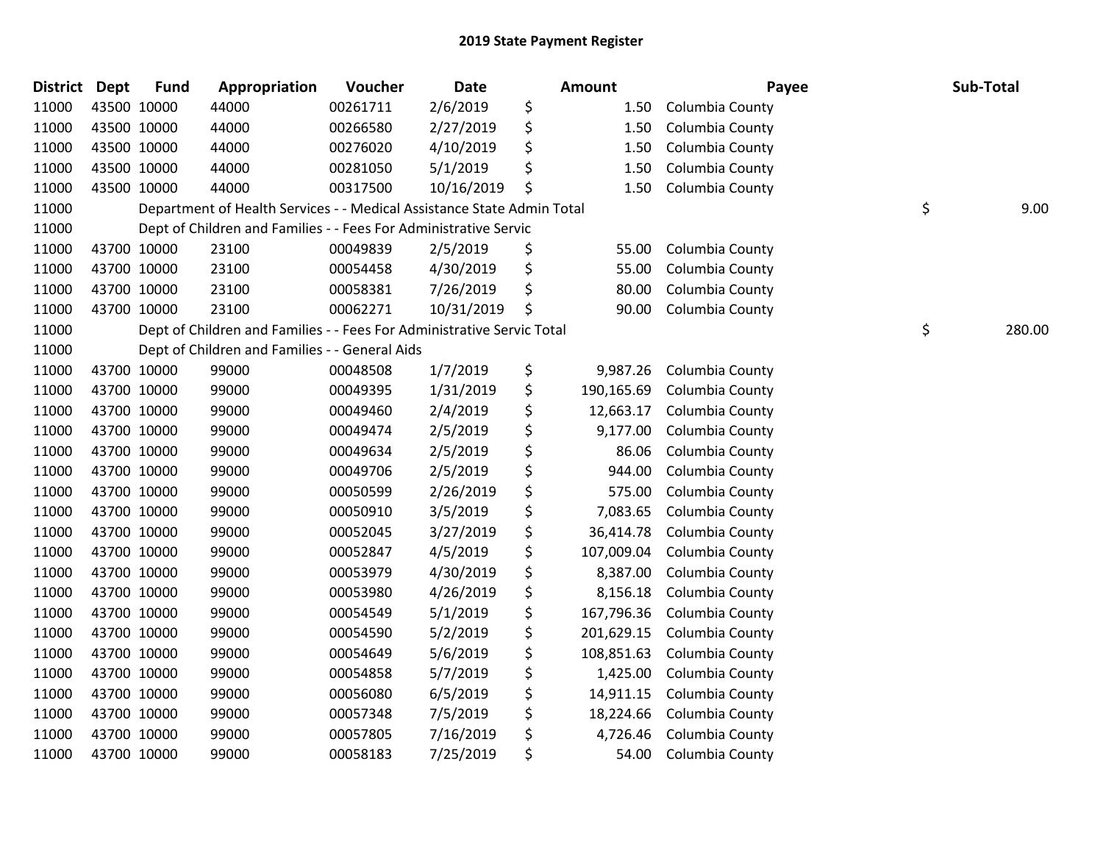| District Dept |             | <b>Fund</b> | Appropriation                                                          | Voucher  | Date       | Amount           | Payee           | Sub-Total    |
|---------------|-------------|-------------|------------------------------------------------------------------------|----------|------------|------------------|-----------------|--------------|
| 11000         | 43500 10000 |             | 44000                                                                  | 00261711 | 2/6/2019   | \$<br>1.50       | Columbia County |              |
| 11000         | 43500 10000 |             | 44000                                                                  | 00266580 | 2/27/2019  | \$<br>1.50       | Columbia County |              |
| 11000         | 43500 10000 |             | 44000                                                                  | 00276020 | 4/10/2019  | \$<br>1.50       | Columbia County |              |
| 11000         | 43500 10000 |             | 44000                                                                  | 00281050 | 5/1/2019   | \$<br>1.50       | Columbia County |              |
| 11000         | 43500 10000 |             | 44000                                                                  | 00317500 | 10/16/2019 | \$<br>1.50       | Columbia County |              |
| 11000         |             |             | Department of Health Services - - Medical Assistance State Admin Total |          |            |                  |                 | \$<br>9.00   |
| 11000         |             |             | Dept of Children and Families - - Fees For Administrative Servic       |          |            |                  |                 |              |
| 11000         | 43700 10000 |             | 23100                                                                  | 00049839 | 2/5/2019   | \$<br>55.00      | Columbia County |              |
| 11000         | 43700 10000 |             | 23100                                                                  | 00054458 | 4/30/2019  | \$<br>55.00      | Columbia County |              |
| 11000         | 43700 10000 |             | 23100                                                                  | 00058381 | 7/26/2019  | \$<br>80.00      | Columbia County |              |
| 11000         | 43700 10000 |             | 23100                                                                  | 00062271 | 10/31/2019 | \$<br>90.00      | Columbia County |              |
| 11000         |             |             | Dept of Children and Families - - Fees For Administrative Servic Total |          |            |                  |                 | \$<br>280.00 |
| 11000         |             |             | Dept of Children and Families - - General Aids                         |          |            |                  |                 |              |
| 11000         | 43700 10000 |             | 99000                                                                  | 00048508 | 1/7/2019   | \$<br>9,987.26   | Columbia County |              |
| 11000         | 43700 10000 |             | 99000                                                                  | 00049395 | 1/31/2019  | \$<br>190,165.69 | Columbia County |              |
| 11000         | 43700 10000 |             | 99000                                                                  | 00049460 | 2/4/2019   | \$<br>12,663.17  | Columbia County |              |
| 11000         | 43700 10000 |             | 99000                                                                  | 00049474 | 2/5/2019   | \$<br>9,177.00   | Columbia County |              |
| 11000         | 43700 10000 |             | 99000                                                                  | 00049634 | 2/5/2019   | \$<br>86.06      | Columbia County |              |
| 11000         | 43700 10000 |             | 99000                                                                  | 00049706 | 2/5/2019   | \$<br>944.00     | Columbia County |              |
| 11000         | 43700 10000 |             | 99000                                                                  | 00050599 | 2/26/2019  | \$<br>575.00     | Columbia County |              |
| 11000         | 43700 10000 |             | 99000                                                                  | 00050910 | 3/5/2019   | \$<br>7,083.65   | Columbia County |              |
| 11000         | 43700 10000 |             | 99000                                                                  | 00052045 | 3/27/2019  | \$<br>36,414.78  | Columbia County |              |
| 11000         | 43700 10000 |             | 99000                                                                  | 00052847 | 4/5/2019   | \$<br>107,009.04 | Columbia County |              |
| 11000         | 43700 10000 |             | 99000                                                                  | 00053979 | 4/30/2019  | \$<br>8,387.00   | Columbia County |              |
| 11000         | 43700 10000 |             | 99000                                                                  | 00053980 | 4/26/2019  | \$<br>8,156.18   | Columbia County |              |
| 11000         | 43700 10000 |             | 99000                                                                  | 00054549 | 5/1/2019   | \$<br>167,796.36 | Columbia County |              |
| 11000         | 43700 10000 |             | 99000                                                                  | 00054590 | 5/2/2019   | \$<br>201,629.15 | Columbia County |              |
| 11000         | 43700 10000 |             | 99000                                                                  | 00054649 | 5/6/2019   | \$<br>108,851.63 | Columbia County |              |
| 11000         | 43700 10000 |             | 99000                                                                  | 00054858 | 5/7/2019   | \$<br>1,425.00   | Columbia County |              |
| 11000         | 43700 10000 |             | 99000                                                                  | 00056080 | 6/5/2019   | \$<br>14,911.15  | Columbia County |              |
| 11000         | 43700 10000 |             | 99000                                                                  | 00057348 | 7/5/2019   | \$<br>18,224.66  | Columbia County |              |
| 11000         | 43700 10000 |             | 99000                                                                  | 00057805 | 7/16/2019  | \$<br>4,726.46   | Columbia County |              |
| 11000         | 43700 10000 |             | 99000                                                                  | 00058183 | 7/25/2019  | \$<br>54.00      | Columbia County |              |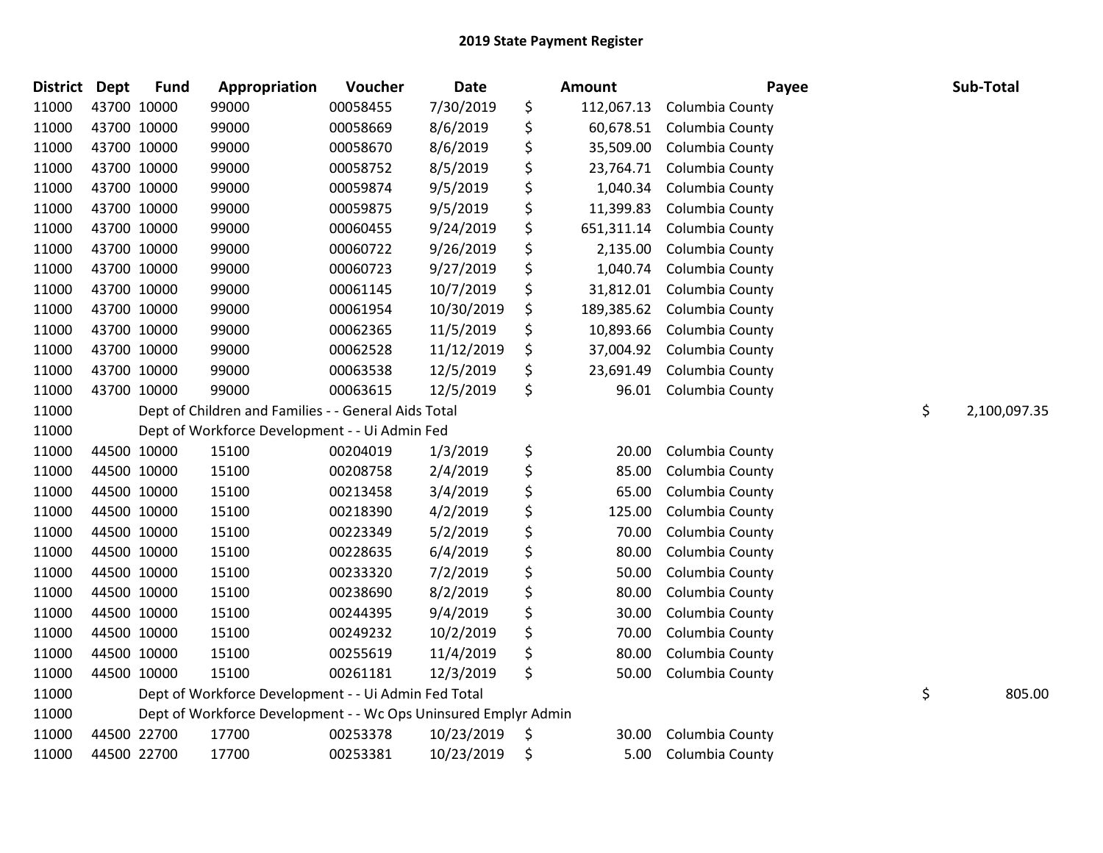| District Dept |             | <b>Fund</b> | Appropriation                                                   | Voucher  | Date       | <b>Amount</b>    | Payee           | Sub-Total          |
|---------------|-------------|-------------|-----------------------------------------------------------------|----------|------------|------------------|-----------------|--------------------|
| 11000         |             | 43700 10000 | 99000                                                           | 00058455 | 7/30/2019  | \$<br>112,067.13 | Columbia County |                    |
| 11000         | 43700 10000 |             | 99000                                                           | 00058669 | 8/6/2019   | \$<br>60,678.51  | Columbia County |                    |
| 11000         | 43700 10000 |             | 99000                                                           | 00058670 | 8/6/2019   | \$<br>35,509.00  | Columbia County |                    |
| 11000         | 43700 10000 |             | 99000                                                           | 00058752 | 8/5/2019   | \$<br>23,764.71  | Columbia County |                    |
| 11000         |             | 43700 10000 | 99000                                                           | 00059874 | 9/5/2019   | \$<br>1,040.34   | Columbia County |                    |
| 11000         | 43700 10000 |             | 99000                                                           | 00059875 | 9/5/2019   | \$<br>11,399.83  | Columbia County |                    |
| 11000         | 43700 10000 |             | 99000                                                           | 00060455 | 9/24/2019  | \$<br>651,311.14 | Columbia County |                    |
| 11000         | 43700 10000 |             | 99000                                                           | 00060722 | 9/26/2019  | \$<br>2,135.00   | Columbia County |                    |
| 11000         | 43700 10000 |             | 99000                                                           | 00060723 | 9/27/2019  | \$<br>1,040.74   | Columbia County |                    |
| 11000         | 43700 10000 |             | 99000                                                           | 00061145 | 10/7/2019  | \$<br>31,812.01  | Columbia County |                    |
| 11000         |             | 43700 10000 | 99000                                                           | 00061954 | 10/30/2019 | \$<br>189,385.62 | Columbia County |                    |
| 11000         | 43700 10000 |             | 99000                                                           | 00062365 | 11/5/2019  | \$<br>10,893.66  | Columbia County |                    |
| 11000         | 43700 10000 |             | 99000                                                           | 00062528 | 11/12/2019 | \$<br>37,004.92  | Columbia County |                    |
| 11000         | 43700 10000 |             | 99000                                                           | 00063538 | 12/5/2019  | \$<br>23,691.49  | Columbia County |                    |
| 11000         |             | 43700 10000 | 99000                                                           | 00063615 | 12/5/2019  | \$<br>96.01      | Columbia County |                    |
| 11000         |             |             | Dept of Children and Families - - General Aids Total            |          |            |                  |                 | \$<br>2,100,097.35 |
| 11000         |             |             | Dept of Workforce Development - - Ui Admin Fed                  |          |            |                  |                 |                    |
| 11000         | 44500 10000 |             | 15100                                                           | 00204019 | 1/3/2019   | \$<br>20.00      | Columbia County |                    |
| 11000         |             | 44500 10000 | 15100                                                           | 00208758 | 2/4/2019   | \$<br>85.00      | Columbia County |                    |
| 11000         |             | 44500 10000 | 15100                                                           | 00213458 | 3/4/2019   | \$<br>65.00      | Columbia County |                    |
| 11000         |             | 44500 10000 | 15100                                                           | 00218390 | 4/2/2019   | \$<br>125.00     | Columbia County |                    |
| 11000         | 44500 10000 |             | 15100                                                           | 00223349 | 5/2/2019   | \$<br>70.00      | Columbia County |                    |
| 11000         | 44500 10000 |             | 15100                                                           | 00228635 | 6/4/2019   | \$<br>80.00      | Columbia County |                    |
| 11000         |             | 44500 10000 | 15100                                                           | 00233320 | 7/2/2019   | \$<br>50.00      | Columbia County |                    |
| 11000         |             | 44500 10000 | 15100                                                           | 00238690 | 8/2/2019   | \$<br>80.00      | Columbia County |                    |
| 11000         |             | 44500 10000 | 15100                                                           | 00244395 | 9/4/2019   | \$<br>30.00      | Columbia County |                    |
| 11000         | 44500 10000 |             | 15100                                                           | 00249232 | 10/2/2019  | \$<br>70.00      | Columbia County |                    |
| 11000         | 44500 10000 |             | 15100                                                           | 00255619 | 11/4/2019  | \$<br>80.00      | Columbia County |                    |
| 11000         |             | 44500 10000 | 15100                                                           | 00261181 | 12/3/2019  | \$<br>50.00      | Columbia County |                    |
| 11000         |             |             | Dept of Workforce Development - - Ui Admin Fed Total            |          |            |                  |                 | \$<br>805.00       |
| 11000         |             |             | Dept of Workforce Development - - Wc Ops Uninsured Emplyr Admin |          |            |                  |                 |                    |
| 11000         |             | 44500 22700 | 17700                                                           | 00253378 | 10/23/2019 | \$<br>30.00      | Columbia County |                    |
| 11000         |             | 44500 22700 | 17700                                                           | 00253381 | 10/23/2019 | \$<br>5.00       | Columbia County |                    |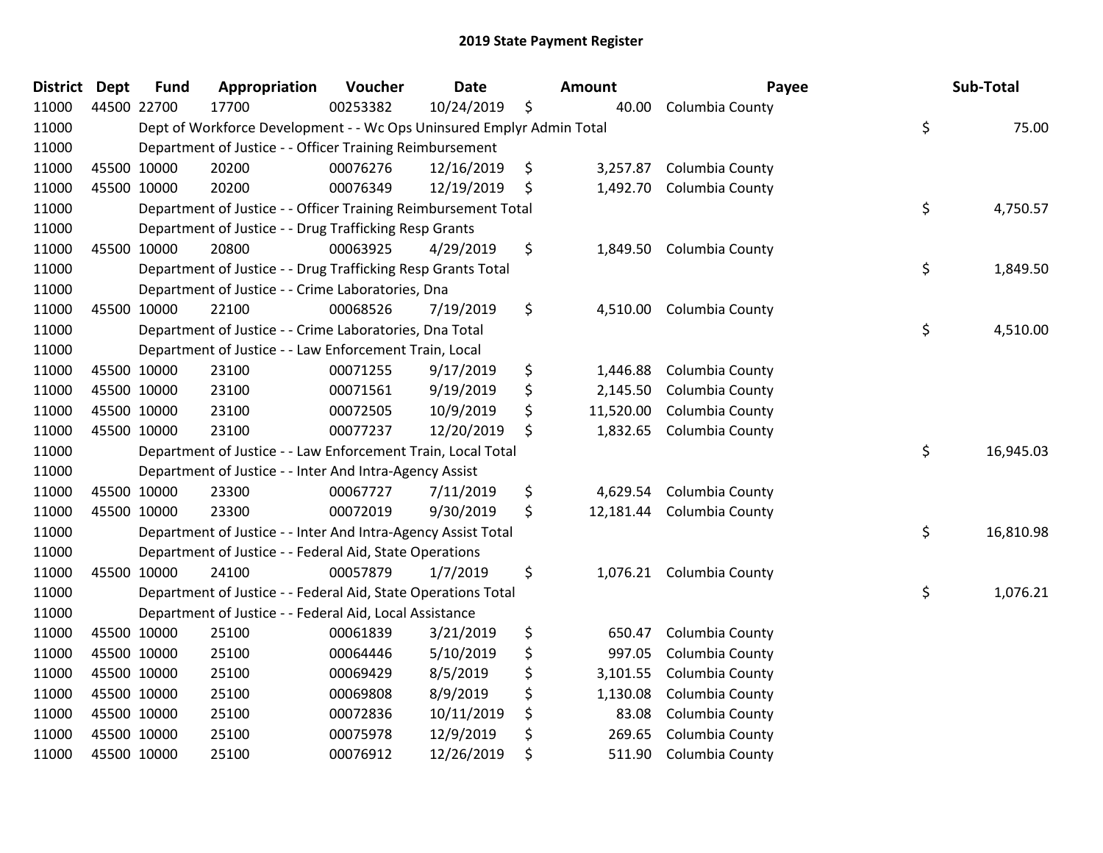| <b>District</b> | <b>Dept</b> | <b>Fund</b> | Appropriation                                                         | Voucher  | <b>Date</b> | <b>Amount</b>   | Payee                    | Sub-Total       |
|-----------------|-------------|-------------|-----------------------------------------------------------------------|----------|-------------|-----------------|--------------------------|-----------------|
| 11000           | 44500 22700 |             | 17700                                                                 | 00253382 | 10/24/2019  | \$<br>40.00     | Columbia County          |                 |
| 11000           |             |             | Dept of Workforce Development - - Wc Ops Uninsured Emplyr Admin Total |          |             |                 |                          | \$<br>75.00     |
| 11000           |             |             | Department of Justice - - Officer Training Reimbursement              |          |             |                 |                          |                 |
| 11000           | 45500 10000 |             | 20200                                                                 | 00076276 | 12/16/2019  | \$              | 3,257.87 Columbia County |                 |
| 11000           | 45500 10000 |             | 20200                                                                 | 00076349 | 12/19/2019  | \$              | 1,492.70 Columbia County |                 |
| 11000           |             |             | Department of Justice - - Officer Training Reimbursement Total        |          |             |                 |                          | \$<br>4,750.57  |
| 11000           |             |             | Department of Justice - - Drug Trafficking Resp Grants                |          |             |                 |                          |                 |
| 11000           | 45500 10000 |             | 20800                                                                 | 00063925 | 4/29/2019   | \$<br>1,849.50  | Columbia County          |                 |
| 11000           |             |             | Department of Justice - - Drug Trafficking Resp Grants Total          |          |             |                 |                          | \$<br>1,849.50  |
| 11000           |             |             | Department of Justice - - Crime Laboratories, Dna                     |          |             |                 |                          |                 |
| 11000           | 45500 10000 |             | 22100                                                                 | 00068526 | 7/19/2019   | \$<br>4,510.00  | Columbia County          |                 |
| 11000           |             |             | Department of Justice - - Crime Laboratories, Dna Total               |          |             |                 |                          | \$<br>4,510.00  |
| 11000           |             |             | Department of Justice - - Law Enforcement Train, Local                |          |             |                 |                          |                 |
| 11000           | 45500 10000 |             | 23100                                                                 | 00071255 | 9/17/2019   | \$<br>1,446.88  | Columbia County          |                 |
| 11000           | 45500 10000 |             | 23100                                                                 | 00071561 | 9/19/2019   | \$<br>2,145.50  | Columbia County          |                 |
| 11000           | 45500 10000 |             | 23100                                                                 | 00072505 | 10/9/2019   | \$<br>11,520.00 | Columbia County          |                 |
| 11000           | 45500 10000 |             | 23100                                                                 | 00077237 | 12/20/2019  | \$<br>1,832.65  | Columbia County          |                 |
| 11000           |             |             | Department of Justice - - Law Enforcement Train, Local Total          |          |             |                 |                          | \$<br>16,945.03 |
| 11000           |             |             | Department of Justice - - Inter And Intra-Agency Assist               |          |             |                 |                          |                 |
| 11000           | 45500 10000 |             | 23300                                                                 | 00067727 | 7/11/2019   | \$<br>4,629.54  | Columbia County          |                 |
| 11000           | 45500 10000 |             | 23300                                                                 | 00072019 | 9/30/2019   | \$<br>12,181.44 | Columbia County          |                 |
| 11000           |             |             | Department of Justice - - Inter And Intra-Agency Assist Total         |          |             |                 |                          | \$<br>16,810.98 |
| 11000           |             |             | Department of Justice - - Federal Aid, State Operations               |          |             |                 |                          |                 |
| 11000           | 45500 10000 |             | 24100                                                                 | 00057879 | 1/7/2019    | \$              | 1,076.21 Columbia County |                 |
| 11000           |             |             | Department of Justice - - Federal Aid, State Operations Total         |          |             |                 |                          | \$<br>1,076.21  |
| 11000           |             |             | Department of Justice - - Federal Aid, Local Assistance               |          |             |                 |                          |                 |
| 11000           | 45500 10000 |             | 25100                                                                 | 00061839 | 3/21/2019   | \$<br>650.47    | Columbia County          |                 |
| 11000           | 45500 10000 |             | 25100                                                                 | 00064446 | 5/10/2019   | \$<br>997.05    | Columbia County          |                 |
| 11000           | 45500 10000 |             | 25100                                                                 | 00069429 | 8/5/2019    | \$<br>3,101.55  | Columbia County          |                 |
| 11000           | 45500 10000 |             | 25100                                                                 | 00069808 | 8/9/2019    | \$<br>1,130.08  | Columbia County          |                 |
| 11000           | 45500 10000 |             | 25100                                                                 | 00072836 | 10/11/2019  | \$<br>83.08     | Columbia County          |                 |
| 11000           | 45500 10000 |             | 25100                                                                 | 00075978 | 12/9/2019   | \$<br>269.65    | Columbia County          |                 |
| 11000           | 45500 10000 |             | 25100                                                                 | 00076912 | 12/26/2019  | \$<br>511.90    | Columbia County          |                 |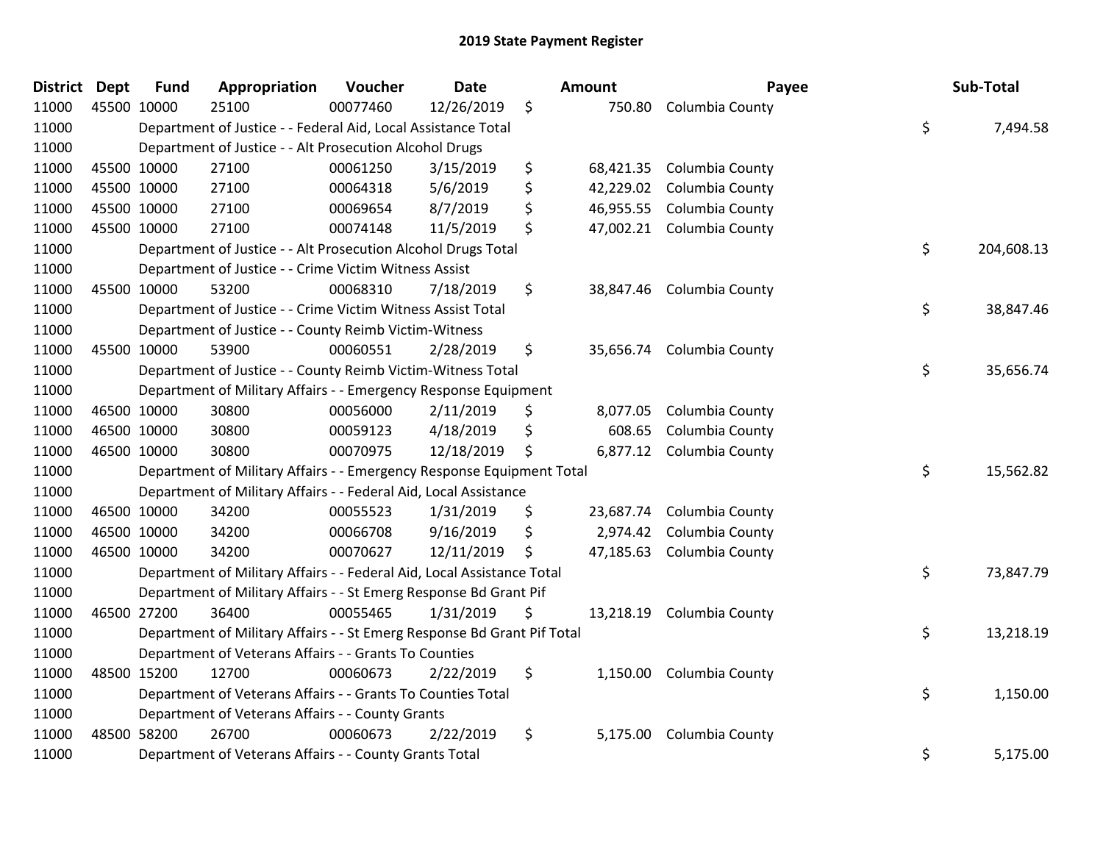| <b>District Dept</b> | <b>Fund</b> | Appropriation                                                           | Voucher  | <b>Date</b> | Amount          | Payee                     | Sub-Total        |
|----------------------|-------------|-------------------------------------------------------------------------|----------|-------------|-----------------|---------------------------|------------------|
| 11000                | 45500 10000 | 25100                                                                   | 00077460 | 12/26/2019  | \$<br>750.80    | Columbia County           |                  |
| 11000                |             | Department of Justice - - Federal Aid, Local Assistance Total           |          |             |                 |                           | \$<br>7,494.58   |
| 11000                |             | Department of Justice - - Alt Prosecution Alcohol Drugs                 |          |             |                 |                           |                  |
| 11000                | 45500 10000 | 27100                                                                   | 00061250 | 3/15/2019   | \$<br>68,421.35 | Columbia County           |                  |
| 11000                | 45500 10000 | 27100                                                                   | 00064318 | 5/6/2019    | \$<br>42,229.02 | Columbia County           |                  |
| 11000                | 45500 10000 | 27100                                                                   | 00069654 | 8/7/2019    | \$<br>46,955.55 | Columbia County           |                  |
| 11000                | 45500 10000 | 27100                                                                   | 00074148 | 11/5/2019   | \$<br>47,002.21 | Columbia County           |                  |
| 11000                |             | Department of Justice - - Alt Prosecution Alcohol Drugs Total           |          |             |                 |                           | \$<br>204,608.13 |
| 11000                |             | Department of Justice - - Crime Victim Witness Assist                   |          |             |                 |                           |                  |
| 11000                | 45500 10000 | 53200                                                                   | 00068310 | 7/18/2019   | \$<br>38,847.46 | Columbia County           |                  |
| 11000                |             | Department of Justice - - Crime Victim Witness Assist Total             |          |             |                 |                           | \$<br>38,847.46  |
| 11000                |             | Department of Justice - - County Reimb Victim-Witness                   |          |             |                 |                           |                  |
| 11000                | 45500 10000 | 53900                                                                   | 00060551 | 2/28/2019   | \$              | 35,656.74 Columbia County |                  |
| 11000                |             | Department of Justice - - County Reimb Victim-Witness Total             |          |             |                 |                           | \$<br>35,656.74  |
| 11000                |             | Department of Military Affairs - - Emergency Response Equipment         |          |             |                 |                           |                  |
| 11000                | 46500 10000 | 30800                                                                   | 00056000 | 2/11/2019   | \$<br>8,077.05  | Columbia County           |                  |
| 11000                | 46500 10000 | 30800                                                                   | 00059123 | 4/18/2019   | \$<br>608.65    | Columbia County           |                  |
| 11000                | 46500 10000 | 30800                                                                   | 00070975 | 12/18/2019  | \$<br>6,877.12  | Columbia County           |                  |
| 11000                |             | Department of Military Affairs - - Emergency Response Equipment Total   |          |             |                 |                           | \$<br>15,562.82  |
| 11000                |             | Department of Military Affairs - - Federal Aid, Local Assistance        |          |             |                 |                           |                  |
| 11000                | 46500 10000 | 34200                                                                   | 00055523 | 1/31/2019   | \$<br>23,687.74 | Columbia County           |                  |
| 11000                | 46500 10000 | 34200                                                                   | 00066708 | 9/16/2019   | \$<br>2,974.42  | Columbia County           |                  |
| 11000                | 46500 10000 | 34200                                                                   | 00070627 | 12/11/2019  | \$<br>47,185.63 | Columbia County           |                  |
| 11000                |             | Department of Military Affairs - - Federal Aid, Local Assistance Total  |          |             |                 |                           | \$<br>73,847.79  |
| 11000                |             | Department of Military Affairs - - St Emerg Response Bd Grant Pif       |          |             |                 |                           |                  |
| 11000                | 46500 27200 | 36400                                                                   | 00055465 | 1/31/2019   | \$<br>13,218.19 | Columbia County           |                  |
| 11000                |             | Department of Military Affairs - - St Emerg Response Bd Grant Pif Total |          |             |                 |                           | \$<br>13,218.19  |
| 11000                |             | Department of Veterans Affairs - - Grants To Counties                   |          |             |                 |                           |                  |
| 11000                | 48500 15200 | 12700                                                                   | 00060673 | 2/22/2019   | \$<br>1,150.00  | Columbia County           |                  |
| 11000                |             | Department of Veterans Affairs - - Grants To Counties Total             |          |             |                 |                           | \$<br>1,150.00   |
| 11000                |             | Department of Veterans Affairs - - County Grants                        |          |             |                 |                           |                  |
| 11000                | 48500 58200 | 26700                                                                   | 00060673 | 2/22/2019   | \$<br>5,175.00  | Columbia County           |                  |
| 11000                |             | Department of Veterans Affairs - - County Grants Total                  |          |             |                 |                           | \$<br>5,175.00   |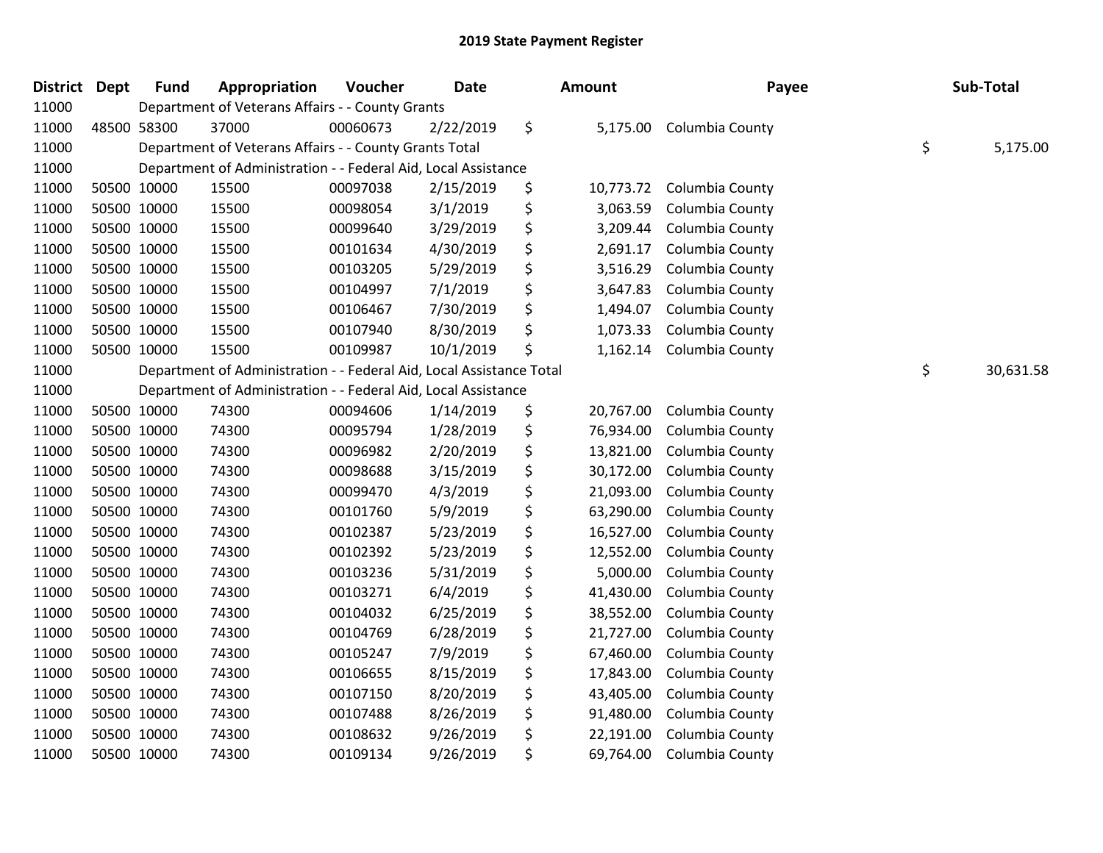| <b>District</b> | <b>Dept</b> | <b>Fund</b> | Appropriation                                                        | Voucher  | Date      | <b>Amount</b>   | Payee           | Sub-Total       |
|-----------------|-------------|-------------|----------------------------------------------------------------------|----------|-----------|-----------------|-----------------|-----------------|
| 11000           |             |             | Department of Veterans Affairs - - County Grants                     |          |           |                 |                 |                 |
| 11000           |             | 48500 58300 | 37000                                                                | 00060673 | 2/22/2019 | \$<br>5,175.00  | Columbia County |                 |
| 11000           |             |             | Department of Veterans Affairs - - County Grants Total               |          |           |                 |                 | \$<br>5,175.00  |
| 11000           |             |             | Department of Administration - - Federal Aid, Local Assistance       |          |           |                 |                 |                 |
| 11000           |             | 50500 10000 | 15500                                                                | 00097038 | 2/15/2019 | \$<br>10,773.72 | Columbia County |                 |
| 11000           |             | 50500 10000 | 15500                                                                | 00098054 | 3/1/2019  | \$<br>3,063.59  | Columbia County |                 |
| 11000           |             | 50500 10000 | 15500                                                                | 00099640 | 3/29/2019 | \$<br>3,209.44  | Columbia County |                 |
| 11000           |             | 50500 10000 | 15500                                                                | 00101634 | 4/30/2019 | \$<br>2,691.17  | Columbia County |                 |
| 11000           |             | 50500 10000 | 15500                                                                | 00103205 | 5/29/2019 | \$<br>3,516.29  | Columbia County |                 |
| 11000           |             | 50500 10000 | 15500                                                                | 00104997 | 7/1/2019  | \$<br>3,647.83  | Columbia County |                 |
| 11000           |             | 50500 10000 | 15500                                                                | 00106467 | 7/30/2019 | \$<br>1,494.07  | Columbia County |                 |
| 11000           |             | 50500 10000 | 15500                                                                | 00107940 | 8/30/2019 | \$<br>1,073.33  | Columbia County |                 |
| 11000           |             | 50500 10000 | 15500                                                                | 00109987 | 10/1/2019 | \$<br>1,162.14  | Columbia County |                 |
| 11000           |             |             | Department of Administration - - Federal Aid, Local Assistance Total |          |           |                 |                 | \$<br>30,631.58 |
| 11000           |             |             | Department of Administration - - Federal Aid, Local Assistance       |          |           |                 |                 |                 |
| 11000           |             | 50500 10000 | 74300                                                                | 00094606 | 1/14/2019 | \$<br>20,767.00 | Columbia County |                 |
| 11000           |             | 50500 10000 | 74300                                                                | 00095794 | 1/28/2019 | \$<br>76,934.00 | Columbia County |                 |
| 11000           |             | 50500 10000 | 74300                                                                | 00096982 | 2/20/2019 | \$<br>13,821.00 | Columbia County |                 |
| 11000           |             | 50500 10000 | 74300                                                                | 00098688 | 3/15/2019 | \$<br>30,172.00 | Columbia County |                 |
| 11000           |             | 50500 10000 | 74300                                                                | 00099470 | 4/3/2019  | \$<br>21,093.00 | Columbia County |                 |
| 11000           |             | 50500 10000 | 74300                                                                | 00101760 | 5/9/2019  | \$<br>63,290.00 | Columbia County |                 |
| 11000           |             | 50500 10000 | 74300                                                                | 00102387 | 5/23/2019 | \$<br>16,527.00 | Columbia County |                 |
| 11000           |             | 50500 10000 | 74300                                                                | 00102392 | 5/23/2019 | \$<br>12,552.00 | Columbia County |                 |
| 11000           |             | 50500 10000 | 74300                                                                | 00103236 | 5/31/2019 | \$<br>5,000.00  | Columbia County |                 |
| 11000           | 50500 10000 |             | 74300                                                                | 00103271 | 6/4/2019  | \$<br>41,430.00 | Columbia County |                 |
| 11000           |             | 50500 10000 | 74300                                                                | 00104032 | 6/25/2019 | \$<br>38,552.00 | Columbia County |                 |
| 11000           |             | 50500 10000 | 74300                                                                | 00104769 | 6/28/2019 | \$<br>21,727.00 | Columbia County |                 |
| 11000           |             | 50500 10000 | 74300                                                                | 00105247 | 7/9/2019  | \$<br>67,460.00 | Columbia County |                 |
| 11000           |             | 50500 10000 | 74300                                                                | 00106655 | 8/15/2019 | \$<br>17,843.00 | Columbia County |                 |
| 11000           |             | 50500 10000 | 74300                                                                | 00107150 | 8/20/2019 | \$<br>43,405.00 | Columbia County |                 |
| 11000           |             | 50500 10000 | 74300                                                                | 00107488 | 8/26/2019 | \$<br>91,480.00 | Columbia County |                 |
| 11000           |             | 50500 10000 | 74300                                                                | 00108632 | 9/26/2019 | \$<br>22,191.00 | Columbia County |                 |
| 11000           |             | 50500 10000 | 74300                                                                | 00109134 | 9/26/2019 | \$<br>69,764.00 | Columbia County |                 |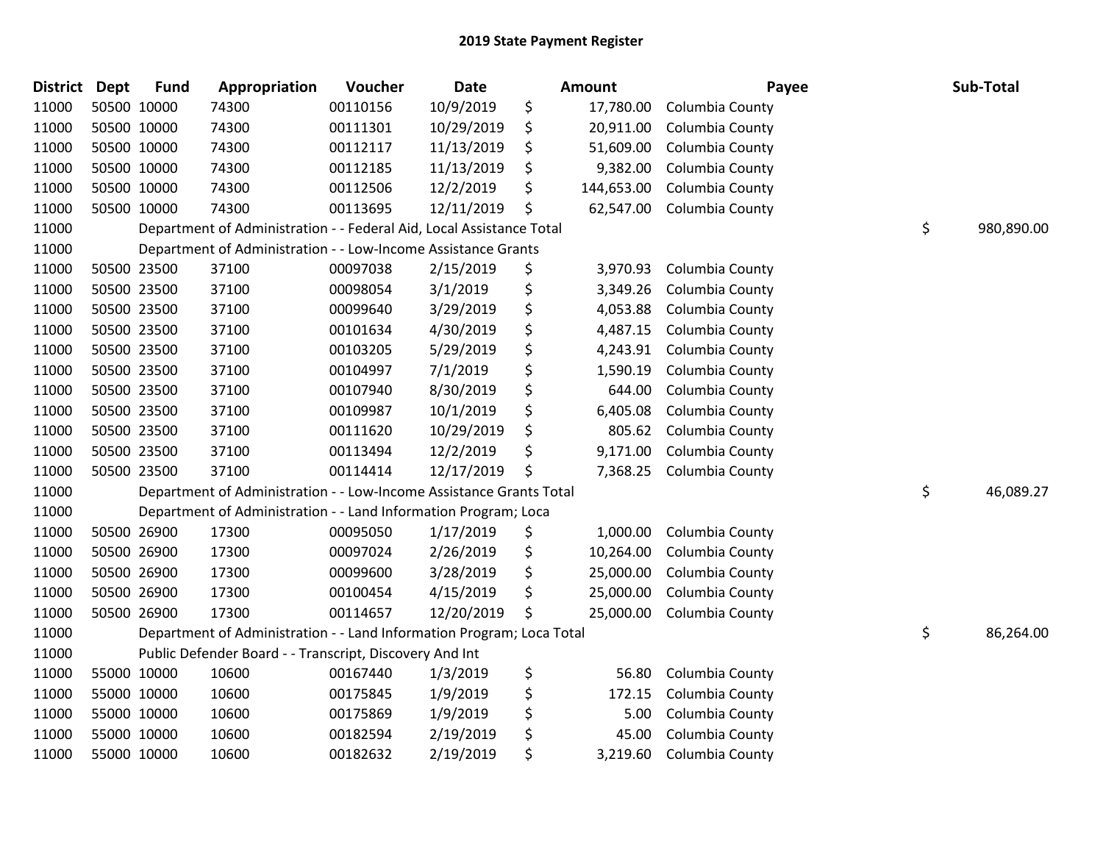| District Dept | <b>Fund</b> | Appropriation                                                         | Voucher  | <b>Date</b> | <b>Amount</b>    | Payee           | Sub-Total        |
|---------------|-------------|-----------------------------------------------------------------------|----------|-------------|------------------|-----------------|------------------|
| 11000         | 50500 10000 | 74300                                                                 | 00110156 | 10/9/2019   | \$<br>17,780.00  | Columbia County |                  |
| 11000         | 50500 10000 | 74300                                                                 | 00111301 | 10/29/2019  | \$<br>20,911.00  | Columbia County |                  |
| 11000         | 50500 10000 | 74300                                                                 | 00112117 | 11/13/2019  | \$<br>51,609.00  | Columbia County |                  |
| 11000         | 50500 10000 | 74300                                                                 | 00112185 | 11/13/2019  | \$<br>9,382.00   | Columbia County |                  |
| 11000         | 50500 10000 | 74300                                                                 | 00112506 | 12/2/2019   | \$<br>144,653.00 | Columbia County |                  |
| 11000         | 50500 10000 | 74300                                                                 | 00113695 | 12/11/2019  | \$<br>62,547.00  | Columbia County |                  |
| 11000         |             | Department of Administration - - Federal Aid, Local Assistance Total  |          |             |                  |                 | \$<br>980,890.00 |
| 11000         |             | Department of Administration - - Low-Income Assistance Grants         |          |             |                  |                 |                  |
| 11000         | 50500 23500 | 37100                                                                 | 00097038 | 2/15/2019   | \$<br>3,970.93   | Columbia County |                  |
| 11000         | 50500 23500 | 37100                                                                 | 00098054 | 3/1/2019    | \$<br>3,349.26   | Columbia County |                  |
| 11000         | 50500 23500 | 37100                                                                 | 00099640 | 3/29/2019   | \$<br>4,053.88   | Columbia County |                  |
| 11000         | 50500 23500 | 37100                                                                 | 00101634 | 4/30/2019   | \$<br>4,487.15   | Columbia County |                  |
| 11000         | 50500 23500 | 37100                                                                 | 00103205 | 5/29/2019   | \$<br>4,243.91   | Columbia County |                  |
| 11000         | 50500 23500 | 37100                                                                 | 00104997 | 7/1/2019    | \$<br>1,590.19   | Columbia County |                  |
| 11000         | 50500 23500 | 37100                                                                 | 00107940 | 8/30/2019   | \$<br>644.00     | Columbia County |                  |
| 11000         | 50500 23500 | 37100                                                                 | 00109987 | 10/1/2019   | \$<br>6,405.08   | Columbia County |                  |
| 11000         | 50500 23500 | 37100                                                                 | 00111620 | 10/29/2019  | \$<br>805.62     | Columbia County |                  |
| 11000         | 50500 23500 | 37100                                                                 | 00113494 | 12/2/2019   | \$<br>9,171.00   | Columbia County |                  |
| 11000         | 50500 23500 | 37100                                                                 | 00114414 | 12/17/2019  | \$<br>7,368.25   | Columbia County |                  |
| 11000         |             | Department of Administration - - Low-Income Assistance Grants Total   |          |             |                  |                 | \$<br>46,089.27  |
| 11000         |             | Department of Administration - - Land Information Program; Loca       |          |             |                  |                 |                  |
| 11000         | 50500 26900 | 17300                                                                 | 00095050 | 1/17/2019   | \$<br>1,000.00   | Columbia County |                  |
| 11000         | 50500 26900 | 17300                                                                 | 00097024 | 2/26/2019   | \$<br>10,264.00  | Columbia County |                  |
| 11000         | 50500 26900 | 17300                                                                 | 00099600 | 3/28/2019   | \$<br>25,000.00  | Columbia County |                  |
| 11000         | 50500 26900 | 17300                                                                 | 00100454 | 4/15/2019   | \$<br>25,000.00  | Columbia County |                  |
| 11000         | 50500 26900 | 17300                                                                 | 00114657 | 12/20/2019  | \$<br>25,000.00  | Columbia County |                  |
| 11000         |             | Department of Administration - - Land Information Program; Loca Total |          |             |                  |                 | \$<br>86,264.00  |
| 11000         |             | Public Defender Board - - Transcript, Discovery And Int               |          |             |                  |                 |                  |
| 11000         | 55000 10000 | 10600                                                                 | 00167440 | 1/3/2019    | \$<br>56.80      | Columbia County |                  |
| 11000         | 55000 10000 | 10600                                                                 | 00175845 | 1/9/2019    | \$<br>172.15     | Columbia County |                  |
| 11000         | 55000 10000 | 10600                                                                 | 00175869 | 1/9/2019    | \$<br>5.00       | Columbia County |                  |
| 11000         | 55000 10000 | 10600                                                                 | 00182594 | 2/19/2019   | \$<br>45.00      | Columbia County |                  |
| 11000         | 55000 10000 | 10600                                                                 | 00182632 | 2/19/2019   | \$<br>3,219.60   | Columbia County |                  |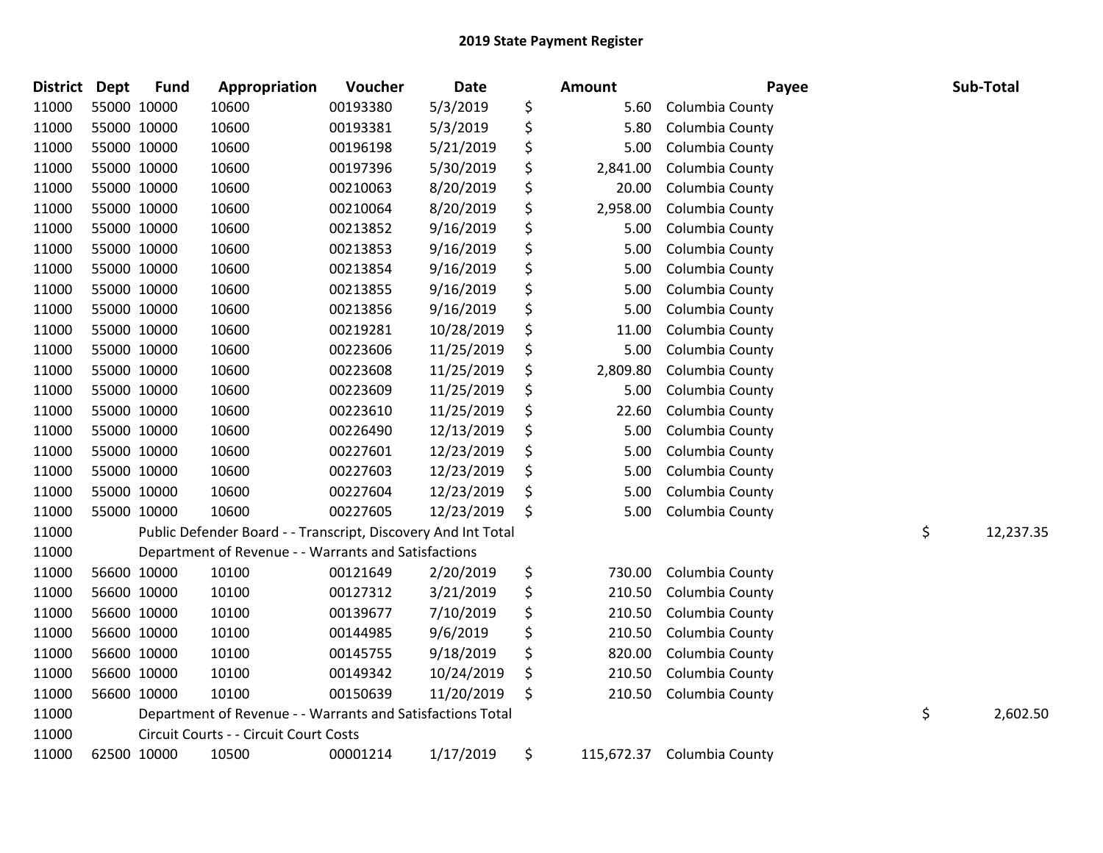| <b>District</b> | Dept        | <b>Fund</b> | Appropriation                                                 | Voucher  | Date       | <b>Amount</b>    | Payee           | Sub-Total       |
|-----------------|-------------|-------------|---------------------------------------------------------------|----------|------------|------------------|-----------------|-----------------|
| 11000           | 55000 10000 |             | 10600                                                         | 00193380 | 5/3/2019   | \$<br>5.60       | Columbia County |                 |
| 11000           | 55000 10000 |             | 10600                                                         | 00193381 | 5/3/2019   | \$<br>5.80       | Columbia County |                 |
| 11000           | 55000 10000 |             | 10600                                                         | 00196198 | 5/21/2019  | \$<br>5.00       | Columbia County |                 |
| 11000           | 55000 10000 |             | 10600                                                         | 00197396 | 5/30/2019  | \$<br>2,841.00   | Columbia County |                 |
| 11000           | 55000 10000 |             | 10600                                                         | 00210063 | 8/20/2019  | \$<br>20.00      | Columbia County |                 |
| 11000           | 55000 10000 |             | 10600                                                         | 00210064 | 8/20/2019  | \$<br>2,958.00   | Columbia County |                 |
| 11000           | 55000 10000 |             | 10600                                                         | 00213852 | 9/16/2019  | \$<br>5.00       | Columbia County |                 |
| 11000           | 55000 10000 |             | 10600                                                         | 00213853 | 9/16/2019  | \$<br>5.00       | Columbia County |                 |
| 11000           | 55000 10000 |             | 10600                                                         | 00213854 | 9/16/2019  | \$<br>5.00       | Columbia County |                 |
| 11000           | 55000 10000 |             | 10600                                                         | 00213855 | 9/16/2019  | \$<br>5.00       | Columbia County |                 |
| 11000           | 55000 10000 |             | 10600                                                         | 00213856 | 9/16/2019  | \$<br>5.00       | Columbia County |                 |
| 11000           | 55000 10000 |             | 10600                                                         | 00219281 | 10/28/2019 | \$<br>11.00      | Columbia County |                 |
| 11000           | 55000 10000 |             | 10600                                                         | 00223606 | 11/25/2019 | \$<br>5.00       | Columbia County |                 |
| 11000           | 55000 10000 |             | 10600                                                         | 00223608 | 11/25/2019 | \$<br>2,809.80   | Columbia County |                 |
| 11000           | 55000 10000 |             | 10600                                                         | 00223609 | 11/25/2019 | \$<br>5.00       | Columbia County |                 |
| 11000           | 55000 10000 |             | 10600                                                         | 00223610 | 11/25/2019 | \$<br>22.60      | Columbia County |                 |
| 11000           | 55000 10000 |             | 10600                                                         | 00226490 | 12/13/2019 | \$<br>5.00       | Columbia County |                 |
| 11000           | 55000 10000 |             | 10600                                                         | 00227601 | 12/23/2019 | \$<br>5.00       | Columbia County |                 |
| 11000           | 55000 10000 |             | 10600                                                         | 00227603 | 12/23/2019 | \$<br>5.00       | Columbia County |                 |
| 11000           | 55000 10000 |             | 10600                                                         | 00227604 | 12/23/2019 | \$<br>5.00       | Columbia County |                 |
| 11000           | 55000 10000 |             | 10600                                                         | 00227605 | 12/23/2019 | \$<br>5.00       | Columbia County |                 |
| 11000           |             |             | Public Defender Board - - Transcript, Discovery And Int Total |          |            |                  |                 | \$<br>12,237.35 |
| 11000           |             |             | Department of Revenue - - Warrants and Satisfactions          |          |            |                  |                 |                 |
| 11000           |             | 56600 10000 | 10100                                                         | 00121649 | 2/20/2019  | \$<br>730.00     | Columbia County |                 |
| 11000           | 56600 10000 |             | 10100                                                         | 00127312 | 3/21/2019  | \$<br>210.50     | Columbia County |                 |
| 11000           | 56600 10000 |             | 10100                                                         | 00139677 | 7/10/2019  | \$<br>210.50     | Columbia County |                 |
| 11000           |             | 56600 10000 | 10100                                                         | 00144985 | 9/6/2019   | \$<br>210.50     | Columbia County |                 |
| 11000           |             | 56600 10000 | 10100                                                         | 00145755 | 9/18/2019  | \$<br>820.00     | Columbia County |                 |
| 11000           | 56600 10000 |             | 10100                                                         | 00149342 | 10/24/2019 | \$<br>210.50     | Columbia County |                 |
| 11000           | 56600 10000 |             | 10100                                                         | 00150639 | 11/20/2019 | \$<br>210.50     | Columbia County |                 |
| 11000           |             |             | Department of Revenue - - Warrants and Satisfactions Total    |          |            |                  |                 | \$<br>2,602.50  |
| 11000           |             |             | Circuit Courts - - Circuit Court Costs                        |          |            |                  |                 |                 |
| 11000           | 62500 10000 |             | 10500                                                         | 00001214 | 1/17/2019  | \$<br>115,672.37 | Columbia County |                 |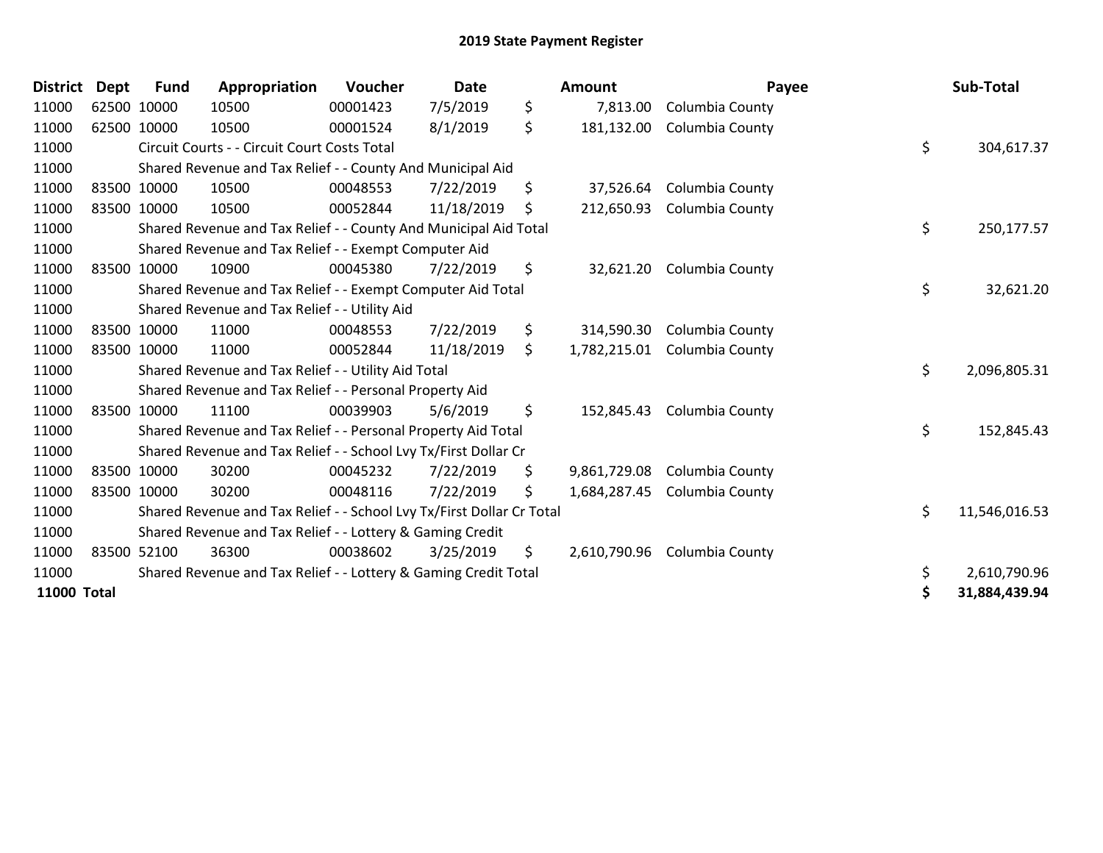| <b>District</b>    | <b>Dept</b> | <b>Fund</b> | Appropriation                                                         | Voucher  | <b>Date</b> | <b>Amount</b>      |                 | Payee | Sub-Total     |
|--------------------|-------------|-------------|-----------------------------------------------------------------------|----------|-------------|--------------------|-----------------|-------|---------------|
| 11000              |             | 62500 10000 | 10500                                                                 | 00001423 | 7/5/2019    | \$<br>7,813.00     | Columbia County |       |               |
| 11000              |             | 62500 10000 | 10500                                                                 | 00001524 | 8/1/2019    | \$<br>181,132.00   | Columbia County |       |               |
| 11000              |             |             | Circuit Courts - - Circuit Court Costs Total                          |          |             |                    |                 | \$    | 304,617.37    |
| 11000              |             |             | Shared Revenue and Tax Relief - - County And Municipal Aid            |          |             |                    |                 |       |               |
| 11000              |             | 83500 10000 | 10500                                                                 | 00048553 | 7/22/2019   | \$<br>37,526.64    | Columbia County |       |               |
| 11000              | 83500 10000 |             | 10500                                                                 | 00052844 | 11/18/2019  | \$<br>212,650.93   | Columbia County |       |               |
| 11000              |             |             | Shared Revenue and Tax Relief - - County And Municipal Aid Total      |          |             |                    |                 | \$    | 250,177.57    |
| 11000              |             |             | Shared Revenue and Tax Relief - - Exempt Computer Aid                 |          |             |                    |                 |       |               |
| 11000              |             | 83500 10000 | 10900                                                                 | 00045380 | 7/22/2019   | \$<br>32,621.20    | Columbia County |       |               |
| 11000              |             |             | Shared Revenue and Tax Relief - - Exempt Computer Aid Total           |          |             |                    |                 | \$    | 32,621.20     |
| 11000              |             |             | Shared Revenue and Tax Relief - - Utility Aid                         |          |             |                    |                 |       |               |
| 11000              |             | 83500 10000 | 11000                                                                 | 00048553 | 7/22/2019   | \$<br>314,590.30   | Columbia County |       |               |
| 11000              | 83500 10000 |             | 11000                                                                 | 00052844 | 11/18/2019  | \$<br>1,782,215.01 | Columbia County |       |               |
| 11000              |             |             | Shared Revenue and Tax Relief - - Utility Aid Total                   |          |             |                    |                 | \$    | 2,096,805.31  |
| 11000              |             |             | Shared Revenue and Tax Relief - - Personal Property Aid               |          |             |                    |                 |       |               |
| 11000              |             | 83500 10000 | 11100                                                                 | 00039903 | 5/6/2019    | \$<br>152,845.43   | Columbia County |       |               |
| 11000              |             |             | Shared Revenue and Tax Relief - - Personal Property Aid Total         |          |             |                    |                 | \$    | 152,845.43    |
| 11000              |             |             | Shared Revenue and Tax Relief - - School Lvy Tx/First Dollar Cr       |          |             |                    |                 |       |               |
| 11000              |             | 83500 10000 | 30200                                                                 | 00045232 | 7/22/2019   | \$<br>9,861,729.08 | Columbia County |       |               |
| 11000              | 83500 10000 |             | 30200                                                                 | 00048116 | 7/22/2019   | \$<br>1,684,287.45 | Columbia County |       |               |
| 11000              |             |             | Shared Revenue and Tax Relief - - School Lvy Tx/First Dollar Cr Total |          |             |                    |                 | \$    | 11,546,016.53 |
| 11000              |             |             | Shared Revenue and Tax Relief - - Lottery & Gaming Credit             |          |             |                    |                 |       |               |
| 11000              |             | 83500 52100 | 36300                                                                 | 00038602 | 3/25/2019   | \$<br>2,610,790.96 | Columbia County |       |               |
| 11000              |             |             | Shared Revenue and Tax Relief - - Lottery & Gaming Credit Total       |          |             |                    |                 | \$    | 2,610,790.96  |
| <b>11000 Total</b> |             |             |                                                                       |          |             |                    |                 | \$    | 31,884,439.94 |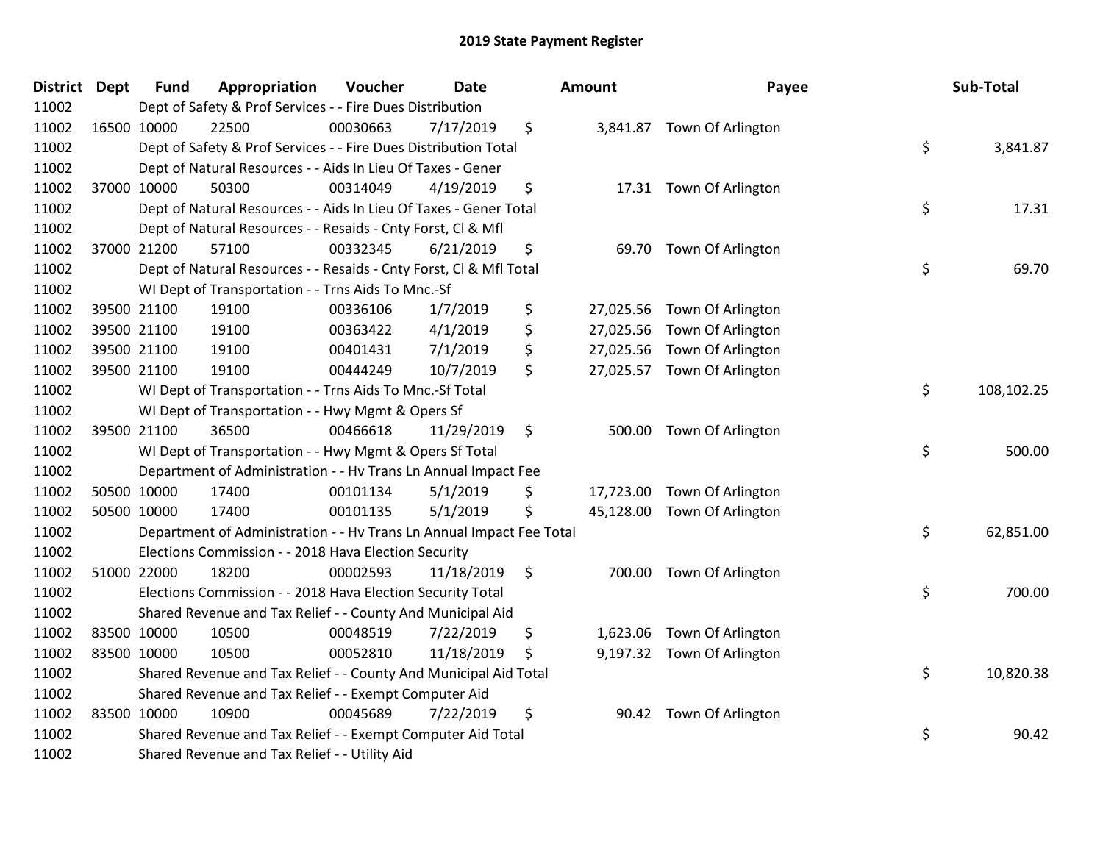| District Dept |             | <b>Fund</b> | Appropriation                                                        | Voucher  | <b>Date</b> | Amount      | Payee                       | Sub-Total        |
|---------------|-------------|-------------|----------------------------------------------------------------------|----------|-------------|-------------|-----------------------------|------------------|
| 11002         |             |             | Dept of Safety & Prof Services - - Fire Dues Distribution            |          |             |             |                             |                  |
| 11002         | 16500 10000 |             | 22500                                                                | 00030663 | 7/17/2019   | \$          | 3,841.87 Town Of Arlington  |                  |
| 11002         |             |             | Dept of Safety & Prof Services - - Fire Dues Distribution Total      |          |             |             |                             | \$<br>3,841.87   |
| 11002         |             |             | Dept of Natural Resources - - Aids In Lieu Of Taxes - Gener          |          |             |             |                             |                  |
| 11002         |             | 37000 10000 | 50300                                                                | 00314049 | 4/19/2019   | \$          | 17.31 Town Of Arlington     |                  |
| 11002         |             |             | Dept of Natural Resources - - Aids In Lieu Of Taxes - Gener Total    |          |             |             |                             | \$<br>17.31      |
| 11002         |             |             | Dept of Natural Resources - - Resaids - Cnty Forst, Cl & Mfl         |          |             |             |                             |                  |
| 11002         |             | 37000 21200 | 57100                                                                | 00332345 | 6/21/2019   | \$          | 69.70 Town Of Arlington     |                  |
| 11002         |             |             | Dept of Natural Resources - - Resaids - Cnty Forst, CI & Mfl Total   |          |             |             |                             | \$<br>69.70      |
| 11002         |             |             | WI Dept of Transportation - - Trns Aids To Mnc.-Sf                   |          |             |             |                             |                  |
| 11002         |             | 39500 21100 | 19100                                                                | 00336106 | 1/7/2019    | \$          | 27,025.56 Town Of Arlington |                  |
| 11002         |             | 39500 21100 | 19100                                                                | 00363422 | 4/1/2019    | \$          | 27,025.56 Town Of Arlington |                  |
| 11002         |             | 39500 21100 | 19100                                                                | 00401431 | 7/1/2019    | \$          | 27,025.56 Town Of Arlington |                  |
| 11002         |             | 39500 21100 | 19100                                                                | 00444249 | 10/7/2019   | \$          | 27,025.57 Town Of Arlington |                  |
| 11002         |             |             | WI Dept of Transportation - - Trns Aids To Mnc.-Sf Total             |          |             |             |                             | \$<br>108,102.25 |
| 11002         |             |             | WI Dept of Transportation - - Hwy Mgmt & Opers Sf                    |          |             |             |                             |                  |
| 11002         |             | 39500 21100 | 36500                                                                | 00466618 | 11/29/2019  | \$          | 500.00 Town Of Arlington    |                  |
| 11002         |             |             | WI Dept of Transportation - - Hwy Mgmt & Opers Sf Total              |          |             |             |                             | \$<br>500.00     |
| 11002         |             |             | Department of Administration - - Hv Trans Ln Annual Impact Fee       |          |             |             |                             |                  |
| 11002         |             | 50500 10000 | 17400                                                                | 00101134 | 5/1/2019    | \$          | 17,723.00 Town Of Arlington |                  |
| 11002         |             | 50500 10000 | 17400                                                                | 00101135 | 5/1/2019    | \$          | 45,128.00 Town Of Arlington |                  |
| 11002         |             |             | Department of Administration - - Hv Trans Ln Annual Impact Fee Total |          |             |             |                             | \$<br>62,851.00  |
| 11002         |             |             | Elections Commission - - 2018 Hava Election Security                 |          |             |             |                             |                  |
| 11002         |             | 51000 22000 | 18200                                                                | 00002593 | 11/18/2019  | \$          | 700.00 Town Of Arlington    |                  |
| 11002         |             |             | Elections Commission - - 2018 Hava Election Security Total           |          |             |             |                             | \$<br>700.00     |
| 11002         |             |             | Shared Revenue and Tax Relief - - County And Municipal Aid           |          |             |             |                             |                  |
| 11002         |             | 83500 10000 | 10500                                                                | 00048519 | 7/22/2019   | \$          | 1,623.06 Town Of Arlington  |                  |
| 11002         |             | 83500 10000 | 10500                                                                | 00052810 | 11/18/2019  | \$          | 9,197.32 Town Of Arlington  |                  |
| 11002         |             |             | Shared Revenue and Tax Relief - - County And Municipal Aid Total     |          |             |             |                             | \$<br>10,820.38  |
| 11002         |             |             | Shared Revenue and Tax Relief - - Exempt Computer Aid                |          |             |             |                             |                  |
| 11002         |             | 83500 10000 | 10900                                                                | 00045689 | 7/22/2019   | \$<br>90.42 | Town Of Arlington           |                  |
| 11002         |             |             | Shared Revenue and Tax Relief - - Exempt Computer Aid Total          |          |             |             |                             | \$<br>90.42      |
| 11002         |             |             | Shared Revenue and Tax Relief - - Utility Aid                        |          |             |             |                             |                  |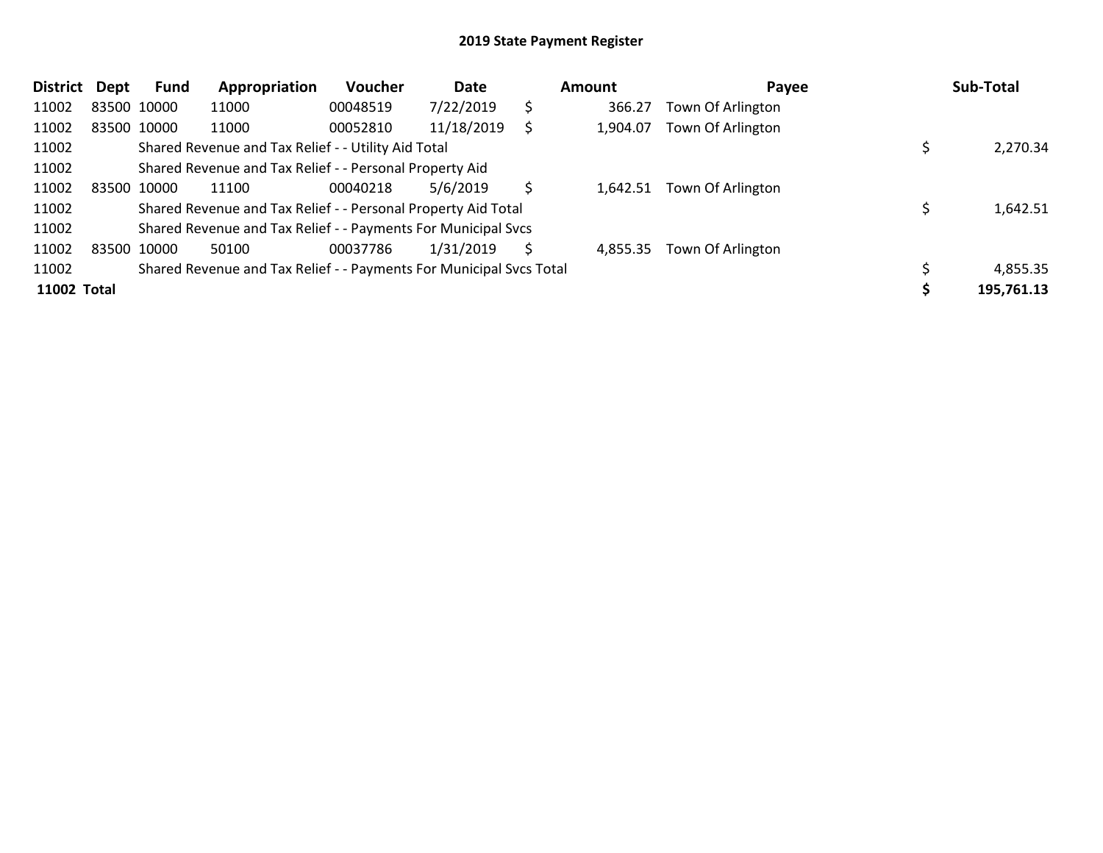| <b>District</b> | <b>Dept</b> | Fund        | Appropriation                                                       | <b>Voucher</b> | Date       |    | Amount   | Payee             | Sub-Total  |
|-----------------|-------------|-------------|---------------------------------------------------------------------|----------------|------------|----|----------|-------------------|------------|
| 11002           |             | 83500 10000 | 11000                                                               | 00048519       | 7/22/2019  | \$ | 366.27   | Town Of Arlington |            |
| 11002           |             | 83500 10000 | 11000                                                               | 00052810       | 11/18/2019 | Ś  | 1,904.07 | Town Of Arlington |            |
| 11002           |             |             | Shared Revenue and Tax Relief - - Utility Aid Total                 |                |            |    |          |                   | 2,270.34   |
| 11002           |             |             | Shared Revenue and Tax Relief - - Personal Property Aid             |                |            |    |          |                   |            |
| 11002           |             | 83500 10000 | 11100                                                               | 00040218       | 5/6/2019   | Ś. | 1,642.51 | Town Of Arlington |            |
| 11002           |             |             | Shared Revenue and Tax Relief - - Personal Property Aid Total       |                |            |    |          |                   | 1,642.51   |
| 11002           |             |             | Shared Revenue and Tax Relief - - Payments For Municipal Svcs       |                |            |    |          |                   |            |
| 11002           |             | 83500 10000 | 50100                                                               | 00037786       | 1/31/2019  | Ś. | 4,855.35 | Town Of Arlington |            |
| 11002           |             |             | Shared Revenue and Tax Relief - - Payments For Municipal Svcs Total |                |            |    |          |                   | 4,855.35   |
| 11002 Total     |             |             |                                                                     |                |            |    |          |                   | 195,761.13 |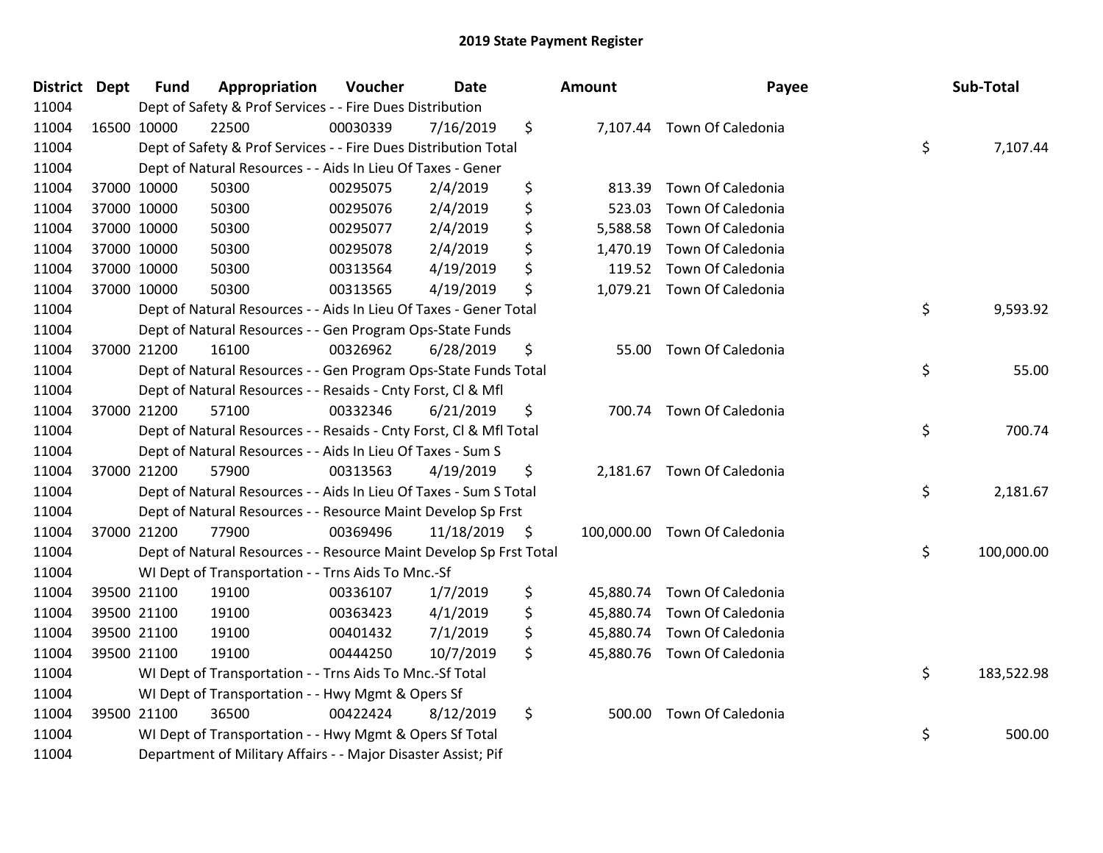| <b>District Dept</b> | <b>Fund</b> | Appropriation                                                      | Voucher  | <b>Date</b> |     | <b>Amount</b> | Payee                        | Sub-Total        |
|----------------------|-------------|--------------------------------------------------------------------|----------|-------------|-----|---------------|------------------------------|------------------|
| 11004                |             | Dept of Safety & Prof Services - - Fire Dues Distribution          |          |             |     |               |                              |                  |
| 11004                | 16500 10000 | 22500                                                              | 00030339 | 7/16/2019   | \$  |               | 7,107.44 Town Of Caledonia   |                  |
| 11004                |             | Dept of Safety & Prof Services - - Fire Dues Distribution Total    |          |             |     |               |                              | \$<br>7,107.44   |
| 11004                |             | Dept of Natural Resources - - Aids In Lieu Of Taxes - Gener        |          |             |     |               |                              |                  |
| 11004                | 37000 10000 | 50300                                                              | 00295075 | 2/4/2019    | \$  | 813.39        | Town Of Caledonia            |                  |
| 11004                | 37000 10000 | 50300                                                              | 00295076 | 2/4/2019    | \$  | 523.03        | Town Of Caledonia            |                  |
| 11004                | 37000 10000 | 50300                                                              | 00295077 | 2/4/2019    | \$  | 5,588.58      | Town Of Caledonia            |                  |
| 11004                | 37000 10000 | 50300                                                              | 00295078 | 2/4/2019    | \$  |               | 1,470.19 Town Of Caledonia   |                  |
| 11004                | 37000 10000 | 50300                                                              | 00313564 | 4/19/2019   | \$  |               | 119.52 Town Of Caledonia     |                  |
| 11004                | 37000 10000 | 50300                                                              | 00313565 | 4/19/2019   | \$  |               | 1,079.21 Town Of Caledonia   |                  |
| 11004                |             | Dept of Natural Resources - - Aids In Lieu Of Taxes - Gener Total  |          |             |     |               |                              | \$<br>9,593.92   |
| 11004                |             | Dept of Natural Resources - - Gen Program Ops-State Funds          |          |             |     |               |                              |                  |
| 11004                | 37000 21200 | 16100                                                              | 00326962 | 6/28/2019   | \$  | 55.00         | Town Of Caledonia            |                  |
| 11004                |             | Dept of Natural Resources - - Gen Program Ops-State Funds Total    |          |             |     |               |                              | \$<br>55.00      |
| 11004                |             | Dept of Natural Resources - - Resaids - Cnty Forst, Cl & Mfl       |          |             |     |               |                              |                  |
| 11004                | 37000 21200 | 57100                                                              | 00332346 | 6/21/2019   | \$  |               | 700.74 Town Of Caledonia     |                  |
| 11004                |             | Dept of Natural Resources - - Resaids - Cnty Forst, Cl & Mfl Total |          |             |     |               |                              | \$<br>700.74     |
| 11004                |             | Dept of Natural Resources - - Aids In Lieu Of Taxes - Sum S        |          |             |     |               |                              |                  |
| 11004                | 37000 21200 | 57900                                                              | 00313563 | 4/19/2019   | \$  |               | 2,181.67 Town Of Caledonia   |                  |
| 11004                |             | Dept of Natural Resources - - Aids In Lieu Of Taxes - Sum S Total  |          |             |     |               |                              | \$<br>2,181.67   |
| 11004                |             | Dept of Natural Resources - - Resource Maint Develop Sp Frst       |          |             |     |               |                              |                  |
| 11004                | 37000 21200 | 77900                                                              | 00369496 | 11/18/2019  | -\$ |               | 100,000.00 Town Of Caledonia |                  |
| 11004                |             | Dept of Natural Resources - - Resource Maint Develop Sp Frst Total |          |             |     |               |                              | \$<br>100,000.00 |
| 11004                |             | WI Dept of Transportation - - Trns Aids To Mnc.-Sf                 |          |             |     |               |                              |                  |
| 11004                | 39500 21100 | 19100                                                              | 00336107 | 1/7/2019    | \$  | 45,880.74     | Town Of Caledonia            |                  |
| 11004                | 39500 21100 | 19100                                                              | 00363423 | 4/1/2019    | \$  |               | 45,880.74 Town Of Caledonia  |                  |
| 11004                | 39500 21100 | 19100                                                              | 00401432 | 7/1/2019    | \$  |               | 45,880.74 Town Of Caledonia  |                  |
| 11004                | 39500 21100 | 19100                                                              | 00444250 | 10/7/2019   | \$. |               | 45,880.76 Town Of Caledonia  |                  |
| 11004                |             | WI Dept of Transportation - - Trns Aids To Mnc.-Sf Total           |          |             |     |               |                              | \$<br>183,522.98 |
| 11004                |             | WI Dept of Transportation - - Hwy Mgmt & Opers Sf                  |          |             |     |               |                              |                  |
| 11004                | 39500 21100 | 36500                                                              | 00422424 | 8/12/2019   | \$  | 500.00        | Town Of Caledonia            |                  |
| 11004                |             | WI Dept of Transportation - - Hwy Mgmt & Opers Sf Total            |          |             |     |               |                              | \$<br>500.00     |
| 11004                |             | Department of Military Affairs - - Major Disaster Assist; Pif      |          |             |     |               |                              |                  |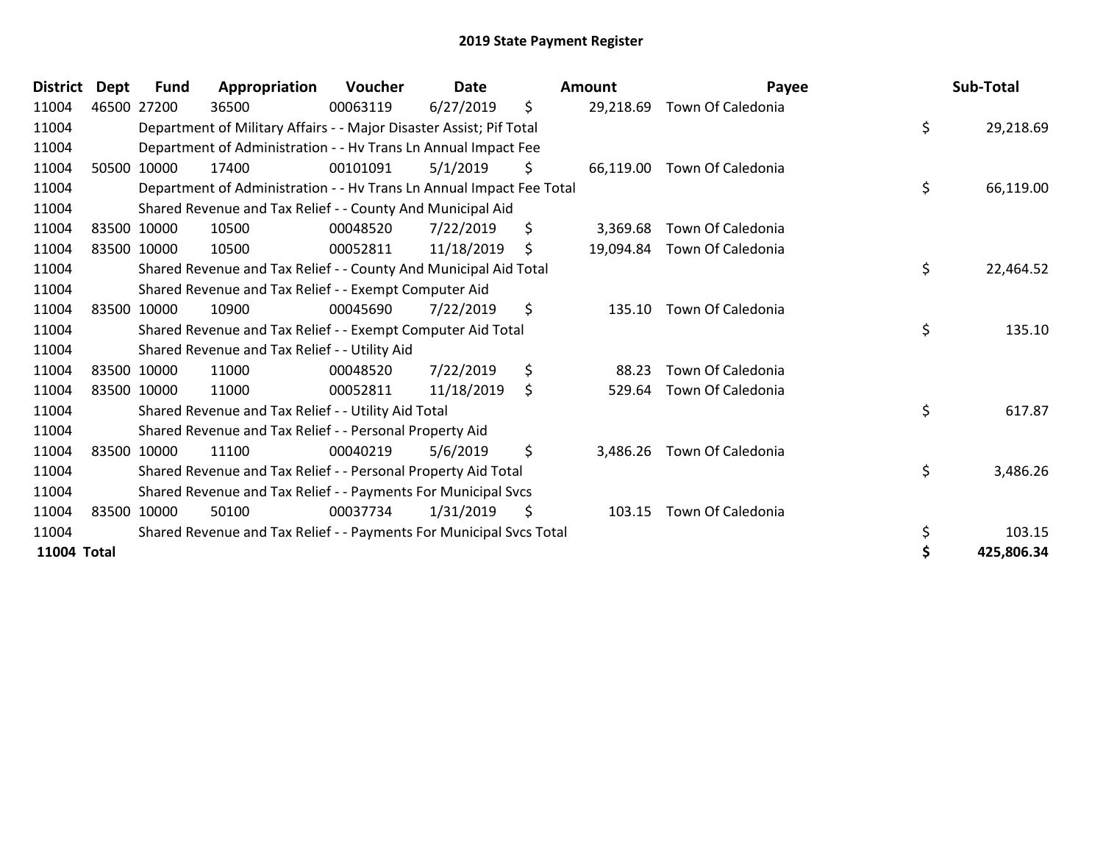| <b>District</b> | Dept | <b>Fund</b> | Appropriation                                                        | Voucher  | Date       |     | Amount    | Payee             | Sub-Total        |
|-----------------|------|-------------|----------------------------------------------------------------------|----------|------------|-----|-----------|-------------------|------------------|
| 11004           |      | 46500 27200 | 36500                                                                | 00063119 | 6/27/2019  | \$  | 29,218.69 | Town Of Caledonia |                  |
| 11004           |      |             | Department of Military Affairs - - Major Disaster Assist; Pif Total  |          |            |     |           |                   | \$<br>29,218.69  |
| 11004           |      |             | Department of Administration - - Hv Trans Ln Annual Impact Fee       |          |            |     |           |                   |                  |
| 11004           |      | 50500 10000 | 17400                                                                | 00101091 | 5/1/2019   | \$  | 66,119.00 | Town Of Caledonia |                  |
| 11004           |      |             | Department of Administration - - Hv Trans Ln Annual Impact Fee Total |          |            |     |           |                   | \$<br>66,119.00  |
| 11004           |      |             | Shared Revenue and Tax Relief - - County And Municipal Aid           |          |            |     |           |                   |                  |
| 11004           |      | 83500 10000 | 10500                                                                | 00048520 | 7/22/2019  | \$  | 3,369.68  | Town Of Caledonia |                  |
| 11004           |      | 83500 10000 | 10500                                                                | 00052811 | 11/18/2019 | \$. | 19,094.84 | Town Of Caledonia |                  |
| 11004           |      |             | Shared Revenue and Tax Relief - - County And Municipal Aid Total     |          |            |     |           |                   | \$<br>22,464.52  |
| 11004           |      |             | Shared Revenue and Tax Relief - - Exempt Computer Aid                |          |            |     |           |                   |                  |
| 11004           |      | 83500 10000 | 10900                                                                | 00045690 | 7/22/2019  | \$  | 135.10    | Town Of Caledonia |                  |
| 11004           |      |             | Shared Revenue and Tax Relief - - Exempt Computer Aid Total          |          |            |     |           |                   | \$<br>135.10     |
| 11004           |      |             | Shared Revenue and Tax Relief - - Utility Aid                        |          |            |     |           |                   |                  |
| 11004           |      | 83500 10000 | 11000                                                                | 00048520 | 7/22/2019  | \$  | 88.23     | Town Of Caledonia |                  |
| 11004           |      | 83500 10000 | 11000                                                                | 00052811 | 11/18/2019 | \$  | 529.64    | Town Of Caledonia |                  |
| 11004           |      |             | Shared Revenue and Tax Relief - - Utility Aid Total                  |          |            |     |           |                   | \$<br>617.87     |
| 11004           |      |             | Shared Revenue and Tax Relief - - Personal Property Aid              |          |            |     |           |                   |                  |
| 11004           |      | 83500 10000 | 11100                                                                | 00040219 | 5/6/2019   | \$  | 3,486.26  | Town Of Caledonia |                  |
| 11004           |      |             | Shared Revenue and Tax Relief - - Personal Property Aid Total        |          |            |     |           |                   | \$<br>3,486.26   |
| 11004           |      |             | Shared Revenue and Tax Relief - - Payments For Municipal Svcs        |          |            |     |           |                   |                  |
| 11004           |      | 83500 10000 | 50100                                                                | 00037734 | 1/31/2019  | \$  | 103.15    | Town Of Caledonia |                  |
| 11004           |      |             | Shared Revenue and Tax Relief - - Payments For Municipal Svcs Total  |          |            |     |           |                   | \$<br>103.15     |
| 11004 Total     |      |             |                                                                      |          |            |     |           |                   | \$<br>425,806.34 |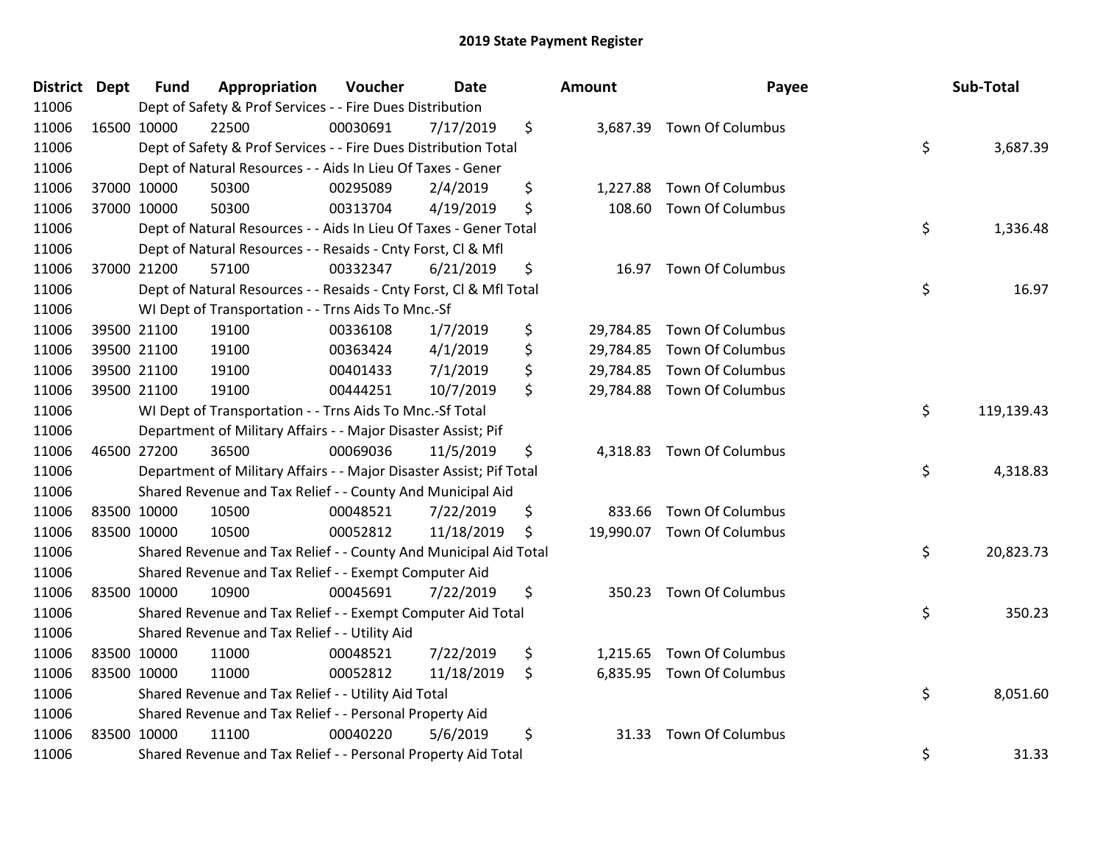| <b>District Dept</b> | <b>Fund</b> | Appropriation                                                       | Voucher  | Date       | <b>Amount</b>   | Payee                      | Sub-Total        |
|----------------------|-------------|---------------------------------------------------------------------|----------|------------|-----------------|----------------------------|------------------|
| 11006                |             | Dept of Safety & Prof Services - - Fire Dues Distribution           |          |            |                 |                            |                  |
| 11006                | 16500 10000 | 22500                                                               | 00030691 | 7/17/2019  | \$              | 3,687.39 Town Of Columbus  |                  |
| 11006                |             | Dept of Safety & Prof Services - - Fire Dues Distribution Total     |          |            |                 |                            | \$<br>3,687.39   |
| 11006                |             | Dept of Natural Resources - - Aids In Lieu Of Taxes - Gener         |          |            |                 |                            |                  |
| 11006                | 37000 10000 | 50300                                                               | 00295089 | 2/4/2019   | \$<br>1,227.88  | Town Of Columbus           |                  |
| 11006                | 37000 10000 | 50300                                                               | 00313704 | 4/19/2019  | \$<br>108.60    | <b>Town Of Columbus</b>    |                  |
| 11006                |             | Dept of Natural Resources - - Aids In Lieu Of Taxes - Gener Total   |          |            |                 |                            | \$<br>1,336.48   |
| 11006                |             | Dept of Natural Resources - - Resaids - Cnty Forst, Cl & Mfl        |          |            |                 |                            |                  |
| 11006                | 37000 21200 | 57100                                                               | 00332347 | 6/21/2019  | \$<br>16.97     | <b>Town Of Columbus</b>    |                  |
| 11006                |             | Dept of Natural Resources - - Resaids - Cnty Forst, Cl & Mfl Total  |          |            |                 |                            | \$<br>16.97      |
| 11006                |             | WI Dept of Transportation - - Trns Aids To Mnc.-Sf                  |          |            |                 |                            |                  |
| 11006                | 39500 21100 | 19100                                                               | 00336108 | 1/7/2019   | \$              | 29,784.85 Town Of Columbus |                  |
| 11006                | 39500 21100 | 19100                                                               | 00363424 | 4/1/2019   | \$              | 29,784.85 Town Of Columbus |                  |
| 11006                | 39500 21100 | 19100                                                               | 00401433 | 7/1/2019   | \$<br>29,784.85 | <b>Town Of Columbus</b>    |                  |
| 11006                | 39500 21100 | 19100                                                               | 00444251 | 10/7/2019  | \$<br>29,784.88 | Town Of Columbus           |                  |
| 11006                |             | WI Dept of Transportation - - Trns Aids To Mnc.-Sf Total            |          |            |                 |                            | \$<br>119,139.43 |
| 11006                |             | Department of Military Affairs - - Major Disaster Assist; Pif       |          |            |                 |                            |                  |
| 11006                | 46500 27200 | 36500                                                               | 00069036 | 11/5/2019  | \$<br>4,318.83  | <b>Town Of Columbus</b>    |                  |
| 11006                |             | Department of Military Affairs - - Major Disaster Assist; Pif Total |          |            |                 |                            | \$<br>4,318.83   |
| 11006                |             | Shared Revenue and Tax Relief - - County And Municipal Aid          |          |            |                 |                            |                  |
| 11006                | 83500 10000 | 10500                                                               | 00048521 | 7/22/2019  | \$<br>833.66    | <b>Town Of Columbus</b>    |                  |
| 11006                | 83500 10000 | 10500                                                               | 00052812 | 11/18/2019 | \$              | 19,990.07 Town Of Columbus |                  |
| 11006                |             | Shared Revenue and Tax Relief - - County And Municipal Aid Total    |          |            |                 |                            | \$<br>20,823.73  |
| 11006                |             | Shared Revenue and Tax Relief - - Exempt Computer Aid               |          |            |                 |                            |                  |
| 11006                | 83500 10000 | 10900                                                               | 00045691 | 7/22/2019  | \$<br>350.23    | <b>Town Of Columbus</b>    |                  |
| 11006                |             | Shared Revenue and Tax Relief - - Exempt Computer Aid Total         |          |            |                 |                            | \$<br>350.23     |
| 11006                |             | Shared Revenue and Tax Relief - - Utility Aid                       |          |            |                 |                            |                  |
| 11006                | 83500 10000 | 11000                                                               | 00048521 | 7/22/2019  | \$              | 1,215.65 Town Of Columbus  |                  |
| 11006                | 83500 10000 | 11000                                                               | 00052812 | 11/18/2019 | \$              | 6,835.95 Town Of Columbus  |                  |
| 11006                |             | Shared Revenue and Tax Relief - - Utility Aid Total                 |          |            |                 |                            | \$<br>8,051.60   |
| 11006                |             | Shared Revenue and Tax Relief - - Personal Property Aid             |          |            |                 |                            |                  |
| 11006                | 83500 10000 | 11100                                                               | 00040220 | 5/6/2019   | \$<br>31.33     | <b>Town Of Columbus</b>    |                  |
| 11006                |             | Shared Revenue and Tax Relief - - Personal Property Aid Total       |          |            |                 |                            | \$<br>31.33      |

| າount     | Payee                      | Sub-Total        |
|-----------|----------------------------|------------------|
| 3,687.39  | Town Of Columbus           | \$<br>3,687.39   |
|           | 1,227.88 Town Of Columbus  |                  |
| 108.60    | Town Of Columbus           |                  |
|           |                            | \$<br>1,336.48   |
| 16.97     | <b>Town Of Columbus</b>    |                  |
|           |                            | \$<br>16.97      |
| 29,784.85 | <b>Town Of Columbus</b>    |                  |
|           | 29,784.85 Town Of Columbus |                  |
| 29,784.85 | Town Of Columbus           |                  |
| 29,784.88 | <b>Town Of Columbus</b>    |                  |
|           |                            | \$<br>119,139.43 |
| 4,318.83  | Town Of Columbus           | \$<br>4,318.83   |
|           |                            |                  |
|           | 833.66 Town Of Columbus    |                  |
| 19,990.07 | Town Of Columbus           |                  |
|           |                            | \$<br>20,823.73  |
| 350.23    | <b>Town Of Columbus</b>    |                  |
|           |                            | \$<br>350.23     |
|           | 1,215.65 Town Of Columbus  |                  |
| 6,835.95  | Town Of Columbus           |                  |
|           |                            | \$<br>8,051.60   |
| 31.33     | <b>Town Of Columbus</b>    |                  |
|           |                            | \$<br>31.33      |
|           |                            |                  |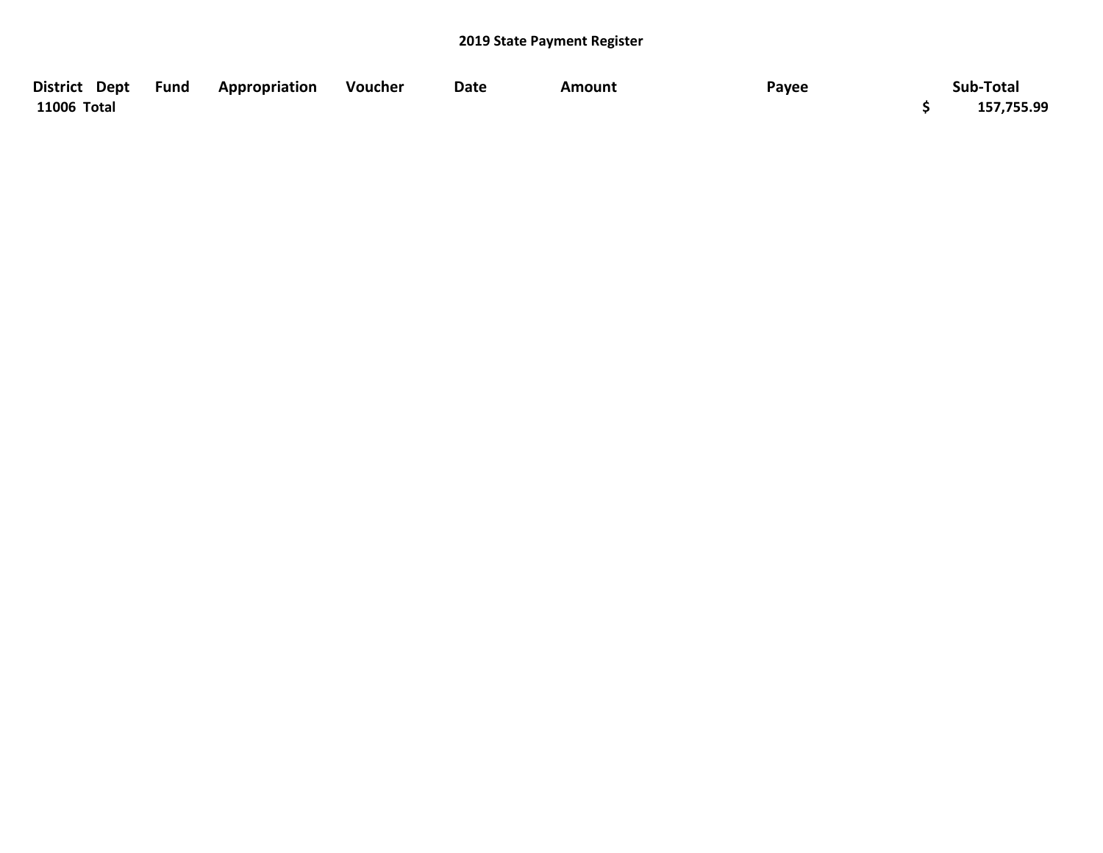| District Dept Fund | Appropriation | Voucher | Date | Amount | Payee | Sub-Total  |
|--------------------|---------------|---------|------|--------|-------|------------|
| 11006 Total        |               |         |      |        |       | 157,755.99 |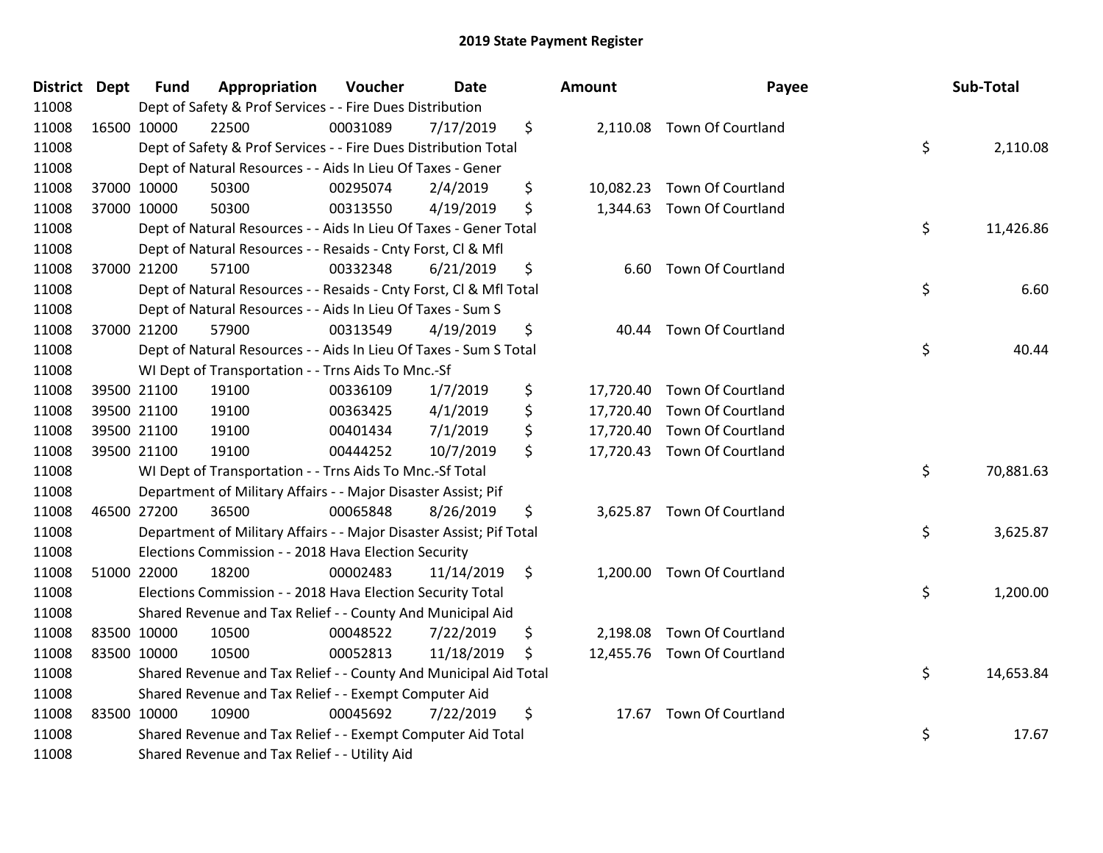| <b>District Dept</b> | <b>Fund</b> | Appropriation                                                       | Voucher  | <b>Date</b> | Amount          | Payee                       | Sub-Total       |
|----------------------|-------------|---------------------------------------------------------------------|----------|-------------|-----------------|-----------------------------|-----------------|
| 11008                |             | Dept of Safety & Prof Services - - Fire Dues Distribution           |          |             |                 |                             |                 |
| 11008                | 16500 10000 | 22500                                                               | 00031089 | 7/17/2019   | \$              | 2,110.08 Town Of Courtland  |                 |
| 11008                |             | Dept of Safety & Prof Services - - Fire Dues Distribution Total     |          |             |                 |                             | \$<br>2,110.08  |
| 11008                |             | Dept of Natural Resources - - Aids In Lieu Of Taxes - Gener         |          |             |                 |                             |                 |
| 11008                | 37000 10000 | 50300                                                               | 00295074 | 2/4/2019    | \$<br>10,082.23 | <b>Town Of Courtland</b>    |                 |
| 11008                | 37000 10000 | 50300                                                               | 00313550 | 4/19/2019   | \$<br>1,344.63  | <b>Town Of Courtland</b>    |                 |
| 11008                |             | Dept of Natural Resources - - Aids In Lieu Of Taxes - Gener Total   |          |             |                 |                             | \$<br>11,426.86 |
| 11008                |             | Dept of Natural Resources - - Resaids - Cnty Forst, Cl & Mfl        |          |             |                 |                             |                 |
| 11008                | 37000 21200 | 57100                                                               | 00332348 | 6/21/2019   | \$<br>6.60      | <b>Town Of Courtland</b>    |                 |
| 11008                |             | Dept of Natural Resources - - Resaids - Cnty Forst, CI & Mfl Total  |          |             |                 |                             | \$<br>6.60      |
| 11008                |             | Dept of Natural Resources - - Aids In Lieu Of Taxes - Sum S         |          |             |                 |                             |                 |
| 11008                | 37000 21200 | 57900                                                               | 00313549 | 4/19/2019   | \$<br>40.44     | <b>Town Of Courtland</b>    |                 |
| 11008                |             | Dept of Natural Resources - - Aids In Lieu Of Taxes - Sum S Total   |          |             |                 |                             | \$<br>40.44     |
| 11008                |             | WI Dept of Transportation - - Trns Aids To Mnc.-Sf                  |          |             |                 |                             |                 |
| 11008                | 39500 21100 | 19100                                                               | 00336109 | 1/7/2019    | \$<br>17,720.40 | <b>Town Of Courtland</b>    |                 |
| 11008                | 39500 21100 | 19100                                                               | 00363425 | 4/1/2019    | \$<br>17,720.40 | <b>Town Of Courtland</b>    |                 |
| 11008                | 39500 21100 | 19100                                                               | 00401434 | 7/1/2019    | \$<br>17,720.40 | <b>Town Of Courtland</b>    |                 |
| 11008                | 39500 21100 | 19100                                                               | 00444252 | 10/7/2019   | \$              | 17,720.43 Town Of Courtland |                 |
| 11008                |             | WI Dept of Transportation - - Trns Aids To Mnc.-Sf Total            |          |             |                 |                             | \$<br>70,881.63 |
| 11008                |             | Department of Military Affairs - - Major Disaster Assist; Pif       |          |             |                 |                             |                 |
| 11008                | 46500 27200 | 36500                                                               | 00065848 | 8/26/2019   | \$              | 3,625.87 Town Of Courtland  |                 |
| 11008                |             | Department of Military Affairs - - Major Disaster Assist; Pif Total |          |             |                 |                             | \$<br>3,625.87  |
| 11008                |             | Elections Commission - - 2018 Hava Election Security                |          |             |                 |                             |                 |
| 11008                | 51000 22000 | 18200                                                               | 00002483 | 11/14/2019  | \$              | 1,200.00 Town Of Courtland  |                 |
| 11008                |             | Elections Commission - - 2018 Hava Election Security Total          |          |             |                 |                             | \$<br>1,200.00  |
| 11008                |             | Shared Revenue and Tax Relief - - County And Municipal Aid          |          |             |                 |                             |                 |
| 11008                | 83500 10000 | 10500                                                               | 00048522 | 7/22/2019   | \$<br>2,198.08  | Town Of Courtland           |                 |
| 11008                | 83500 10000 | 10500                                                               | 00052813 | 11/18/2019  | \$<br>12,455.76 | Town Of Courtland           |                 |
| 11008                |             | Shared Revenue and Tax Relief - - County And Municipal Aid Total    |          |             |                 |                             | \$<br>14,653.84 |
| 11008                |             | Shared Revenue and Tax Relief - - Exempt Computer Aid               |          |             |                 |                             |                 |
| 11008                | 83500 10000 | 10900                                                               | 00045692 | 7/22/2019   | \$              | 17.67 Town Of Courtland     |                 |
| 11008                |             | Shared Revenue and Tax Relief - - Exempt Computer Aid Total         |          |             |                 |                             | \$<br>17.67     |
| 11008                |             | Shared Revenue and Tax Relief - - Utility Aid                       |          |             |                 |                             |                 |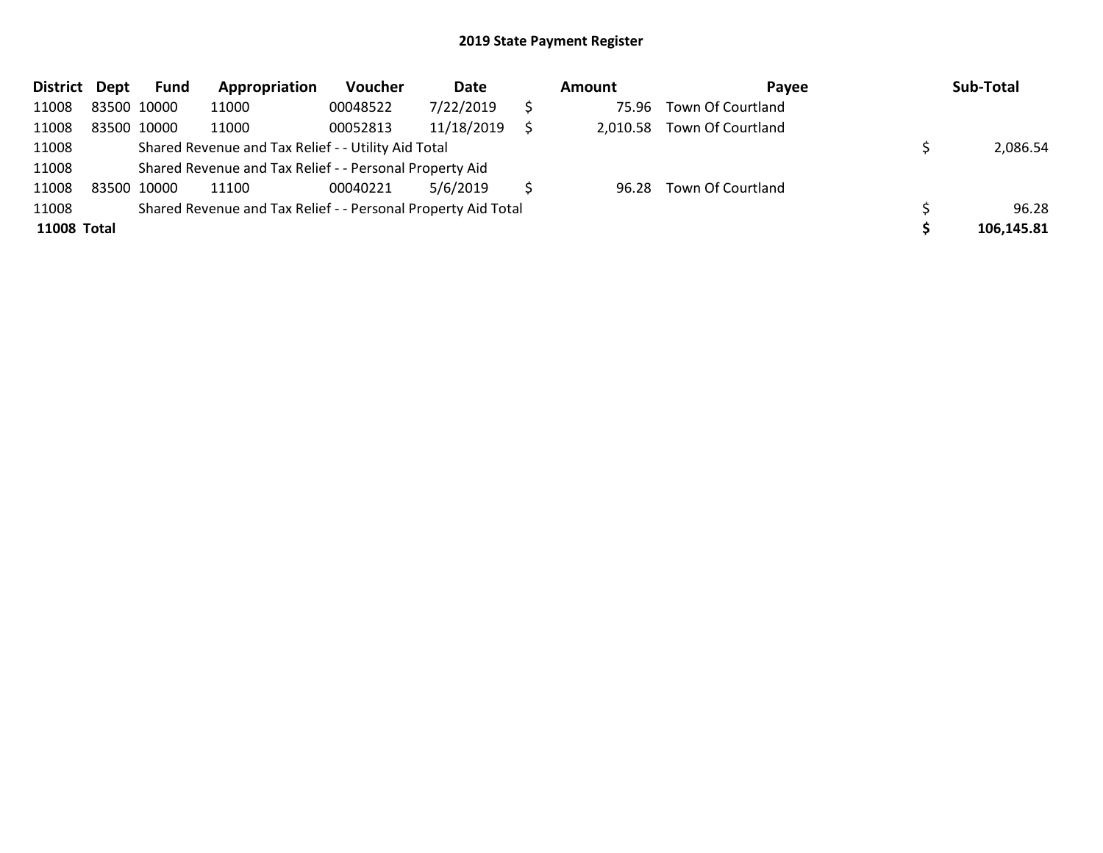| <b>District</b>    | Dept        | <b>Fund</b> | Appropriation                                                 | Voucher  | Date       | Amount | Pavee                      | Sub-Total  |
|--------------------|-------------|-------------|---------------------------------------------------------------|----------|------------|--------|----------------------------|------------|
| 11008              | 83500 10000 |             | 11000                                                         | 00048522 | 7/22/2019  | 75.96  | Town Of Courtland          |            |
| 11008              | 83500 10000 |             | 11000                                                         | 00052813 | 11/18/2019 |        | 2,010.58 Town Of Courtland |            |
| 11008              |             |             | Shared Revenue and Tax Relief - - Utility Aid Total           |          |            |        |                            | 2,086.54   |
| 11008              |             |             | Shared Revenue and Tax Relief - - Personal Property Aid       |          |            |        |                            |            |
| 11008              |             | 83500 10000 | 11100                                                         | 00040221 | 5/6/2019   | 96.28  | Town Of Courtland          |            |
| 11008              |             |             | Shared Revenue and Tax Relief - - Personal Property Aid Total |          |            |        |                            | 96.28      |
| <b>11008 Total</b> |             |             |                                                               |          |            |        |                            | 106,145.81 |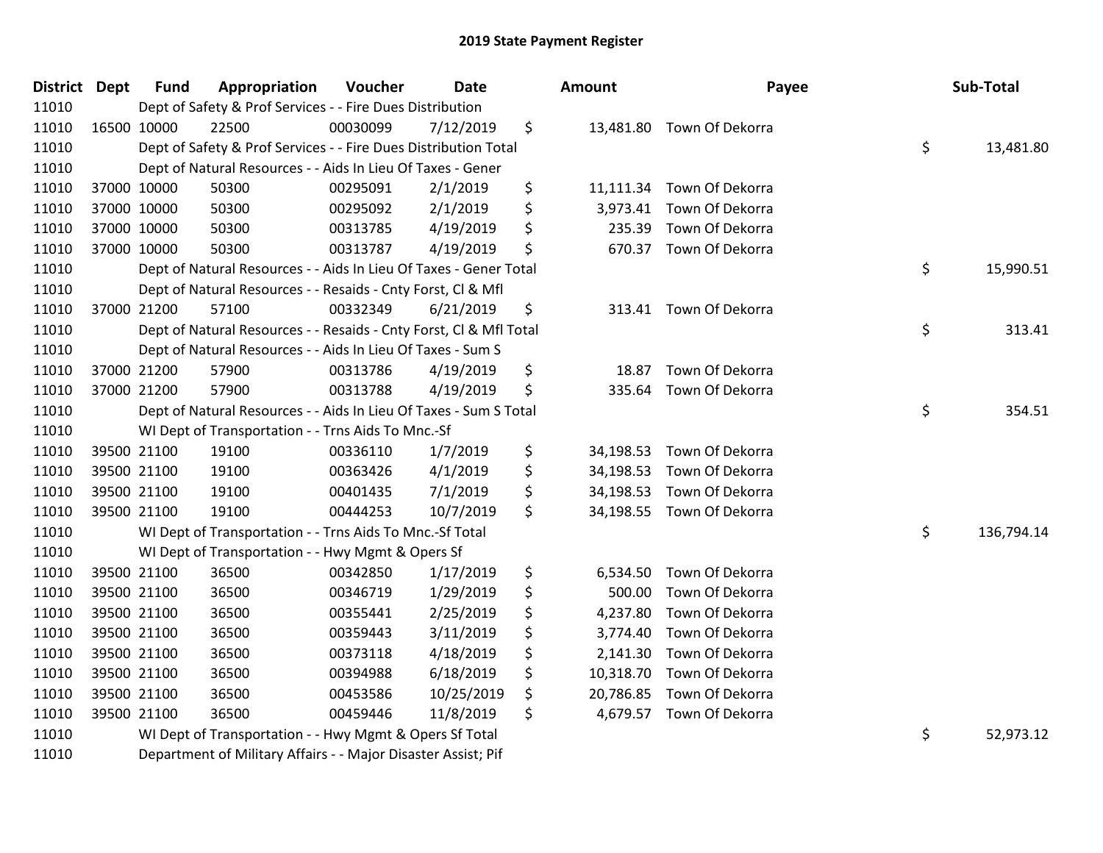| District Dept | <b>Fund</b> | Appropriation                                                      | Voucher  | <b>Date</b> |    | Amount    | Payee                     |    | Sub-Total  |
|---------------|-------------|--------------------------------------------------------------------|----------|-------------|----|-----------|---------------------------|----|------------|
| 11010         |             | Dept of Safety & Prof Services - - Fire Dues Distribution          |          |             |    |           |                           |    |            |
| 11010         | 16500 10000 | 22500                                                              | 00030099 | 7/12/2019   | \$ |           | 13,481.80 Town Of Dekorra |    |            |
| 11010         |             | Dept of Safety & Prof Services - - Fire Dues Distribution Total    |          |             |    |           |                           | \$ | 13,481.80  |
| 11010         |             | Dept of Natural Resources - - Aids In Lieu Of Taxes - Gener        |          |             |    |           |                           |    |            |
| 11010         | 37000 10000 | 50300                                                              | 00295091 | 2/1/2019    | \$ |           | 11,111.34 Town Of Dekorra |    |            |
| 11010         | 37000 10000 | 50300                                                              | 00295092 | 2/1/2019    | \$ |           | 3,973.41 Town Of Dekorra  |    |            |
| 11010         | 37000 10000 | 50300                                                              | 00313785 | 4/19/2019   | \$ | 235.39    | Town Of Dekorra           |    |            |
| 11010         | 37000 10000 | 50300                                                              | 00313787 | 4/19/2019   | \$ |           | 670.37 Town Of Dekorra    |    |            |
| 11010         |             | Dept of Natural Resources - - Aids In Lieu Of Taxes - Gener Total  |          |             |    |           |                           | \$ | 15,990.51  |
| 11010         |             | Dept of Natural Resources - - Resaids - Cnty Forst, Cl & Mfl       |          |             |    |           |                           |    |            |
| 11010         | 37000 21200 | 57100                                                              | 00332349 | 6/21/2019   | \$ |           | 313.41 Town Of Dekorra    |    |            |
| 11010         |             | Dept of Natural Resources - - Resaids - Cnty Forst, CI & Mfl Total |          |             |    |           |                           | \$ | 313.41     |
| 11010         |             | Dept of Natural Resources - - Aids In Lieu Of Taxes - Sum S        |          |             |    |           |                           |    |            |
| 11010         | 37000 21200 | 57900                                                              | 00313786 | 4/19/2019   | \$ | 18.87     | Town Of Dekorra           |    |            |
| 11010         | 37000 21200 | 57900                                                              | 00313788 | 4/19/2019   | \$ | 335.64    | Town Of Dekorra           |    |            |
| 11010         |             | Dept of Natural Resources - - Aids In Lieu Of Taxes - Sum S Total  |          |             |    |           |                           |    | 354.51     |
| 11010         |             | WI Dept of Transportation - - Trns Aids To Mnc.-Sf                 |          |             |    |           |                           |    |            |
| 11010         | 39500 21100 | 19100                                                              | 00336110 | 1/7/2019    | \$ | 34,198.53 | Town Of Dekorra           |    |            |
| 11010         | 39500 21100 | 19100                                                              | 00363426 | 4/1/2019    | \$ |           | 34,198.53 Town Of Dekorra |    |            |
| 11010         | 39500 21100 | 19100                                                              | 00401435 | 7/1/2019    | \$ |           | 34,198.53 Town Of Dekorra |    |            |
| 11010         | 39500 21100 | 19100                                                              | 00444253 | 10/7/2019   | \$ |           | 34,198.55 Town Of Dekorra |    |            |
| 11010         |             | WI Dept of Transportation - - Trns Aids To Mnc.-Sf Total           |          |             |    |           |                           | \$ | 136,794.14 |
| 11010         |             | WI Dept of Transportation - - Hwy Mgmt & Opers Sf                  |          |             |    |           |                           |    |            |
| 11010         | 39500 21100 | 36500                                                              | 00342850 | 1/17/2019   | \$ |           | 6,534.50 Town Of Dekorra  |    |            |
| 11010         | 39500 21100 | 36500                                                              | 00346719 | 1/29/2019   | \$ | 500.00    | Town Of Dekorra           |    |            |
| 11010         | 39500 21100 | 36500                                                              | 00355441 | 2/25/2019   | \$ | 4,237.80  | Town Of Dekorra           |    |            |
| 11010         | 39500 21100 | 36500                                                              | 00359443 | 3/11/2019   | \$ | 3,774.40  | Town Of Dekorra           |    |            |
| 11010         | 39500 21100 | 36500                                                              | 00373118 | 4/18/2019   | \$ | 2,141.30  | Town Of Dekorra           |    |            |
| 11010         | 39500 21100 | 36500                                                              | 00394988 | 6/18/2019   | \$ |           | 10,318.70 Town Of Dekorra |    |            |
| 11010         | 39500 21100 | 36500                                                              | 00453586 | 10/25/2019  | \$ | 20,786.85 | Town Of Dekorra           |    |            |
| 11010         | 39500 21100 | 36500                                                              | 00459446 | 11/8/2019   | \$ |           | 4,679.57 Town Of Dekorra  |    |            |
| 11010         |             | WI Dept of Transportation - - Hwy Mgmt & Opers Sf Total            |          |             |    |           |                           | \$ | 52,973.12  |
| 11010         |             | Department of Military Affairs - - Major Disaster Assist; Pif      |          |             |    |           |                           |    |            |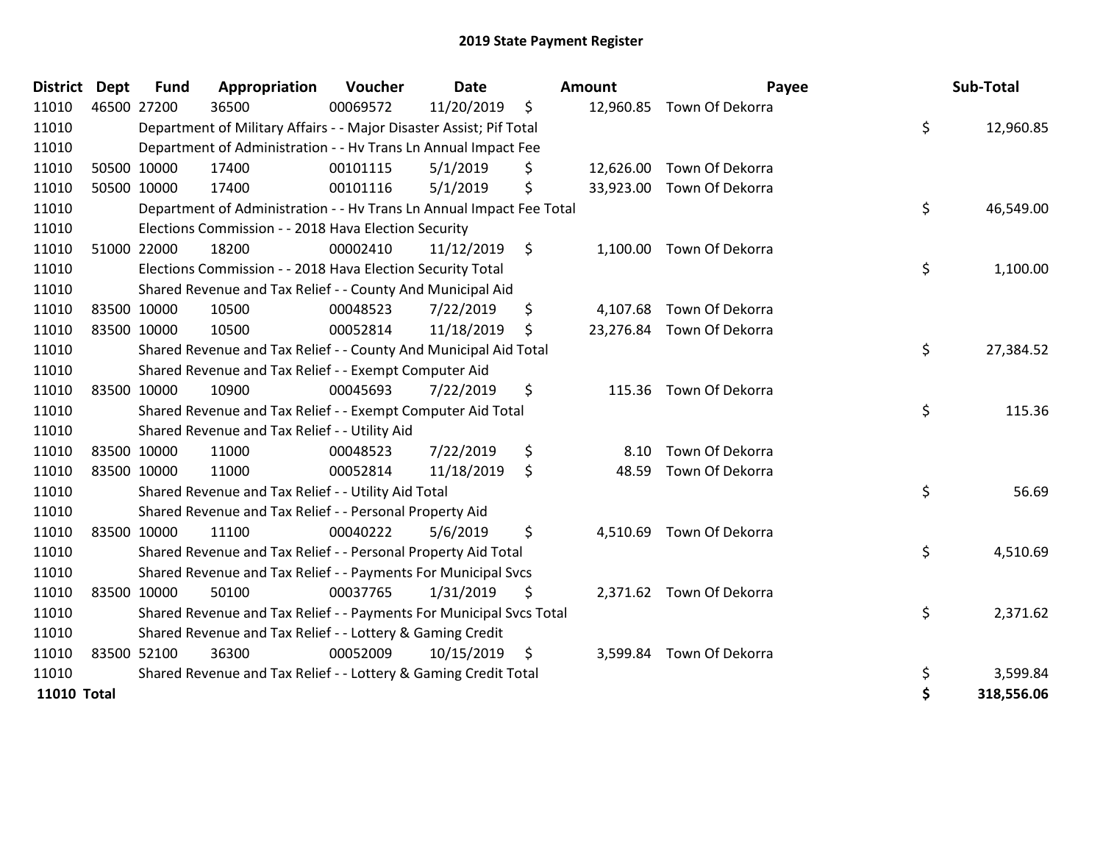| <b>District</b>    | <b>Dept</b> | <b>Fund</b> | Appropriation                                                        | Voucher  | <b>Date</b> |     | Amount    | Payee                     | Sub-Total        |
|--------------------|-------------|-------------|----------------------------------------------------------------------|----------|-------------|-----|-----------|---------------------------|------------------|
| 11010              |             | 46500 27200 | 36500                                                                | 00069572 | 11/20/2019  | \$  |           | 12,960.85 Town Of Dekorra |                  |
| 11010              |             |             | Department of Military Affairs - - Major Disaster Assist; Pif Total  |          |             |     |           |                           | \$<br>12,960.85  |
| 11010              |             |             | Department of Administration - - Hv Trans Ln Annual Impact Fee       |          |             |     |           |                           |                  |
| 11010              |             | 50500 10000 | 17400                                                                | 00101115 | 5/1/2019    | \$  | 12,626.00 | Town Of Dekorra           |                  |
| 11010              |             | 50500 10000 | 17400                                                                | 00101116 | 5/1/2019    | \$  |           | 33,923.00 Town Of Dekorra |                  |
| 11010              |             |             | Department of Administration - - Hv Trans Ln Annual Impact Fee Total |          |             |     |           |                           | \$<br>46,549.00  |
| 11010              |             |             | Elections Commission - - 2018 Hava Election Security                 |          |             |     |           |                           |                  |
| 11010              |             | 51000 22000 | 18200                                                                | 00002410 | 11/12/2019  | \$  |           | 1,100.00 Town Of Dekorra  |                  |
| 11010              |             |             | Elections Commission - - 2018 Hava Election Security Total           |          |             |     |           |                           | \$<br>1,100.00   |
| 11010              |             |             | Shared Revenue and Tax Relief - - County And Municipal Aid           |          |             |     |           |                           |                  |
| 11010              |             | 83500 10000 | 10500                                                                | 00048523 | 7/22/2019   | \$  | 4,107.68  | Town Of Dekorra           |                  |
| 11010              |             | 83500 10000 | 10500                                                                | 00052814 | 11/18/2019  | \$  |           | 23,276.84 Town Of Dekorra |                  |
| 11010              |             |             | Shared Revenue and Tax Relief - - County And Municipal Aid Total     |          |             |     |           |                           | \$<br>27,384.52  |
| 11010              |             |             | Shared Revenue and Tax Relief - - Exempt Computer Aid                |          |             |     |           |                           |                  |
| 11010              |             | 83500 10000 | 10900                                                                | 00045693 | 7/22/2019   | \$  |           | 115.36 Town Of Dekorra    |                  |
| 11010              |             |             | Shared Revenue and Tax Relief - - Exempt Computer Aid Total          |          |             |     |           |                           | \$<br>115.36     |
| 11010              |             |             | Shared Revenue and Tax Relief - - Utility Aid                        |          |             |     |           |                           |                  |
| 11010              |             | 83500 10000 | 11000                                                                | 00048523 | 7/22/2019   | \$  | 8.10      | Town Of Dekorra           |                  |
| 11010              |             | 83500 10000 | 11000                                                                | 00052814 | 11/18/2019  | \$  | 48.59     | Town Of Dekorra           |                  |
| 11010              |             |             | Shared Revenue and Tax Relief - - Utility Aid Total                  |          |             |     |           |                           | \$<br>56.69      |
| 11010              |             |             | Shared Revenue and Tax Relief - - Personal Property Aid              |          |             |     |           |                           |                  |
| 11010              |             | 83500 10000 | 11100                                                                | 00040222 | 5/6/2019    | \$  | 4,510.69  | Town Of Dekorra           |                  |
| 11010              |             |             | Shared Revenue and Tax Relief - - Personal Property Aid Total        |          |             |     |           |                           | \$<br>4,510.69   |
| 11010              |             |             | Shared Revenue and Tax Relief - - Payments For Municipal Svcs        |          |             |     |           |                           |                  |
| 11010              |             | 83500 10000 | 50100                                                                | 00037765 | 1/31/2019   | \$  |           | 2,371.62 Town Of Dekorra  |                  |
| 11010              |             |             | Shared Revenue and Tax Relief - - Payments For Municipal Svcs Total  |          |             |     |           |                           | \$<br>2,371.62   |
| 11010              |             |             | Shared Revenue and Tax Relief - - Lottery & Gaming Credit            |          |             |     |           |                           |                  |
| 11010              |             | 83500 52100 | 36300                                                                | 00052009 | 10/15/2019  | -\$ |           | 3,599.84 Town Of Dekorra  |                  |
| 11010              |             |             | Shared Revenue and Tax Relief - - Lottery & Gaming Credit Total      |          |             |     |           |                           | 3,599.84         |
| <b>11010 Total</b> |             |             |                                                                      |          |             |     |           |                           | \$<br>318,556.06 |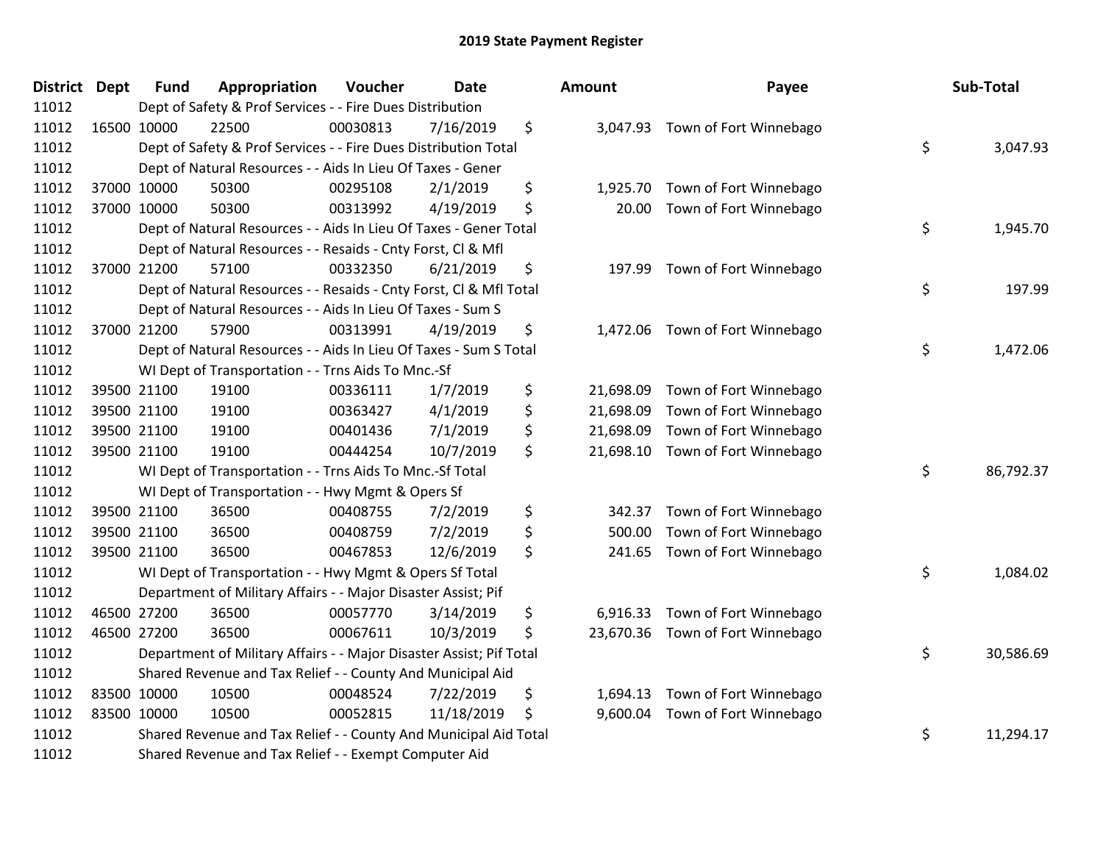| <b>District Dept</b> | <b>Fund</b> | Appropriation                                                       | Voucher  | <b>Date</b> | <b>Amount</b>   | Payee                            | Sub-Total       |
|----------------------|-------------|---------------------------------------------------------------------|----------|-------------|-----------------|----------------------------------|-----------------|
| 11012                |             | Dept of Safety & Prof Services - - Fire Dues Distribution           |          |             |                 |                                  |                 |
| 11012                | 16500 10000 | 22500                                                               | 00030813 | 7/16/2019   | \$              | 3,047.93 Town of Fort Winnebago  |                 |
| 11012                |             | Dept of Safety & Prof Services - - Fire Dues Distribution Total     |          |             |                 |                                  | \$<br>3,047.93  |
| 11012                |             | Dept of Natural Resources - - Aids In Lieu Of Taxes - Gener         |          |             |                 |                                  |                 |
| 11012                | 37000 10000 | 50300                                                               | 00295108 | 2/1/2019    | \$<br>1,925.70  | Town of Fort Winnebago           |                 |
| 11012                | 37000 10000 | 50300                                                               | 00313992 | 4/19/2019   | \$<br>20.00     | Town of Fort Winnebago           |                 |
| 11012                |             | Dept of Natural Resources - - Aids In Lieu Of Taxes - Gener Total   |          |             |                 |                                  | \$<br>1,945.70  |
| 11012                |             | Dept of Natural Resources - - Resaids - Cnty Forst, Cl & Mfl        |          |             |                 |                                  |                 |
| 11012                | 37000 21200 | 57100                                                               | 00332350 | 6/21/2019   | \$<br>197.99    | Town of Fort Winnebago           |                 |
| 11012                |             | Dept of Natural Resources - - Resaids - Cnty Forst, Cl & Mfl Total  |          |             |                 |                                  | \$<br>197.99    |
| 11012                |             | Dept of Natural Resources - - Aids In Lieu Of Taxes - Sum S         |          |             |                 |                                  |                 |
| 11012                | 37000 21200 | 57900                                                               | 00313991 | 4/19/2019   | \$              | 1,472.06 Town of Fort Winnebago  |                 |
| 11012                |             | Dept of Natural Resources - - Aids In Lieu Of Taxes - Sum S Total   |          |             |                 |                                  | \$<br>1,472.06  |
| 11012                |             | WI Dept of Transportation - - Trns Aids To Mnc.-Sf                  |          |             |                 |                                  |                 |
| 11012                | 39500 21100 | 19100                                                               | 00336111 | 1/7/2019    | \$<br>21,698.09 | Town of Fort Winnebago           |                 |
| 11012                | 39500 21100 | 19100                                                               | 00363427 | 4/1/2019    | \$<br>21,698.09 | Town of Fort Winnebago           |                 |
| 11012                | 39500 21100 | 19100                                                               | 00401436 | 7/1/2019    | \$<br>21,698.09 | Town of Fort Winnebago           |                 |
| 11012                | 39500 21100 | 19100                                                               | 00444254 | 10/7/2019   | \$              | 21,698.10 Town of Fort Winnebago |                 |
| 11012                |             | WI Dept of Transportation - - Trns Aids To Mnc.-Sf Total            |          |             |                 |                                  | \$<br>86,792.37 |
| 11012                |             | WI Dept of Transportation - - Hwy Mgmt & Opers Sf                   |          |             |                 |                                  |                 |
| 11012                | 39500 21100 | 36500                                                               | 00408755 | 7/2/2019    | \$<br>342.37    | Town of Fort Winnebago           |                 |
| 11012                | 39500 21100 | 36500                                                               | 00408759 | 7/2/2019    | \$<br>500.00    | Town of Fort Winnebago           |                 |
| 11012                | 39500 21100 | 36500                                                               | 00467853 | 12/6/2019   | \$<br>241.65    | Town of Fort Winnebago           |                 |
| 11012                |             | WI Dept of Transportation - - Hwy Mgmt & Opers Sf Total             |          |             |                 |                                  | \$<br>1,084.02  |
| 11012                |             | Department of Military Affairs - - Major Disaster Assist; Pif       |          |             |                 |                                  |                 |
| 11012                | 46500 27200 | 36500                                                               | 00057770 | 3/14/2019   | \$<br>6,916.33  | Town of Fort Winnebago           |                 |
| 11012                | 46500 27200 | 36500                                                               | 00067611 | 10/3/2019   | \$              | 23,670.36 Town of Fort Winnebago |                 |
| 11012                |             | Department of Military Affairs - - Major Disaster Assist; Pif Total |          |             |                 |                                  | \$<br>30,586.69 |
| 11012                |             | Shared Revenue and Tax Relief - - County And Municipal Aid          |          |             |                 |                                  |                 |
| 11012                | 83500 10000 | 10500                                                               | 00048524 | 7/22/2019   | \$<br>1,694.13  | Town of Fort Winnebago           |                 |
| 11012                | 83500 10000 | 10500                                                               | 00052815 | 11/18/2019  | \$<br>9,600.04  | Town of Fort Winnebago           |                 |
| 11012                |             | Shared Revenue and Tax Relief - - County And Municipal Aid Total    |          |             |                 |                                  | \$<br>11,294.17 |
| 11012                |             | Shared Revenue and Tax Relief - - Exempt Computer Aid               |          |             |                 |                                  |                 |

| ιοunτ     | rayee                  | Sub-Total       |
|-----------|------------------------|-----------------|
| 3,047.93  | Town of Fort Winnebago | \$<br>3,047.93  |
| 1,925.70  | Town of Fort Winnebago |                 |
| 20.00     | Town of Fort Winnebago | \$<br>1,945.70  |
| 197.99    | Town of Fort Winnebago | \$<br>197.99    |
| 1,472.06  | Town of Fort Winnebago | \$<br>1,472.06  |
| 21,698.09 | Town of Fort Winnebago |                 |
| 21,698.09 | Town of Fort Winnebago |                 |
| 21,698.09 | Town of Fort Winnebago |                 |
| 21,698.10 | Town of Fort Winnebago |                 |
|           |                        | \$<br>86,792.37 |
| 342.37    | Town of Fort Winnebago |                 |
| 500.00    | Town of Fort Winnebago |                 |
| 241.65    | Town of Fort Winnebago |                 |
|           |                        | \$<br>1,084.02  |
| 6,916.33  | Town of Fort Winnebago |                 |
| 23,670.36 | Town of Fort Winnebago |                 |
|           |                        | \$<br>30,586.69 |
| 1,694.13  | Town of Fort Winnebago |                 |
| 9,600.04  | Town of Fort Winnebago |                 |
|           |                        | \$<br>11,294.17 |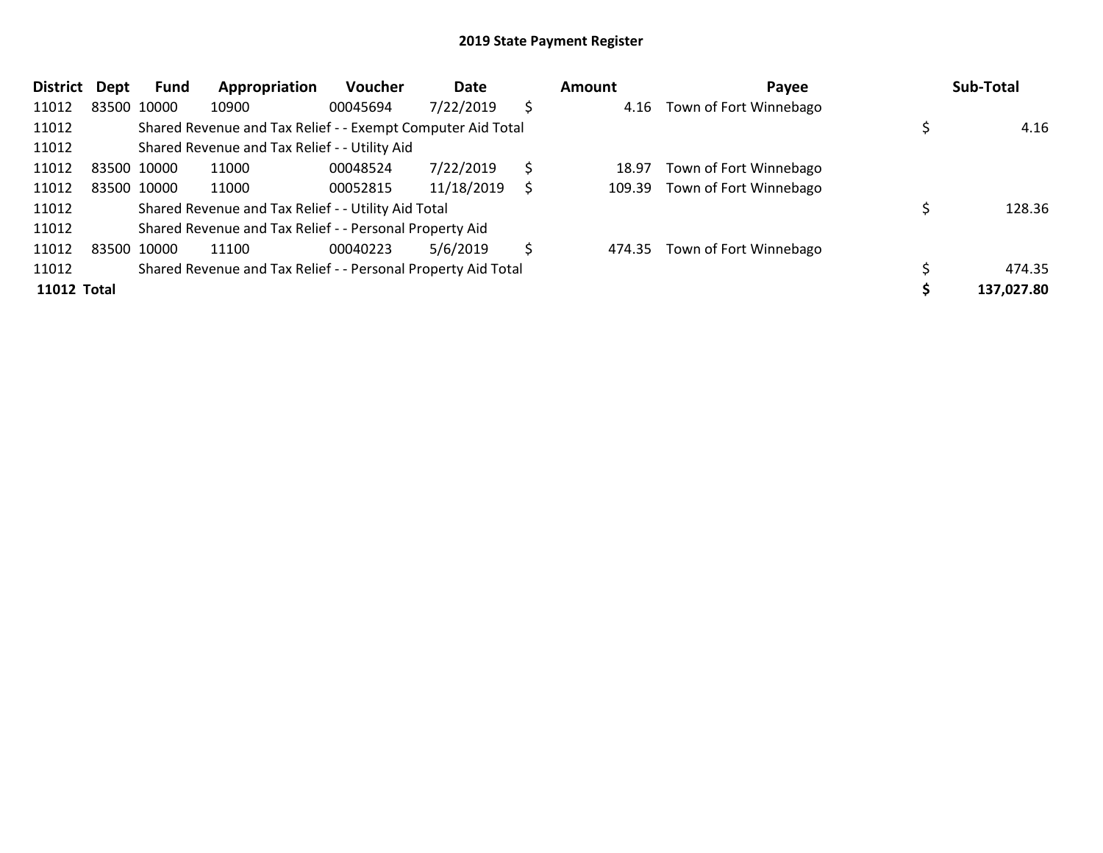| <b>District</b>    | Dept | Fund        | Appropriation                                                 | Voucher  | Date       |    | <b>Amount</b> | Payee                         | Sub-Total  |
|--------------------|------|-------------|---------------------------------------------------------------|----------|------------|----|---------------|-------------------------------|------------|
| 11012              |      | 83500 10000 | 10900                                                         | 00045694 | 7/22/2019  | \$ |               | 4.16 Town of Fort Winnebago   |            |
| 11012              |      |             | Shared Revenue and Tax Relief - - Exempt Computer Aid Total   |          |            |    |               |                               | 4.16       |
| 11012              |      |             | Shared Revenue and Tax Relief - - Utility Aid                 |          |            |    |               |                               |            |
| 11012              |      | 83500 10000 | 11000                                                         | 00048524 | 7/22/2019  | \$ | 18.97         | Town of Fort Winnebago        |            |
| 11012              |      | 83500 10000 | 11000                                                         | 00052815 | 11/18/2019 |    |               | 109.39 Town of Fort Winnebago |            |
| 11012              |      |             | Shared Revenue and Tax Relief - - Utility Aid Total           |          |            |    |               |                               | 128.36     |
| 11012              |      |             | Shared Revenue and Tax Relief - - Personal Property Aid       |          |            |    |               |                               |            |
| 11012              |      | 83500 10000 | 11100                                                         | 00040223 | 5/6/2019   | S  |               | 474.35 Town of Fort Winnebago |            |
| 11012              |      |             | Shared Revenue and Tax Relief - - Personal Property Aid Total |          |            |    |               |                               | 474.35     |
| <b>11012 Total</b> |      |             |                                                               |          |            |    |               |                               | 137,027.80 |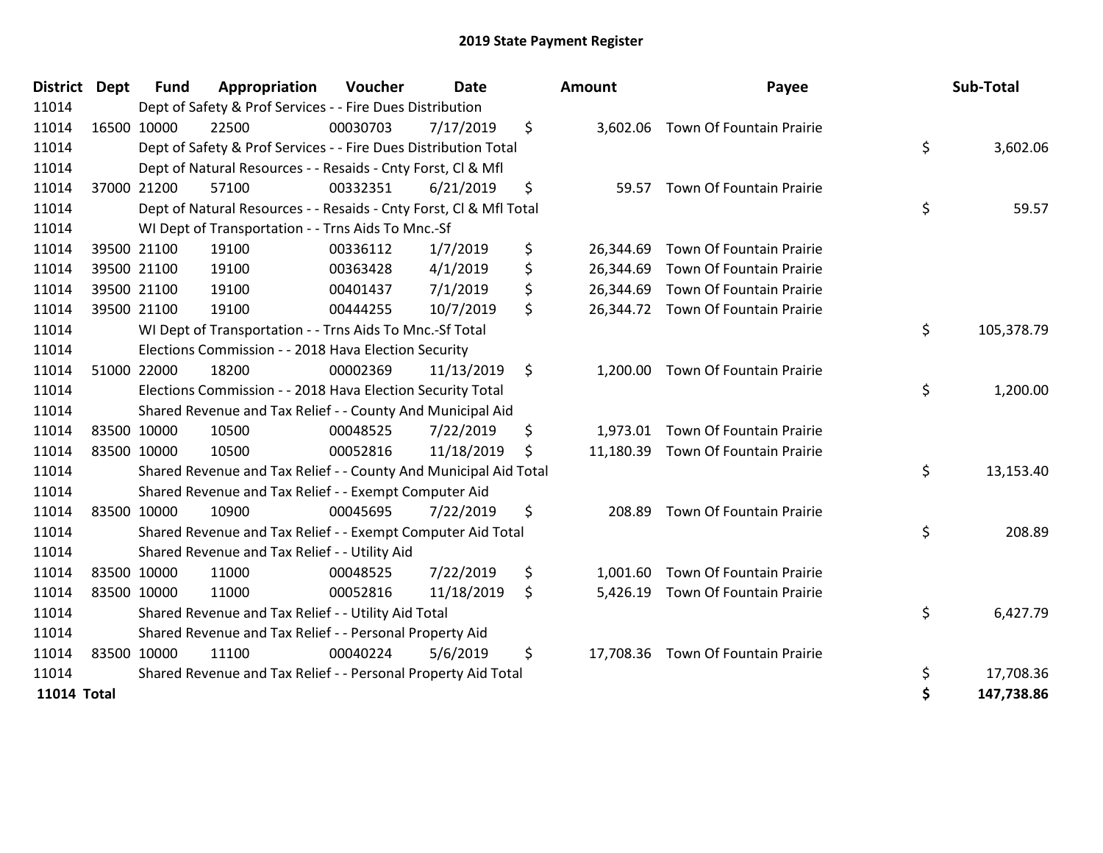| <b>District</b>    | <b>Dept</b> | <b>Fund</b> | Appropriation                                                      | Voucher  | <b>Date</b> | Amount          | Payee                              | Sub-Total        |
|--------------------|-------------|-------------|--------------------------------------------------------------------|----------|-------------|-----------------|------------------------------------|------------------|
| 11014              |             |             | Dept of Safety & Prof Services - - Fire Dues Distribution          |          |             |                 |                                    |                  |
| 11014              |             | 16500 10000 | 22500                                                              | 00030703 | 7/17/2019   | \$<br>3,602.06  | Town Of Fountain Prairie           |                  |
| 11014              |             |             | Dept of Safety & Prof Services - - Fire Dues Distribution Total    |          |             |                 |                                    | \$<br>3,602.06   |
| 11014              |             |             | Dept of Natural Resources - - Resaids - Cnty Forst, CI & Mfl       |          |             |                 |                                    |                  |
| 11014              |             | 37000 21200 | 57100                                                              | 00332351 | 6/21/2019   | \$<br>59.57     | Town Of Fountain Prairie           |                  |
| 11014              |             |             | Dept of Natural Resources - - Resaids - Cnty Forst, Cl & Mfl Total |          |             |                 |                                    | \$<br>59.57      |
| 11014              |             |             | WI Dept of Transportation - - Trns Aids To Mnc.-Sf                 |          |             |                 |                                    |                  |
| 11014              |             | 39500 21100 | 19100                                                              | 00336112 | 1/7/2019    | \$<br>26,344.69 | Town Of Fountain Prairie           |                  |
| 11014              |             | 39500 21100 | 19100                                                              | 00363428 | 4/1/2019    | \$<br>26,344.69 | Town Of Fountain Prairie           |                  |
| 11014              |             | 39500 21100 | 19100                                                              | 00401437 | 7/1/2019    | \$<br>26,344.69 | Town Of Fountain Prairie           |                  |
| 11014              |             | 39500 21100 | 19100                                                              | 00444255 | 10/7/2019   | \$<br>26,344.72 | Town Of Fountain Prairie           |                  |
| 11014              |             |             | WI Dept of Transportation - - Trns Aids To Mnc.-Sf Total           |          |             |                 |                                    | \$<br>105,378.79 |
| 11014              |             |             | Elections Commission - - 2018 Hava Election Security               |          |             |                 |                                    |                  |
| 11014              |             | 51000 22000 | 18200                                                              | 00002369 | 11/13/2019  | \$<br>1,200.00  | Town Of Fountain Prairie           |                  |
| 11014              |             |             | Elections Commission - - 2018 Hava Election Security Total         |          |             |                 |                                    | \$<br>1,200.00   |
| 11014              |             |             | Shared Revenue and Tax Relief - - County And Municipal Aid         |          |             |                 |                                    |                  |
| 11014              |             | 83500 10000 | 10500                                                              | 00048525 | 7/22/2019   | \$<br>1,973.01  | Town Of Fountain Prairie           |                  |
| 11014              |             | 83500 10000 | 10500                                                              | 00052816 | 11/18/2019  | \$<br>11,180.39 | Town Of Fountain Prairie           |                  |
| 11014              |             |             | Shared Revenue and Tax Relief - - County And Municipal Aid Total   |          |             |                 |                                    | \$<br>13,153.40  |
| 11014              |             |             | Shared Revenue and Tax Relief - - Exempt Computer Aid              |          |             |                 |                                    |                  |
| 11014              |             | 83500 10000 | 10900                                                              | 00045695 | 7/22/2019   | \$<br>208.89    | Town Of Fountain Prairie           |                  |
| 11014              |             |             | Shared Revenue and Tax Relief - - Exempt Computer Aid Total        |          |             |                 |                                    | \$<br>208.89     |
| 11014              |             |             | Shared Revenue and Tax Relief - - Utility Aid                      |          |             |                 |                                    |                  |
| 11014              |             | 83500 10000 | 11000                                                              | 00048525 | 7/22/2019   | \$<br>1,001.60  | Town Of Fountain Prairie           |                  |
| 11014              |             | 83500 10000 | 11000                                                              | 00052816 | 11/18/2019  | \$<br>5,426.19  | Town Of Fountain Prairie           |                  |
| 11014              |             |             | Shared Revenue and Tax Relief - - Utility Aid Total                |          |             |                 |                                    | \$<br>6,427.79   |
| 11014              |             |             | Shared Revenue and Tax Relief - - Personal Property Aid            |          |             |                 |                                    |                  |
| 11014              |             | 83500 10000 | 11100                                                              | 00040224 | 5/6/2019    | \$              | 17,708.36 Town Of Fountain Prairie |                  |
| 11014              |             |             | Shared Revenue and Tax Relief - - Personal Property Aid Total      |          |             |                 |                                    | \$<br>17,708.36  |
| <b>11014 Total</b> |             |             |                                                                    |          |             |                 |                                    | \$<br>147,738.86 |

| District           | Dept        | <b>Fund</b> | Appropriation                                                      | <b>Voucher</b> | <b>Date</b> | <b>Amount</b>   | Payee                              | Sub-Total        |
|--------------------|-------------|-------------|--------------------------------------------------------------------|----------------|-------------|-----------------|------------------------------------|------------------|
| 11014              |             |             | Dept of Safety & Prof Services - - Fire Dues Distribution          |                |             |                 |                                    |                  |
| 11014              |             | 16500 10000 | 22500                                                              | 00030703       | 7/17/2019   | \$              | 3,602.06 Town Of Fountain Prairie  |                  |
| 11014              |             |             | Dept of Safety & Prof Services - - Fire Dues Distribution Total    |                |             |                 |                                    | \$<br>3,602.06   |
| 11014              |             |             | Dept of Natural Resources - - Resaids - Cnty Forst, Cl & Mfl       |                |             |                 |                                    |                  |
| 11014              |             | 37000 21200 | 57100                                                              | 00332351       | 6/21/2019   | \$              | 59.57 Town Of Fountain Prairie     |                  |
| 11014              |             |             | Dept of Natural Resources - - Resaids - Cnty Forst, Cl & Mfl Total |                |             |                 |                                    | \$<br>59.57      |
| 11014              |             |             | WI Dept of Transportation - - Trns Aids To Mnc.-Sf                 |                |             |                 |                                    |                  |
| 11014              |             | 39500 21100 | 19100                                                              | 00336112       | 1/7/2019    | \$<br>26,344.69 | Town Of Fountain Prairie           |                  |
| 11014              |             | 39500 21100 | 19100                                                              | 00363428       | 4/1/2019    | \$              | 26,344.69 Town Of Fountain Prairie |                  |
| 11014              |             | 39500 21100 | 19100                                                              | 00401437       | 7/1/2019    | \$<br>26,344.69 | <b>Town Of Fountain Prairie</b>    |                  |
| 11014              | 39500 21100 |             | 19100                                                              | 00444255       | 10/7/2019   | \$              | 26,344.72 Town Of Fountain Prairie |                  |
| 11014              |             |             | WI Dept of Transportation - - Trns Aids To Mnc.-Sf Total           |                |             |                 |                                    | \$<br>105,378.79 |
| 11014              |             |             | Elections Commission - - 2018 Hava Election Security               |                |             |                 |                                    |                  |
| 11014              |             | 51000 22000 | 18200                                                              | 00002369       | 11/13/2019  | \$<br>1,200.00  | Town Of Fountain Prairie           |                  |
| 11014              |             |             | Elections Commission - - 2018 Hava Election Security Total         |                |             |                 |                                    | \$<br>1,200.00   |
| 11014              |             |             | Shared Revenue and Tax Relief - - County And Municipal Aid         |                |             |                 |                                    |                  |
| 11014              | 83500 10000 |             | 10500                                                              | 00048525       | 7/22/2019   | \$              | 1,973.01 Town Of Fountain Prairie  |                  |
| 11014              |             | 83500 10000 | 10500                                                              | 00052816       | 11/18/2019  | \$<br>11,180.39 | Town Of Fountain Prairie           |                  |
| 11014              |             |             | Shared Revenue and Tax Relief - - County And Municipal Aid Total   |                |             |                 |                                    | \$<br>13,153.40  |
| 11014              |             |             | Shared Revenue and Tax Relief - - Exempt Computer Aid              |                |             |                 |                                    |                  |
| 11014              | 83500 10000 |             | 10900                                                              | 00045695       | 7/22/2019   | \$<br>208.89    | Town Of Fountain Prairie           |                  |
| 11014              |             |             | Shared Revenue and Tax Relief - - Exempt Computer Aid Total        |                |             |                 |                                    | \$<br>208.89     |
| 11014              |             |             | Shared Revenue and Tax Relief - - Utility Aid                      |                |             |                 |                                    |                  |
| 11014              | 83500 10000 |             | 11000                                                              | 00048525       | 7/22/2019   | \$<br>1,001.60  | Town Of Fountain Prairie           |                  |
| 11014              | 83500 10000 |             | 11000                                                              | 00052816       | 11/18/2019  | \$<br>5,426.19  | Town Of Fountain Prairie           |                  |
| 11014              |             |             | Shared Revenue and Tax Relief - - Utility Aid Total                |                |             |                 |                                    | \$<br>6,427.79   |
| 11014              |             |             | Shared Revenue and Tax Relief - - Personal Property Aid            |                |             |                 |                                    |                  |
| 11014              | 83500 10000 |             | 11100                                                              | 00040224       | 5/6/2019    | \$              | 17,708.36 Town Of Fountain Prairie |                  |
| 11014              |             |             | Shared Revenue and Tax Relief - - Personal Property Aid Total      |                |             |                 |                                    | \$<br>17,708.36  |
| <b>11014 Total</b> |             |             |                                                                    |                |             |                 |                                    | \$<br>147,738.86 |
|                    |             |             |                                                                    |                |             |                 |                                    |                  |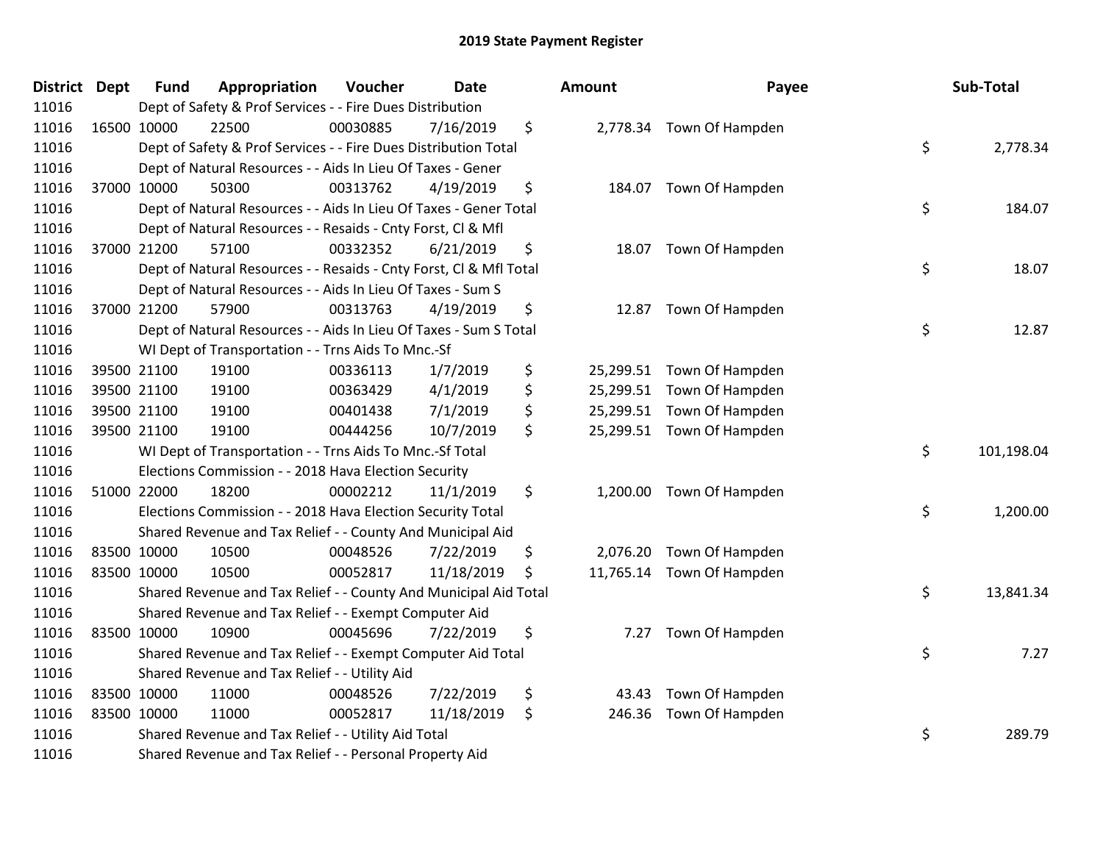| District Dept | <b>Fund</b> | Appropriation                                                      | Voucher  | <b>Date</b> | <b>Amount</b>   | Payee                     | Sub-Total        |
|---------------|-------------|--------------------------------------------------------------------|----------|-------------|-----------------|---------------------------|------------------|
| 11016         |             | Dept of Safety & Prof Services - - Fire Dues Distribution          |          |             |                 |                           |                  |
| 11016         | 16500 10000 | 22500                                                              | 00030885 | 7/16/2019   | \$              | 2,778.34 Town Of Hampden  |                  |
| 11016         |             | Dept of Safety & Prof Services - - Fire Dues Distribution Total    |          |             |                 |                           | \$<br>2,778.34   |
| 11016         |             | Dept of Natural Resources - - Aids In Lieu Of Taxes - Gener        |          |             |                 |                           |                  |
| 11016         | 37000 10000 | 50300                                                              | 00313762 | 4/19/2019   | \$              | 184.07 Town Of Hampden    |                  |
| 11016         |             | Dept of Natural Resources - - Aids In Lieu Of Taxes - Gener Total  |          |             |                 |                           | \$<br>184.07     |
| 11016         |             | Dept of Natural Resources - - Resaids - Cnty Forst, Cl & Mfl       |          |             |                 |                           |                  |
| 11016         | 37000 21200 | 57100                                                              | 00332352 | 6/21/2019   | \$<br>18.07     | Town Of Hampden           |                  |
| 11016         |             | Dept of Natural Resources - - Resaids - Cnty Forst, Cl & Mfl Total |          |             |                 |                           | \$<br>18.07      |
| 11016         |             | Dept of Natural Resources - - Aids In Lieu Of Taxes - Sum S        |          |             |                 |                           |                  |
| 11016         | 37000 21200 | 57900                                                              | 00313763 | 4/19/2019   | \$              | 12.87 Town Of Hampden     |                  |
| 11016         |             | Dept of Natural Resources - - Aids In Lieu Of Taxes - Sum S Total  |          |             |                 |                           | \$<br>12.87      |
| 11016         |             | WI Dept of Transportation - - Trns Aids To Mnc.-Sf                 |          |             |                 |                           |                  |
| 11016         | 39500 21100 | 19100                                                              | 00336113 | 1/7/2019    | \$<br>25,299.51 | Town Of Hampden           |                  |
| 11016         | 39500 21100 | 19100                                                              | 00363429 | 4/1/2019    | \$<br>25,299.51 | Town Of Hampden           |                  |
| 11016         | 39500 21100 | 19100                                                              | 00401438 | 7/1/2019    | \$<br>25,299.51 | Town Of Hampden           |                  |
| 11016         | 39500 21100 | 19100                                                              | 00444256 | 10/7/2019   | \$              | 25,299.51 Town Of Hampden |                  |
| 11016         |             | WI Dept of Transportation - - Trns Aids To Mnc.-Sf Total           |          |             |                 |                           | \$<br>101,198.04 |
| 11016         |             | Elections Commission - - 2018 Hava Election Security               |          |             |                 |                           |                  |
| 11016         | 51000 22000 | 18200                                                              | 00002212 | 11/1/2019   | \$              | 1,200.00 Town Of Hampden  |                  |
| 11016         |             | Elections Commission - - 2018 Hava Election Security Total         |          |             |                 |                           | \$<br>1,200.00   |
| 11016         |             | Shared Revenue and Tax Relief - - County And Municipal Aid         |          |             |                 |                           |                  |
| 11016         | 83500 10000 | 10500                                                              | 00048526 | 7/22/2019   | \$              | 2,076.20 Town Of Hampden  |                  |
| 11016         | 83500 10000 | 10500                                                              | 00052817 | 11/18/2019  | \$              | 11,765.14 Town Of Hampden |                  |
| 11016         |             | Shared Revenue and Tax Relief - - County And Municipal Aid Total   |          |             |                 |                           | \$<br>13,841.34  |
| 11016         |             | Shared Revenue and Tax Relief - - Exempt Computer Aid              |          |             |                 |                           |                  |
| 11016         | 83500 10000 | 10900                                                              | 00045696 | 7/22/2019   | \$<br>7.27      | Town Of Hampden           |                  |
| 11016         |             | Shared Revenue and Tax Relief - - Exempt Computer Aid Total        |          |             |                 |                           | \$<br>7.27       |
| 11016         |             | Shared Revenue and Tax Relief - - Utility Aid                      |          |             |                 |                           |                  |
| 11016         | 83500 10000 | 11000                                                              | 00048526 | 7/22/2019   | \$<br>43.43     | Town Of Hampden           |                  |
| 11016         | 83500 10000 | 11000                                                              | 00052817 | 11/18/2019  | \$<br>246.36    | Town Of Hampden           |                  |
| 11016         |             | Shared Revenue and Tax Relief - - Utility Aid Total                |          |             |                 |                           | \$<br>289.79     |
| 11016         |             | Shared Revenue and Tax Relief - - Personal Property Aid            |          |             |                 |                           |                  |

| ount                                | Payee                                                 | Sub-Total        |
|-------------------------------------|-------------------------------------------------------|------------------|
| 2,778.34                            | Town Of Hampden                                       | \$<br>2,778.34   |
| 184.07                              | Town Of Hampden                                       | \$<br>184.07     |
| 18.07                               | Town Of Hampden                                       | \$<br>18.07      |
| 12.87                               | Town Of Hampden                                       | \$<br>12.87      |
| 25,299.51<br>25,299.51<br>25,299.51 | Town Of Hampden<br>Town Of Hampden<br>Town Of Hampden |                  |
| 25,299.51                           | Town Of Hampden                                       | \$<br>101,198.04 |
| 1,200.00                            | Town Of Hampden                                       | \$<br>1,200.00   |
|                                     | 2,076.20 Town Of Hampden                              |                  |
| 11,765.14                           | Town Of Hampden                                       | \$<br>13,841.34  |
| 7.27                                | Town Of Hampden                                       | \$<br>7.27       |
| 43.43<br>246.36                     | Town Of Hampden<br>Town Of Hampden                    | \$<br>289.79     |
|                                     |                                                       |                  |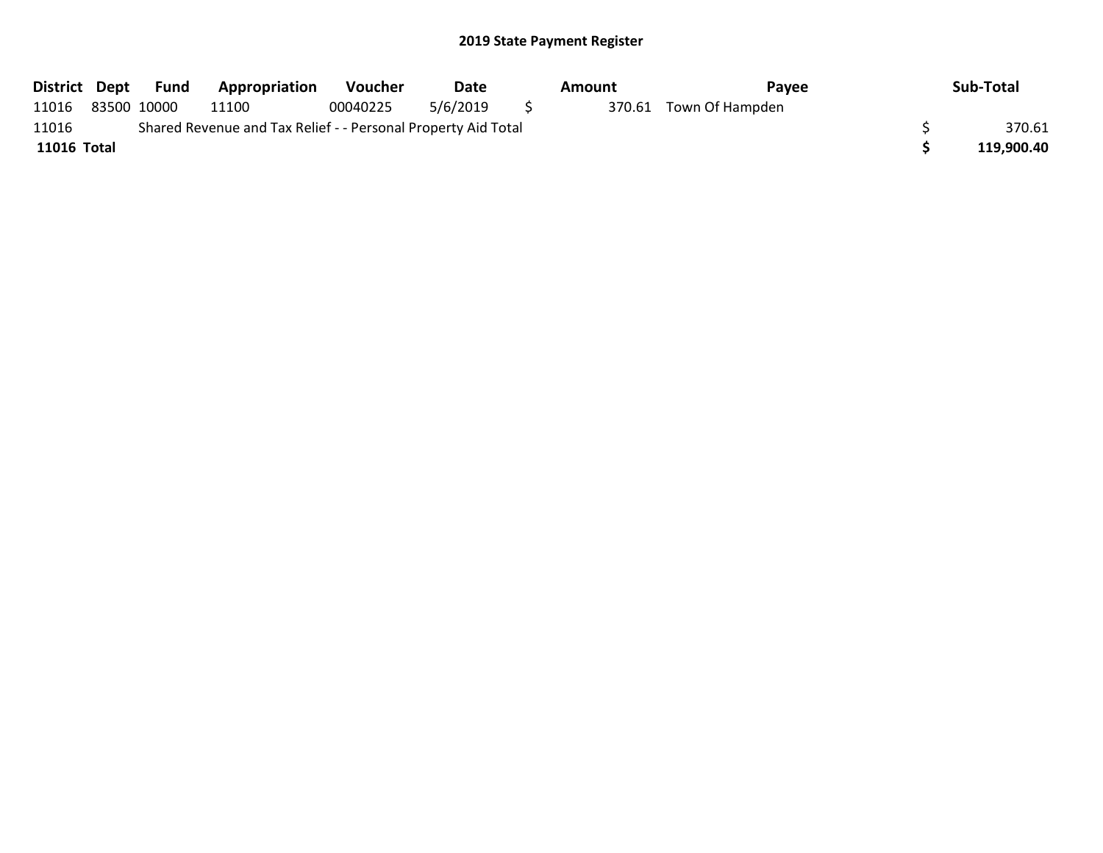|             |                                                               | District Dept Fund | <b>Appropriation</b> | Voucher  | Date     |          | Amount | Pavee                  | Sub-Total  |
|-------------|---------------------------------------------------------------|--------------------|----------------------|----------|----------|----------|--------|------------------------|------------|
| 11016       |                                                               | 83500 10000        | 11100                | 00040225 | 5/6/2019 | $\sim$ 5 |        | 370.61 Town Of Hampden |            |
| 11016       | Shared Revenue and Tax Relief - - Personal Property Aid Total |                    |                      |          |          |          |        |                        | 370.61     |
| 11016 Total |                                                               |                    |                      |          |          |          |        |                        | 119.900.40 |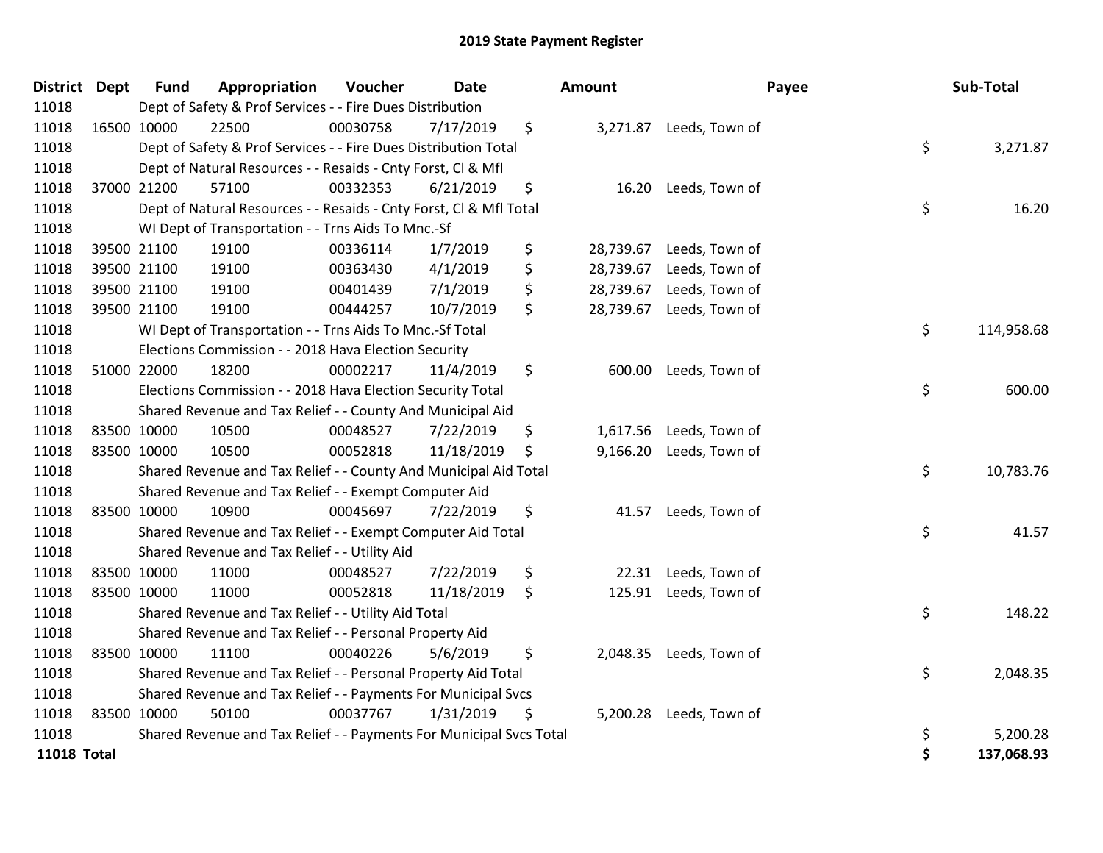| <b>District Dept</b> | <b>Fund</b> | Appropriation                                                       | Voucher  | <b>Date</b> |    | Amount    |                         | Payee | Sub-Total  |
|----------------------|-------------|---------------------------------------------------------------------|----------|-------------|----|-----------|-------------------------|-------|------------|
| 11018                |             | Dept of Safety & Prof Services - - Fire Dues Distribution           |          |             |    |           |                         |       |            |
| 11018                | 16500 10000 | 22500                                                               | 00030758 | 7/17/2019   | \$ |           | 3,271.87 Leeds, Town of |       |            |
| 11018                |             | Dept of Safety & Prof Services - - Fire Dues Distribution Total     |          |             |    |           |                         | \$    | 3,271.87   |
| 11018                |             | Dept of Natural Resources - - Resaids - Cnty Forst, Cl & Mfl        |          |             |    |           |                         |       |            |
| 11018                | 37000 21200 | 57100                                                               | 00332353 | 6/21/2019   | \$ | 16.20     | Leeds, Town of          |       |            |
| 11018                |             | Dept of Natural Resources - - Resaids - Cnty Forst, Cl & Mfl Total  |          |             |    |           |                         | \$    | 16.20      |
| 11018                |             | WI Dept of Transportation - - Trns Aids To Mnc.-Sf                  |          |             |    |           |                         |       |            |
| 11018                | 39500 21100 | 19100                                                               | 00336114 | 1/7/2019    | \$ | 28,739.67 | Leeds, Town of          |       |            |
| 11018                | 39500 21100 | 19100                                                               | 00363430 | 4/1/2019    | \$ | 28,739.67 | Leeds, Town of          |       |            |
| 11018                | 39500 21100 | 19100                                                               | 00401439 | 7/1/2019    | \$ | 28,739.67 | Leeds, Town of          |       |            |
| 11018                | 39500 21100 | 19100                                                               | 00444257 | 10/7/2019   | \$ | 28,739.67 | Leeds, Town of          |       |            |
| 11018                |             | WI Dept of Transportation - - Trns Aids To Mnc.-Sf Total            |          |             |    |           |                         | \$    | 114,958.68 |
| 11018                |             | Elections Commission - - 2018 Hava Election Security                |          |             |    |           |                         |       |            |
| 11018                | 51000 22000 | 18200                                                               | 00002217 | 11/4/2019   | \$ | 600.00    | Leeds, Town of          |       |            |
| 11018                |             | Elections Commission - - 2018 Hava Election Security Total          |          |             |    |           |                         | \$    | 600.00     |
| 11018                |             | Shared Revenue and Tax Relief - - County And Municipal Aid          |          |             |    |           |                         |       |            |
| 11018                | 83500 10000 | 10500                                                               | 00048527 | 7/22/2019   | \$ | 1,617.56  | Leeds, Town of          |       |            |
| 11018                | 83500 10000 | 10500                                                               | 00052818 | 11/18/2019  | \$ | 9,166.20  | Leeds, Town of          |       |            |
| 11018                |             | Shared Revenue and Tax Relief - - County And Municipal Aid Total    |          |             |    |           |                         | \$    | 10,783.76  |
| 11018                |             | Shared Revenue and Tax Relief - - Exempt Computer Aid               |          |             |    |           |                         |       |            |
| 11018                | 83500 10000 | 10900                                                               | 00045697 | 7/22/2019   | \$ | 41.57     | Leeds, Town of          |       |            |
| 11018                |             | Shared Revenue and Tax Relief - - Exempt Computer Aid Total         |          |             |    |           |                         | \$    | 41.57      |
| 11018                |             | Shared Revenue and Tax Relief - - Utility Aid                       |          |             |    |           |                         |       |            |
| 11018                | 83500 10000 | 11000                                                               | 00048527 | 7/22/2019   | \$ | 22.31     | Leeds, Town of          |       |            |
| 11018                | 83500 10000 | 11000                                                               | 00052818 | 11/18/2019  | \$ | 125.91    | Leeds, Town of          |       |            |
| 11018                |             | Shared Revenue and Tax Relief - - Utility Aid Total                 |          |             |    |           |                         | \$    | 148.22     |
| 11018                |             | Shared Revenue and Tax Relief - - Personal Property Aid             |          |             |    |           |                         |       |            |
| 11018                | 83500 10000 | 11100                                                               | 00040226 | 5/6/2019    | \$ | 2,048.35  | Leeds, Town of          |       |            |
| 11018                |             | Shared Revenue and Tax Relief - - Personal Property Aid Total       |          |             |    |           |                         | \$    | 2,048.35   |
| 11018                |             | Shared Revenue and Tax Relief - - Payments For Municipal Svcs       |          |             |    |           |                         |       |            |
| 11018                | 83500 10000 | 50100                                                               | 00037767 | 1/31/2019   | \$ |           | 5,200.28 Leeds, Town of |       |            |
| 11018                |             | Shared Revenue and Tax Relief - - Payments For Municipal Svcs Total |          |             |    |           |                         | \$    | 5,200.28   |
| <b>11018 Total</b>   |             |                                                                     |          |             |    |           |                         | \$    | 137,068.93 |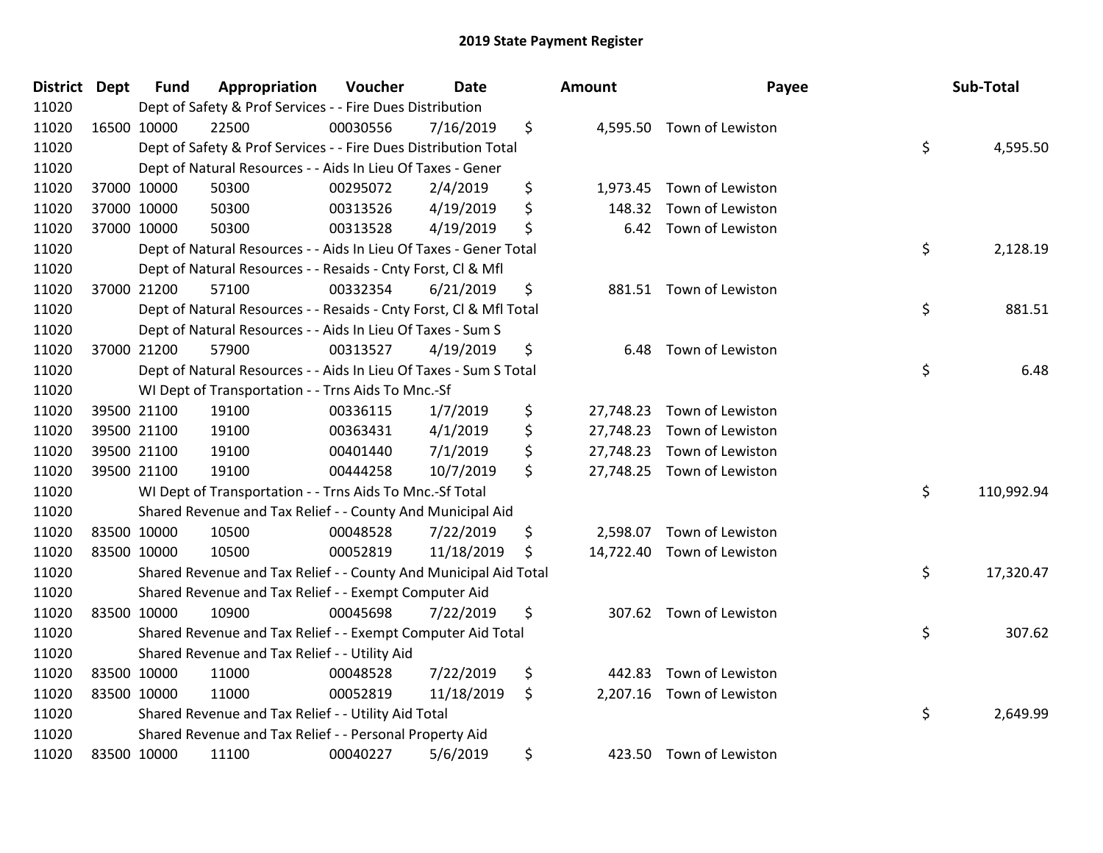| District Dept |             | <b>Fund</b> | Appropriation                                                      | Voucher  | <b>Date</b> | <b>Amount</b>   | Payee                      | Sub-Total        |
|---------------|-------------|-------------|--------------------------------------------------------------------|----------|-------------|-----------------|----------------------------|------------------|
| 11020         |             |             | Dept of Safety & Prof Services - - Fire Dues Distribution          |          |             |                 |                            |                  |
| 11020         | 16500 10000 |             | 22500                                                              | 00030556 | 7/16/2019   | \$              | 4,595.50 Town of Lewiston  |                  |
| 11020         |             |             | Dept of Safety & Prof Services - - Fire Dues Distribution Total    |          |             |                 |                            | \$<br>4,595.50   |
| 11020         |             |             | Dept of Natural Resources - - Aids In Lieu Of Taxes - Gener        |          |             |                 |                            |                  |
| 11020         |             | 37000 10000 | 50300                                                              | 00295072 | 2/4/2019    | \$<br>1,973.45  | Town of Lewiston           |                  |
| 11020         |             | 37000 10000 | 50300                                                              | 00313526 | 4/19/2019   | \$<br>148.32    | Town of Lewiston           |                  |
| 11020         |             | 37000 10000 | 50300                                                              | 00313528 | 4/19/2019   | \$<br>6.42      | Town of Lewiston           |                  |
| 11020         |             |             | Dept of Natural Resources - - Aids In Lieu Of Taxes - Gener Total  |          |             |                 |                            | \$<br>2,128.19   |
| 11020         |             |             | Dept of Natural Resources - - Resaids - Cnty Forst, Cl & Mfl       |          |             |                 |                            |                  |
| 11020         |             | 37000 21200 | 57100                                                              | 00332354 | 6/21/2019   | \$              | 881.51 Town of Lewiston    |                  |
| 11020         |             |             | Dept of Natural Resources - - Resaids - Cnty Forst, Cl & Mfl Total |          |             |                 |                            | \$<br>881.51     |
| 11020         |             |             | Dept of Natural Resources - - Aids In Lieu Of Taxes - Sum S        |          |             |                 |                            |                  |
| 11020         |             | 37000 21200 | 57900                                                              | 00313527 | 4/19/2019   | \$<br>6.48      | Town of Lewiston           |                  |
| 11020         |             |             | Dept of Natural Resources - - Aids In Lieu Of Taxes - Sum S Total  |          |             |                 |                            | \$<br>6.48       |
| 11020         |             |             | WI Dept of Transportation - - Trns Aids To Mnc.-Sf                 |          |             |                 |                            |                  |
| 11020         |             | 39500 21100 | 19100                                                              | 00336115 | 1/7/2019    | \$<br>27,748.23 | Town of Lewiston           |                  |
| 11020         |             | 39500 21100 | 19100                                                              | 00363431 | 4/1/2019    | \$<br>27,748.23 | Town of Lewiston           |                  |
| 11020         | 39500 21100 |             | 19100                                                              | 00401440 | 7/1/2019    | \$<br>27,748.23 | Town of Lewiston           |                  |
| 11020         | 39500 21100 |             | 19100                                                              | 00444258 | 10/7/2019   | \$              | 27,748.25 Town of Lewiston |                  |
| 11020         |             |             | WI Dept of Transportation - - Trns Aids To Mnc.-Sf Total           |          |             |                 |                            | \$<br>110,992.94 |
| 11020         |             |             | Shared Revenue and Tax Relief - - County And Municipal Aid         |          |             |                 |                            |                  |
| 11020         | 83500 10000 |             | 10500                                                              | 00048528 | 7/22/2019   | \$<br>2,598.07  | Town of Lewiston           |                  |
| 11020         | 83500 10000 |             | 10500                                                              | 00052819 | 11/18/2019  | \$              | 14,722.40 Town of Lewiston |                  |
| 11020         |             |             | Shared Revenue and Tax Relief - - County And Municipal Aid Total   |          |             |                 |                            | \$<br>17,320.47  |
| 11020         |             |             | Shared Revenue and Tax Relief - - Exempt Computer Aid              |          |             |                 |                            |                  |
| 11020         | 83500 10000 |             | 10900                                                              | 00045698 | 7/22/2019   | \$<br>307.62    | Town of Lewiston           |                  |
| 11020         |             |             | Shared Revenue and Tax Relief - - Exempt Computer Aid Total        |          |             |                 |                            | \$<br>307.62     |
| 11020         |             |             | Shared Revenue and Tax Relief - - Utility Aid                      |          |             |                 |                            |                  |
| 11020         |             | 83500 10000 | 11000                                                              | 00048528 | 7/22/2019   | \$<br>442.83    | Town of Lewiston           |                  |
| 11020         | 83500 10000 |             | 11000                                                              | 00052819 | 11/18/2019  | \$              | 2,207.16 Town of Lewiston  |                  |
| 11020         |             |             | Shared Revenue and Tax Relief - - Utility Aid Total                |          |             |                 |                            | \$<br>2,649.99   |
| 11020         |             |             | Shared Revenue and Tax Relief - - Personal Property Aid            |          |             |                 |                            |                  |
| 11020         | 83500 10000 |             | 11100                                                              | 00040227 | 5/6/2019    | \$              | 423.50 Town of Lewiston    |                  |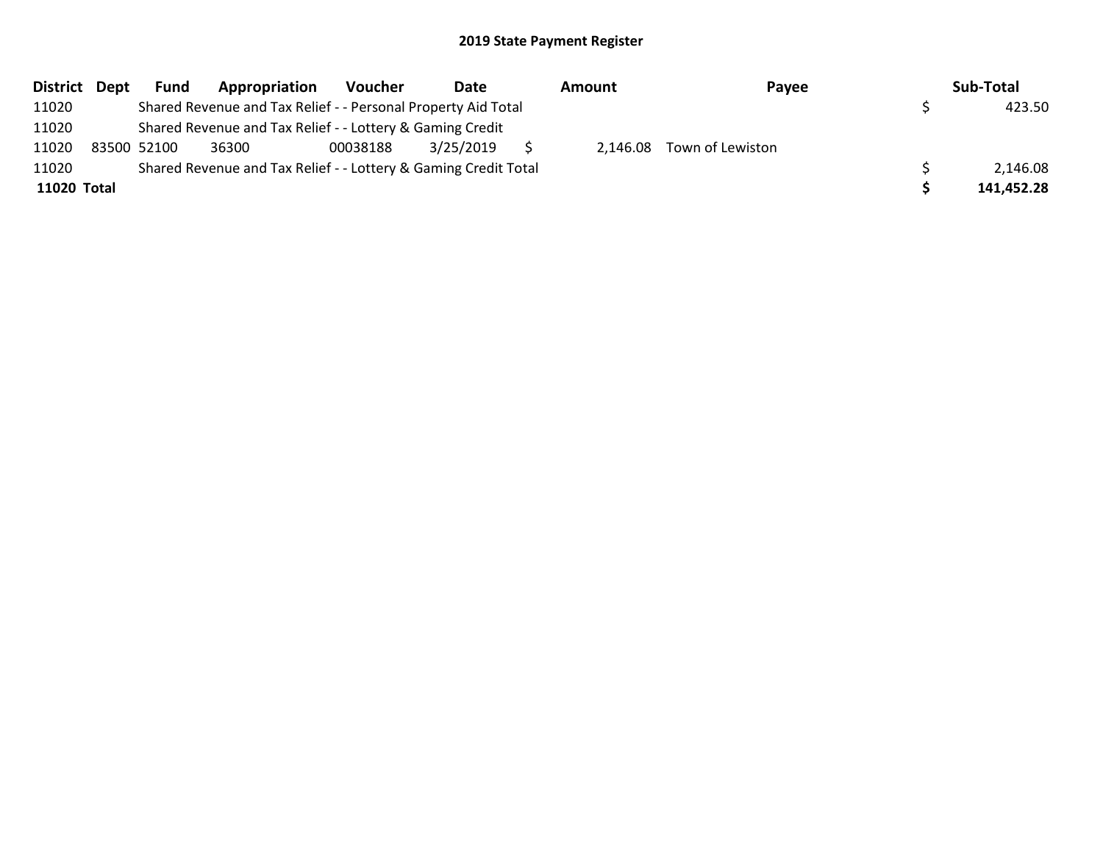| District Dept | <b>Fund</b> | Appropriation                                                   | Voucher  | Date      |  | Amount | Payee                     |  | Sub-Total  |  |
|---------------|-------------|-----------------------------------------------------------------|----------|-----------|--|--------|---------------------------|--|------------|--|
| 11020         |             | Shared Revenue and Tax Relief - - Personal Property Aid Total   |          |           |  |        |                           |  | 423.50     |  |
| 11020         |             | Shared Revenue and Tax Relief - - Lottery & Gaming Credit       |          |           |  |        |                           |  |            |  |
| 11020         | 83500 52100 | 36300                                                           | 00038188 | 3/25/2019 |  |        | 2,146.08 Town of Lewiston |  |            |  |
| 11020         |             | Shared Revenue and Tax Relief - - Lottery & Gaming Credit Total |          |           |  |        |                           |  | 2,146.08   |  |
| 11020 Total   |             |                                                                 |          |           |  |        |                           |  | 141,452.28 |  |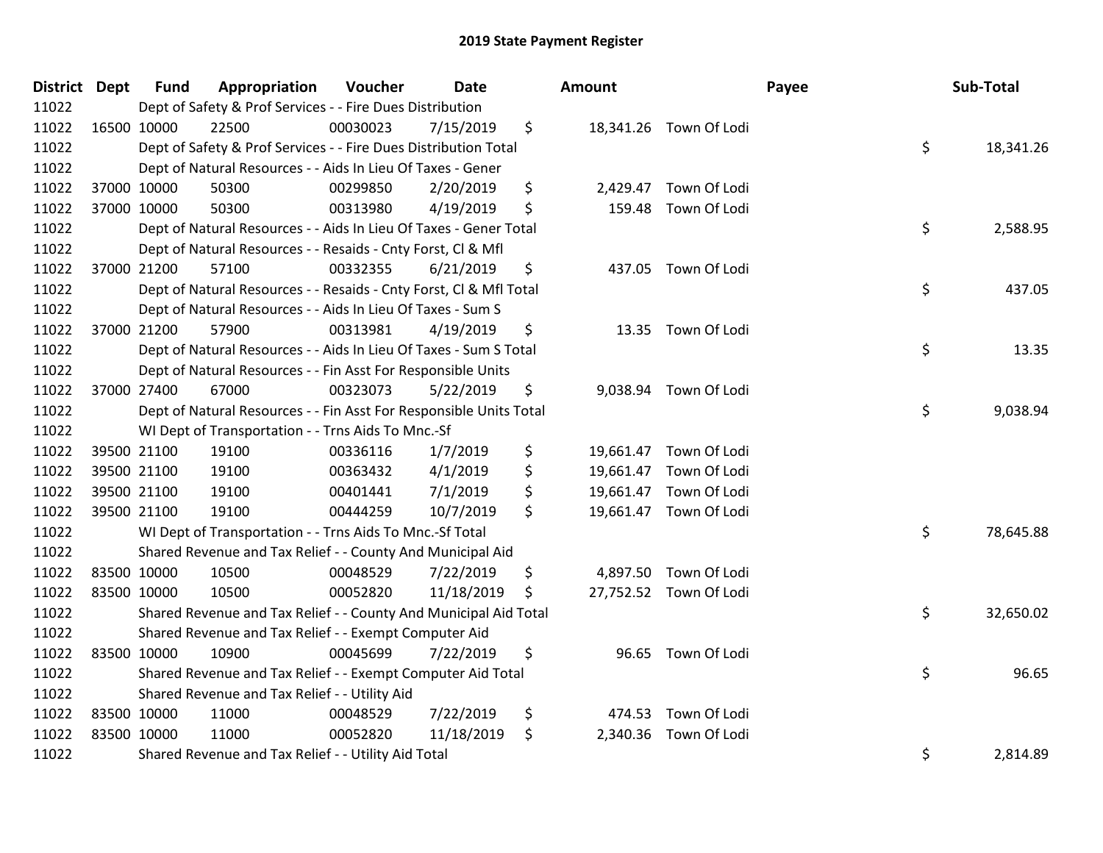| District Dept |             | <b>Fund</b>                                                           | Appropriation                                                      | Voucher  | <b>Date</b> |    | Amount   |                        | Payee | Sub-Total |
|---------------|-------------|-----------------------------------------------------------------------|--------------------------------------------------------------------|----------|-------------|----|----------|------------------------|-------|-----------|
| 11022         |             | Dept of Safety & Prof Services - - Fire Dues Distribution             |                                                                    |          |             |    |          |                        |       |           |
| 11022         | 16500 10000 |                                                                       | 22500                                                              | 00030023 | 7/15/2019   | \$ |          | 18,341.26 Town Of Lodi |       |           |
| 11022         |             | \$<br>Dept of Safety & Prof Services - - Fire Dues Distribution Total |                                                                    |          |             |    |          |                        |       | 18,341.26 |
| 11022         |             | Dept of Natural Resources - - Aids In Lieu Of Taxes - Gener           |                                                                    |          |             |    |          |                        |       |           |
| 11022         |             | 37000 10000                                                           | 50300                                                              | 00299850 | 2/20/2019   | \$ | 2,429.47 | Town Of Lodi           |       |           |
| 11022         |             | 37000 10000                                                           | 50300                                                              | 00313980 | 4/19/2019   | \$ |          | 159.48 Town Of Lodi    |       |           |
| 11022         |             |                                                                       | Dept of Natural Resources - - Aids In Lieu Of Taxes - Gener Total  |          |             |    |          |                        | \$    | 2,588.95  |
| 11022         |             |                                                                       | Dept of Natural Resources - - Resaids - Cnty Forst, Cl & Mfl       |          |             |    |          |                        |       |           |
| 11022         |             | 37000 21200                                                           | 57100                                                              | 00332355 | 6/21/2019   | \$ |          | 437.05 Town Of Lodi    |       |           |
| 11022         |             |                                                                       | Dept of Natural Resources - - Resaids - Cnty Forst, Cl & Mfl Total |          |             |    |          |                        | \$    | 437.05    |
| 11022         |             |                                                                       | Dept of Natural Resources - - Aids In Lieu Of Taxes - Sum S        |          |             |    |          |                        |       |           |
| 11022         |             | 37000 21200                                                           | 57900                                                              | 00313981 | 4/19/2019   | \$ |          | 13.35 Town Of Lodi     |       |           |
| 11022         |             |                                                                       | Dept of Natural Resources - - Aids In Lieu Of Taxes - Sum S Total  |          |             |    |          |                        | \$    | 13.35     |
| 11022         |             |                                                                       | Dept of Natural Resources - - Fin Asst For Responsible Units       |          |             |    |          |                        |       |           |
| 11022         | 37000 27400 |                                                                       | 67000                                                              | 00323073 | 5/22/2019   | \$ |          | 9,038.94 Town Of Lodi  |       |           |
| 11022         |             |                                                                       | Dept of Natural Resources - - Fin Asst For Responsible Units Total |          |             |    |          |                        | \$    | 9,038.94  |
| 11022         |             |                                                                       | WI Dept of Transportation - - Trns Aids To Mnc.-Sf                 |          |             |    |          |                        |       |           |
| 11022         |             | 39500 21100                                                           | 19100                                                              | 00336116 | 1/7/2019    | \$ |          | 19,661.47 Town Of Lodi |       |           |
| 11022         |             | 39500 21100                                                           | 19100                                                              | 00363432 | 4/1/2019    | \$ |          | 19,661.47 Town Of Lodi |       |           |
| 11022         |             | 39500 21100                                                           | 19100                                                              | 00401441 | 7/1/2019    | \$ |          | 19,661.47 Town Of Lodi |       |           |
| 11022         |             | 39500 21100                                                           | 19100                                                              | 00444259 | 10/7/2019   | \$ |          | 19,661.47 Town Of Lodi |       |           |
| 11022         |             |                                                                       | WI Dept of Transportation - - Trns Aids To Mnc.-Sf Total           |          |             |    |          |                        | \$    | 78,645.88 |
| 11022         |             |                                                                       | Shared Revenue and Tax Relief - - County And Municipal Aid         |          |             |    |          |                        |       |           |
| 11022         | 83500 10000 |                                                                       | 10500                                                              | 00048529 | 7/22/2019   | \$ |          | 4,897.50 Town Of Lodi  |       |           |
| 11022         | 83500 10000 |                                                                       | 10500                                                              | 00052820 | 11/18/2019  | \$ |          | 27,752.52 Town Of Lodi |       |           |
| 11022         |             |                                                                       | Shared Revenue and Tax Relief - - County And Municipal Aid Total   |          |             |    |          |                        | \$    | 32,650.02 |
| 11022         |             | Shared Revenue and Tax Relief - - Exempt Computer Aid                 |                                                                    |          |             |    |          |                        |       |           |
| 11022         | 83500 10000 |                                                                       | 10900                                                              | 00045699 | 7/22/2019   | \$ |          | 96.65 Town Of Lodi     |       |           |
| 11022         |             | \$<br>Shared Revenue and Tax Relief - - Exempt Computer Aid Total     |                                                                    |          |             |    |          |                        |       | 96.65     |
| 11022         |             | Shared Revenue and Tax Relief - - Utility Aid                         |                                                                    |          |             |    |          |                        |       |           |
| 11022         | 83500 10000 |                                                                       | 11000                                                              | 00048529 | 7/22/2019   | \$ |          | 474.53 Town Of Lodi    |       |           |
| 11022         | 83500 10000 |                                                                       | 11000                                                              | 00052820 | 11/18/2019  | \$ |          | 2,340.36 Town Of Lodi  |       |           |
| 11022         |             | \$<br>Shared Revenue and Tax Relief - - Utility Aid Total             |                                                                    |          |             |    |          |                        |       | 2,814.89  |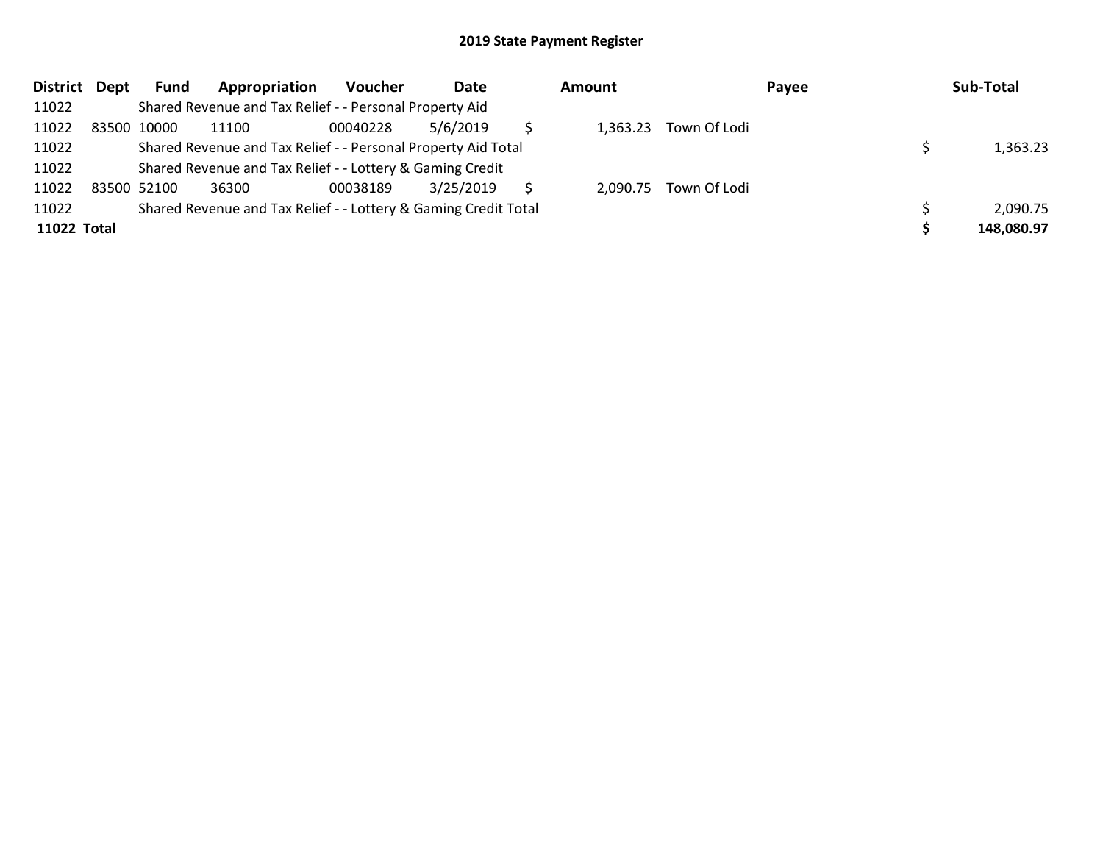| District Dept      |             | Fund | Appropriation                                                   | Voucher  | Date      |  | Amount   |              | Payee |  | Sub-Total  |
|--------------------|-------------|------|-----------------------------------------------------------------|----------|-----------|--|----------|--------------|-------|--|------------|
| 11022              |             |      | Shared Revenue and Tax Relief - - Personal Property Aid         |          |           |  |          |              |       |  |            |
| 11022              | 83500 10000 |      | 11100                                                           | 00040228 | 5/6/2019  |  | 1,363.23 | Town Of Lodi |       |  |            |
| 11022              |             |      | Shared Revenue and Tax Relief - - Personal Property Aid Total   |          |           |  |          |              |       |  | 1,363.23   |
| 11022              |             |      | Shared Revenue and Tax Relief - - Lottery & Gaming Credit       |          |           |  |          |              |       |  |            |
| 11022              | 83500 52100 |      | 36300                                                           | 00038189 | 3/25/2019 |  | 2,090.75 | Town Of Lodi |       |  |            |
| 11022              |             |      | Shared Revenue and Tax Relief - - Lottery & Gaming Credit Total |          |           |  |          |              |       |  | 2,090.75   |
| <b>11022 Total</b> |             |      |                                                                 |          |           |  |          |              |       |  | 148,080.97 |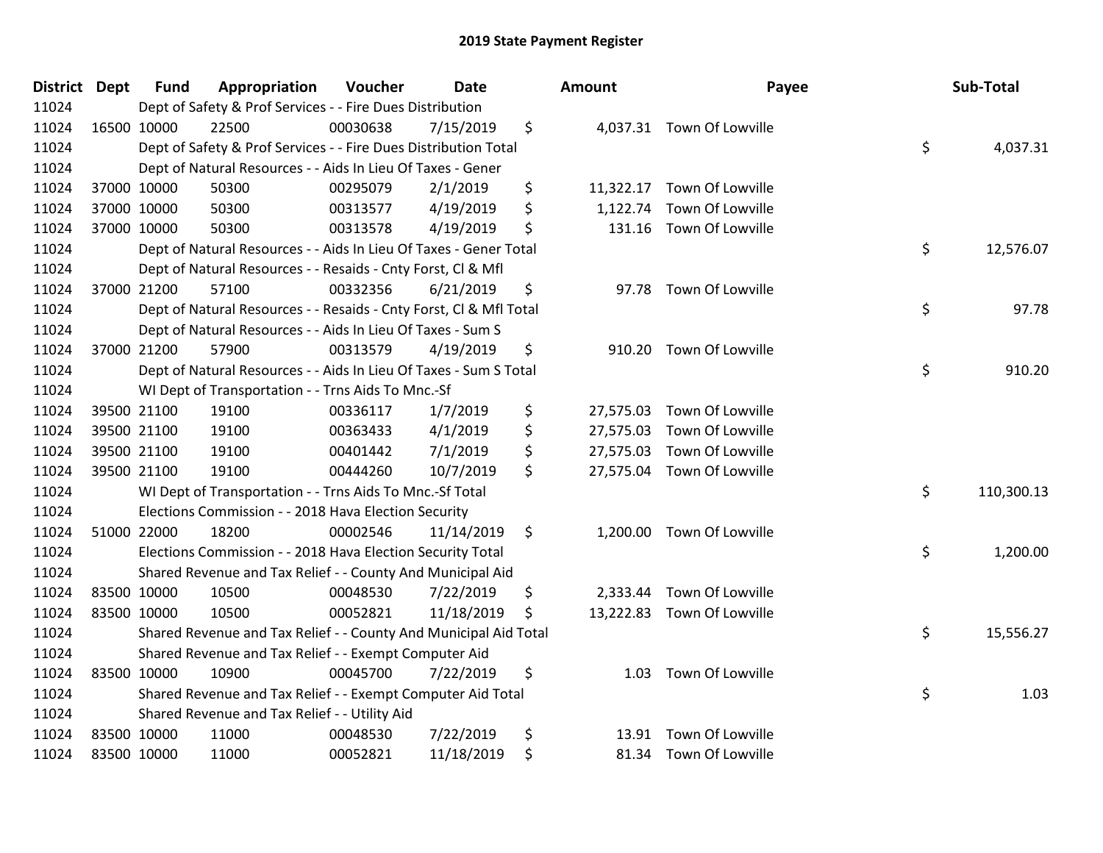| District Dept |             | <b>Fund</b>                                                           | Appropriation                                                      | Voucher  | <b>Date</b> |    | Amount    | Payee                      |      | Sub-Total  |
|---------------|-------------|-----------------------------------------------------------------------|--------------------------------------------------------------------|----------|-------------|----|-----------|----------------------------|------|------------|
| 11024         |             | Dept of Safety & Prof Services - - Fire Dues Distribution             |                                                                    |          |             |    |           |                            |      |            |
| 11024         | 16500 10000 |                                                                       | 22500                                                              | 00030638 | 7/15/2019   | \$ |           | 4,037.31 Town Of Lowville  |      |            |
| 11024         |             | \$<br>Dept of Safety & Prof Services - - Fire Dues Distribution Total |                                                                    |          |             |    |           |                            |      | 4,037.31   |
| 11024         |             | Dept of Natural Resources - - Aids In Lieu Of Taxes - Gener           |                                                                    |          |             |    |           |                            |      |            |
| 11024         |             | 37000 10000                                                           | 50300                                                              | 00295079 | 2/1/2019    | \$ | 11,322.17 | Town Of Lowville           |      |            |
| 11024         |             | 37000 10000                                                           | 50300                                                              | 00313577 | 4/19/2019   | \$ | 1,122.74  | Town Of Lowville           |      |            |
| 11024         |             | 37000 10000                                                           | 50300                                                              | 00313578 | 4/19/2019   | \$ | 131.16    | Town Of Lowville           |      |            |
| 11024         |             |                                                                       | Dept of Natural Resources - - Aids In Lieu Of Taxes - Gener Total  |          |             |    |           |                            | \$   | 12,576.07  |
| 11024         |             |                                                                       | Dept of Natural Resources - - Resaids - Cnty Forst, Cl & Mfl       |          |             |    |           |                            |      |            |
| 11024         |             | 37000 21200                                                           | 57100                                                              | 00332356 | 6/21/2019   | \$ | 97.78     | Town Of Lowville           |      |            |
| 11024         |             |                                                                       | Dept of Natural Resources - - Resaids - Cnty Forst, CI & Mfl Total |          |             |    |           |                            | \$   | 97.78      |
| 11024         |             |                                                                       | Dept of Natural Resources - - Aids In Lieu Of Taxes - Sum S        |          |             |    |           |                            |      |            |
| 11024         |             | 37000 21200                                                           | 57900                                                              | 00313579 | 4/19/2019   | \$ |           | 910.20 Town Of Lowville    |      |            |
| 11024         |             |                                                                       | Dept of Natural Resources - - Aids In Lieu Of Taxes - Sum S Total  |          |             |    |           |                            | \$   | 910.20     |
| 11024         |             |                                                                       | WI Dept of Transportation - - Trns Aids To Mnc.-Sf                 |          |             |    |           |                            |      |            |
| 11024         |             | 39500 21100                                                           | 19100                                                              | 00336117 | 1/7/2019    | \$ | 27,575.03 | Town Of Lowville           |      |            |
| 11024         |             | 39500 21100                                                           | 19100                                                              | 00363433 | 4/1/2019    | \$ | 27,575.03 | Town Of Lowville           |      |            |
| 11024         |             | 39500 21100                                                           | 19100                                                              | 00401442 | 7/1/2019    | \$ | 27,575.03 | Town Of Lowville           |      |            |
| 11024         | 39500 21100 |                                                                       | 19100                                                              | 00444260 | 10/7/2019   | \$ |           | 27,575.04 Town Of Lowville |      |            |
| 11024         |             |                                                                       | WI Dept of Transportation - - Trns Aids To Mnc.-Sf Total           |          |             |    |           |                            | \$   | 110,300.13 |
| 11024         |             | Elections Commission - - 2018 Hava Election Security                  |                                                                    |          |             |    |           |                            |      |            |
| 11024         |             | 51000 22000                                                           | 18200                                                              | 00002546 | 11/14/2019  | \$ |           | 1,200.00 Town Of Lowville  |      |            |
| 11024         |             |                                                                       | Elections Commission - - 2018 Hava Election Security Total         |          |             |    |           |                            | \$   | 1,200.00   |
| 11024         |             |                                                                       | Shared Revenue and Tax Relief - - County And Municipal Aid         |          |             |    |           |                            |      |            |
| 11024         |             | 83500 10000                                                           | 10500                                                              | 00048530 | 7/22/2019   | \$ | 2,333.44  | Town Of Lowville           |      |            |
| 11024         | 83500 10000 |                                                                       | 10500                                                              | 00052821 | 11/18/2019  | \$ |           | 13,222.83 Town Of Lowville |      |            |
| 11024         |             |                                                                       | Shared Revenue and Tax Relief - - County And Municipal Aid Total   |          |             |    |           |                            | \$   | 15,556.27  |
| 11024         |             |                                                                       | Shared Revenue and Tax Relief - - Exempt Computer Aid              |          |             |    |           |                            |      |            |
| 11024         | 83500 10000 |                                                                       | 10900                                                              | 00045700 | 7/22/2019   | \$ | 1.03      | Town Of Lowville           |      |            |
| 11024         |             | \$<br>Shared Revenue and Tax Relief - - Exempt Computer Aid Total     |                                                                    |          |             |    |           |                            | 1.03 |            |
| 11024         |             | Shared Revenue and Tax Relief - - Utility Aid                         |                                                                    |          |             |    |           |                            |      |            |
| 11024         | 83500 10000 |                                                                       | 11000                                                              | 00048530 | 7/22/2019   | \$ | 13.91     | Town Of Lowville           |      |            |
| 11024         | 83500 10000 |                                                                       | 11000                                                              | 00052821 | 11/18/2019  | \$ |           | 81.34 Town Of Lowville     |      |            |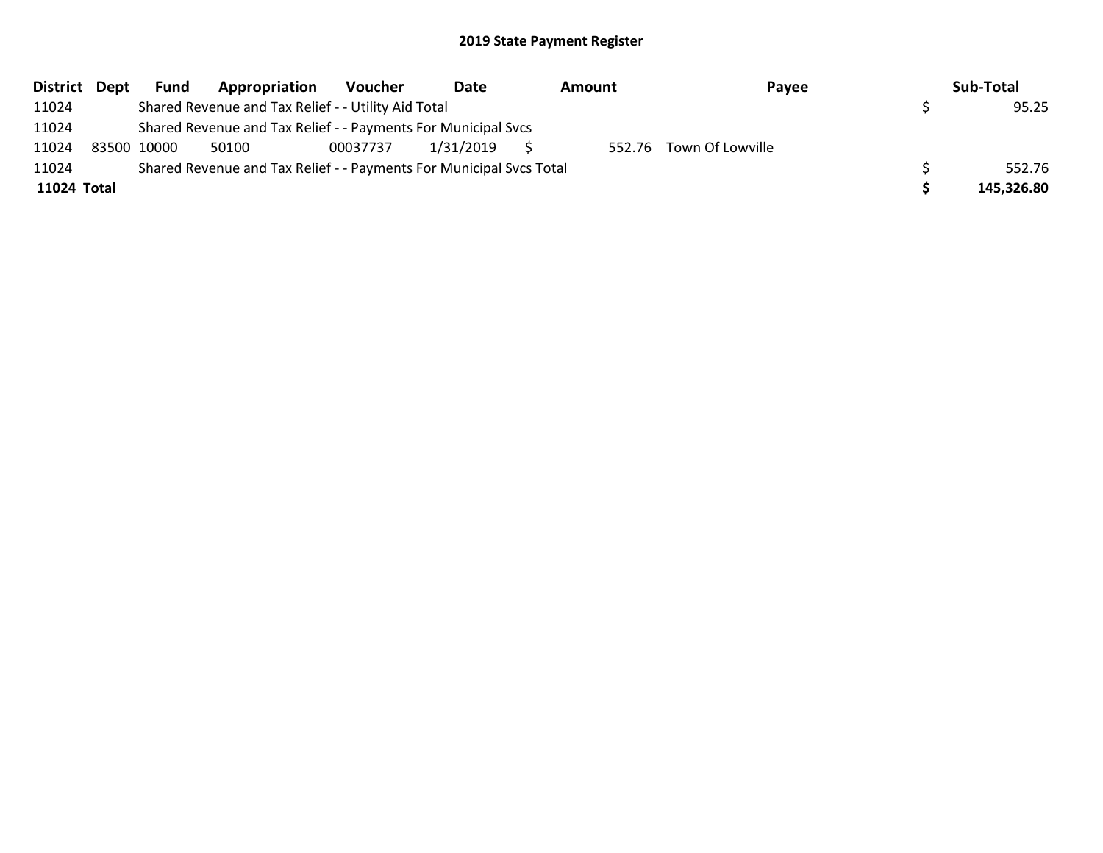|             | District Dept | <b>Fund</b> | Appropriation                                                       | Voucher  | Date      | Amount | Payee                   | Sub-Total  |
|-------------|---------------|-------------|---------------------------------------------------------------------|----------|-----------|--------|-------------------------|------------|
| 11024       |               |             | Shared Revenue and Tax Relief - - Utility Aid Total                 |          |           |        |                         | 95.25      |
| 11024       |               |             | Shared Revenue and Tax Relief - - Payments For Municipal Svcs       |          |           |        |                         |            |
| 11024       |               | 83500 10000 | 50100                                                               | 00037737 | 1/31/2019 |        | 552.76 Town Of Lowville |            |
| 11024       |               |             | Shared Revenue and Tax Relief - - Payments For Municipal Svcs Total |          |           |        |                         | 552.76     |
| 11024 Total |               |             |                                                                     |          |           |        |                         | 145,326.80 |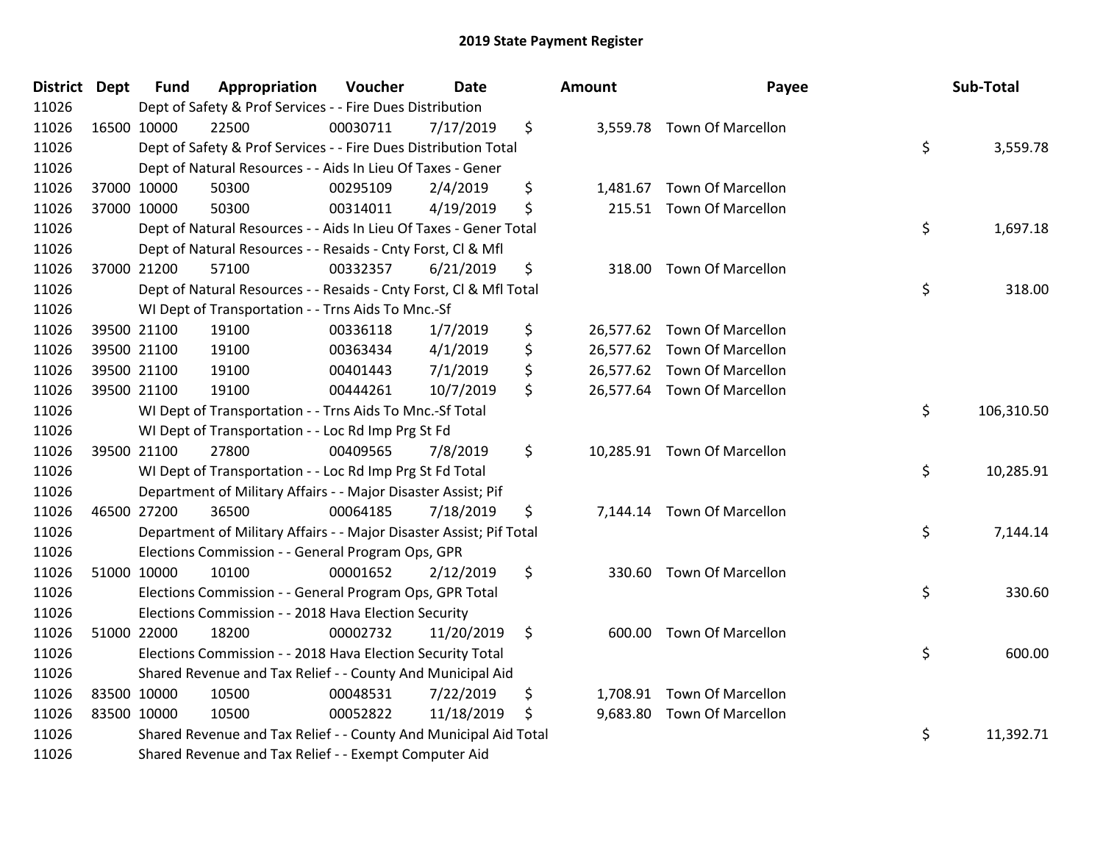| <b>District</b> | <b>Dept</b> | <b>Fund</b> | Appropriation                                                       | Voucher  | <b>Date</b> | Amount         | Payee                       | Sub-Total        |
|-----------------|-------------|-------------|---------------------------------------------------------------------|----------|-------------|----------------|-----------------------------|------------------|
| 11026           |             |             | Dept of Safety & Prof Services - - Fire Dues Distribution           |          |             |                |                             |                  |
| 11026           |             | 16500 10000 | 22500                                                               | 00030711 | 7/17/2019   | \$             | 3,559.78 Town Of Marcellon  |                  |
| 11026           |             |             | Dept of Safety & Prof Services - - Fire Dues Distribution Total     |          |             |                |                             | \$<br>3,559.78   |
| 11026           |             |             | Dept of Natural Resources - - Aids In Lieu Of Taxes - Gener         |          |             |                |                             |                  |
| 11026           |             | 37000 10000 | 50300                                                               | 00295109 | 2/4/2019    | \$<br>1,481.67 | <b>Town Of Marcellon</b>    |                  |
| 11026           |             | 37000 10000 | 50300                                                               | 00314011 | 4/19/2019   | \$<br>215.51   | <b>Town Of Marcellon</b>    |                  |
| 11026           |             |             | Dept of Natural Resources - - Aids In Lieu Of Taxes - Gener Total   |          |             |                |                             | \$<br>1,697.18   |
| 11026           |             |             | Dept of Natural Resources - - Resaids - Cnty Forst, Cl & Mfl        |          |             |                |                             |                  |
| 11026           |             | 37000 21200 | 57100                                                               | 00332357 | 6/21/2019   | \$<br>318.00   | <b>Town Of Marcellon</b>    |                  |
| 11026           |             |             | Dept of Natural Resources - - Resaids - Cnty Forst, Cl & Mfl Total  |          |             |                |                             | \$<br>318.00     |
| 11026           |             |             | WI Dept of Transportation - - Trns Aids To Mnc.-Sf                  |          |             |                |                             |                  |
| 11026           |             | 39500 21100 | 19100                                                               | 00336118 | 1/7/2019    | \$             | 26,577.62 Town Of Marcellon |                  |
| 11026           |             | 39500 21100 | 19100                                                               | 00363434 | 4/1/2019    | \$             | 26,577.62 Town Of Marcellon |                  |
| 11026           |             | 39500 21100 | 19100                                                               | 00401443 | 7/1/2019    | \$             | 26,577.62 Town Of Marcellon |                  |
| 11026           |             | 39500 21100 | 19100                                                               | 00444261 | 10/7/2019   | \$             | 26,577.64 Town Of Marcellon |                  |
| 11026           |             |             | WI Dept of Transportation - - Trns Aids To Mnc.-Sf Total            |          |             |                |                             | \$<br>106,310.50 |
| 11026           |             |             | WI Dept of Transportation - - Loc Rd Imp Prg St Fd                  |          |             |                |                             |                  |
| 11026           |             | 39500 21100 | 27800                                                               | 00409565 | 7/8/2019    | \$             | 10,285.91 Town Of Marcellon |                  |
| 11026           |             |             | WI Dept of Transportation - - Loc Rd Imp Prg St Fd Total            |          |             |                |                             | \$<br>10,285.91  |
| 11026           |             |             | Department of Military Affairs - - Major Disaster Assist; Pif       |          |             |                |                             |                  |
| 11026           |             | 46500 27200 | 36500                                                               | 00064185 | 7/18/2019   | \$             | 7,144.14 Town Of Marcellon  |                  |
| 11026           |             |             | Department of Military Affairs - - Major Disaster Assist; Pif Total |          |             |                |                             | \$<br>7,144.14   |
| 11026           |             |             | Elections Commission - - General Program Ops, GPR                   |          |             |                |                             |                  |
| 11026           |             | 51000 10000 | 10100                                                               | 00001652 | 2/12/2019   | \$<br>330.60   | <b>Town Of Marcellon</b>    |                  |
| 11026           |             |             | Elections Commission - - General Program Ops, GPR Total             |          |             |                |                             | \$<br>330.60     |
| 11026           |             |             | Elections Commission - - 2018 Hava Election Security                |          |             |                |                             |                  |
| 11026           |             | 51000 22000 | 18200                                                               | 00002732 | 11/20/2019  | \$<br>600.00   | <b>Town Of Marcellon</b>    |                  |
| 11026           |             |             | Elections Commission - - 2018 Hava Election Security Total          |          |             |                |                             | \$<br>600.00     |
| 11026           |             |             | Shared Revenue and Tax Relief - - County And Municipal Aid          |          |             |                |                             |                  |
| 11026           |             | 83500 10000 | 10500                                                               | 00048531 | 7/22/2019   | \$             | 1,708.91 Town Of Marcellon  |                  |
| 11026           |             | 83500 10000 | 10500                                                               | 00052822 | 11/18/2019  | \$             | 9,683.80 Town Of Marcellon  |                  |
| 11026           |             |             | Shared Revenue and Tax Relief - - County And Municipal Aid Total    |          |             |                |                             | \$<br>11,392.71  |
| 11026           |             |             | Shared Revenue and Tax Relief - - Exempt Computer Aid               |          |             |                |                             |                  |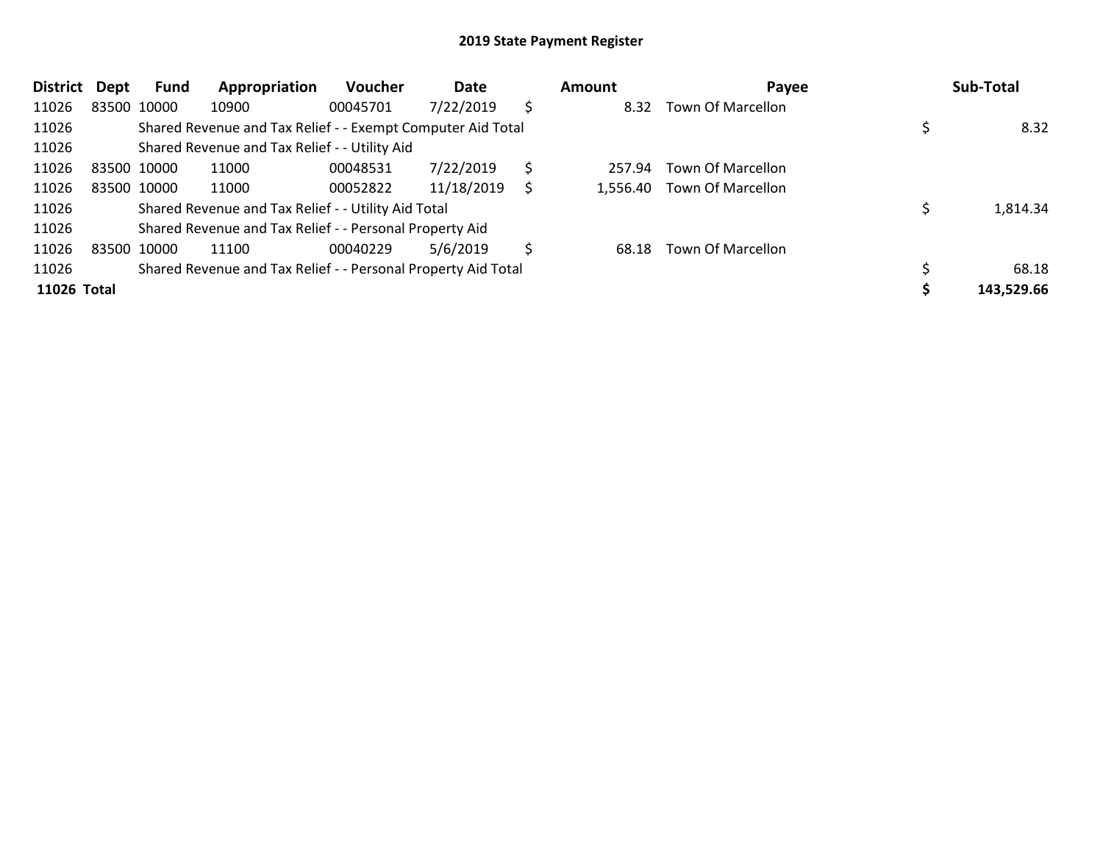| <b>District</b> | Dept | Fund        | Appropriation                                                 | Voucher  | Date       | Amount       | Payee             | Sub-Total  |
|-----------------|------|-------------|---------------------------------------------------------------|----------|------------|--------------|-------------------|------------|
| 11026           |      | 83500 10000 | 10900                                                         | 00045701 | 7/22/2019  | \$<br>8.32   | Town Of Marcellon |            |
| 11026           |      |             | Shared Revenue and Tax Relief - - Exempt Computer Aid Total   |          |            |              |                   | 8.32       |
| 11026           |      |             | Shared Revenue and Tax Relief - - Utility Aid                 |          |            |              |                   |            |
| 11026           |      | 83500 10000 | 11000                                                         | 00048531 | 7/22/2019  | \$<br>257.94 | Town Of Marcellon |            |
| 11026           |      | 83500 10000 | 11000                                                         | 00052822 | 11/18/2019 | 1,556.40     | Town Of Marcellon |            |
| 11026           |      |             | Shared Revenue and Tax Relief - - Utility Aid Total           |          |            |              |                   | 1,814.34   |
| 11026           |      |             | Shared Revenue and Tax Relief - - Personal Property Aid       |          |            |              |                   |            |
| 11026           |      | 83500 10000 | 11100                                                         | 00040229 | 5/6/2019   | \$<br>68.18  | Town Of Marcellon |            |
| 11026           |      |             | Shared Revenue and Tax Relief - - Personal Property Aid Total |          |            |              |                   | 68.18      |
| 11026 Total     |      |             |                                                               |          |            |              |                   | 143,529.66 |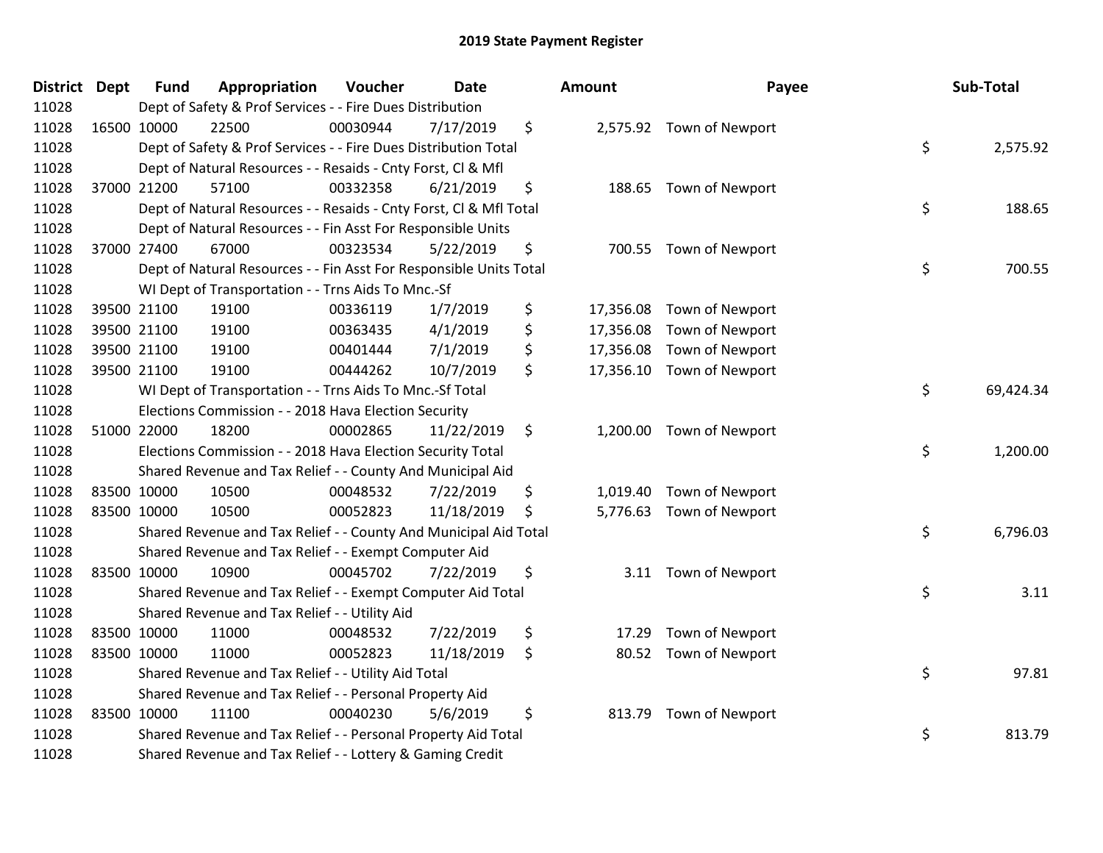| <b>District</b> | <b>Dept</b> | <b>Fund</b> | Appropriation                                                      | Voucher  | <b>Date</b> | <b>Amount</b>   | Payee                    | Sub-Total       |
|-----------------|-------------|-------------|--------------------------------------------------------------------|----------|-------------|-----------------|--------------------------|-----------------|
| 11028           |             |             | Dept of Safety & Prof Services - - Fire Dues Distribution          |          |             |                 |                          |                 |
| 11028           |             | 16500 10000 | 22500                                                              | 00030944 | 7/17/2019   | \$              | 2,575.92 Town of Newport |                 |
| 11028           |             |             | Dept of Safety & Prof Services - - Fire Dues Distribution Total    |          |             |                 |                          | \$<br>2,575.92  |
| 11028           |             |             | Dept of Natural Resources - - Resaids - Cnty Forst, CI & Mfl       |          |             |                 |                          |                 |
| 11028           |             | 37000 21200 | 57100                                                              | 00332358 | 6/21/2019   | \$<br>188.65    | Town of Newport          |                 |
| 11028           |             |             | Dept of Natural Resources - - Resaids - Cnty Forst, CI & Mfl Total |          |             |                 |                          | \$<br>188.65    |
| 11028           |             |             | Dept of Natural Resources - - Fin Asst For Responsible Units       |          |             |                 |                          |                 |
| 11028           |             | 37000 27400 | 67000                                                              | 00323534 | 5/22/2019   | \$<br>700.55    | Town of Newport          |                 |
| 11028           |             |             | Dept of Natural Resources - - Fin Asst For Responsible Units Total |          |             |                 |                          | \$<br>700.55    |
| 11028           |             |             | WI Dept of Transportation - - Trns Aids To Mnc.-Sf                 |          |             |                 |                          |                 |
| 11028           |             | 39500 21100 | 19100                                                              | 00336119 | 1/7/2019    | \$<br>17,356.08 | Town of Newport          |                 |
| 11028           |             | 39500 21100 | 19100                                                              | 00363435 | 4/1/2019    | \$<br>17,356.08 | Town of Newport          |                 |
| 11028           |             | 39500 21100 | 19100                                                              | 00401444 | 7/1/2019    | \$<br>17,356.08 | Town of Newport          |                 |
| 11028           |             | 39500 21100 | 19100                                                              | 00444262 | 10/7/2019   | \$<br>17,356.10 | Town of Newport          |                 |
| 11028           |             |             | WI Dept of Transportation - - Trns Aids To Mnc.-Sf Total           |          |             |                 |                          | \$<br>69,424.34 |
| 11028           |             |             | Elections Commission - - 2018 Hava Election Security               |          |             |                 |                          |                 |
| 11028           |             | 51000 22000 | 18200                                                              | 00002865 | 11/22/2019  | \$<br>1,200.00  | Town of Newport          |                 |
| 11028           |             |             | Elections Commission - - 2018 Hava Election Security Total         |          |             |                 |                          | \$<br>1,200.00  |
| 11028           |             |             | Shared Revenue and Tax Relief - - County And Municipal Aid         |          |             |                 |                          |                 |
| 11028           |             | 83500 10000 | 10500                                                              | 00048532 | 7/22/2019   | \$<br>1,019.40  | Town of Newport          |                 |
| 11028           |             | 83500 10000 | 10500                                                              | 00052823 | 11/18/2019  | \$<br>5,776.63  | Town of Newport          |                 |
| 11028           |             |             | Shared Revenue and Tax Relief - - County And Municipal Aid Total   |          |             |                 |                          | \$<br>6,796.03  |
| 11028           |             |             | Shared Revenue and Tax Relief - - Exempt Computer Aid              |          |             |                 |                          |                 |
| 11028           |             | 83500 10000 | 10900                                                              | 00045702 | 7/22/2019   | \$<br>3.11      | Town of Newport          |                 |
| 11028           |             |             | Shared Revenue and Tax Relief - - Exempt Computer Aid Total        |          |             |                 |                          | \$<br>3.11      |
| 11028           |             |             | Shared Revenue and Tax Relief - - Utility Aid                      |          |             |                 |                          |                 |
| 11028           |             | 83500 10000 | 11000                                                              | 00048532 | 7/22/2019   | \$<br>17.29     | Town of Newport          |                 |
| 11028           |             | 83500 10000 | 11000                                                              | 00052823 | 11/18/2019  | \$<br>80.52     | Town of Newport          |                 |
| 11028           |             |             | Shared Revenue and Tax Relief - - Utility Aid Total                |          |             |                 |                          | \$<br>97.81     |
| 11028           |             |             | Shared Revenue and Tax Relief - - Personal Property Aid            |          |             |                 |                          |                 |
| 11028           |             | 83500 10000 | 11100                                                              | 00040230 | 5/6/2019    | \$<br>813.79    | Town of Newport          |                 |
| 11028           |             |             | Shared Revenue and Tax Relief - - Personal Property Aid Total      |          |             |                 |                          | \$<br>813.79    |
| 11028           |             |             | Shared Revenue and Tax Relief - - Lottery & Gaming Credit          |          |             |                 |                          |                 |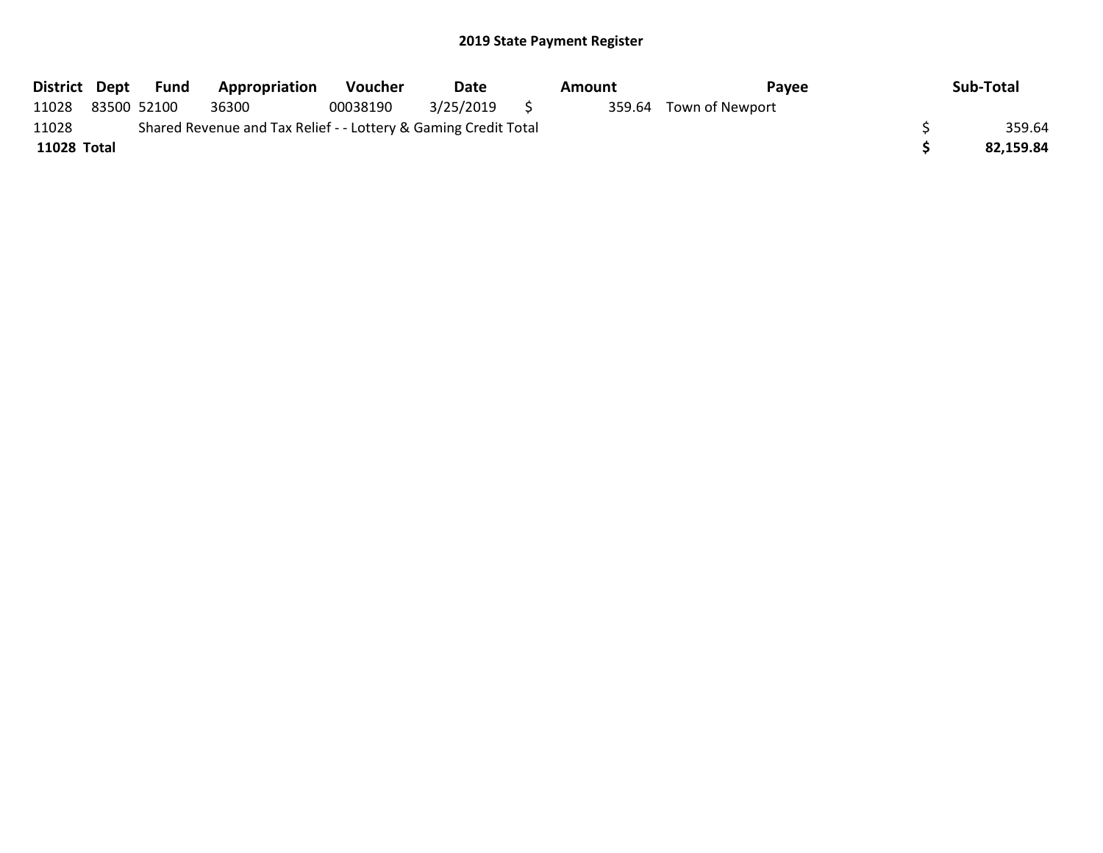|             | District Dept Fund | <b>Appropriation</b>                                            | <b>Voucher</b> | Date      |     | Amount | Pavee                  | Sub-Total |
|-------------|--------------------|-----------------------------------------------------------------|----------------|-----------|-----|--------|------------------------|-----------|
| 11028       | 83500 52100        | 36300                                                           | 00038190       | 3/25/2019 | S S |        | 359.64 Town of Newport |           |
| 11028       |                    | Shared Revenue and Tax Relief - - Lottery & Gaming Credit Total |                |           |     |        |                        | 359.64    |
| 11028 Total |                    |                                                                 |                |           |     |        |                        | 82,159.84 |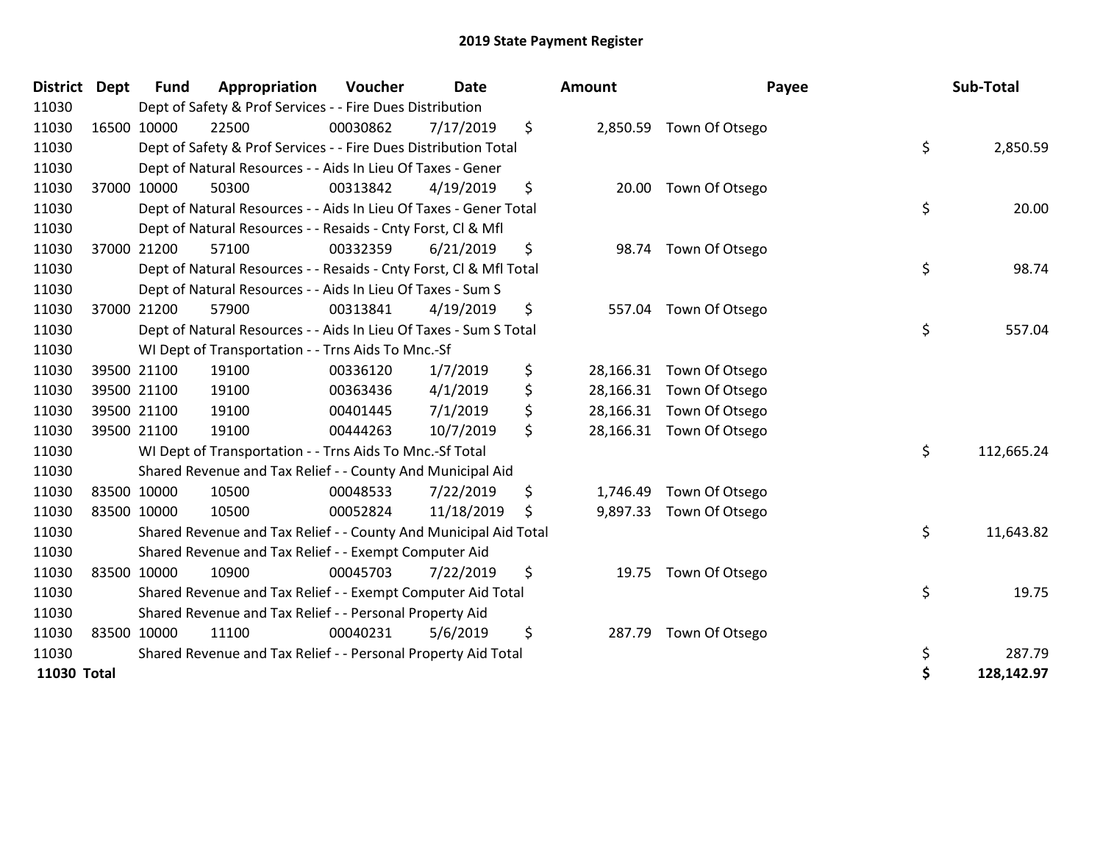| <b>District</b> | <b>Dept</b> | <b>Fund</b> | Appropriation                                                      | Voucher  | <b>Date</b> |     | Amount    | Payee                    | Sub-Total        |
|-----------------|-------------|-------------|--------------------------------------------------------------------|----------|-------------|-----|-----------|--------------------------|------------------|
| 11030           |             |             | Dept of Safety & Prof Services - - Fire Dues Distribution          |          |             |     |           |                          |                  |
| 11030           |             | 16500 10000 | 22500                                                              | 00030862 | 7/17/2019   | \$  |           | 2,850.59 Town Of Otsego  |                  |
| 11030           |             |             | Dept of Safety & Prof Services - - Fire Dues Distribution Total    |          |             |     |           |                          | \$<br>2,850.59   |
| 11030           |             |             | Dept of Natural Resources - - Aids In Lieu Of Taxes - Gener        |          |             |     |           |                          |                  |
| 11030           |             | 37000 10000 | 50300                                                              | 00313842 | 4/19/2019   | \$  |           | 20.00 Town Of Otsego     |                  |
| 11030           |             |             | Dept of Natural Resources - - Aids In Lieu Of Taxes - Gener Total  |          |             |     |           |                          | \$<br>20.00      |
| 11030           |             |             | Dept of Natural Resources - - Resaids - Cnty Forst, Cl & Mfl       |          |             |     |           |                          |                  |
| 11030           |             | 37000 21200 | 57100                                                              | 00332359 | 6/21/2019   | \$  |           | 98.74 Town Of Otsego     |                  |
| 11030           |             |             | Dept of Natural Resources - - Resaids - Cnty Forst, Cl & Mfl Total |          |             |     |           |                          | \$<br>98.74      |
| 11030           |             |             | Dept of Natural Resources - - Aids In Lieu Of Taxes - Sum S        |          |             |     |           |                          |                  |
| 11030           |             | 37000 21200 | 57900                                                              | 00313841 | 4/19/2019   | \$  | 557.04    | Town Of Otsego           |                  |
| 11030           |             |             | Dept of Natural Resources - - Aids In Lieu Of Taxes - Sum S Total  |          |             |     |           |                          | \$<br>557.04     |
| 11030           |             |             | WI Dept of Transportation - - Trns Aids To Mnc.-Sf                 |          |             |     |           |                          |                  |
| 11030           |             | 39500 21100 | 19100                                                              | 00336120 | 1/7/2019    | \$  | 28,166.31 | Town Of Otsego           |                  |
| 11030           |             | 39500 21100 | 19100                                                              | 00363436 | 4/1/2019    | \$  |           | 28,166.31 Town Of Otsego |                  |
| 11030           |             | 39500 21100 | 19100                                                              | 00401445 | 7/1/2019    | \$  |           | 28,166.31 Town Of Otsego |                  |
| 11030           |             | 39500 21100 | 19100                                                              | 00444263 | 10/7/2019   | \$  |           | 28,166.31 Town Of Otsego |                  |
| 11030           |             |             | WI Dept of Transportation - - Trns Aids To Mnc.-Sf Total           |          |             |     |           |                          | \$<br>112,665.24 |
| 11030           |             |             | Shared Revenue and Tax Relief - - County And Municipal Aid         |          |             |     |           |                          |                  |
| 11030           |             | 83500 10000 | 10500                                                              | 00048533 | 7/22/2019   | \$  | 1,746.49  | Town Of Otsego           |                  |
| 11030           | 83500 10000 |             | 10500                                                              | 00052824 | 11/18/2019  | \$. |           | 9,897.33 Town Of Otsego  |                  |
| 11030           |             |             | Shared Revenue and Tax Relief - - County And Municipal Aid Total   |          |             |     |           |                          | \$<br>11,643.82  |
| 11030           |             |             | Shared Revenue and Tax Relief - - Exempt Computer Aid              |          |             |     |           |                          |                  |
| 11030           |             | 83500 10000 | 10900                                                              | 00045703 | 7/22/2019   | \$  |           | 19.75 Town Of Otsego     |                  |
| 11030           |             |             | Shared Revenue and Tax Relief - - Exempt Computer Aid Total        |          |             |     |           |                          | \$<br>19.75      |
| 11030           |             |             | Shared Revenue and Tax Relief - - Personal Property Aid            |          |             |     |           |                          |                  |
| 11030           |             | 83500 10000 | 11100                                                              | 00040231 | 5/6/2019    | \$  | 287.79    | Town Of Otsego           |                  |
| 11030           |             |             | Shared Revenue and Tax Relief - - Personal Property Aid Total      |          |             |     |           |                          | \$<br>287.79     |
| 11030 Total     |             |             |                                                                    |          |             |     |           |                          | 128,142.97       |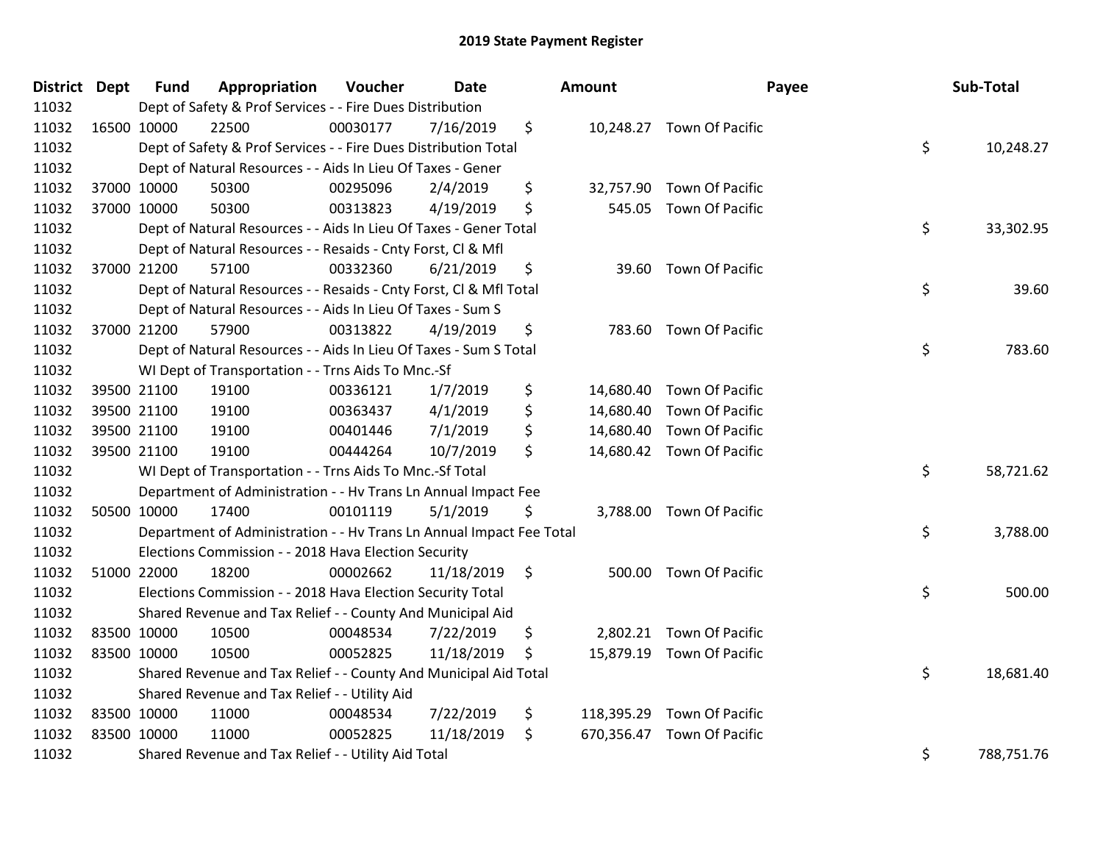| District Dept |             | <b>Fund</b> | Appropriation                                                        | Voucher  | <b>Date</b> |                | Amount |                            | Payee | Sub-Total  |
|---------------|-------------|-------------|----------------------------------------------------------------------|----------|-------------|----------------|--------|----------------------------|-------|------------|
| 11032         |             |             | Dept of Safety & Prof Services - - Fire Dues Distribution            |          |             |                |        |                            |       |            |
| 11032         | 16500 10000 |             | 22500                                                                | 00030177 | 7/16/2019   | \$             |        | 10,248.27 Town Of Pacific  |       |            |
| 11032         |             |             | Dept of Safety & Prof Services - - Fire Dues Distribution Total      |          |             |                |        |                            | \$    | 10,248.27  |
| 11032         |             |             | Dept of Natural Resources - - Aids In Lieu Of Taxes - Gener          |          |             |                |        |                            |       |            |
| 11032         |             | 37000 10000 | 50300                                                                | 00295096 | 2/4/2019    | \$             |        | 32,757.90 Town Of Pacific  |       |            |
| 11032         |             | 37000 10000 | 50300                                                                | 00313823 | 4/19/2019   | \$             |        | 545.05 Town Of Pacific     |       |            |
| 11032         |             |             | Dept of Natural Resources - - Aids In Lieu Of Taxes - Gener Total    |          |             |                |        |                            | \$    | 33,302.95  |
| 11032         |             |             | Dept of Natural Resources - - Resaids - Cnty Forst, Cl & Mfl         |          |             |                |        |                            |       |            |
| 11032         |             | 37000 21200 | 57100                                                                | 00332360 | 6/21/2019   | \$             |        | 39.60 Town Of Pacific      |       |            |
| 11032         |             |             | Dept of Natural Resources - - Resaids - Cnty Forst, Cl & Mfl Total   |          |             |                |        |                            | \$    | 39.60      |
| 11032         |             |             | Dept of Natural Resources - - Aids In Lieu Of Taxes - Sum S          |          |             |                |        |                            |       |            |
| 11032         |             | 37000 21200 | 57900                                                                | 00313822 | 4/19/2019   | \$             |        | 783.60 Town Of Pacific     |       |            |
| 11032         |             |             | Dept of Natural Resources - - Aids In Lieu Of Taxes - Sum S Total    |          |             |                |        |                            | \$    | 783.60     |
| 11032         |             |             | WI Dept of Transportation - - Trns Aids To Mnc.-Sf                   |          |             |                |        |                            |       |            |
| 11032         |             | 39500 21100 | 19100                                                                | 00336121 | 1/7/2019    | \$             |        | 14,680.40 Town Of Pacific  |       |            |
| 11032         |             | 39500 21100 | 19100                                                                | 00363437 | 4/1/2019    | \$             |        | 14,680.40 Town Of Pacific  |       |            |
| 11032         |             | 39500 21100 | 19100                                                                | 00401446 | 7/1/2019    | \$             |        | 14,680.40 Town Of Pacific  |       |            |
| 11032         |             | 39500 21100 | 19100                                                                | 00444264 | 10/7/2019   | \$             |        | 14,680.42 Town Of Pacific  |       |            |
| 11032         |             |             | WI Dept of Transportation - - Trns Aids To Mnc.-Sf Total             |          |             |                |        |                            | \$    | 58,721.62  |
| 11032         |             |             | Department of Administration - - Hv Trans Ln Annual Impact Fee       |          |             |                |        |                            |       |            |
| 11032         |             | 50500 10000 | 17400                                                                | 00101119 | 5/1/2019    | \$             |        | 3,788.00 Town Of Pacific   |       |            |
| 11032         |             |             | Department of Administration - - Hv Trans Ln Annual Impact Fee Total |          |             |                |        |                            | \$    | 3,788.00   |
| 11032         |             |             | Elections Commission - - 2018 Hava Election Security                 |          |             |                |        |                            |       |            |
| 11032         | 51000 22000 |             | 18200                                                                | 00002662 | 11/18/2019  | $\ddot{\zeta}$ |        | 500.00 Town Of Pacific     |       |            |
| 11032         |             |             | Elections Commission - - 2018 Hava Election Security Total           |          |             |                |        |                            | \$    | 500.00     |
| 11032         |             |             | Shared Revenue and Tax Relief - - County And Municipal Aid           |          |             |                |        |                            |       |            |
| 11032         | 83500 10000 |             | 10500                                                                | 00048534 | 7/22/2019   | \$             |        | 2,802.21 Town Of Pacific   |       |            |
| 11032         | 83500 10000 |             | 10500                                                                | 00052825 | 11/18/2019  | -\$            |        | 15,879.19 Town Of Pacific  |       |            |
| 11032         |             |             | Shared Revenue and Tax Relief - - County And Municipal Aid Total     |          |             |                |        |                            | \$    | 18,681.40  |
| 11032         |             |             | Shared Revenue and Tax Relief - - Utility Aid                        |          |             |                |        |                            |       |            |
| 11032         | 83500 10000 |             | 11000                                                                | 00048534 | 7/22/2019   | \$             |        | 118,395.29 Town Of Pacific |       |            |
| 11032         | 83500 10000 |             | 11000                                                                | 00052825 | 11/18/2019  | \$             |        | 670,356.47 Town Of Pacific |       |            |
| 11032         |             |             | Shared Revenue and Tax Relief - - Utility Aid Total                  |          |             |                |        |                            | \$    | 788,751.76 |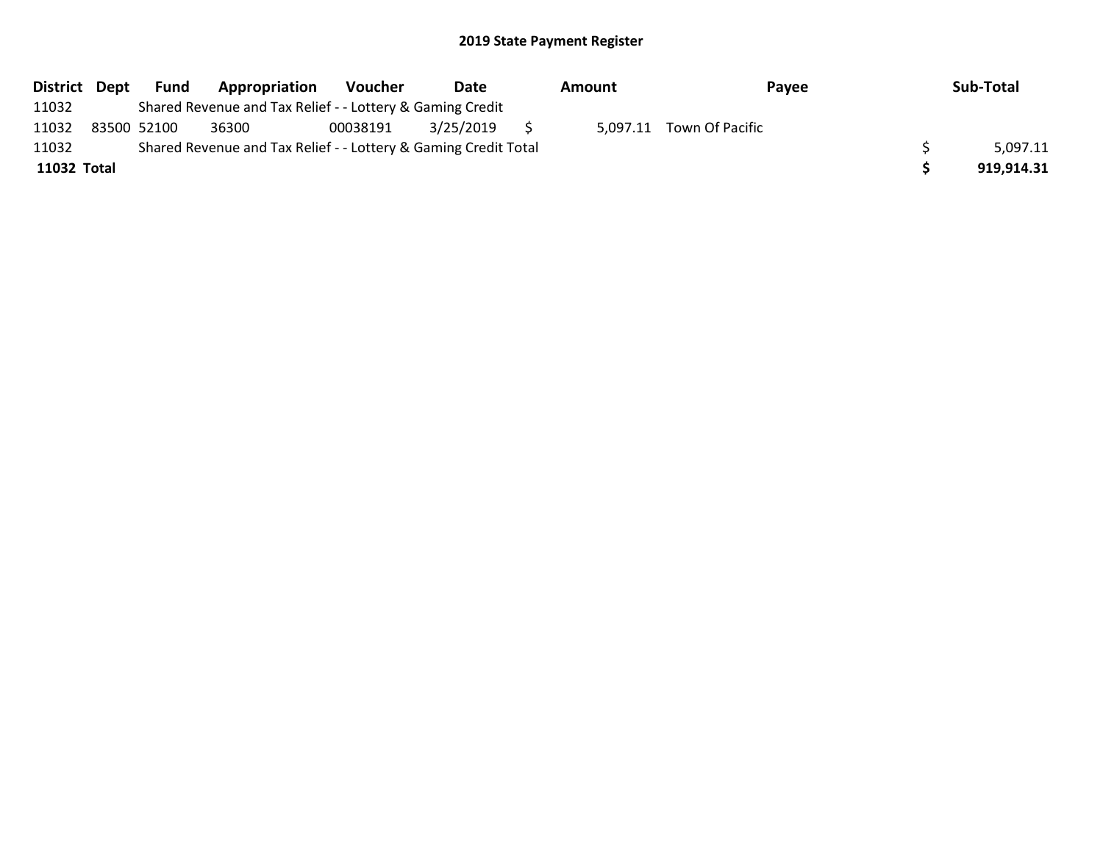| District Dept | Fund        | Appropriation                                                   | Voucher  | Date      | Amount | Payee                    | Sub-Total  |
|---------------|-------------|-----------------------------------------------------------------|----------|-----------|--------|--------------------------|------------|
| 11032         |             | Shared Revenue and Tax Relief - - Lottery & Gaming Credit       |          |           |        |                          |            |
| 11032         | 83500 52100 | 36300                                                           | 00038191 | 3/25/2019 |        | 5,097.11 Town Of Pacific |            |
| 11032         |             | Shared Revenue and Tax Relief - - Lottery & Gaming Credit Total |          |           |        |                          | 5,097.11   |
| 11032 Total   |             |                                                                 |          |           |        |                          | 919,914.31 |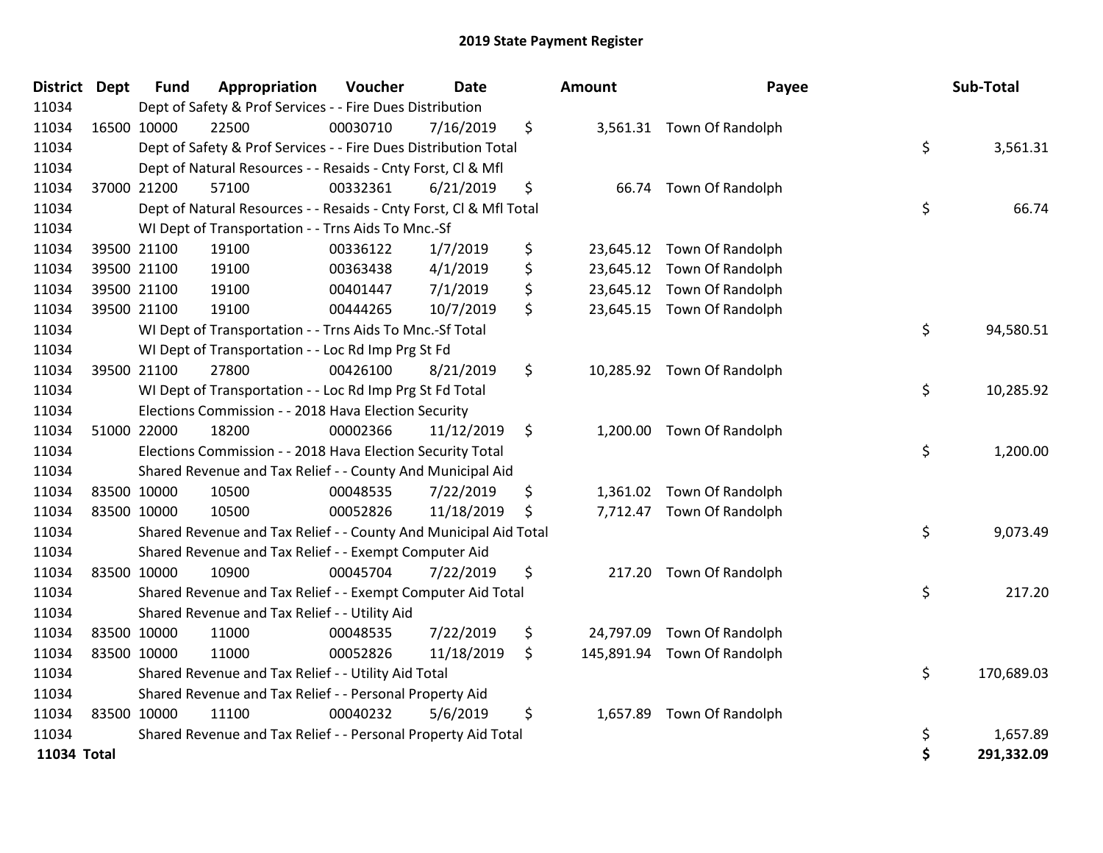| <b>District</b> | <b>Dept</b> | <b>Fund</b> | Appropriation                                                      | Voucher  | <b>Date</b> | Amount          | Payee                       | Sub-Total        |
|-----------------|-------------|-------------|--------------------------------------------------------------------|----------|-------------|-----------------|-----------------------------|------------------|
| 11034           |             |             | Dept of Safety & Prof Services - - Fire Dues Distribution          |          |             |                 |                             |                  |
| 11034           |             | 16500 10000 | 22500                                                              | 00030710 | 7/16/2019   | \$              | 3,561.31 Town Of Randolph   |                  |
| 11034           |             |             | Dept of Safety & Prof Services - - Fire Dues Distribution Total    |          |             |                 |                             | \$<br>3,561.31   |
| 11034           |             |             | Dept of Natural Resources - - Resaids - Cnty Forst, Cl & Mfl       |          |             |                 |                             |                  |
| 11034           |             | 37000 21200 | 57100                                                              | 00332361 | 6/21/2019   | \$              | 66.74 Town Of Randolph      |                  |
| 11034           |             |             | Dept of Natural Resources - - Resaids - Cnty Forst, Cl & Mfl Total |          |             |                 |                             | \$<br>66.74      |
| 11034           |             |             | WI Dept of Transportation - - Trns Aids To Mnc.-Sf                 |          |             |                 |                             |                  |
| 11034           |             | 39500 21100 | 19100                                                              | 00336122 | 1/7/2019    | \$              | 23,645.12 Town Of Randolph  |                  |
| 11034           |             | 39500 21100 | 19100                                                              | 00363438 | 4/1/2019    | \$              | 23,645.12 Town Of Randolph  |                  |
| 11034           |             | 39500 21100 | 19100                                                              | 00401447 | 7/1/2019    | \$              | 23,645.12 Town Of Randolph  |                  |
| 11034           |             | 39500 21100 | 19100                                                              | 00444265 | 10/7/2019   | \$              | 23,645.15 Town Of Randolph  |                  |
| 11034           |             |             | WI Dept of Transportation - - Trns Aids To Mnc.-Sf Total           |          |             |                 |                             | \$<br>94,580.51  |
| 11034           |             |             | WI Dept of Transportation - - Loc Rd Imp Prg St Fd                 |          |             |                 |                             |                  |
| 11034           |             | 39500 21100 | 27800                                                              | 00426100 | 8/21/2019   | \$              | 10,285.92 Town Of Randolph  |                  |
| 11034           |             |             | WI Dept of Transportation - - Loc Rd Imp Prg St Fd Total           |          |             |                 |                             | \$<br>10,285.92  |
| 11034           |             |             | Elections Commission - - 2018 Hava Election Security               |          |             |                 |                             |                  |
| 11034           |             | 51000 22000 | 18200                                                              | 00002366 | 11/12/2019  | \$              | 1,200.00 Town Of Randolph   |                  |
| 11034           |             |             | Elections Commission - - 2018 Hava Election Security Total         |          |             |                 |                             | \$<br>1,200.00   |
| 11034           |             |             | Shared Revenue and Tax Relief - - County And Municipal Aid         |          |             |                 |                             |                  |
| 11034           |             | 83500 10000 | 10500                                                              | 00048535 | 7/22/2019   | \$              | 1,361.02 Town Of Randolph   |                  |
| 11034           | 83500 10000 |             | 10500                                                              | 00052826 | 11/18/2019  | \$              | 7,712.47 Town Of Randolph   |                  |
| 11034           |             |             | Shared Revenue and Tax Relief - - County And Municipal Aid Total   |          |             |                 |                             | \$<br>9,073.49   |
| 11034           |             |             | Shared Revenue and Tax Relief - - Exempt Computer Aid              |          |             |                 |                             |                  |
| 11034           |             | 83500 10000 | 10900                                                              | 00045704 | 7/22/2019   | \$              | 217.20 Town Of Randolph     |                  |
| 11034           |             |             | Shared Revenue and Tax Relief - - Exempt Computer Aid Total        |          |             |                 |                             | \$<br>217.20     |
| 11034           |             |             | Shared Revenue and Tax Relief - - Utility Aid                      |          |             |                 |                             |                  |
| 11034           |             | 83500 10000 | 11000                                                              | 00048535 | 7/22/2019   | \$<br>24,797.09 | Town Of Randolph            |                  |
| 11034           | 83500 10000 |             | 11000                                                              | 00052826 | 11/18/2019  | \$              | 145,891.94 Town Of Randolph |                  |
| 11034           |             |             | Shared Revenue and Tax Relief - - Utility Aid Total                |          |             |                 |                             | \$<br>170,689.03 |
| 11034           |             |             | Shared Revenue and Tax Relief - - Personal Property Aid            |          |             |                 |                             |                  |
| 11034           | 83500 10000 |             | 11100                                                              | 00040232 | 5/6/2019    | \$              | 1,657.89 Town Of Randolph   |                  |
| 11034           |             |             | Shared Revenue and Tax Relief - - Personal Property Aid Total      |          |             |                 |                             | \$<br>1,657.89   |
| 11034 Total     |             |             |                                                                    |          |             |                 |                             | \$<br>291,332.09 |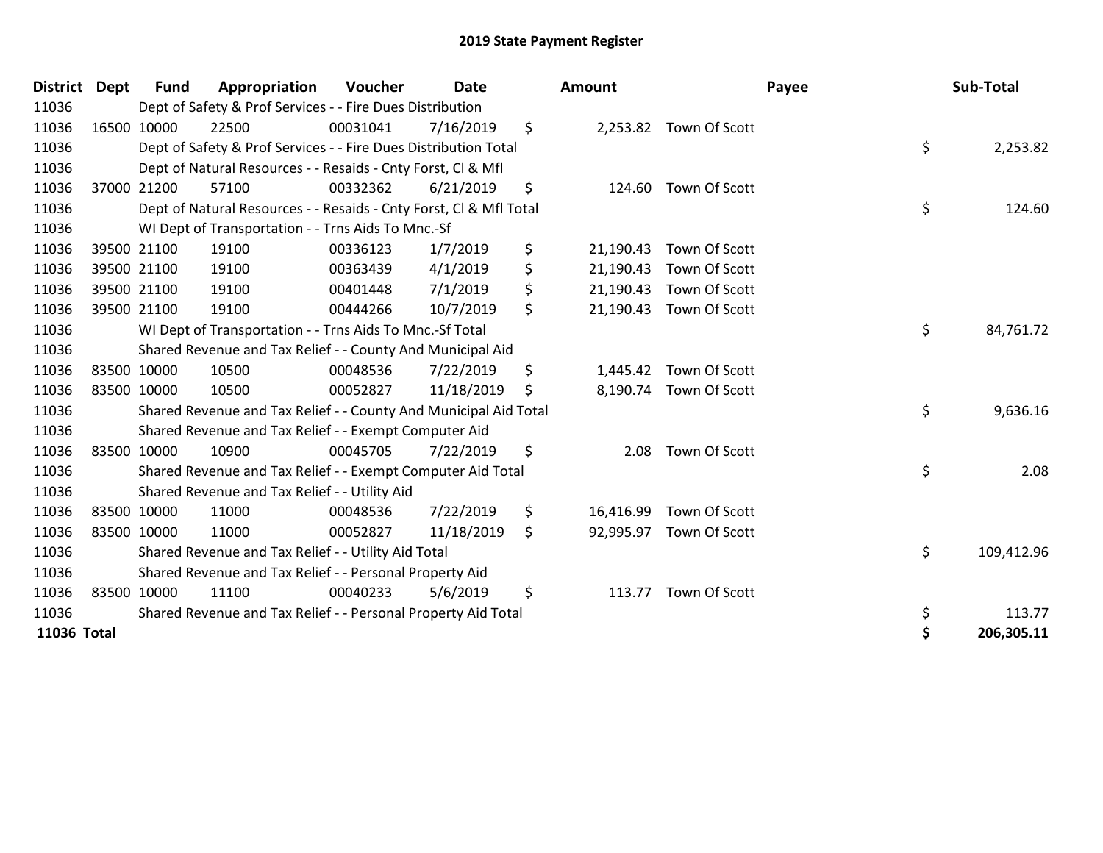| <b>District</b> | <b>Dept</b> | <b>Fund</b> | Appropriation                                                      | Voucher  | <b>Date</b> |         | Amount    |                         | Payee | Sub-Total  |
|-----------------|-------------|-------------|--------------------------------------------------------------------|----------|-------------|---------|-----------|-------------------------|-------|------------|
| 11036           |             |             | Dept of Safety & Prof Services - - Fire Dues Distribution          |          |             |         |           |                         |       |            |
| 11036           |             | 16500 10000 | 22500                                                              | 00031041 | 7/16/2019   | \$      |           | 2,253.82 Town Of Scott  |       |            |
| 11036           |             |             | Dept of Safety & Prof Services - - Fire Dues Distribution Total    |          |             |         |           |                         | \$    | 2,253.82   |
| 11036           |             |             | Dept of Natural Resources - - Resaids - Cnty Forst, CI & Mfl       |          |             |         |           |                         |       |            |
| 11036           |             | 37000 21200 | 57100                                                              | 00332362 | 6/21/2019   | \$      | 124.60    | Town Of Scott           |       |            |
| 11036           |             |             | Dept of Natural Resources - - Resaids - Cnty Forst, Cl & Mfl Total |          |             |         |           |                         | \$    | 124.60     |
| 11036           |             |             | WI Dept of Transportation - - Trns Aids To Mnc.-Sf                 |          |             |         |           |                         |       |            |
| 11036           |             | 39500 21100 | 19100                                                              | 00336123 | 1/7/2019    | \$      | 21,190.43 | Town Of Scott           |       |            |
| 11036           |             | 39500 21100 | 19100                                                              | 00363439 | 4/1/2019    | \$      | 21,190.43 | Town Of Scott           |       |            |
| 11036           |             | 39500 21100 | 19100                                                              | 00401448 | 7/1/2019    | \$      | 21,190.43 | Town Of Scott           |       |            |
| 11036           |             | 39500 21100 | 19100                                                              | 00444266 | 10/7/2019   | \$      |           | 21,190.43 Town Of Scott |       |            |
| 11036           |             |             | WI Dept of Transportation - - Trns Aids To Mnc.-Sf Total           |          |             |         |           |                         | \$    | 84,761.72  |
| 11036           |             |             | Shared Revenue and Tax Relief - - County And Municipal Aid         |          |             |         |           |                         |       |            |
| 11036           |             | 83500 10000 | 10500                                                              | 00048536 | 7/22/2019   | \$      |           | 1,445.42 Town Of Scott  |       |            |
| 11036           | 83500 10000 |             | 10500                                                              | 00052827 | 11/18/2019  | \$      |           | 8,190.74 Town Of Scott  |       |            |
| 11036           |             |             | Shared Revenue and Tax Relief - - County And Municipal Aid Total   |          |             |         |           |                         | \$    | 9,636.16   |
| 11036           |             |             | Shared Revenue and Tax Relief - - Exempt Computer Aid              |          |             |         |           |                         |       |            |
| 11036           |             | 83500 10000 | 10900                                                              | 00045705 | 7/22/2019   | \$      | 2.08      | Town Of Scott           |       |            |
| 11036           |             |             | Shared Revenue and Tax Relief - - Exempt Computer Aid Total        |          |             |         |           |                         | \$    | 2.08       |
| 11036           |             |             | Shared Revenue and Tax Relief - - Utility Aid                      |          |             |         |           |                         |       |            |
| 11036           |             | 83500 10000 | 11000                                                              | 00048536 | 7/22/2019   | \$      | 16,416.99 | Town Of Scott           |       |            |
| 11036           | 83500 10000 |             | 11000                                                              | 00052827 | 11/18/2019  | $\zeta$ |           | 92,995.97 Town Of Scott |       |            |
| 11036           |             |             | Shared Revenue and Tax Relief - - Utility Aid Total                |          |             |         |           |                         | \$    | 109,412.96 |
| 11036           |             |             | Shared Revenue and Tax Relief - - Personal Property Aid            |          |             |         |           |                         |       |            |
| 11036           |             | 83500 10000 | 11100                                                              | 00040233 | 5/6/2019    | \$      | 113.77    | Town Of Scott           |       |            |
| 11036           |             |             | Shared Revenue and Tax Relief - - Personal Property Aid Total      |          |             |         |           |                         | \$    | 113.77     |
| 11036 Total     |             |             |                                                                    |          |             |         |           |                         | \$    | 206,305.11 |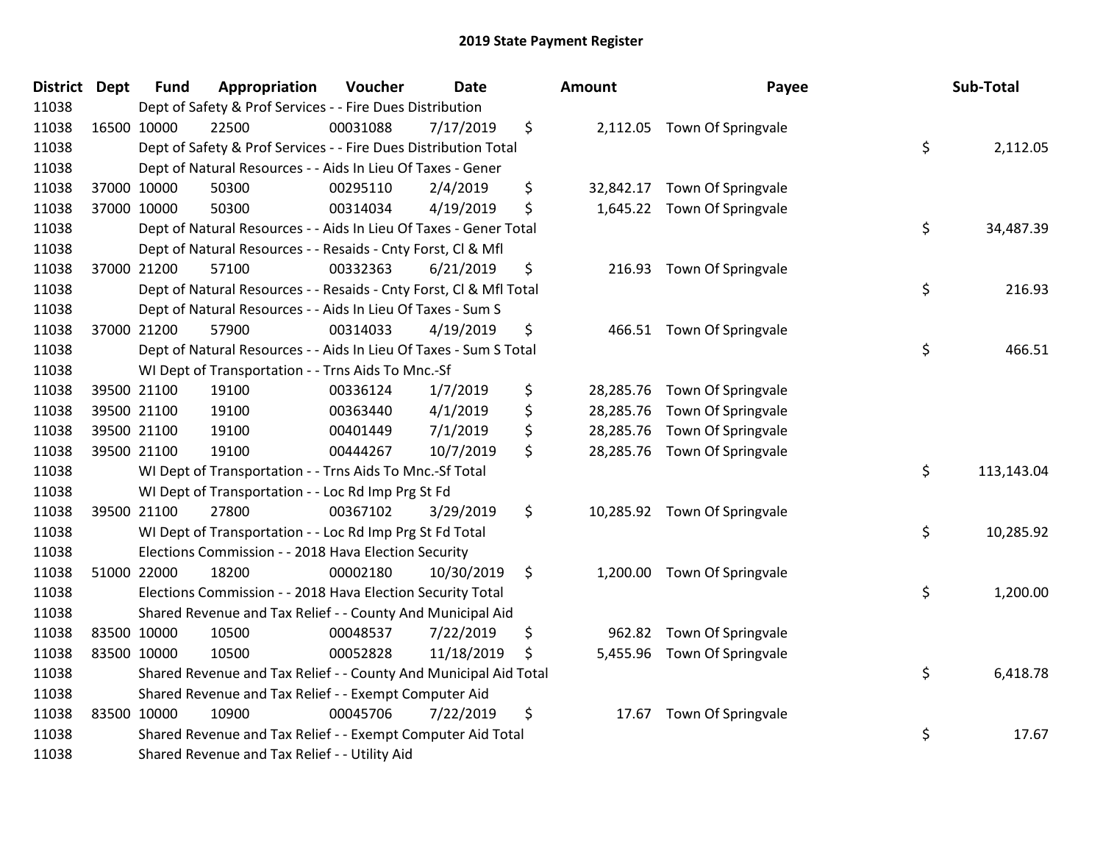| <b>District Dept</b> | <b>Fund</b> | Appropriation                                                      | Voucher  | <b>Date</b> | Amount          | Payee                        | Sub-Total        |
|----------------------|-------------|--------------------------------------------------------------------|----------|-------------|-----------------|------------------------------|------------------|
| 11038                |             | Dept of Safety & Prof Services - - Fire Dues Distribution          |          |             |                 |                              |                  |
| 11038                | 16500 10000 | 22500                                                              | 00031088 | 7/17/2019   | \$              | 2,112.05 Town Of Springvale  |                  |
| 11038                |             | Dept of Safety & Prof Services - - Fire Dues Distribution Total    |          |             |                 |                              | \$<br>2,112.05   |
| 11038                |             | Dept of Natural Resources - - Aids In Lieu Of Taxes - Gener        |          |             |                 |                              |                  |
| 11038                | 37000 10000 | 50300                                                              | 00295110 | 2/4/2019    | \$<br>32,842.17 | Town Of Springvale           |                  |
| 11038                | 37000 10000 | 50300                                                              | 00314034 | 4/19/2019   | \$              | 1,645.22 Town Of Springvale  |                  |
| 11038                |             | Dept of Natural Resources - - Aids In Lieu Of Taxes - Gener Total  |          |             |                 |                              | \$<br>34,487.39  |
| 11038                |             | Dept of Natural Resources - - Resaids - Cnty Forst, Cl & Mfl       |          |             |                 |                              |                  |
| 11038                | 37000 21200 | 57100                                                              | 00332363 | 6/21/2019   | \$              | 216.93 Town Of Springvale    |                  |
| 11038                |             | Dept of Natural Resources - - Resaids - Cnty Forst, CI & Mfl Total |          |             |                 |                              | \$<br>216.93     |
| 11038                |             | Dept of Natural Resources - - Aids In Lieu Of Taxes - Sum S        |          |             |                 |                              |                  |
| 11038                | 37000 21200 | 57900                                                              | 00314033 | 4/19/2019   | \$              | 466.51 Town Of Springvale    |                  |
| 11038                |             | Dept of Natural Resources - - Aids In Lieu Of Taxes - Sum S Total  |          |             |                 |                              | \$<br>466.51     |
| 11038                |             | WI Dept of Transportation - - Trns Aids To Mnc.-Sf                 |          |             |                 |                              |                  |
| 11038                | 39500 21100 | 19100                                                              | 00336124 | 1/7/2019    | \$<br>28,285.76 | Town Of Springvale           |                  |
| 11038                | 39500 21100 | 19100                                                              | 00363440 | 4/1/2019    | \$<br>28,285.76 | Town Of Springvale           |                  |
| 11038                | 39500 21100 | 19100                                                              | 00401449 | 7/1/2019    | \$<br>28,285.76 | Town Of Springvale           |                  |
| 11038                | 39500 21100 | 19100                                                              | 00444267 | 10/7/2019   | \$              | 28,285.76 Town Of Springvale |                  |
| 11038                |             | WI Dept of Transportation - - Trns Aids To Mnc.-Sf Total           |          |             |                 |                              | \$<br>113,143.04 |
| 11038                |             | WI Dept of Transportation - - Loc Rd Imp Prg St Fd                 |          |             |                 |                              |                  |
| 11038                | 39500 21100 | 27800                                                              | 00367102 | 3/29/2019   | \$              | 10,285.92 Town Of Springvale |                  |
| 11038                |             | WI Dept of Transportation - - Loc Rd Imp Prg St Fd Total           |          |             |                 |                              | \$<br>10,285.92  |
| 11038                |             | Elections Commission - - 2018 Hava Election Security               |          |             |                 |                              |                  |
| 11038                | 51000 22000 | 18200                                                              | 00002180 | 10/30/2019  | \$              | 1,200.00 Town Of Springvale  |                  |
| 11038                |             | Elections Commission - - 2018 Hava Election Security Total         |          |             |                 |                              | \$<br>1,200.00   |
| 11038                |             | Shared Revenue and Tax Relief - - County And Municipal Aid         |          |             |                 |                              |                  |
| 11038                | 83500 10000 | 10500                                                              | 00048537 | 7/22/2019   | \$<br>962.82    | Town Of Springvale           |                  |
| 11038                | 83500 10000 | 10500                                                              | 00052828 | 11/18/2019  | \$              | 5,455.96 Town Of Springvale  |                  |
| 11038                |             | Shared Revenue and Tax Relief - - County And Municipal Aid Total   |          |             |                 |                              | \$<br>6,418.78   |
| 11038                |             | Shared Revenue and Tax Relief - - Exempt Computer Aid              |          |             |                 |                              |                  |
| 11038                | 83500 10000 | 10900                                                              | 00045706 | 7/22/2019   | \$<br>17.67     | Town Of Springvale           |                  |
| 11038                |             | Shared Revenue and Tax Relief - - Exempt Computer Aid Total        |          |             |                 |                              | \$<br>17.67      |
| 11038                |             | Shared Revenue and Tax Relief - - Utility Aid                      |          |             |                 |                              |                  |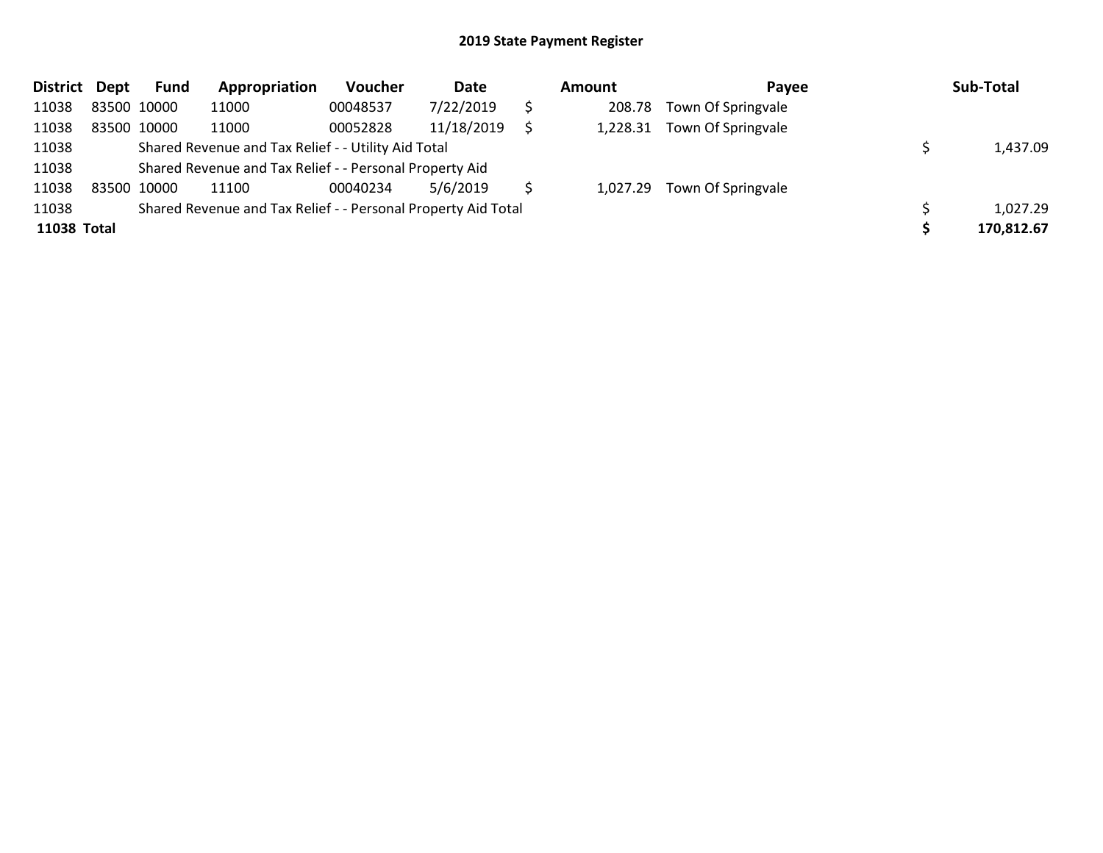| <b>District</b> | Dept        | Fund        | Appropriation                                                 | <b>Voucher</b> | Date       | Amount   | Pavee                       | Sub-Total  |
|-----------------|-------------|-------------|---------------------------------------------------------------|----------------|------------|----------|-----------------------------|------------|
| 11038           | 83500 10000 |             | 11000                                                         | 00048537       | 7/22/2019  | 208.78   | Town Of Springvale          |            |
| 11038           |             | 83500 10000 | 11000                                                         | 00052828       | 11/18/2019 | 1,228.31 | Town Of Springvale          |            |
| 11038           |             |             | Shared Revenue and Tax Relief - - Utility Aid Total           |                |            |          |                             | 1,437.09   |
| 11038           |             |             | Shared Revenue and Tax Relief - - Personal Property Aid       |                |            |          |                             |            |
| 11038           |             | 83500 10000 | 11100                                                         | 00040234       | 5/6/2019   |          | 1,027.29 Town Of Springvale |            |
| 11038           |             |             | Shared Revenue and Tax Relief - - Personal Property Aid Total |                |            |          |                             | 1,027.29   |
| 11038 Total     |             |             |                                                               |                |            |          |                             | 170,812.67 |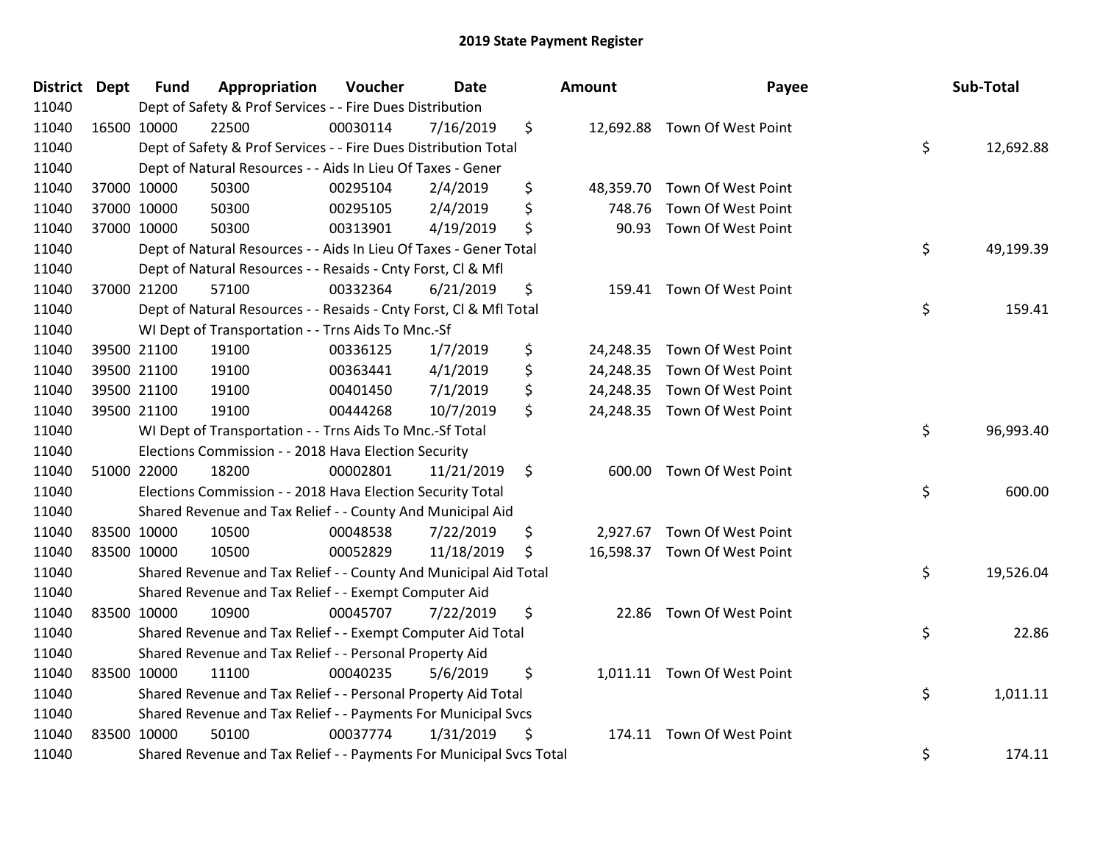| District Dept | <b>Fund</b> | Appropriation                                                       | Voucher  | <b>Date</b> | Amount          | Payee                        | Sub-Total       |
|---------------|-------------|---------------------------------------------------------------------|----------|-------------|-----------------|------------------------------|-----------------|
| 11040         |             | Dept of Safety & Prof Services - - Fire Dues Distribution           |          |             |                 |                              |                 |
| 11040         | 16500 10000 | 22500                                                               | 00030114 | 7/16/2019   | \$              | 12,692.88 Town Of West Point |                 |
| 11040         |             | Dept of Safety & Prof Services - - Fire Dues Distribution Total     |          |             |                 |                              | \$<br>12,692.88 |
| 11040         |             | Dept of Natural Resources - - Aids In Lieu Of Taxes - Gener         |          |             |                 |                              |                 |
| 11040         | 37000 10000 | 50300                                                               | 00295104 | 2/4/2019    | \$<br>48,359.70 | Town Of West Point           |                 |
| 11040         | 37000 10000 | 50300                                                               | 00295105 | 2/4/2019    | \$<br>748.76    | Town Of West Point           |                 |
| 11040         | 37000 10000 | 50300                                                               | 00313901 | 4/19/2019   | \$<br>90.93     | Town Of West Point           |                 |
| 11040         |             | Dept of Natural Resources - - Aids In Lieu Of Taxes - Gener Total   |          |             |                 |                              | \$<br>49,199.39 |
| 11040         |             | Dept of Natural Resources - - Resaids - Cnty Forst, Cl & Mfl        |          |             |                 |                              |                 |
| 11040         | 37000 21200 | 57100                                                               | 00332364 | 6/21/2019   | \$              | 159.41 Town Of West Point    |                 |
| 11040         |             | Dept of Natural Resources - - Resaids - Cnty Forst, Cl & Mfl Total  |          |             |                 |                              | \$<br>159.41    |
| 11040         |             | WI Dept of Transportation - - Trns Aids To Mnc.-Sf                  |          |             |                 |                              |                 |
| 11040         | 39500 21100 | 19100                                                               | 00336125 | 1/7/2019    | \$              | 24,248.35 Town Of West Point |                 |
| 11040         | 39500 21100 | 19100                                                               | 00363441 | 4/1/2019    | \$              | 24,248.35 Town Of West Point |                 |
| 11040         | 39500 21100 | 19100                                                               | 00401450 | 7/1/2019    | \$              | 24,248.35 Town Of West Point |                 |
| 11040         | 39500 21100 | 19100                                                               | 00444268 | 10/7/2019   | \$              | 24,248.35 Town Of West Point |                 |
| 11040         |             | WI Dept of Transportation - - Trns Aids To Mnc.-Sf Total            |          |             |                 |                              | \$<br>96,993.40 |
| 11040         |             | Elections Commission - - 2018 Hava Election Security                |          |             |                 |                              |                 |
| 11040         | 51000 22000 | 18200                                                               | 00002801 | 11/21/2019  | \$              | 600.00 Town Of West Point    |                 |
| 11040         |             | Elections Commission - - 2018 Hava Election Security Total          |          |             |                 |                              | \$<br>600.00    |
| 11040         |             | Shared Revenue and Tax Relief - - County And Municipal Aid          |          |             |                 |                              |                 |
| 11040         | 83500 10000 | 10500                                                               | 00048538 | 7/22/2019   | \$              | 2,927.67 Town Of West Point  |                 |
| 11040         | 83500 10000 | 10500                                                               | 00052829 | 11/18/2019  | \$              | 16,598.37 Town Of West Point |                 |
| 11040         |             | Shared Revenue and Tax Relief - - County And Municipal Aid Total    |          |             |                 |                              | \$<br>19,526.04 |
| 11040         |             | Shared Revenue and Tax Relief - - Exempt Computer Aid               |          |             |                 |                              |                 |
| 11040         | 83500 10000 | 10900                                                               | 00045707 | 7/22/2019   | \$<br>22.86     | Town Of West Point           |                 |
| 11040         |             | Shared Revenue and Tax Relief - - Exempt Computer Aid Total         |          |             |                 |                              | \$<br>22.86     |
| 11040         |             | Shared Revenue and Tax Relief - - Personal Property Aid             |          |             |                 |                              |                 |
| 11040         | 83500 10000 | 11100                                                               | 00040235 | 5/6/2019    | \$              | 1,011.11 Town Of West Point  |                 |
| 11040         |             | Shared Revenue and Tax Relief - - Personal Property Aid Total       |          |             |                 |                              | \$<br>1,011.11  |
| 11040         |             | Shared Revenue and Tax Relief - - Payments For Municipal Svcs       |          |             |                 |                              |                 |
| 11040         | 83500 10000 | 50100                                                               | 00037774 | 1/31/2019   | \$<br>174.11    | Town Of West Point           |                 |
| 11040         |             | Shared Revenue and Tax Relief - - Payments For Municipal Svcs Total |          |             |                 |                              | \$<br>174.11    |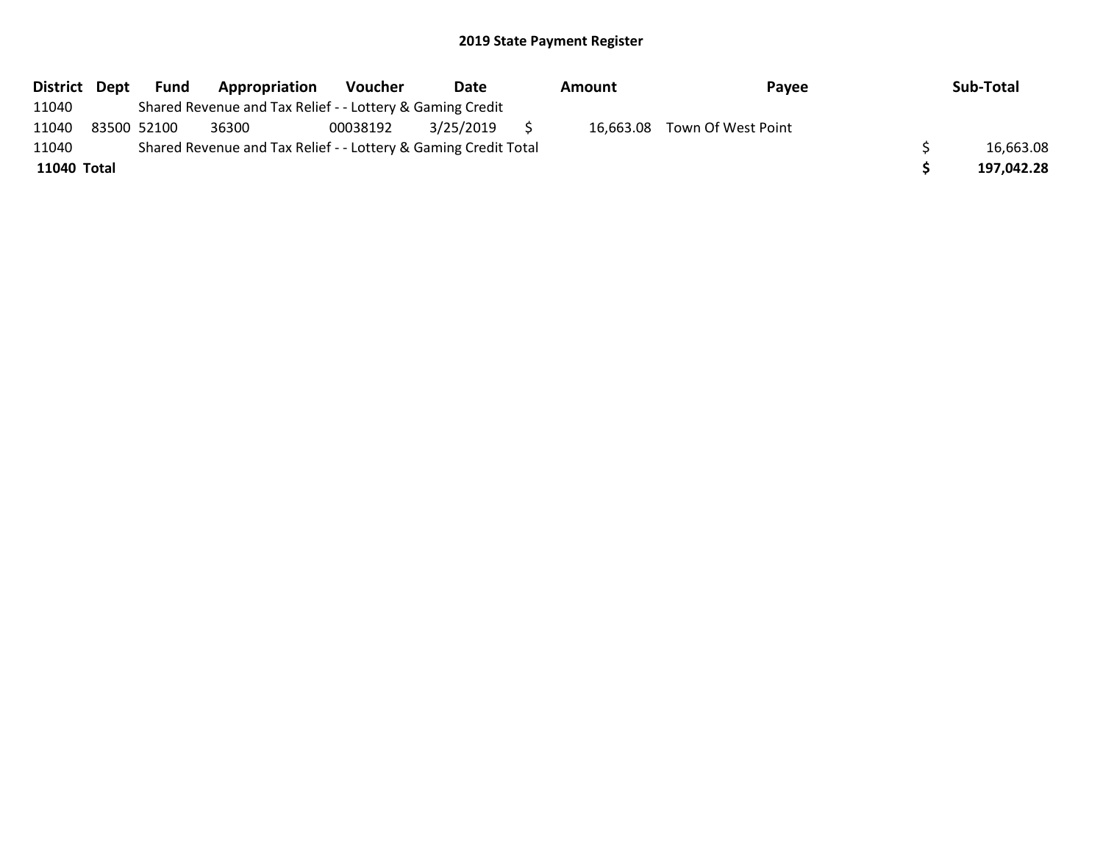| District Dept |             | Fund | Appropriation                                                   | Voucher  | Date      | Amount | Payee                        | Sub-Total  |
|---------------|-------------|------|-----------------------------------------------------------------|----------|-----------|--------|------------------------------|------------|
| 11040         |             |      | Shared Revenue and Tax Relief - - Lottery & Gaming Credit       |          |           |        |                              |            |
| 11040         | 83500 52100 |      | 36300                                                           | 00038192 | 3/25/2019 |        | 16,663.08 Town Of West Point |            |
| 11040         |             |      | Shared Revenue and Tax Relief - - Lottery & Gaming Credit Total |          |           |        |                              | 16,663.08  |
| 11040 Total   |             |      |                                                                 |          |           |        |                              | 197,042.28 |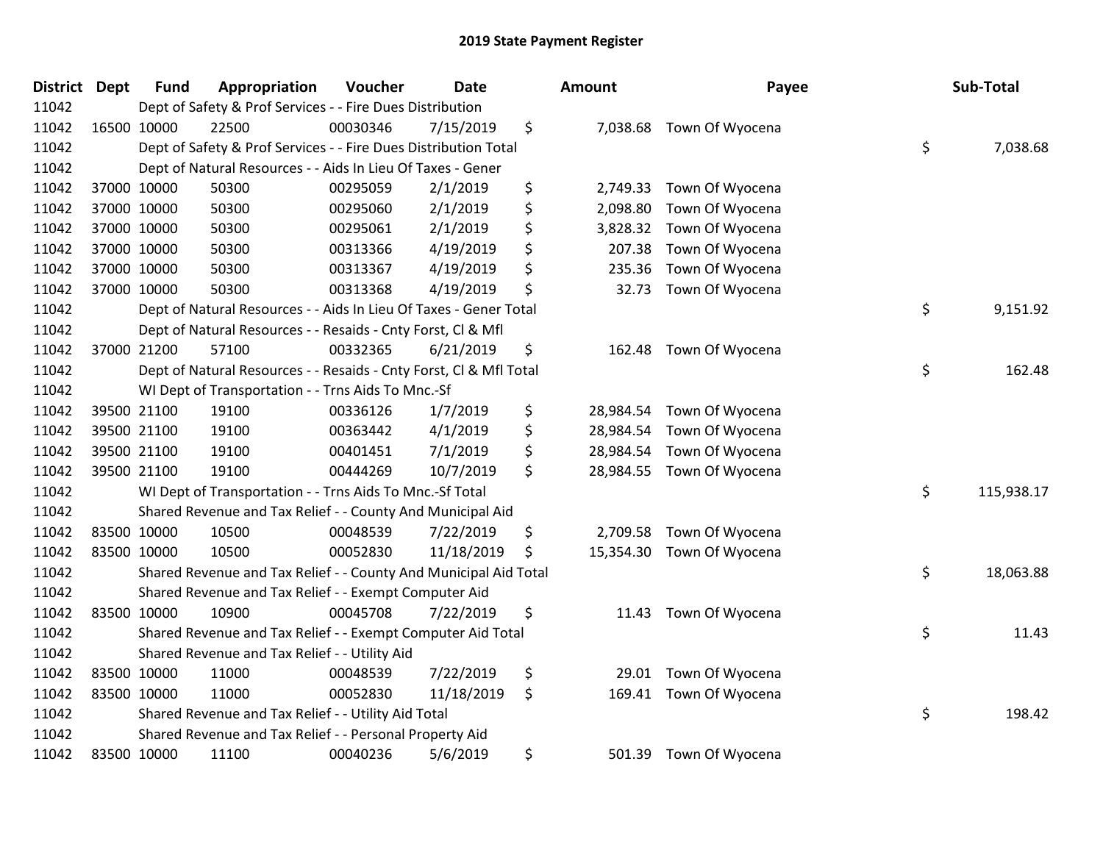| District Dept |             | <b>Fund</b> | Appropriation                                                      | Voucher  | <b>Date</b> | Amount          | Payee                    | Sub-Total        |
|---------------|-------------|-------------|--------------------------------------------------------------------|----------|-------------|-----------------|--------------------------|------------------|
| 11042         |             |             | Dept of Safety & Prof Services - - Fire Dues Distribution          |          |             |                 |                          |                  |
| 11042         |             | 16500 10000 | 22500                                                              | 00030346 | 7/15/2019   | \$              | 7,038.68 Town Of Wyocena |                  |
| 11042         |             |             | Dept of Safety & Prof Services - - Fire Dues Distribution Total    |          |             |                 |                          | \$<br>7,038.68   |
| 11042         |             |             | Dept of Natural Resources - - Aids In Lieu Of Taxes - Gener        |          |             |                 |                          |                  |
| 11042         |             | 37000 10000 | 50300                                                              | 00295059 | 2/1/2019    | \$<br>2,749.33  | Town Of Wyocena          |                  |
| 11042         |             | 37000 10000 | 50300                                                              | 00295060 | 2/1/2019    | \$<br>2,098.80  | Town Of Wyocena          |                  |
| 11042         |             | 37000 10000 | 50300                                                              | 00295061 | 2/1/2019    | \$<br>3,828.32  | Town Of Wyocena          |                  |
| 11042         |             | 37000 10000 | 50300                                                              | 00313366 | 4/19/2019   | \$<br>207.38    | Town Of Wyocena          |                  |
| 11042         |             | 37000 10000 | 50300                                                              | 00313367 | 4/19/2019   | \$<br>235.36    | Town Of Wyocena          |                  |
| 11042         |             | 37000 10000 | 50300                                                              | 00313368 | 4/19/2019   | \$<br>32.73     | Town Of Wyocena          |                  |
| 11042         |             |             | Dept of Natural Resources - - Aids In Lieu Of Taxes - Gener Total  |          |             |                 |                          | \$<br>9,151.92   |
| 11042         |             |             | Dept of Natural Resources - - Resaids - Cnty Forst, Cl & Mfl       |          |             |                 |                          |                  |
| 11042         |             | 37000 21200 | 57100                                                              | 00332365 | 6/21/2019   | \$<br>162.48    | Town Of Wyocena          |                  |
| 11042         |             |             | Dept of Natural Resources - - Resaids - Cnty Forst, Cl & Mfl Total |          |             |                 |                          | \$<br>162.48     |
| 11042         |             |             | WI Dept of Transportation - - Trns Aids To Mnc.-Sf                 |          |             |                 |                          |                  |
| 11042         |             | 39500 21100 | 19100                                                              | 00336126 | 1/7/2019    | \$<br>28,984.54 | Town Of Wyocena          |                  |
| 11042         |             | 39500 21100 | 19100                                                              | 00363442 | 4/1/2019    | \$<br>28,984.54 | Town Of Wyocena          |                  |
| 11042         |             | 39500 21100 | 19100                                                              | 00401451 | 7/1/2019    | \$<br>28,984.54 | Town Of Wyocena          |                  |
| 11042         |             | 39500 21100 | 19100                                                              | 00444269 | 10/7/2019   | \$<br>28,984.55 | Town Of Wyocena          |                  |
| 11042         |             |             | WI Dept of Transportation - - Trns Aids To Mnc.-Sf Total           |          |             |                 |                          | \$<br>115,938.17 |
| 11042         |             |             | Shared Revenue and Tax Relief - - County And Municipal Aid         |          |             |                 |                          |                  |
| 11042         |             | 83500 10000 | 10500                                                              | 00048539 | 7/22/2019   | \$<br>2,709.58  | Town Of Wyocena          |                  |
| 11042         |             | 83500 10000 | 10500                                                              | 00052830 | 11/18/2019  | \$<br>15,354.30 | Town Of Wyocena          |                  |
| 11042         |             |             | Shared Revenue and Tax Relief - - County And Municipal Aid Total   |          |             |                 |                          | \$<br>18,063.88  |
| 11042         |             |             | Shared Revenue and Tax Relief - - Exempt Computer Aid              |          |             |                 |                          |                  |
| 11042         |             | 83500 10000 | 10900                                                              | 00045708 | 7/22/2019   | \$<br>11.43     | Town Of Wyocena          |                  |
| 11042         |             |             | Shared Revenue and Tax Relief - - Exempt Computer Aid Total        |          |             |                 |                          | \$<br>11.43      |
| 11042         |             |             | Shared Revenue and Tax Relief - - Utility Aid                      |          |             |                 |                          |                  |
| 11042         |             | 83500 10000 | 11000                                                              | 00048539 | 7/22/2019   | \$<br>29.01     | Town Of Wyocena          |                  |
| 11042         | 83500 10000 |             | 11000                                                              | 00052830 | 11/18/2019  | \$<br>169.41    | Town Of Wyocena          |                  |
| 11042         |             |             | Shared Revenue and Tax Relief - - Utility Aid Total                |          |             |                 |                          | \$<br>198.42     |
| 11042         |             |             | Shared Revenue and Tax Relief - - Personal Property Aid            |          |             |                 |                          |                  |
| 11042         |             | 83500 10000 | 11100                                                              | 00040236 | 5/6/2019    | \$<br>501.39    | Town Of Wyocena          |                  |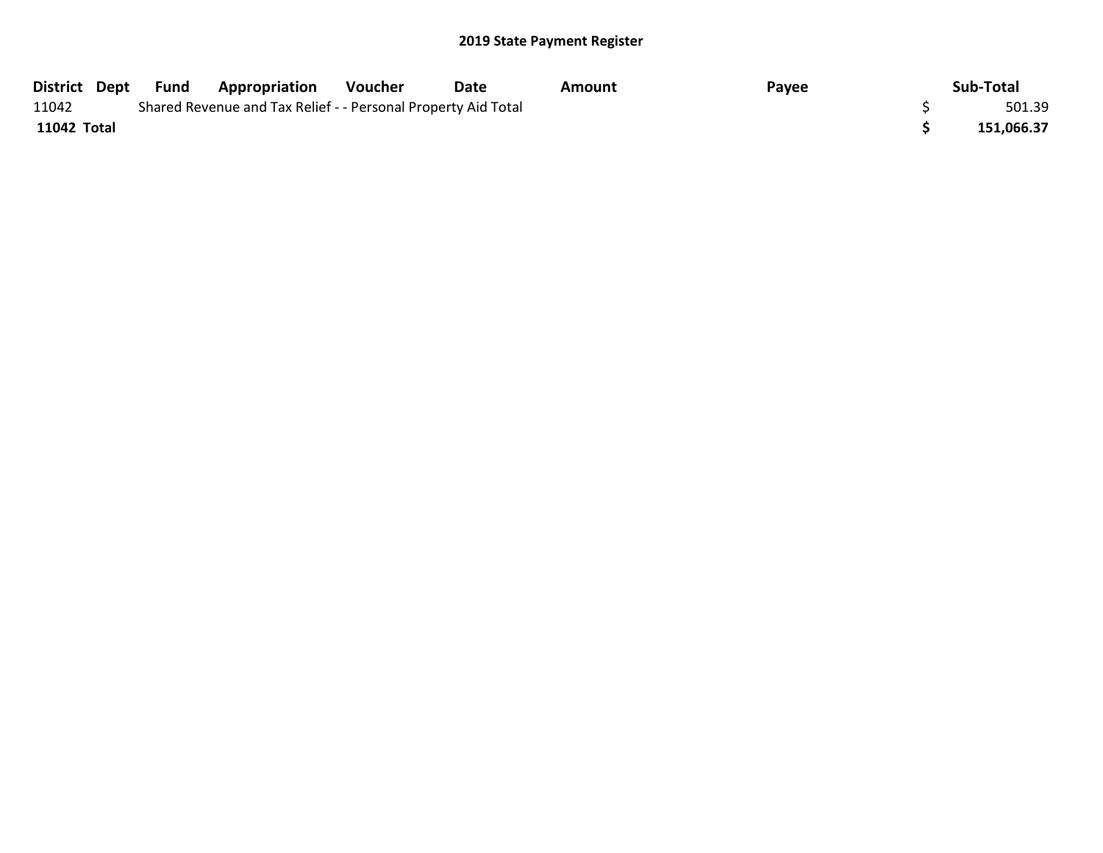| District Dept | Fund | <b>Appropriation</b>                                          | Voucher | Date | Amount | Payee | Sub-Total  |
|---------------|------|---------------------------------------------------------------|---------|------|--------|-------|------------|
| 11042         |      | Shared Revenue and Tax Relief - - Personal Property Aid Total |         |      |        |       | 501.39     |
| 11042 Total   |      |                                                               |         |      |        |       | 151,066.37 |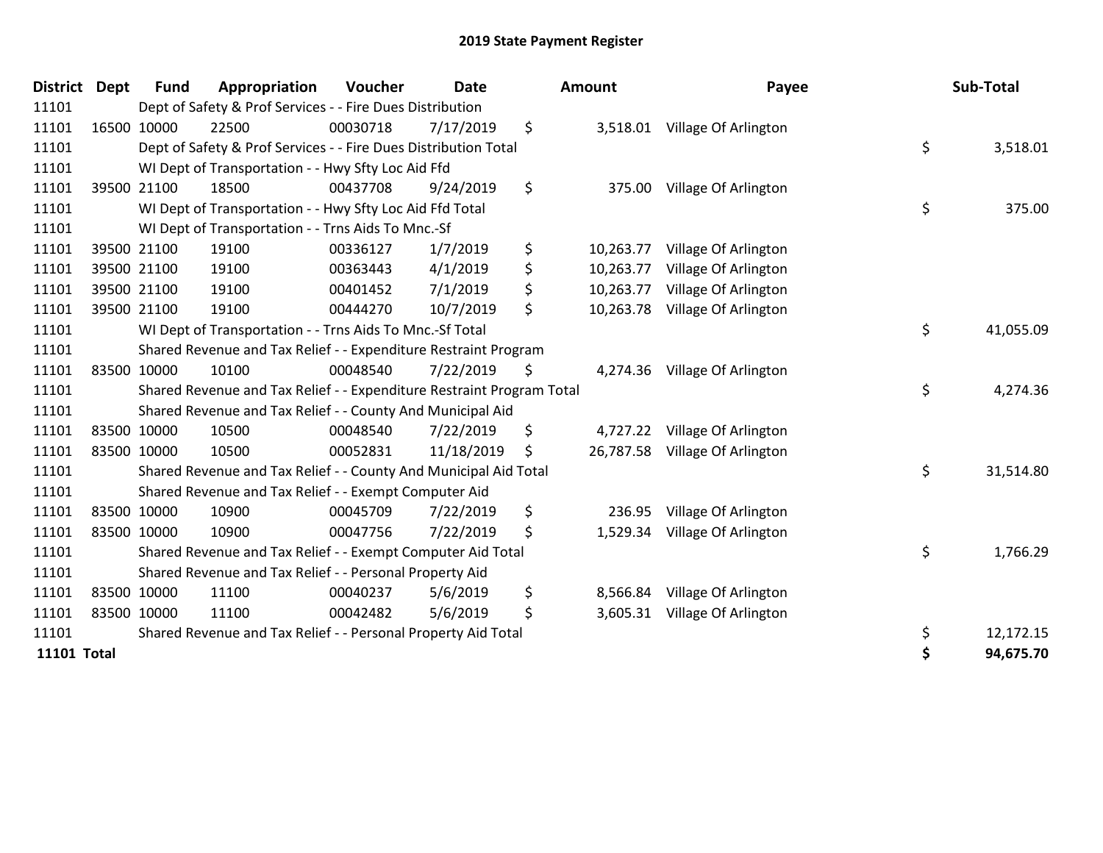| District           | <b>Dept</b> | <b>Fund</b> | Appropriation                                                         | Voucher  | <b>Date</b> | <b>Amount</b>   | Payee                         | Sub-Total       |
|--------------------|-------------|-------------|-----------------------------------------------------------------------|----------|-------------|-----------------|-------------------------------|-----------------|
| 11101              |             |             | Dept of Safety & Prof Services - - Fire Dues Distribution             |          |             |                 |                               |                 |
| 11101              |             | 16500 10000 | 22500                                                                 | 00030718 | 7/17/2019   | \$<br>3,518.01  | Village Of Arlington          |                 |
| 11101              |             |             | Dept of Safety & Prof Services - - Fire Dues Distribution Total       |          |             |                 |                               | \$<br>3,518.01  |
| 11101              |             |             | WI Dept of Transportation - - Hwy Sfty Loc Aid Ffd                    |          |             |                 |                               |                 |
| 11101              |             | 39500 21100 | 18500                                                                 | 00437708 | 9/24/2019   | \$<br>375.00    | Village Of Arlington          |                 |
| 11101              |             |             | WI Dept of Transportation - - Hwy Sfty Loc Aid Ffd Total              |          |             |                 |                               | \$<br>375.00    |
| 11101              |             |             | WI Dept of Transportation - - Trns Aids To Mnc.-Sf                    |          |             |                 |                               |                 |
| 11101              |             | 39500 21100 | 19100                                                                 | 00336127 | 1/7/2019    | \$<br>10,263.77 | Village Of Arlington          |                 |
| 11101              |             | 39500 21100 | 19100                                                                 | 00363443 | 4/1/2019    | \$<br>10,263.77 | Village Of Arlington          |                 |
| 11101              |             | 39500 21100 | 19100                                                                 | 00401452 | 7/1/2019    | \$<br>10,263.77 | Village Of Arlington          |                 |
| 11101              |             | 39500 21100 | 19100                                                                 | 00444270 | 10/7/2019   | \$<br>10,263.78 | Village Of Arlington          |                 |
| 11101              |             |             | WI Dept of Transportation - - Trns Aids To Mnc.-Sf Total              |          |             |                 |                               | \$<br>41,055.09 |
| 11101              |             |             | Shared Revenue and Tax Relief - - Expenditure Restraint Program       |          |             |                 |                               |                 |
| 11101              |             | 83500 10000 | 10100                                                                 | 00048540 | 7/22/2019   | \$              | 4,274.36 Village Of Arlington |                 |
| 11101              |             |             | Shared Revenue and Tax Relief - - Expenditure Restraint Program Total |          |             |                 |                               | \$<br>4,274.36  |
| 11101              |             |             | Shared Revenue and Tax Relief - - County And Municipal Aid            |          |             |                 |                               |                 |
| 11101              |             | 83500 10000 | 10500                                                                 | 00048540 | 7/22/2019   | \$<br>4,727.22  | Village Of Arlington          |                 |
| 11101              |             | 83500 10000 | 10500                                                                 | 00052831 | 11/18/2019  | \$<br>26,787.58 | Village Of Arlington          |                 |
| 11101              |             |             | Shared Revenue and Tax Relief - - County And Municipal Aid Total      |          |             |                 |                               | \$<br>31,514.80 |
| 11101              |             |             | Shared Revenue and Tax Relief - - Exempt Computer Aid                 |          |             |                 |                               |                 |
| 11101              |             | 83500 10000 | 10900                                                                 | 00045709 | 7/22/2019   | \$<br>236.95    | Village Of Arlington          |                 |
| 11101              |             | 83500 10000 | 10900                                                                 | 00047756 | 7/22/2019   | \$<br>1,529.34  | Village Of Arlington          |                 |
| 11101              |             |             | Shared Revenue and Tax Relief - - Exempt Computer Aid Total           |          |             |                 |                               | \$<br>1,766.29  |
| 11101              |             |             | Shared Revenue and Tax Relief - - Personal Property Aid               |          |             |                 |                               |                 |
| 11101              |             | 83500 10000 | 11100                                                                 | 00040237 | 5/6/2019    | \$<br>8,566.84  | Village Of Arlington          |                 |
| 11101              | 83500 10000 |             | 11100                                                                 | 00042482 | 5/6/2019    | \$              | 3,605.31 Village Of Arlington |                 |
| 11101              |             |             | Shared Revenue and Tax Relief - - Personal Property Aid Total         |          |             |                 |                               | \$<br>12,172.15 |
| <b>11101 Total</b> |             |             |                                                                       |          |             |                 |                               | 94,675.70       |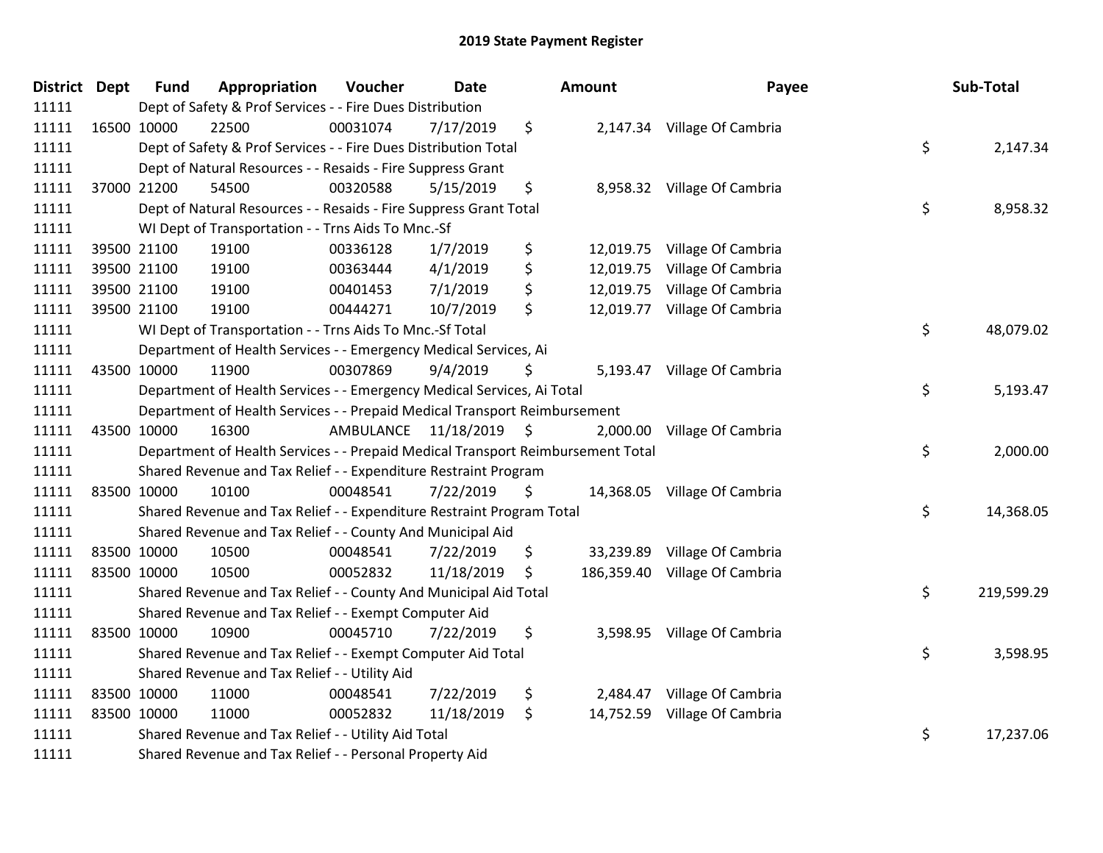| District Dept | <b>Fund</b> | Appropriation                                                                   | Voucher  | <b>Date</b>             | Amount           | Payee                        | Sub-Total        |
|---------------|-------------|---------------------------------------------------------------------------------|----------|-------------------------|------------------|------------------------------|------------------|
| 11111         |             | Dept of Safety & Prof Services - - Fire Dues Distribution                       |          |                         |                  |                              |                  |
| 11111         | 16500 10000 | 22500                                                                           | 00031074 | 7/17/2019               | \$               | 2,147.34 Village Of Cambria  |                  |
| 11111         |             | Dept of Safety & Prof Services - - Fire Dues Distribution Total                 |          |                         |                  |                              | \$<br>2,147.34   |
| 11111         |             | Dept of Natural Resources - - Resaids - Fire Suppress Grant                     |          |                         |                  |                              |                  |
| 11111         | 37000 21200 | 54500                                                                           | 00320588 | 5/15/2019               | \$               | 8,958.32 Village Of Cambria  |                  |
| 11111         |             | Dept of Natural Resources - - Resaids - Fire Suppress Grant Total               |          |                         |                  |                              | \$<br>8,958.32   |
| 11111         |             | WI Dept of Transportation - - Trns Aids To Mnc.-Sf                              |          |                         |                  |                              |                  |
| 11111         | 39500 21100 | 19100                                                                           | 00336128 | 1/7/2019                | \$               | 12,019.75 Village Of Cambria |                  |
| 11111         | 39500 21100 | 19100                                                                           | 00363444 | 4/1/2019                | \$<br>12,019.75  | Village Of Cambria           |                  |
| 11111         | 39500 21100 | 19100                                                                           | 00401453 | 7/1/2019                | \$<br>12,019.75  | Village Of Cambria           |                  |
| 11111         | 39500 21100 | 19100                                                                           | 00444271 | 10/7/2019               | \$<br>12,019.77  | Village Of Cambria           |                  |
| 11111         |             | WI Dept of Transportation - - Trns Aids To Mnc.-Sf Total                        |          |                         |                  |                              | \$<br>48,079.02  |
| 11111         |             | Department of Health Services - - Emergency Medical Services, Ai                |          |                         |                  |                              |                  |
| 11111         | 43500 10000 | 11900                                                                           | 00307869 | 9/4/2019                | \$<br>5,193.47   | Village Of Cambria           |                  |
| 11111         |             | Department of Health Services - - Emergency Medical Services, Ai Total          |          |                         |                  |                              | \$<br>5,193.47   |
| 11111         |             | Department of Health Services - - Prepaid Medical Transport Reimbursement       |          |                         |                  |                              |                  |
| 11111         | 43500 10000 | 16300                                                                           |          | AMBULANCE 11/18/2019 \$ | 2,000.00         | Village Of Cambria           |                  |
| 11111         |             | Department of Health Services - - Prepaid Medical Transport Reimbursement Total |          |                         |                  |                              | \$<br>2,000.00   |
| 11111         |             | Shared Revenue and Tax Relief - - Expenditure Restraint Program                 |          |                         |                  |                              |                  |
| 11111         | 83500 10000 | 10100                                                                           | 00048541 | 7/22/2019               | \$               | 14,368.05 Village Of Cambria |                  |
| 11111         |             | Shared Revenue and Tax Relief - - Expenditure Restraint Program Total           |          |                         |                  |                              | \$<br>14,368.05  |
| 11111         |             | Shared Revenue and Tax Relief - - County And Municipal Aid                      |          |                         |                  |                              |                  |
| 11111         | 83500 10000 | 10500                                                                           | 00048541 | 7/22/2019               | \$               | 33,239.89 Village Of Cambria |                  |
| 11111         | 83500 10000 | 10500                                                                           | 00052832 | 11/18/2019              | \$<br>186,359.40 | Village Of Cambria           |                  |
| 11111         |             | Shared Revenue and Tax Relief - - County And Municipal Aid Total                |          |                         |                  |                              | \$<br>219,599.29 |
| 11111         |             | Shared Revenue and Tax Relief - - Exempt Computer Aid                           |          |                         |                  |                              |                  |
| 11111         | 83500 10000 | 10900                                                                           | 00045710 | 7/22/2019               | \$<br>3,598.95   | Village Of Cambria           |                  |
| 11111         |             | Shared Revenue and Tax Relief - - Exempt Computer Aid Total                     |          |                         |                  |                              | \$<br>3,598.95   |
| 11111         |             | Shared Revenue and Tax Relief - - Utility Aid                                   |          |                         |                  |                              |                  |
| 11111         | 83500 10000 | 11000                                                                           | 00048541 | 7/22/2019               | \$<br>2,484.47   | Village Of Cambria           |                  |
| 11111         | 83500 10000 | 11000                                                                           | 00052832 | 11/18/2019              | \$<br>14,752.59  | Village Of Cambria           |                  |
| 11111         |             | Shared Revenue and Tax Relief - - Utility Aid Total                             |          |                         |                  |                              | \$<br>17,237.06  |
| 11111         |             | Shared Revenue and Tax Relief - - Personal Property Aid                         |          |                         |                  |                              |                  |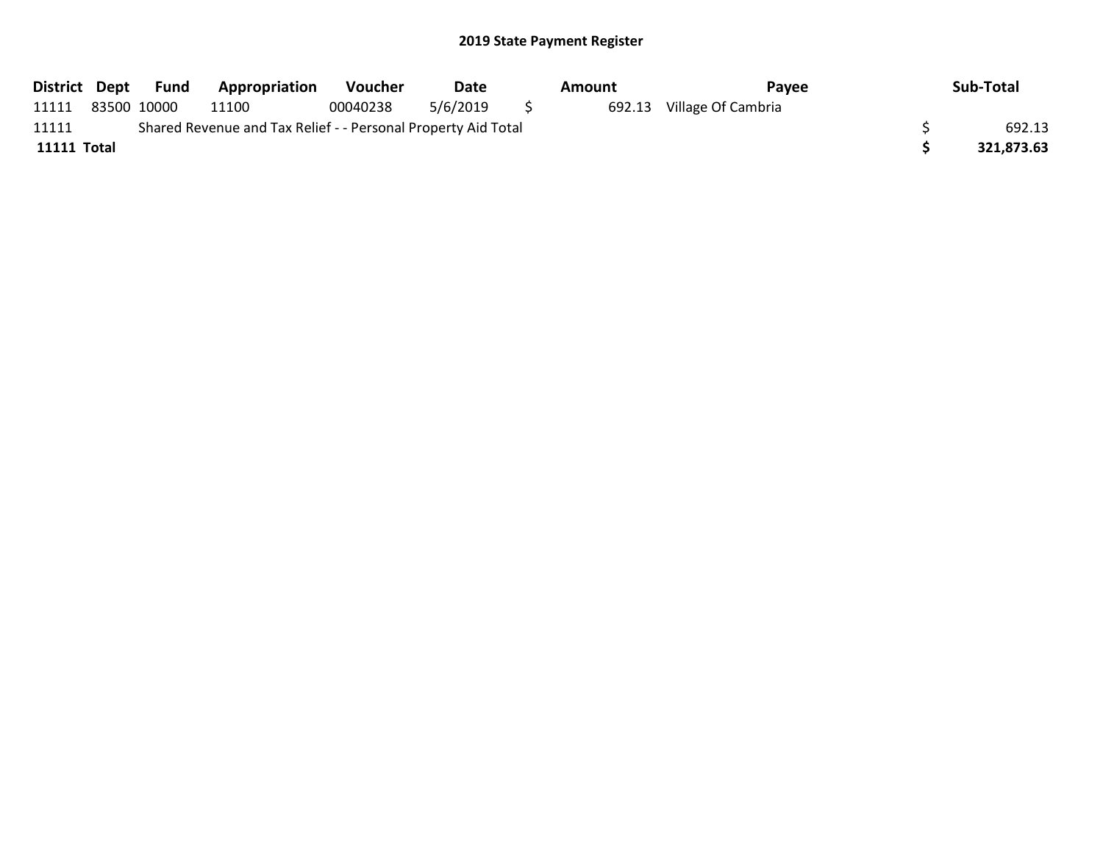| District Dept | Fund        | Appropriation                                                 | <b>Voucher</b> | Date     | Amount | Pavee              | Sub-Total  |
|---------------|-------------|---------------------------------------------------------------|----------------|----------|--------|--------------------|------------|
| 11111         | 83500 10000 | 11100                                                         | 00040238       | 5/6/2019 | 692.13 | Village Of Cambria |            |
| 11111         |             | Shared Revenue and Tax Relief - - Personal Property Aid Total |                |          |        |                    | 692.13     |
| 11111 Total   |             |                                                               |                |          |        |                    | 321.873.63 |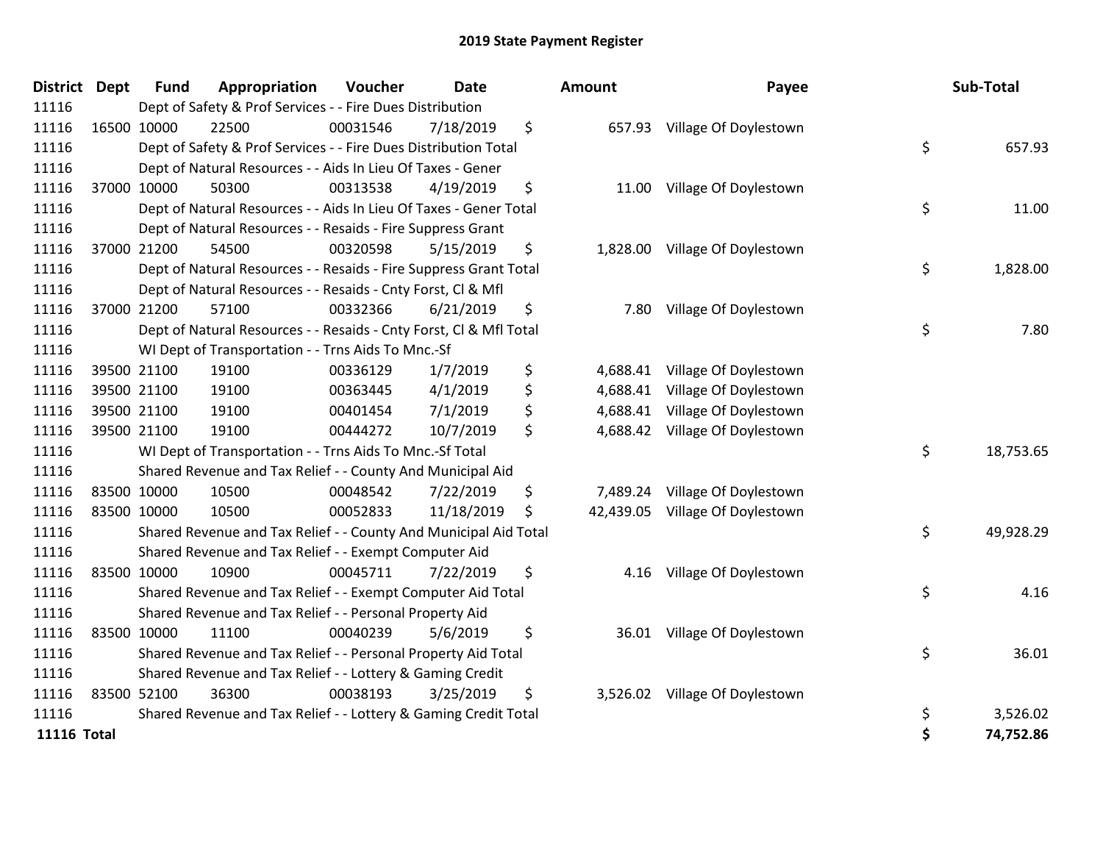| <b>District Dept</b> | <b>Fund</b> | Appropriation                                                      | Voucher  | <b>Date</b> | Amount         | Payee                           | Sub-Total       |
|----------------------|-------------|--------------------------------------------------------------------|----------|-------------|----------------|---------------------------------|-----------------|
| 11116                |             | Dept of Safety & Prof Services - - Fire Dues Distribution          |          |             |                |                                 |                 |
| 11116                | 16500 10000 | 22500                                                              | 00031546 | 7/18/2019   | \$             | 657.93 Village Of Doylestown    |                 |
| 11116                |             | Dept of Safety & Prof Services - - Fire Dues Distribution Total    |          |             |                |                                 | \$<br>657.93    |
| 11116                |             | Dept of Natural Resources - - Aids In Lieu Of Taxes - Gener        |          |             |                |                                 |                 |
| 11116                | 37000 10000 | 50300                                                              | 00313538 | 4/19/2019   | \$<br>11.00    | Village Of Doylestown           |                 |
| 11116                |             | Dept of Natural Resources - - Aids In Lieu Of Taxes - Gener Total  |          |             |                |                                 | \$<br>11.00     |
| 11116                |             | Dept of Natural Resources - - Resaids - Fire Suppress Grant        |          |             |                |                                 |                 |
| 11116                | 37000 21200 | 54500                                                              | 00320598 | 5/15/2019   | \$             | 1,828.00 Village Of Doylestown  |                 |
| 11116                |             | Dept of Natural Resources - - Resaids - Fire Suppress Grant Total  |          |             |                |                                 | \$<br>1,828.00  |
| 11116                |             | Dept of Natural Resources - - Resaids - Cnty Forst, CI & Mfl       |          |             |                |                                 |                 |
| 11116                | 37000 21200 | 57100                                                              | 00332366 | 6/21/2019   | \$<br>7.80     | Village Of Doylestown           |                 |
| 11116                |             | Dept of Natural Resources - - Resaids - Cnty Forst, Cl & Mfl Total |          |             |                |                                 | \$<br>7.80      |
| 11116                |             | WI Dept of Transportation - - Trns Aids To Mnc.-Sf                 |          |             |                |                                 |                 |
| 11116                | 39500 21100 | 19100                                                              | 00336129 | 1/7/2019    | \$<br>4,688.41 | Village Of Doylestown           |                 |
| 11116                | 39500 21100 | 19100                                                              | 00363445 | 4/1/2019    | \$<br>4,688.41 | Village Of Doylestown           |                 |
| 11116                | 39500 21100 | 19100                                                              | 00401454 | 7/1/2019    | \$<br>4,688.41 | Village Of Doylestown           |                 |
| 11116                | 39500 21100 | 19100                                                              | 00444272 | 10/7/2019   | \$<br>4,688.42 | Village Of Doylestown           |                 |
| 11116                |             | WI Dept of Transportation - - Trns Aids To Mnc.-Sf Total           |          |             |                |                                 | \$<br>18,753.65 |
| 11116                |             | Shared Revenue and Tax Relief - - County And Municipal Aid         |          |             |                |                                 |                 |
| 11116                | 83500 10000 | 10500                                                              | 00048542 | 7/22/2019   | \$             | 7,489.24 Village Of Doylestown  |                 |
| 11116                | 83500 10000 | 10500                                                              | 00052833 | 11/18/2019  | \$             | 42,439.05 Village Of Doylestown |                 |
| 11116                |             | Shared Revenue and Tax Relief - - County And Municipal Aid Total   |          |             |                |                                 | \$<br>49,928.29 |
| 11116                |             | Shared Revenue and Tax Relief - - Exempt Computer Aid              |          |             |                |                                 |                 |
| 11116                | 83500 10000 | 10900                                                              | 00045711 | 7/22/2019   | \$<br>4.16     | Village Of Doylestown           |                 |
| 11116                |             | Shared Revenue and Tax Relief - - Exempt Computer Aid Total        |          |             |                |                                 | \$<br>4.16      |
| 11116                |             | Shared Revenue and Tax Relief - - Personal Property Aid            |          |             |                |                                 |                 |
| 11116                | 83500 10000 | 11100                                                              | 00040239 | 5/6/2019    | \$             | 36.01 Village Of Doylestown     |                 |
| 11116                |             | Shared Revenue and Tax Relief - - Personal Property Aid Total      |          |             |                |                                 | \$<br>36.01     |
| 11116                |             | Shared Revenue and Tax Relief - - Lottery & Gaming Credit          |          |             |                |                                 |                 |
| 11116                | 83500 52100 | 36300                                                              | 00038193 | 3/25/2019   | \$             | 3,526.02 Village Of Doylestown  |                 |
| 11116                |             | Shared Revenue and Tax Relief - - Lottery & Gaming Credit Total    |          |             |                |                                 | \$<br>3,526.02  |
| 11116 Total          |             |                                                                    |          |             |                |                                 | \$<br>74.752.86 |

| District Dept      | <b>Fund</b> | Appropriation                                                      | <b>Voucher</b> | Date       | <b>Amount</b>  | Payee                           | Sub-Total       |
|--------------------|-------------|--------------------------------------------------------------------|----------------|------------|----------------|---------------------------------|-----------------|
| 11116              |             | Dept of Safety & Prof Services - - Fire Dues Distribution          |                |            |                |                                 |                 |
| 11116              | 16500 10000 | 22500                                                              | 00031546       | 7/18/2019  | \$             | 657.93 Village Of Doylestown    |                 |
| 11116              |             | Dept of Safety & Prof Services - - Fire Dues Distribution Total    |                |            |                |                                 | \$<br>657.93    |
| 11116              |             | Dept of Natural Resources - - Aids In Lieu Of Taxes - Gener        |                |            |                |                                 |                 |
| 11116              | 37000 10000 | 50300                                                              | 00313538       | 4/19/2019  | \$             | 11.00 Village Of Doylestown     |                 |
| 11116              |             | Dept of Natural Resources - - Aids In Lieu Of Taxes - Gener Total  |                |            |                |                                 | \$<br>11.00     |
| 11116              |             | Dept of Natural Resources - - Resaids - Fire Suppress Grant        |                |            |                |                                 |                 |
| 11116              | 37000 21200 | 54500                                                              | 00320598       | 5/15/2019  | \$             | 1,828.00 Village Of Doylestown  |                 |
| 11116              |             | Dept of Natural Resources - - Resaids - Fire Suppress Grant Total  |                |            |                |                                 | \$<br>1,828.00  |
| 11116              |             | Dept of Natural Resources - - Resaids - Cnty Forst, CI & Mfl       |                |            |                |                                 |                 |
| 11116              | 37000 21200 | 57100                                                              | 00332366       | 6/21/2019  | \$<br>7.80     | Village Of Doylestown           |                 |
| 11116              |             | Dept of Natural Resources - - Resaids - Cnty Forst, Cl & Mfl Total |                |            |                |                                 | \$<br>7.80      |
| 11116              |             | WI Dept of Transportation - - Trns Aids To Mnc.-Sf                 |                |            |                |                                 |                 |
| 11116              | 39500 21100 | 19100                                                              | 00336129       | 1/7/2019   | \$<br>4,688.41 | Village Of Doylestown           |                 |
| 11116              | 39500 21100 | 19100                                                              | 00363445       | 4/1/2019   | \$<br>4,688.41 | Village Of Doylestown           |                 |
| 11116              | 39500 21100 | 19100                                                              | 00401454       | 7/1/2019   | \$             | 4,688.41 Village Of Doylestown  |                 |
| 11116              | 39500 21100 | 19100                                                              | 00444272       | 10/7/2019  | \$             | 4,688.42 Village Of Doylestown  |                 |
| 11116              |             | WI Dept of Transportation - - Trns Aids To Mnc.-Sf Total           |                |            |                |                                 | \$<br>18,753.65 |
| 11116              |             | Shared Revenue and Tax Relief - - County And Municipal Aid         |                |            |                |                                 |                 |
| 11116              | 83500 10000 | 10500                                                              | 00048542       | 7/22/2019  | \$             | 7,489.24 Village Of Doylestown  |                 |
| 11116              | 83500 10000 | 10500                                                              | 00052833       | 11/18/2019 | \$             | 42,439.05 Village Of Doylestown |                 |
| 11116              |             | Shared Revenue and Tax Relief - - County And Municipal Aid Total   |                |            |                |                                 | \$<br>49,928.29 |
| 11116              |             | Shared Revenue and Tax Relief - - Exempt Computer Aid              |                |            |                |                                 |                 |
| 11116              | 83500 10000 | 10900                                                              | 00045711       | 7/22/2019  | \$             | 4.16 Village Of Doylestown      |                 |
| 11116              |             | Shared Revenue and Tax Relief - - Exempt Computer Aid Total        |                |            |                |                                 | \$<br>4.16      |
| 11116              |             | Shared Revenue and Tax Relief - - Personal Property Aid            |                |            |                |                                 |                 |
| 11116              | 83500 10000 | 11100                                                              | 00040239       | 5/6/2019   | \$             | 36.01 Village Of Doylestown     |                 |
| 11116              |             | Shared Revenue and Tax Relief - - Personal Property Aid Total      |                |            |                |                                 | \$<br>36.01     |
| 11116              |             | Shared Revenue and Tax Relief - - Lottery & Gaming Credit          |                |            |                |                                 |                 |
| 11116              | 83500 52100 | 36300                                                              | 00038193       | 3/25/2019  | \$             | 3,526.02 Village Of Doylestown  |                 |
| 11116              |             | Shared Revenue and Tax Relief - - Lottery & Gaming Credit Total    |                |            |                |                                 | \$<br>3,526.02  |
| <b>11116 Total</b> |             |                                                                    |                |            |                |                                 | \$<br>74,752.86 |
|                    |             |                                                                    |                |            |                |                                 |                 |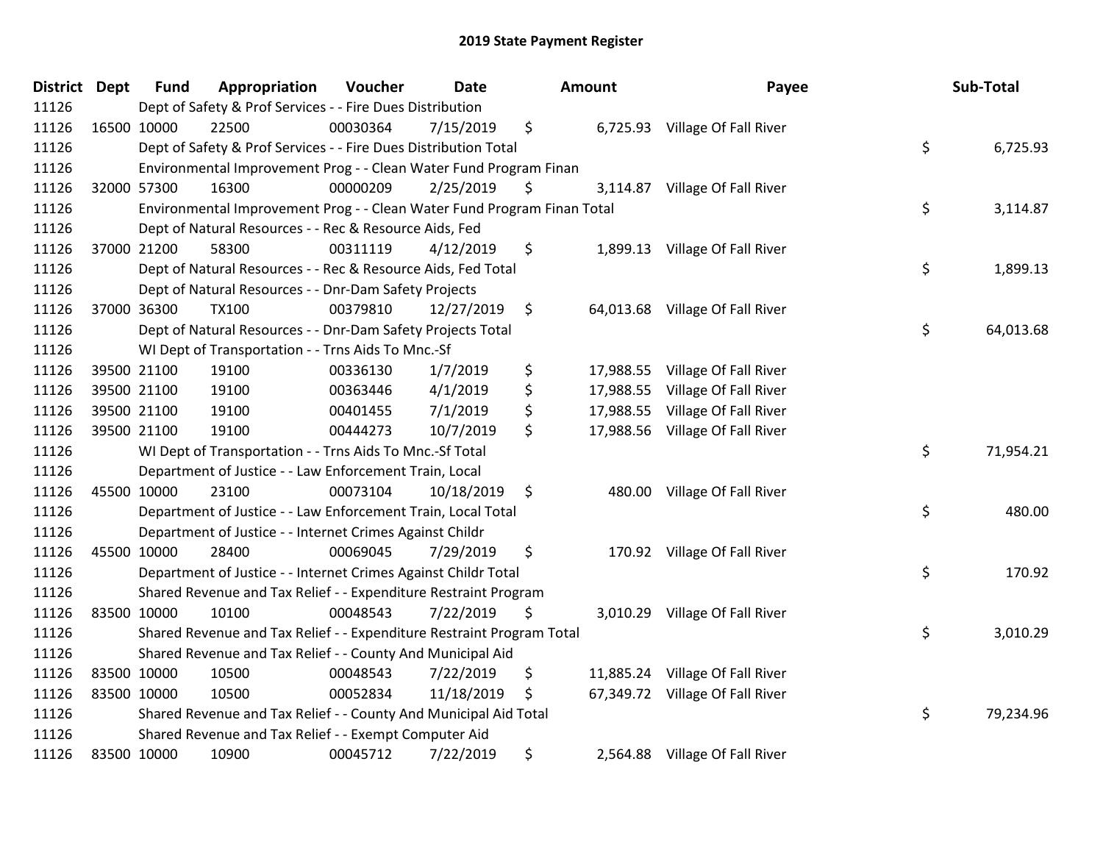| District Dept | <b>Fund</b> | Appropriation                                                           | Voucher  | <b>Date</b> | <b>Amount</b>   | Payee                           | Sub-Total       |
|---------------|-------------|-------------------------------------------------------------------------|----------|-------------|-----------------|---------------------------------|-----------------|
| 11126         |             | Dept of Safety & Prof Services - - Fire Dues Distribution               |          |             |                 |                                 |                 |
| 11126         | 16500 10000 | 22500                                                                   | 00030364 | 7/15/2019   | \$              | 6,725.93 Village Of Fall River  |                 |
| 11126         |             | Dept of Safety & Prof Services - - Fire Dues Distribution Total         |          |             |                 |                                 | \$<br>6,725.93  |
| 11126         |             | Environmental Improvement Prog - - Clean Water Fund Program Finan       |          |             |                 |                                 |                 |
| 11126         | 32000 57300 | 16300                                                                   | 00000209 | 2/25/2019   | \$<br>3,114.87  | Village Of Fall River           |                 |
| 11126         |             | Environmental Improvement Prog - - Clean Water Fund Program Finan Total |          |             |                 |                                 | \$<br>3,114.87  |
| 11126         |             | Dept of Natural Resources - - Rec & Resource Aids, Fed                  |          |             |                 |                                 |                 |
| 11126         | 37000 21200 | 58300                                                                   | 00311119 | 4/12/2019   | \$              | 1,899.13 Village Of Fall River  |                 |
| 11126         |             | Dept of Natural Resources - - Rec & Resource Aids, Fed Total            |          |             |                 |                                 | \$<br>1,899.13  |
| 11126         |             | Dept of Natural Resources - - Dnr-Dam Safety Projects                   |          |             |                 |                                 |                 |
| 11126         | 37000 36300 | <b>TX100</b>                                                            | 00379810 | 12/27/2019  | \$              | 64,013.68 Village Of Fall River |                 |
| 11126         |             | Dept of Natural Resources - - Dnr-Dam Safety Projects Total             |          |             |                 |                                 | \$<br>64,013.68 |
| 11126         |             | WI Dept of Transportation - - Trns Aids To Mnc.-Sf                      |          |             |                 |                                 |                 |
| 11126         | 39500 21100 | 19100                                                                   | 00336130 | 1/7/2019    | \$<br>17,988.55 | Village Of Fall River           |                 |
| 11126         | 39500 21100 | 19100                                                                   | 00363446 | 4/1/2019    | \$<br>17,988.55 | Village Of Fall River           |                 |
| 11126         | 39500 21100 | 19100                                                                   | 00401455 | 7/1/2019    | \$<br>17,988.55 | Village Of Fall River           |                 |
| 11126         | 39500 21100 | 19100                                                                   | 00444273 | 10/7/2019   | \$<br>17,988.56 | Village Of Fall River           |                 |
| 11126         |             | WI Dept of Transportation - - Trns Aids To Mnc.-Sf Total                |          |             |                 |                                 | \$<br>71,954.21 |
| 11126         |             | Department of Justice - - Law Enforcement Train, Local                  |          |             |                 |                                 |                 |
| 11126         | 45500 10000 | 23100                                                                   | 00073104 | 10/18/2019  | \$<br>480.00    | Village Of Fall River           |                 |
| 11126         |             | Department of Justice - - Law Enforcement Train, Local Total            |          |             |                 |                                 | \$<br>480.00    |
| 11126         |             | Department of Justice - - Internet Crimes Against Childr                |          |             |                 |                                 |                 |
| 11126         | 45500 10000 | 28400                                                                   | 00069045 | 7/29/2019   | \$              | 170.92 Village Of Fall River    |                 |
| 11126         |             | Department of Justice - - Internet Crimes Against Childr Total          |          |             |                 |                                 | \$<br>170.92    |
| 11126         |             | Shared Revenue and Tax Relief - - Expenditure Restraint Program         |          |             |                 |                                 |                 |
| 11126         | 83500 10000 | 10100                                                                   | 00048543 | 7/22/2019   | \$              | 3,010.29 Village Of Fall River  |                 |
| 11126         |             | Shared Revenue and Tax Relief - - Expenditure Restraint Program Total   |          |             |                 |                                 | \$<br>3,010.29  |
| 11126         |             | Shared Revenue and Tax Relief - - County And Municipal Aid              |          |             |                 |                                 |                 |
| 11126         | 83500 10000 | 10500                                                                   | 00048543 | 7/22/2019   | \$              | 11,885.24 Village Of Fall River |                 |
| 11126         | 83500 10000 | 10500                                                                   | 00052834 | 11/18/2019  | \$              | 67,349.72 Village Of Fall River |                 |
| 11126         |             | Shared Revenue and Tax Relief - - County And Municipal Aid Total        |          |             |                 |                                 | \$<br>79,234.96 |
| 11126         |             | Shared Revenue and Tax Relief - - Exempt Computer Aid                   |          |             |                 |                                 |                 |
| 11126         | 83500 10000 | 10900                                                                   | 00045712 | 7/22/2019   | \$              | 2,564.88 Village Of Fall River  |                 |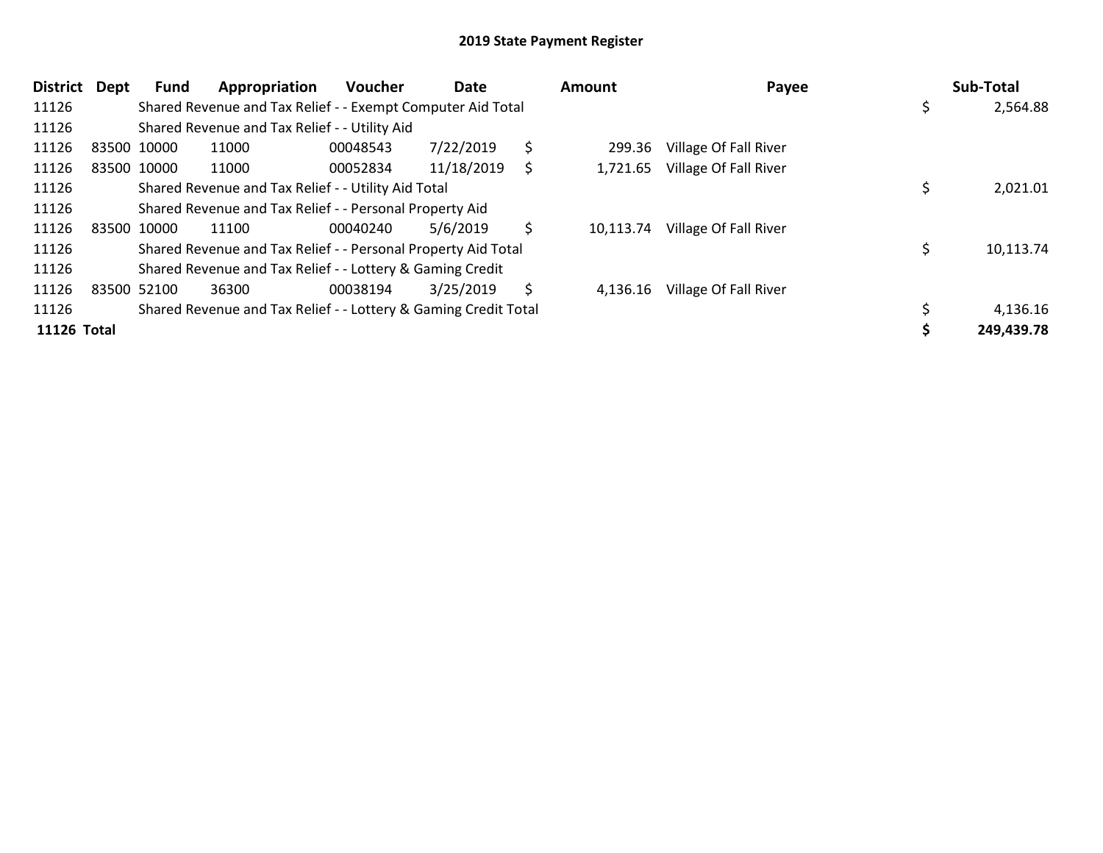| <b>District</b> | Dept | Fund        | Appropriation                                                   | Voucher  | Date       |    | Amount    | Payee                 | Sub-Total  |
|-----------------|------|-------------|-----------------------------------------------------------------|----------|------------|----|-----------|-----------------------|------------|
| 11126           |      |             | Shared Revenue and Tax Relief - - Exempt Computer Aid Total     |          |            |    |           |                       | 2,564.88   |
| 11126           |      |             | Shared Revenue and Tax Relief - - Utility Aid                   |          |            |    |           |                       |            |
| 11126           |      | 83500 10000 | 11000                                                           | 00048543 | 7/22/2019  | \$ | 299.36    | Village Of Fall River |            |
| 11126           |      | 83500 10000 | 11000                                                           | 00052834 | 11/18/2019 | S. | 1,721.65  | Village Of Fall River |            |
| 11126           |      |             | Shared Revenue and Tax Relief - - Utility Aid Total             |          |            |    |           |                       | 2,021.01   |
| 11126           |      |             | Shared Revenue and Tax Relief - - Personal Property Aid         |          |            |    |           |                       |            |
| 11126           |      | 83500 10000 | 11100                                                           | 00040240 | 5/6/2019   | \$ | 10,113.74 | Village Of Fall River |            |
| 11126           |      |             | Shared Revenue and Tax Relief - - Personal Property Aid Total   |          |            |    |           |                       | 10,113.74  |
| 11126           |      |             | Shared Revenue and Tax Relief - - Lottery & Gaming Credit       |          |            |    |           |                       |            |
| 11126           |      | 83500 52100 | 36300                                                           | 00038194 | 3/25/2019  | \$ | 4,136.16  | Village Of Fall River |            |
| 11126           |      |             | Shared Revenue and Tax Relief - - Lottery & Gaming Credit Total |          |            |    |           |                       | 4,136.16   |
| 11126 Total     |      |             |                                                                 |          |            |    |           |                       | 249,439.78 |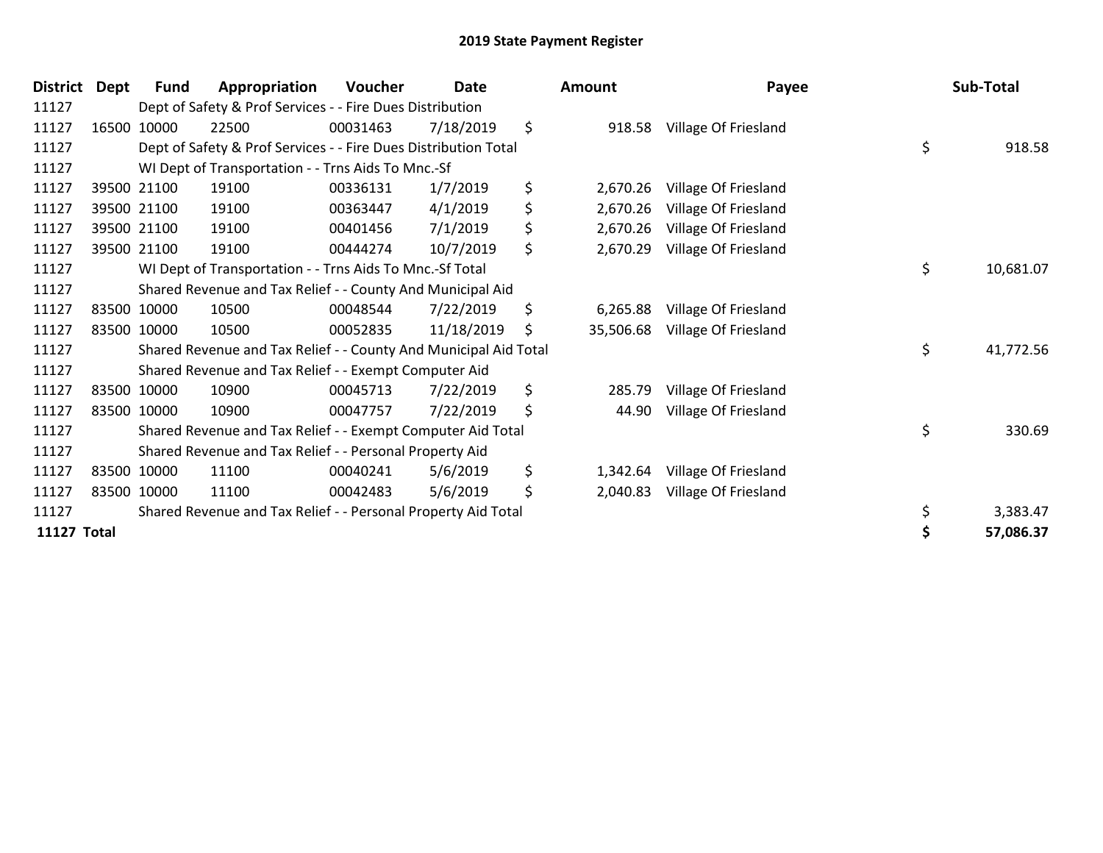| <b>District</b>    | <b>Dept</b> | <b>Fund</b> | Appropriation                                                    | Voucher  | <b>Date</b> | <b>Amount</b>   | Payee                | Sub-Total       |
|--------------------|-------------|-------------|------------------------------------------------------------------|----------|-------------|-----------------|----------------------|-----------------|
| 11127              |             |             | Dept of Safety & Prof Services - - Fire Dues Distribution        |          |             |                 |                      |                 |
| 11127              |             | 16500 10000 | 22500                                                            | 00031463 | 7/18/2019   | \$<br>918.58    | Village Of Friesland |                 |
| 11127              |             |             | Dept of Safety & Prof Services - - Fire Dues Distribution Total  |          |             |                 |                      | \$<br>918.58    |
| 11127              |             |             | WI Dept of Transportation - - Trns Aids To Mnc.-Sf               |          |             |                 |                      |                 |
| 11127              |             | 39500 21100 | 19100                                                            | 00336131 | 1/7/2019    | \$<br>2,670.26  | Village Of Friesland |                 |
| 11127              |             | 39500 21100 | 19100                                                            | 00363447 | 4/1/2019    | \$<br>2,670.26  | Village Of Friesland |                 |
| 11127              |             | 39500 21100 | 19100                                                            | 00401456 | 7/1/2019    | \$<br>2,670.26  | Village Of Friesland |                 |
| 11127              |             | 39500 21100 | 19100                                                            | 00444274 | 10/7/2019   | \$<br>2,670.29  | Village Of Friesland |                 |
| 11127              |             |             | WI Dept of Transportation - - Trns Aids To Mnc.-Sf Total         |          |             |                 |                      | \$<br>10,681.07 |
| 11127              |             |             | Shared Revenue and Tax Relief - - County And Municipal Aid       |          |             |                 |                      |                 |
| 11127              |             | 83500 10000 | 10500                                                            | 00048544 | 7/22/2019   | \$<br>6,265.88  | Village Of Friesland |                 |
| 11127              |             | 83500 10000 | 10500                                                            | 00052835 | 11/18/2019  | \$<br>35,506.68 | Village Of Friesland |                 |
| 11127              |             |             | Shared Revenue and Tax Relief - - County And Municipal Aid Total |          |             |                 |                      | \$<br>41,772.56 |
| 11127              |             |             | Shared Revenue and Tax Relief - - Exempt Computer Aid            |          |             |                 |                      |                 |
| 11127              |             | 83500 10000 | 10900                                                            | 00045713 | 7/22/2019   | \$<br>285.79    | Village Of Friesland |                 |
| 11127              |             | 83500 10000 | 10900                                                            | 00047757 | 7/22/2019   | \$<br>44.90     | Village Of Friesland |                 |
| 11127              |             |             | Shared Revenue and Tax Relief - - Exempt Computer Aid Total      |          |             |                 |                      | \$<br>330.69    |
| 11127              |             |             | Shared Revenue and Tax Relief - - Personal Property Aid          |          |             |                 |                      |                 |
| 11127              |             | 83500 10000 | 11100                                                            | 00040241 | 5/6/2019    | \$<br>1,342.64  | Village Of Friesland |                 |
| 11127              |             | 83500 10000 | 11100                                                            | 00042483 | 5/6/2019    | \$<br>2,040.83  | Village Of Friesland |                 |
| 11127              |             |             | Shared Revenue and Tax Relief - - Personal Property Aid Total    |          |             |                 |                      | \$<br>3,383.47  |
| <b>11127 Total</b> |             |             |                                                                  |          |             |                 |                      | 57,086.37       |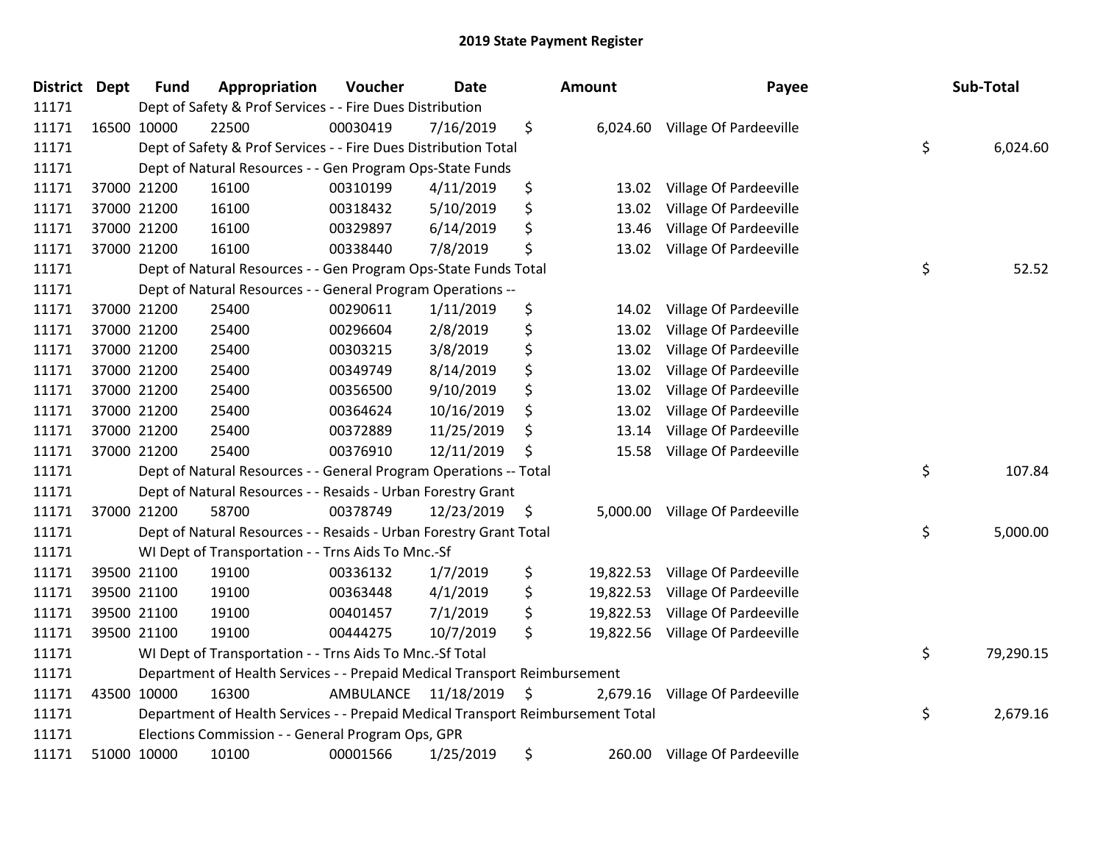| <b>District Dept</b> | <b>Fund</b> | Appropriation                                                                   | Voucher              | Date       | <b>Amount</b>   | Payee                           | Sub-Total       |
|----------------------|-------------|---------------------------------------------------------------------------------|----------------------|------------|-----------------|---------------------------------|-----------------|
| 11171                |             | Dept of Safety & Prof Services - - Fire Dues Distribution                       |                      |            |                 |                                 |                 |
| 11171                | 16500 10000 | 22500                                                                           | 00030419             | 7/16/2019  | \$              | 6,024.60 Village Of Pardeeville |                 |
| 11171                |             | Dept of Safety & Prof Services - - Fire Dues Distribution Total                 |                      |            |                 |                                 | \$<br>6,024.60  |
| 11171                |             | Dept of Natural Resources - - Gen Program Ops-State Funds                       |                      |            |                 |                                 |                 |
| 11171                | 37000 21200 | 16100                                                                           | 00310199             | 4/11/2019  | \$<br>13.02     | Village Of Pardeeville          |                 |
| 11171                | 37000 21200 | 16100                                                                           | 00318432             | 5/10/2019  | \$<br>13.02     | Village Of Pardeeville          |                 |
| 11171                | 37000 21200 | 16100                                                                           | 00329897             | 6/14/2019  | \$<br>13.46     | Village Of Pardeeville          |                 |
| 11171                | 37000 21200 | 16100                                                                           | 00338440             | 7/8/2019   | \$              | 13.02 Village Of Pardeeville    |                 |
| 11171                |             | Dept of Natural Resources - - Gen Program Ops-State Funds Total                 |                      |            |                 |                                 | \$<br>52.52     |
| 11171                |             | Dept of Natural Resources - - General Program Operations --                     |                      |            |                 |                                 |                 |
| 11171                | 37000 21200 | 25400                                                                           | 00290611             | 1/11/2019  | \$<br>14.02     | Village Of Pardeeville          |                 |
| 11171                | 37000 21200 | 25400                                                                           | 00296604             | 2/8/2019   | \$<br>13.02     | Village Of Pardeeville          |                 |
| 11171                | 37000 21200 | 25400                                                                           | 00303215             | 3/8/2019   | \$<br>13.02     | Village Of Pardeeville          |                 |
| 11171                | 37000 21200 | 25400                                                                           | 00349749             | 8/14/2019  | \$<br>13.02     | Village Of Pardeeville          |                 |
| 11171                | 37000 21200 | 25400                                                                           | 00356500             | 9/10/2019  | \$<br>13.02     | Village Of Pardeeville          |                 |
| 11171                | 37000 21200 | 25400                                                                           | 00364624             | 10/16/2019 | \$<br>13.02     | Village Of Pardeeville          |                 |
| 11171                | 37000 21200 | 25400                                                                           | 00372889             | 11/25/2019 | \$<br>13.14     | Village Of Pardeeville          |                 |
| 11171                | 37000 21200 | 25400                                                                           | 00376910             | 12/11/2019 | \$<br>15.58     | Village Of Pardeeville          |                 |
| 11171                |             | Dept of Natural Resources - - General Program Operations -- Total               |                      |            |                 |                                 | \$<br>107.84    |
| 11171                |             | Dept of Natural Resources - - Resaids - Urban Forestry Grant                    |                      |            |                 |                                 |                 |
| 11171                | 37000 21200 | 58700                                                                           | 00378749             | 12/23/2019 | \$              | 5,000.00 Village Of Pardeeville |                 |
| 11171                |             | Dept of Natural Resources - - Resaids - Urban Forestry Grant Total              |                      |            |                 |                                 | \$<br>5,000.00  |
| 11171                |             | WI Dept of Transportation - - Trns Aids To Mnc.-Sf                              |                      |            |                 |                                 |                 |
| 11171                | 39500 21100 | 19100                                                                           | 00336132             | 1/7/2019   | \$<br>19,822.53 | Village Of Pardeeville          |                 |
| 11171                | 39500 21100 | 19100                                                                           | 00363448             | 4/1/2019   | \$<br>19,822.53 | Village Of Pardeeville          |                 |
| 11171                | 39500 21100 | 19100                                                                           | 00401457             | 7/1/2019   | \$<br>19,822.53 | Village Of Pardeeville          |                 |
| 11171                | 39500 21100 | 19100                                                                           | 00444275             | 10/7/2019  | \$<br>19,822.56 | Village Of Pardeeville          |                 |
| 11171                |             | WI Dept of Transportation - - Trns Aids To Mnc.-Sf Total                        |                      |            |                 |                                 | \$<br>79,290.15 |
| 11171                |             | Department of Health Services - - Prepaid Medical Transport Reimbursement       |                      |            |                 |                                 |                 |
| 11171                | 43500 10000 | 16300                                                                           | AMBULANCE 11/18/2019 |            | \$<br>2,679.16  | Village Of Pardeeville          |                 |
| 11171                |             | Department of Health Services - - Prepaid Medical Transport Reimbursement Total |                      |            |                 |                                 | \$<br>2,679.16  |
| 11171                |             | Elections Commission - - General Program Ops, GPR                               |                      |            |                 |                                 |                 |
| 11171                | 51000 10000 | 10100                                                                           | 00001566             | 1/25/2019  | \$<br>260.00    | <b>Village Of Pardeeville</b>   |                 |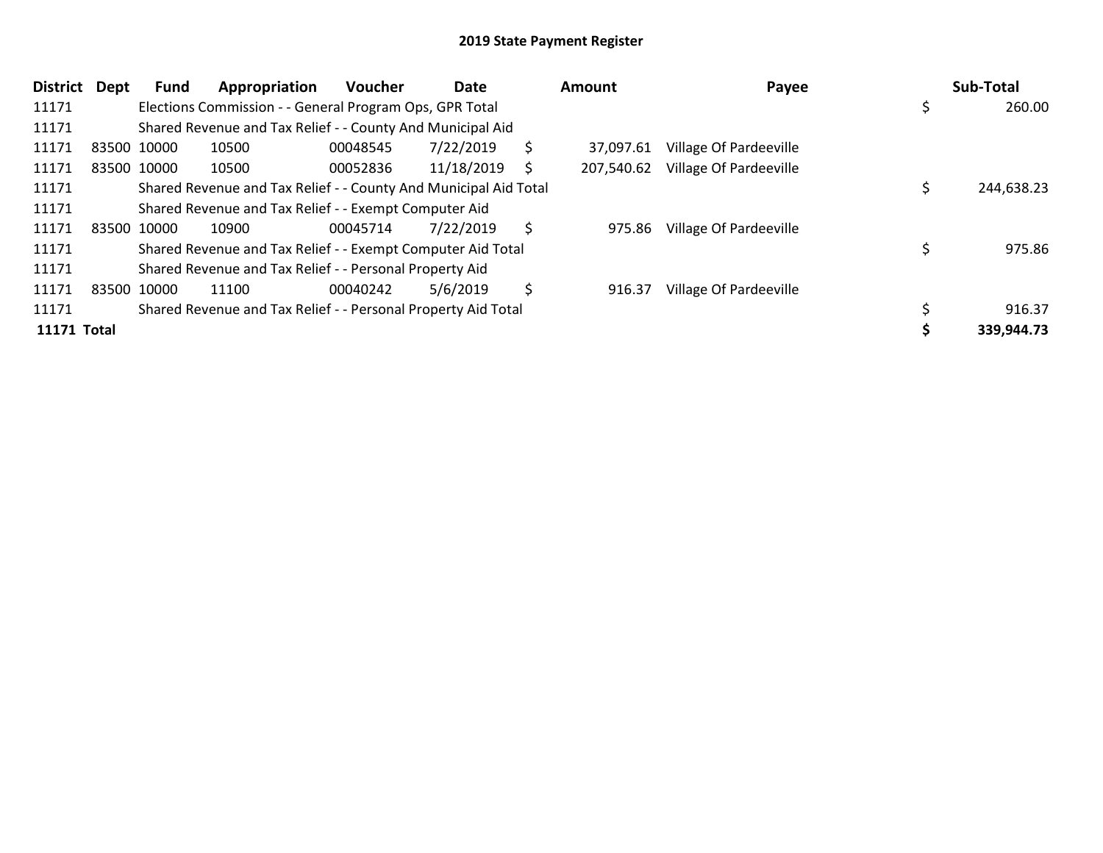| <b>District</b> | <b>Dept</b> | Fund        | Appropriation                                                    | Voucher  | Date       |    | Amount     | Payee                  | Sub-Total  |
|-----------------|-------------|-------------|------------------------------------------------------------------|----------|------------|----|------------|------------------------|------------|
| 11171           |             |             | Elections Commission - - General Program Ops, GPR Total          |          |            |    |            |                        | 260.00     |
| 11171           |             |             | Shared Revenue and Tax Relief - - County And Municipal Aid       |          |            |    |            |                        |            |
| 11171           |             | 83500 10000 | 10500                                                            | 00048545 | 7/22/2019  | \$ | 37.097.61  | Village Of Pardeeville |            |
| 11171           |             | 83500 10000 | 10500                                                            | 00052836 | 11/18/2019 | S  | 207,540.62 | Village Of Pardeeville |            |
| 11171           |             |             | Shared Revenue and Tax Relief - - County And Municipal Aid Total |          |            |    |            |                        | 244,638.23 |
| 11171           |             |             | Shared Revenue and Tax Relief - - Exempt Computer Aid            |          |            |    |            |                        |            |
| 11171           | 83500       | 10000       | 10900                                                            | 00045714 | 7/22/2019  | \$ | 975.86     | Village Of Pardeeville |            |
| 11171           |             |             | Shared Revenue and Tax Relief - - Exempt Computer Aid Total      |          |            |    |            |                        | 975.86     |
| 11171           |             |             | Shared Revenue and Tax Relief - - Personal Property Aid          |          |            |    |            |                        |            |
| 11171           |             | 83500 10000 | 11100                                                            | 00040242 | 5/6/2019   | \$ | 916.37     | Village Of Pardeeville |            |
| 11171           |             |             | Shared Revenue and Tax Relief - - Personal Property Aid Total    |          |            |    |            |                        | 916.37     |
| 11171 Total     |             |             |                                                                  |          |            |    |            |                        | 339,944.73 |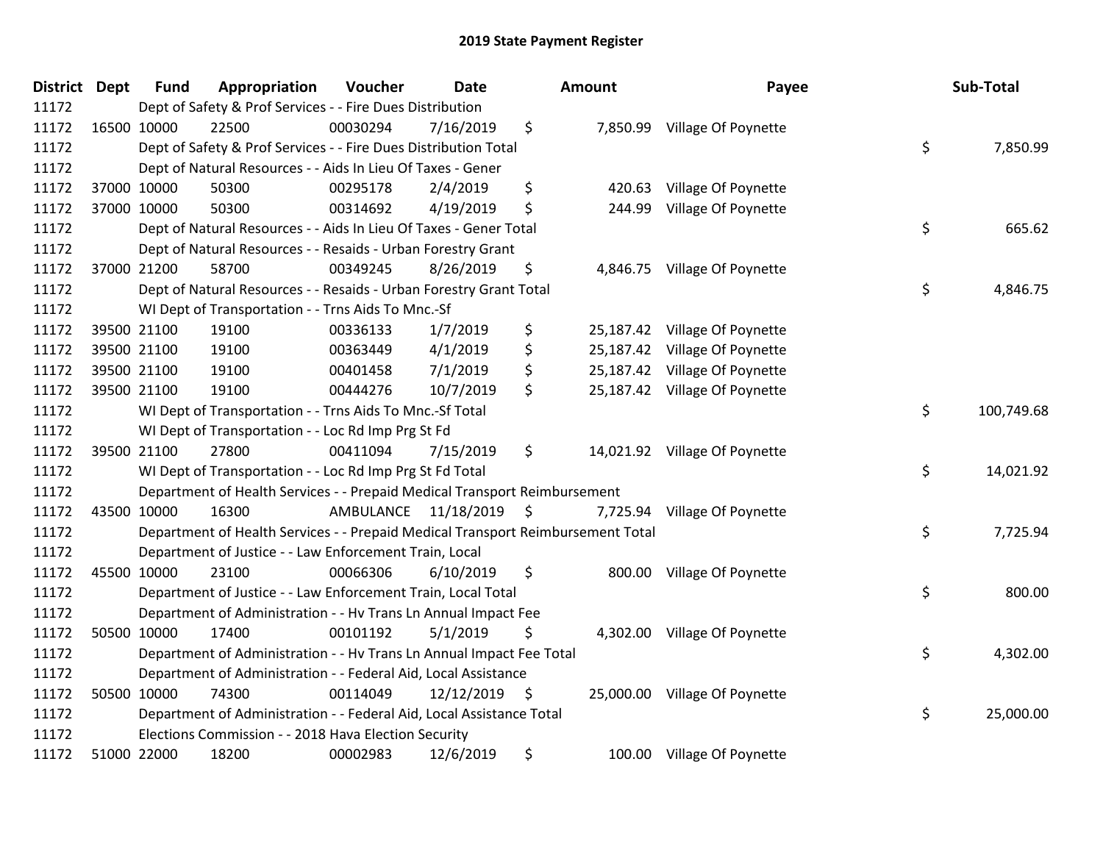| District Dept | <b>Fund</b> | Appropriation                                                                   | Voucher              | <b>Date</b>     | Amount         | Payee                         | Sub-Total        |
|---------------|-------------|---------------------------------------------------------------------------------|----------------------|-----------------|----------------|-------------------------------|------------------|
| 11172         |             | Dept of Safety & Prof Services - - Fire Dues Distribution                       |                      |                 |                |                               |                  |
| 11172         | 16500 10000 | 22500                                                                           | 00030294             | 7/16/2019       | \$             | 7,850.99 Village Of Poynette  |                  |
| 11172         |             | Dept of Safety & Prof Services - - Fire Dues Distribution Total                 |                      |                 |                |                               | \$<br>7,850.99   |
| 11172         |             | Dept of Natural Resources - - Aids In Lieu Of Taxes - Gener                     |                      |                 |                |                               |                  |
| 11172         | 37000 10000 | 50300                                                                           | 00295178             | 2/4/2019        | \$<br>420.63   | Village Of Poynette           |                  |
| 11172         | 37000 10000 | 50300                                                                           | 00314692             | 4/19/2019       | \$<br>244.99   | Village Of Poynette           |                  |
| 11172         |             | Dept of Natural Resources - - Aids In Lieu Of Taxes - Gener Total               |                      |                 |                |                               | \$<br>665.62     |
| 11172         |             | Dept of Natural Resources - - Resaids - Urban Forestry Grant                    |                      |                 |                |                               |                  |
| 11172         | 37000 21200 | 58700                                                                           | 00349245             | 8/26/2019       | \$             | 4,846.75 Village Of Poynette  |                  |
| 11172         |             | Dept of Natural Resources - - Resaids - Urban Forestry Grant Total              |                      |                 |                |                               | \$<br>4,846.75   |
| 11172         |             | WI Dept of Transportation - - Trns Aids To Mnc.-Sf                              |                      |                 |                |                               |                  |
| 11172         | 39500 21100 | 19100                                                                           | 00336133             | 1/7/2019        | \$             | 25,187.42 Village Of Poynette |                  |
| 11172         | 39500 21100 | 19100                                                                           | 00363449             | 4/1/2019        | \$             | 25,187.42 Village Of Poynette |                  |
| 11172         | 39500 21100 | 19100                                                                           | 00401458             | 7/1/2019        | \$             | 25,187.42 Village Of Poynette |                  |
| 11172         | 39500 21100 | 19100                                                                           | 00444276             | 10/7/2019       | \$             | 25,187.42 Village Of Poynette |                  |
| 11172         |             | WI Dept of Transportation - - Trns Aids To Mnc.-Sf Total                        |                      |                 |                |                               | \$<br>100,749.68 |
| 11172         |             | WI Dept of Transportation - - Loc Rd Imp Prg St Fd                              |                      |                 |                |                               |                  |
| 11172         | 39500 21100 | 27800                                                                           | 00411094             | 7/15/2019       | \$             | 14,021.92 Village Of Poynette |                  |
| 11172         |             | WI Dept of Transportation - - Loc Rd Imp Prg St Fd Total                        |                      |                 |                |                               | \$<br>14,021.92  |
| 11172         |             | Department of Health Services - - Prepaid Medical Transport Reimbursement       |                      |                 |                |                               |                  |
| 11172         | 43500 10000 | 16300                                                                           | AMBULANCE 11/18/2019 |                 | \$<br>7,725.94 | Village Of Poynette           |                  |
| 11172         |             | Department of Health Services - - Prepaid Medical Transport Reimbursement Total |                      |                 |                |                               | \$<br>7,725.94   |
| 11172         |             | Department of Justice - - Law Enforcement Train, Local                          |                      |                 |                |                               |                  |
| 11172         | 45500 10000 | 23100                                                                           | 00066306             | 6/10/2019       | \$<br>800.00   | Village Of Poynette           |                  |
| 11172         |             | Department of Justice - - Law Enforcement Train, Local Total                    |                      |                 |                |                               | \$<br>800.00     |
| 11172         |             | Department of Administration - - Hv Trans Ln Annual Impact Fee                  |                      |                 |                |                               |                  |
| 11172         | 50500 10000 | 17400                                                                           | 00101192             | 5/1/2019        | \$             | 4,302.00 Village Of Poynette  |                  |
| 11172         |             | Department of Administration - - Hv Trans Ln Annual Impact Fee Total            |                      |                 |                |                               | \$<br>4,302.00   |
| 11172         |             | Department of Administration - - Federal Aid, Local Assistance                  |                      |                 |                |                               |                  |
| 11172         | 50500 10000 | 74300                                                                           | 00114049             | $12/12/2019$ \$ |                | 25,000.00 Village Of Poynette |                  |
| 11172         |             | Department of Administration - - Federal Aid, Local Assistance Total            |                      |                 |                |                               | \$<br>25,000.00  |
| 11172         |             | Elections Commission - - 2018 Hava Election Security                            |                      |                 |                |                               |                  |
| 11172         | 51000 22000 | 18200                                                                           | 00002983             | 12/6/2019       | \$             | 100.00 Village Of Poynette    |                  |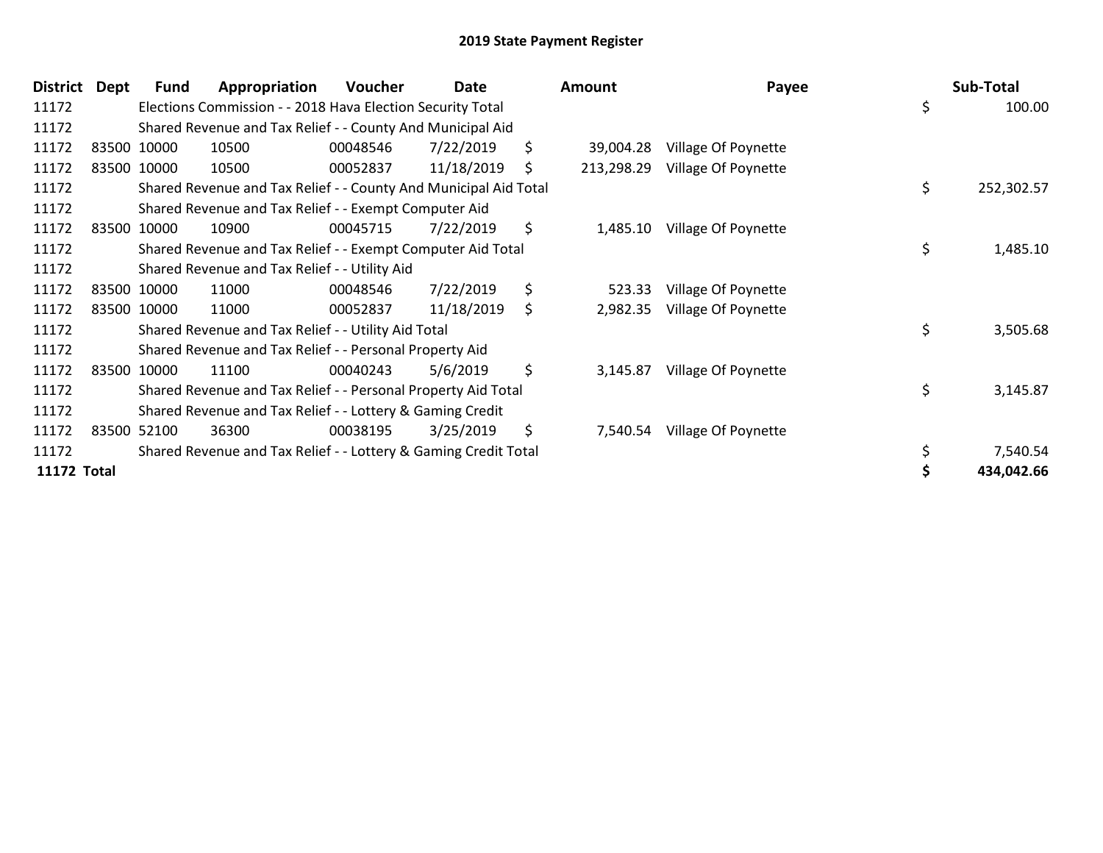| <b>District</b>    | Dept | Fund        | Appropriation                                                    | Voucher  | Date       | Amount           | Payee               | Sub-Total        |
|--------------------|------|-------------|------------------------------------------------------------------|----------|------------|------------------|---------------------|------------------|
| 11172              |      |             | Elections Commission - - 2018 Hava Election Security Total       |          |            |                  |                     | \$<br>100.00     |
| 11172              |      |             | Shared Revenue and Tax Relief - - County And Municipal Aid       |          |            |                  |                     |                  |
| 11172              |      | 83500 10000 | 10500                                                            | 00048546 | 7/22/2019  | \$<br>39,004.28  | Village Of Poynette |                  |
| 11172              |      | 83500 10000 | 10500                                                            | 00052837 | 11/18/2019 | \$<br>213,298.29 | Village Of Poynette |                  |
| 11172              |      |             | Shared Revenue and Tax Relief - - County And Municipal Aid Total |          |            |                  |                     | \$<br>252,302.57 |
| 11172              |      |             | Shared Revenue and Tax Relief - - Exempt Computer Aid            |          |            |                  |                     |                  |
| 11172              |      | 83500 10000 | 10900                                                            | 00045715 | 7/22/2019  | \$<br>1,485.10   | Village Of Poynette |                  |
| 11172              |      |             | Shared Revenue and Tax Relief - - Exempt Computer Aid Total      |          |            |                  |                     | \$<br>1,485.10   |
| 11172              |      |             | Shared Revenue and Tax Relief - - Utility Aid                    |          |            |                  |                     |                  |
| 11172              |      | 83500 10000 | 11000                                                            | 00048546 | 7/22/2019  | \$<br>523.33     | Village Of Poynette |                  |
| 11172              |      | 83500 10000 | 11000                                                            | 00052837 | 11/18/2019 | \$<br>2,982.35   | Village Of Poynette |                  |
| 11172              |      |             | Shared Revenue and Tax Relief - - Utility Aid Total              |          |            |                  |                     | \$<br>3,505.68   |
| 11172              |      |             | Shared Revenue and Tax Relief - - Personal Property Aid          |          |            |                  |                     |                  |
| 11172              |      | 83500 10000 | 11100                                                            | 00040243 | 5/6/2019   | \$<br>3,145.87   | Village Of Poynette |                  |
| 11172              |      |             | Shared Revenue and Tax Relief - - Personal Property Aid Total    |          |            |                  |                     | \$<br>3,145.87   |
| 11172              |      |             | Shared Revenue and Tax Relief - - Lottery & Gaming Credit        |          |            |                  |                     |                  |
| 11172              |      | 83500 52100 | 36300                                                            | 00038195 | 3/25/2019  | \$<br>7,540.54   | Village Of Poynette |                  |
| 11172              |      |             | Shared Revenue and Tax Relief - - Lottery & Gaming Credit Total  |          |            |                  |                     | 7,540.54         |
| <b>11172 Total</b> |      |             |                                                                  |          |            |                  |                     | 434,042.66       |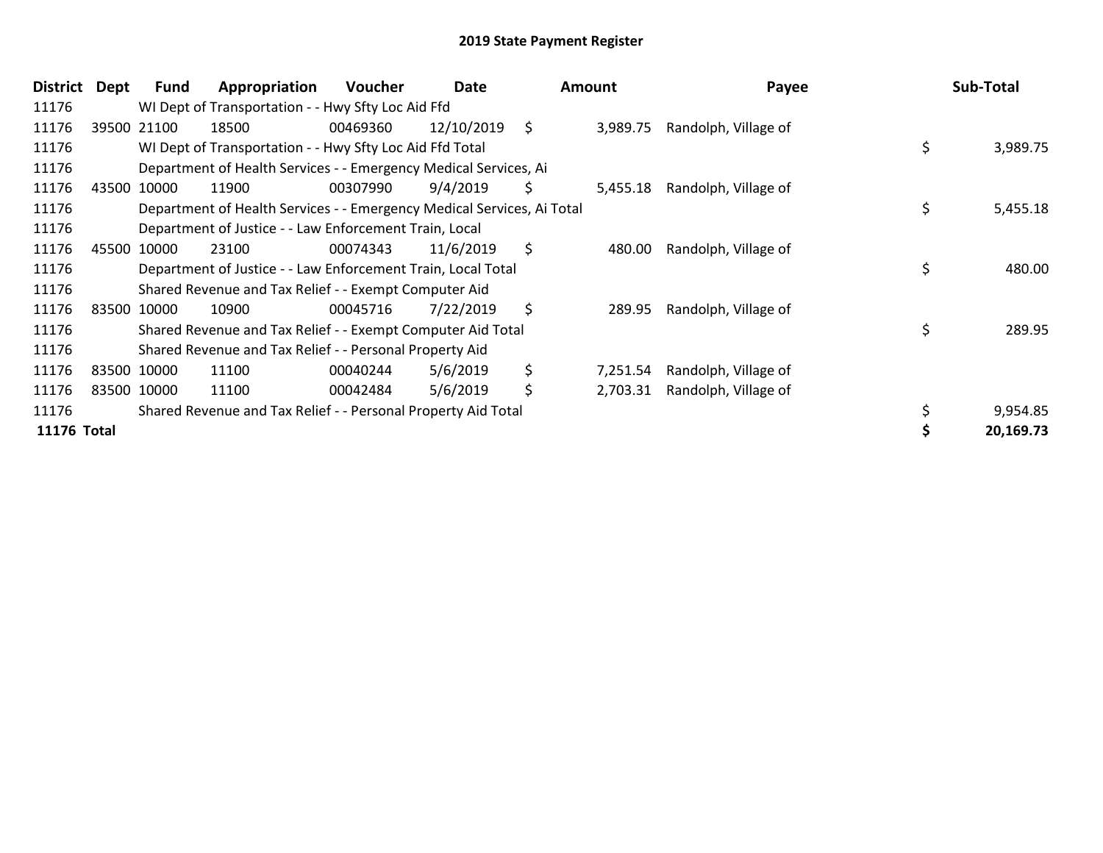| District    | Dept | Fund        | Appropriation                                                          | <b>Voucher</b> | Date       | <b>Amount</b>  | Payee                |    | Sub-Total |
|-------------|------|-------------|------------------------------------------------------------------------|----------------|------------|----------------|----------------------|----|-----------|
| 11176       |      |             | WI Dept of Transportation - - Hwy Sfty Loc Aid Ffd                     |                |            |                |                      |    |           |
| 11176       |      | 39500 21100 | 18500                                                                  | 00469360       | 12/10/2019 | \$<br>3,989.75 | Randolph, Village of |    |           |
| 11176       |      |             | WI Dept of Transportation - - Hwy Sfty Loc Aid Ffd Total               |                |            |                |                      | \$ | 3,989.75  |
| 11176       |      |             | Department of Health Services - - Emergency Medical Services, Ai       |                |            |                |                      |    |           |
| 11176       |      | 43500 10000 | 11900                                                                  | 00307990       | 9/4/2019   | \$<br>5,455.18 | Randolph, Village of |    |           |
| 11176       |      |             | Department of Health Services - - Emergency Medical Services, Ai Total |                |            |                |                      | \$ | 5,455.18  |
| 11176       |      |             | Department of Justice - - Law Enforcement Train, Local                 |                |            |                |                      |    |           |
| 11176       |      | 45500 10000 | 23100                                                                  | 00074343       | 11/6/2019  | \$<br>480.00   | Randolph, Village of |    |           |
| 11176       |      |             | Department of Justice - - Law Enforcement Train, Local Total           |                |            |                |                      | \$ | 480.00    |
| 11176       |      |             | Shared Revenue and Tax Relief - - Exempt Computer Aid                  |                |            |                |                      |    |           |
| 11176       |      | 83500 10000 | 10900                                                                  | 00045716       | 7/22/2019  | \$<br>289.95   | Randolph, Village of |    |           |
| 11176       |      |             | Shared Revenue and Tax Relief - - Exempt Computer Aid Total            |                |            |                |                      | Ś  | 289.95    |
| 11176       |      |             | Shared Revenue and Tax Relief - - Personal Property Aid                |                |            |                |                      |    |           |
| 11176       |      | 83500 10000 | 11100                                                                  | 00040244       | 5/6/2019   | \$<br>7,251.54 | Randolph, Village of |    |           |
| 11176       |      | 83500 10000 | 11100                                                                  | 00042484       | 5/6/2019   | \$<br>2,703.31 | Randolph, Village of |    |           |
| 11176       |      |             | Shared Revenue and Tax Relief - - Personal Property Aid Total          |                |            |                |                      |    | 9,954.85  |
| 11176 Total |      |             |                                                                        |                |            |                |                      |    | 20,169.73 |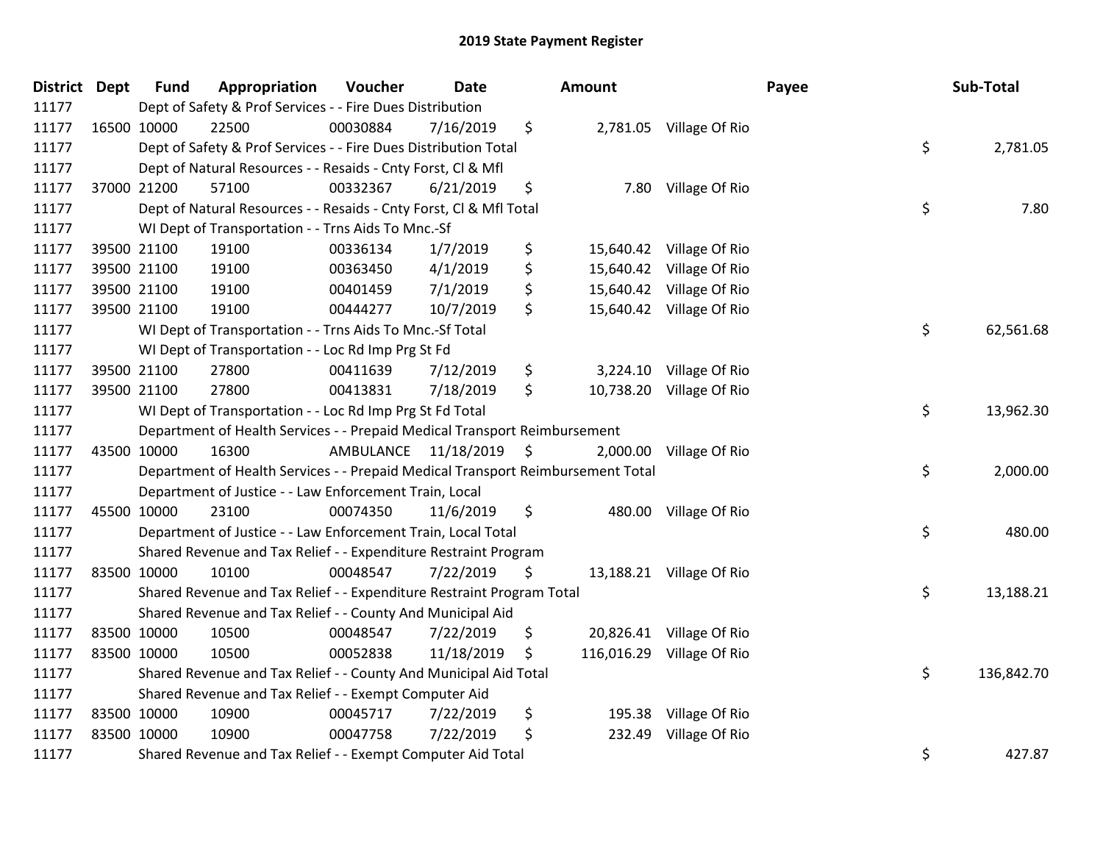| District Dept |             | <b>Fund</b> | Appropriation                                                                   | Voucher                 | <b>Date</b> | Amount           |                          | Payee | Sub-Total  |
|---------------|-------------|-------------|---------------------------------------------------------------------------------|-------------------------|-------------|------------------|--------------------------|-------|------------|
| 11177         |             |             | Dept of Safety & Prof Services - - Fire Dues Distribution                       |                         |             |                  |                          |       |            |
| 11177         |             | 16500 10000 | 22500                                                                           | 00030884                | 7/16/2019   | \$               | 2,781.05 Village Of Rio  |       |            |
| 11177         |             |             | Dept of Safety & Prof Services - - Fire Dues Distribution Total                 |                         |             |                  |                          | \$    | 2,781.05   |
| 11177         |             |             | Dept of Natural Resources - - Resaids - Cnty Forst, CI & Mfl                    |                         |             |                  |                          |       |            |
| 11177         |             | 37000 21200 | 57100                                                                           | 00332367                | 6/21/2019   | \$<br>7.80       | Village Of Rio           |       |            |
| 11177         |             |             | Dept of Natural Resources - - Resaids - Cnty Forst, Cl & Mfl Total              |                         |             |                  |                          | \$    | 7.80       |
| 11177         |             |             | WI Dept of Transportation - - Trns Aids To Mnc.-Sf                              |                         |             |                  |                          |       |            |
| 11177         |             | 39500 21100 | 19100                                                                           | 00336134                | 1/7/2019    | \$               | 15,640.42 Village Of Rio |       |            |
| 11177         |             | 39500 21100 | 19100                                                                           | 00363450                | 4/1/2019    | \$<br>15,640.42  | Village Of Rio           |       |            |
| 11177         |             | 39500 21100 | 19100                                                                           | 00401459                | 7/1/2019    | \$<br>15,640.42  | Village Of Rio           |       |            |
| 11177         |             | 39500 21100 | 19100                                                                           | 00444277                | 10/7/2019   | \$<br>15,640.42  | Village Of Rio           |       |            |
| 11177         |             |             | WI Dept of Transportation - - Trns Aids To Mnc.-Sf Total                        |                         |             |                  |                          | \$    | 62,561.68  |
| 11177         |             |             | WI Dept of Transportation - - Loc Rd Imp Prg St Fd                              |                         |             |                  |                          |       |            |
| 11177         |             | 39500 21100 | 27800                                                                           | 00411639                | 7/12/2019   | \$<br>3,224.10   | Village Of Rio           |       |            |
| 11177         |             | 39500 21100 | 27800                                                                           | 00413831                | 7/18/2019   | \$<br>10,738.20  | Village Of Rio           |       |            |
| 11177         |             |             | WI Dept of Transportation - - Loc Rd Imp Prg St Fd Total                        |                         |             |                  |                          | \$    | 13,962.30  |
| 11177         |             |             | Department of Health Services - - Prepaid Medical Transport Reimbursement       |                         |             |                  |                          |       |            |
| 11177         |             | 43500 10000 | 16300                                                                           | AMBULANCE 11/18/2019 \$ |             | 2,000.00         | Village Of Rio           |       |            |
| 11177         |             |             | Department of Health Services - - Prepaid Medical Transport Reimbursement Total |                         |             |                  |                          | \$    | 2,000.00   |
| 11177         |             |             | Department of Justice - - Law Enforcement Train, Local                          |                         |             |                  |                          |       |            |
| 11177         |             | 45500 10000 | 23100                                                                           | 00074350                | 11/6/2019   | \$               | 480.00 Village Of Rio    |       |            |
| 11177         |             |             | Department of Justice - - Law Enforcement Train, Local Total                    |                         |             |                  |                          | \$    | 480.00     |
| 11177         |             |             | Shared Revenue and Tax Relief - - Expenditure Restraint Program                 |                         |             |                  |                          |       |            |
| 11177         |             | 83500 10000 | 10100                                                                           | 00048547                | 7/22/2019   | \$               | 13,188.21 Village Of Rio |       |            |
| 11177         |             |             | Shared Revenue and Tax Relief - - Expenditure Restraint Program Total           |                         |             |                  |                          | \$    | 13,188.21  |
| 11177         |             |             | Shared Revenue and Tax Relief - - County And Municipal Aid                      |                         |             |                  |                          |       |            |
| 11177         |             | 83500 10000 | 10500                                                                           | 00048547                | 7/22/2019   | \$<br>20,826.41  | Village Of Rio           |       |            |
| 11177         | 83500 10000 |             | 10500                                                                           | 00052838                | 11/18/2019  | \$<br>116,016.29 | Village Of Rio           |       |            |
| 11177         |             |             | Shared Revenue and Tax Relief - - County And Municipal Aid Total                |                         |             |                  |                          | \$    | 136,842.70 |
| 11177         |             |             | Shared Revenue and Tax Relief - - Exempt Computer Aid                           |                         |             |                  |                          |       |            |
| 11177         |             | 83500 10000 | 10900                                                                           | 00045717                | 7/22/2019   | \$<br>195.38     | Village Of Rio           |       |            |
| 11177         | 83500 10000 |             | 10900                                                                           | 00047758                | 7/22/2019   | \$<br>232.49     | Village Of Rio           |       |            |
| 11177         |             |             | Shared Revenue and Tax Relief - - Exempt Computer Aid Total                     |                         |             |                  |                          | \$    | 427.87     |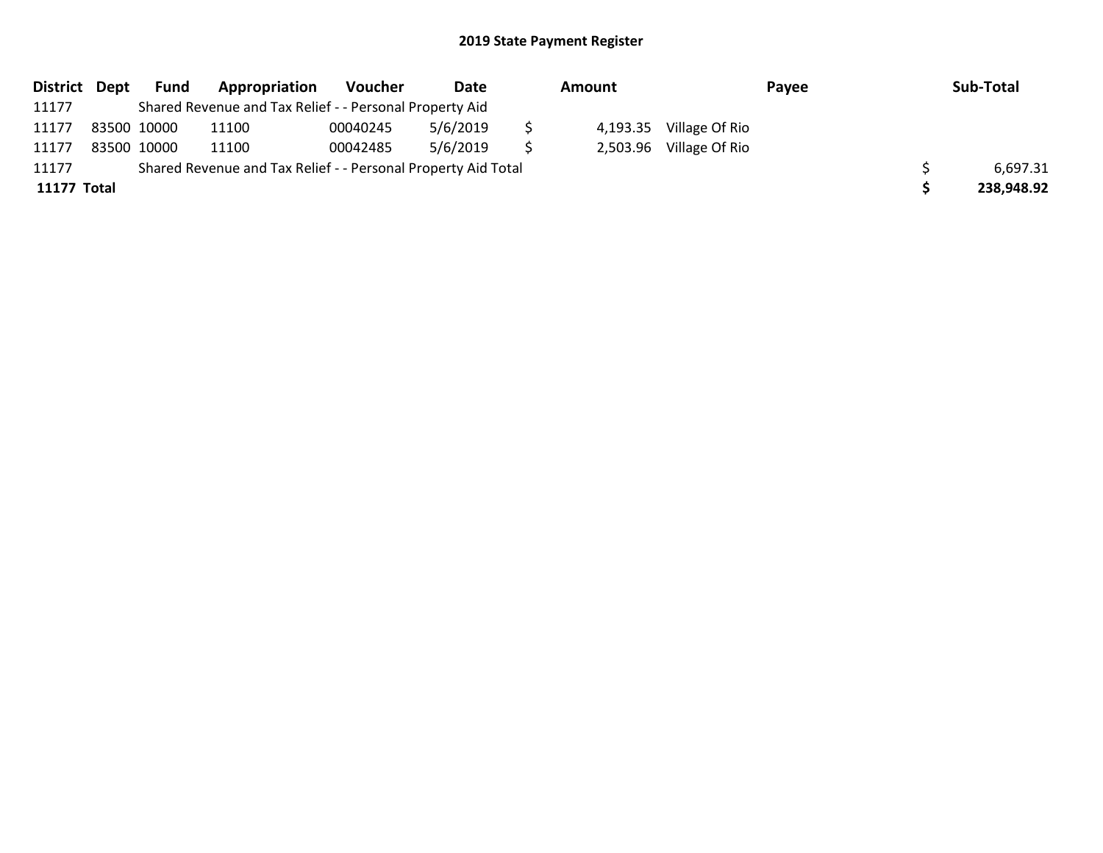| District Dept | Fund        | Appropriation                                                 | Voucher  | Date     | Amount   |                | Payee | Sub-Total  |
|---------------|-------------|---------------------------------------------------------------|----------|----------|----------|----------------|-------|------------|
| 11177         |             | Shared Revenue and Tax Relief - - Personal Property Aid       |          |          |          |                |       |            |
| 11177         | 83500 10000 | 11100                                                         | 00040245 | 5/6/2019 | 4,193.35 | Village Of Rio |       |            |
| 11177         | 83500 10000 | 11100                                                         | 00042485 | 5/6/2019 | 2,503.96 | Village Of Rio |       |            |
| 11177         |             | Shared Revenue and Tax Relief - - Personal Property Aid Total |          |          |          |                |       | 6,697.31   |
| 11177 Total   |             |                                                               |          |          |          |                |       | 238,948.92 |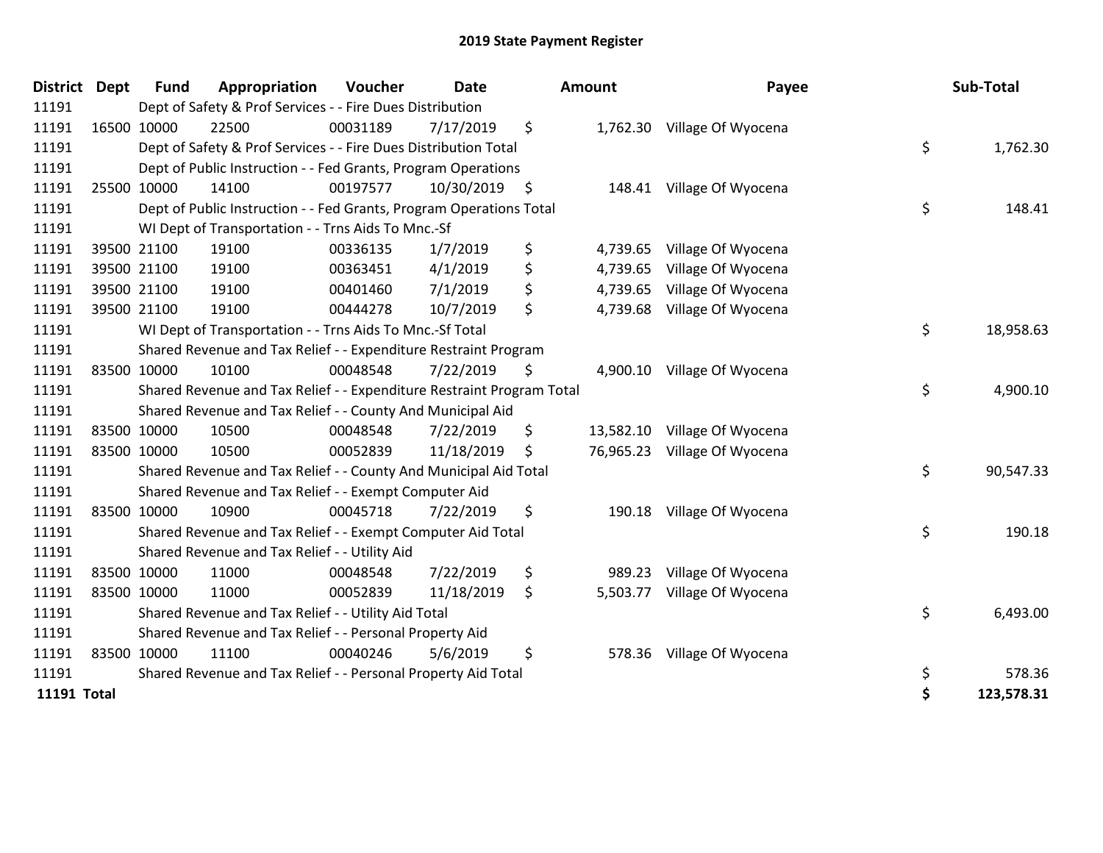| <b>District</b>    | <b>Dept</b> | <b>Fund</b> | Appropriation                                                         | Voucher  | <b>Date</b>   | <b>Amount</b>   | Payee                       | Sub-Total        |
|--------------------|-------------|-------------|-----------------------------------------------------------------------|----------|---------------|-----------------|-----------------------------|------------------|
| 11191              |             |             | Dept of Safety & Prof Services - - Fire Dues Distribution             |          |               |                 |                             |                  |
| 11191              |             | 16500 10000 | 22500                                                                 | 00031189 | 7/17/2019     | \$              | 1,762.30 Village Of Wyocena |                  |
| 11191              |             |             | Dept of Safety & Prof Services - - Fire Dues Distribution Total       |          |               |                 |                             | \$<br>1,762.30   |
| 11191              |             |             | Dept of Public Instruction - - Fed Grants, Program Operations         |          |               |                 |                             |                  |
| 11191              |             | 25500 10000 | 14100                                                                 | 00197577 | 10/30/2019 \$ | 148.41          | Village Of Wyocena          |                  |
| 11191              |             |             | Dept of Public Instruction - - Fed Grants, Program Operations Total   |          |               |                 |                             | \$<br>148.41     |
| 11191              |             |             | WI Dept of Transportation - - Trns Aids To Mnc.-Sf                    |          |               |                 |                             |                  |
| 11191              |             | 39500 21100 | 19100                                                                 | 00336135 | 1/7/2019      | \$<br>4,739.65  | Village Of Wyocena          |                  |
| 11191              |             | 39500 21100 | 19100                                                                 | 00363451 | 4/1/2019      | \$<br>4,739.65  | Village Of Wyocena          |                  |
| 11191              |             | 39500 21100 | 19100                                                                 | 00401460 | 7/1/2019      | \$<br>4,739.65  | Village Of Wyocena          |                  |
| 11191              |             | 39500 21100 | 19100                                                                 | 00444278 | 10/7/2019     | \$<br>4,739.68  | Village Of Wyocena          |                  |
| 11191              |             |             | WI Dept of Transportation - - Trns Aids To Mnc.-Sf Total              |          |               |                 |                             | \$<br>18,958.63  |
| 11191              |             |             | Shared Revenue and Tax Relief - - Expenditure Restraint Program       |          |               |                 |                             |                  |
| 11191              |             | 83500 10000 | 10100                                                                 | 00048548 | 7/22/2019     | \$<br>4,900.10  | Village Of Wyocena          |                  |
| 11191              |             |             | Shared Revenue and Tax Relief - - Expenditure Restraint Program Total |          |               |                 |                             | \$<br>4,900.10   |
| 11191              |             |             | Shared Revenue and Tax Relief - - County And Municipal Aid            |          |               |                 |                             |                  |
| 11191              | 83500 10000 |             | 10500                                                                 | 00048548 | 7/22/2019     | \$<br>13,582.10 | Village Of Wyocena          |                  |
| 11191              |             | 83500 10000 | 10500                                                                 | 00052839 | 11/18/2019    | \$<br>76,965.23 | Village Of Wyocena          |                  |
| 11191              |             |             | Shared Revenue and Tax Relief - - County And Municipal Aid Total      |          |               |                 |                             | \$<br>90,547.33  |
| 11191              |             |             | Shared Revenue and Tax Relief - - Exempt Computer Aid                 |          |               |                 |                             |                  |
| 11191              |             | 83500 10000 | 10900                                                                 | 00045718 | 7/22/2019     | \$<br>190.18    | Village Of Wyocena          |                  |
| 11191              |             |             | Shared Revenue and Tax Relief - - Exempt Computer Aid Total           |          |               |                 |                             | \$<br>190.18     |
| 11191              |             |             | Shared Revenue and Tax Relief - - Utility Aid                         |          |               |                 |                             |                  |
| 11191              | 83500 10000 |             | 11000                                                                 | 00048548 | 7/22/2019     | \$<br>989.23    | Village Of Wyocena          |                  |
| 11191              |             | 83500 10000 | 11000                                                                 | 00052839 | 11/18/2019    | \$<br>5,503.77  | Village Of Wyocena          |                  |
| 11191              |             |             | Shared Revenue and Tax Relief - - Utility Aid Total                   |          |               |                 |                             | \$<br>6,493.00   |
| 11191              |             |             | Shared Revenue and Tax Relief - - Personal Property Aid               |          |               |                 |                             |                  |
| 11191              |             | 83500 10000 | 11100                                                                 | 00040246 | 5/6/2019      | \$<br>578.36    | Village Of Wyocena          |                  |
| 11191              |             |             | Shared Revenue and Tax Relief - - Personal Property Aid Total         |          |               |                 |                             | \$<br>578.36     |
| <b>11191 Total</b> |             |             |                                                                       |          |               |                 |                             | \$<br>123,578.31 |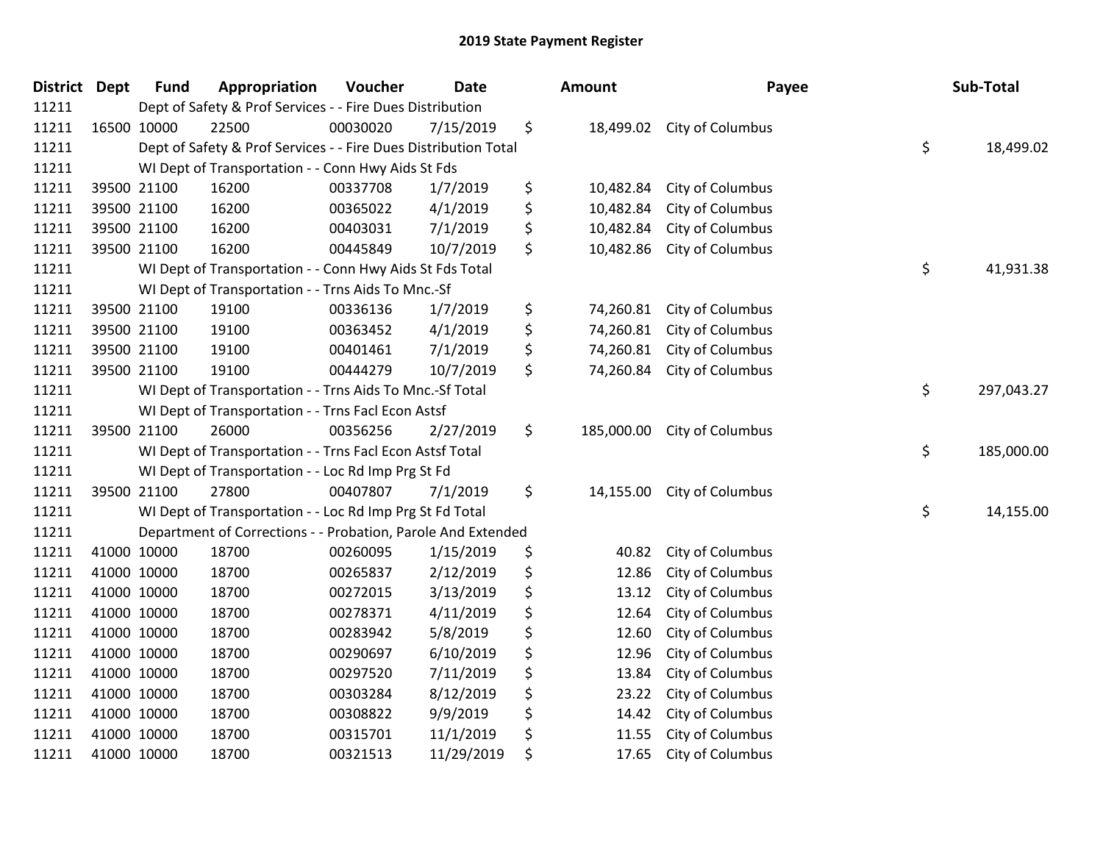| <b>District Dept</b> |             | <b>Fund</b> | Appropriation                                                   | Voucher  | <b>Date</b> | <b>Amount</b>    | Payee            | Sub-Total        |
|----------------------|-------------|-------------|-----------------------------------------------------------------|----------|-------------|------------------|------------------|------------------|
| 11211                |             |             | Dept of Safety & Prof Services - - Fire Dues Distribution       |          |             |                  |                  |                  |
| 11211                | 16500 10000 |             | 22500                                                           | 00030020 | 7/15/2019   | \$<br>18,499.02  | City of Columbus |                  |
| 11211                |             |             | Dept of Safety & Prof Services - - Fire Dues Distribution Total |          |             |                  |                  | \$<br>18,499.02  |
| 11211                |             |             | WI Dept of Transportation - - Conn Hwy Aids St Fds              |          |             |                  |                  |                  |
| 11211                |             | 39500 21100 | 16200                                                           | 00337708 | 1/7/2019    | \$<br>10,482.84  | City of Columbus |                  |
| 11211                |             | 39500 21100 | 16200                                                           | 00365022 | 4/1/2019    | \$<br>10,482.84  | City of Columbus |                  |
| 11211                |             | 39500 21100 | 16200                                                           | 00403031 | 7/1/2019    | \$<br>10,482.84  | City of Columbus |                  |
| 11211                |             | 39500 21100 | 16200                                                           | 00445849 | 10/7/2019   | \$<br>10,482.86  | City of Columbus |                  |
| 11211                |             |             | WI Dept of Transportation - - Conn Hwy Aids St Fds Total        |          |             |                  |                  | \$<br>41,931.38  |
| 11211                |             |             | WI Dept of Transportation - - Trns Aids To Mnc.-Sf              |          |             |                  |                  |                  |
| 11211                |             | 39500 21100 | 19100                                                           | 00336136 | 1/7/2019    | \$<br>74,260.81  | City of Columbus |                  |
| 11211                |             | 39500 21100 | 19100                                                           | 00363452 | 4/1/2019    | \$<br>74,260.81  | City of Columbus |                  |
| 11211                |             | 39500 21100 | 19100                                                           | 00401461 | 7/1/2019    | \$<br>74,260.81  | City of Columbus |                  |
| 11211                |             | 39500 21100 | 19100                                                           | 00444279 | 10/7/2019   | \$<br>74,260.84  | City of Columbus |                  |
| 11211                |             |             | WI Dept of Transportation - - Trns Aids To Mnc.-Sf Total        |          |             |                  |                  | \$<br>297,043.27 |
| 11211                |             |             | WI Dept of Transportation - - Trns Facl Econ Astsf              |          |             |                  |                  |                  |
| 11211                |             | 39500 21100 | 26000                                                           | 00356256 | 2/27/2019   | \$<br>185,000.00 | City of Columbus |                  |
| 11211                |             |             | WI Dept of Transportation - - Trns Facl Econ Astsf Total        |          |             |                  |                  | \$<br>185,000.00 |
| 11211                |             |             | WI Dept of Transportation - - Loc Rd Imp Prg St Fd              |          |             |                  |                  |                  |
| 11211                |             | 39500 21100 | 27800                                                           | 00407807 | 7/1/2019    | \$<br>14,155.00  | City of Columbus |                  |
| 11211                |             |             | WI Dept of Transportation - - Loc Rd Imp Prg St Fd Total        |          |             |                  |                  | \$<br>14,155.00  |
| 11211                |             |             | Department of Corrections - - Probation, Parole And Extended    |          |             |                  |                  |                  |
| 11211                | 41000 10000 |             | 18700                                                           | 00260095 | 1/15/2019   | \$<br>40.82      | City of Columbus |                  |
| 11211                | 41000 10000 |             | 18700                                                           | 00265837 | 2/12/2019   | \$<br>12.86      | City of Columbus |                  |
| 11211                | 41000 10000 |             | 18700                                                           | 00272015 | 3/13/2019   | \$<br>13.12      | City of Columbus |                  |
| 11211                | 41000 10000 |             | 18700                                                           | 00278371 | 4/11/2019   | \$<br>12.64      | City of Columbus |                  |
| 11211                |             | 41000 10000 | 18700                                                           | 00283942 | 5/8/2019    | \$<br>12.60      | City of Columbus |                  |
| 11211                | 41000 10000 |             | 18700                                                           | 00290697 | 6/10/2019   | \$<br>12.96      | City of Columbus |                  |
| 11211                | 41000 10000 |             | 18700                                                           | 00297520 | 7/11/2019   | \$<br>13.84      | City of Columbus |                  |
| 11211                | 41000 10000 |             | 18700                                                           | 00303284 | 8/12/2019   | \$<br>23.22      | City of Columbus |                  |
| 11211                | 41000 10000 |             | 18700                                                           | 00308822 | 9/9/2019    | \$<br>14.42      | City of Columbus |                  |
| 11211                | 41000 10000 |             | 18700                                                           | 00315701 | 11/1/2019   | \$<br>11.55      | City of Columbus |                  |
| 11211                | 41000 10000 |             | 18700                                                           | 00321513 | 11/29/2019  | \$<br>17.65      | City of Columbus |                  |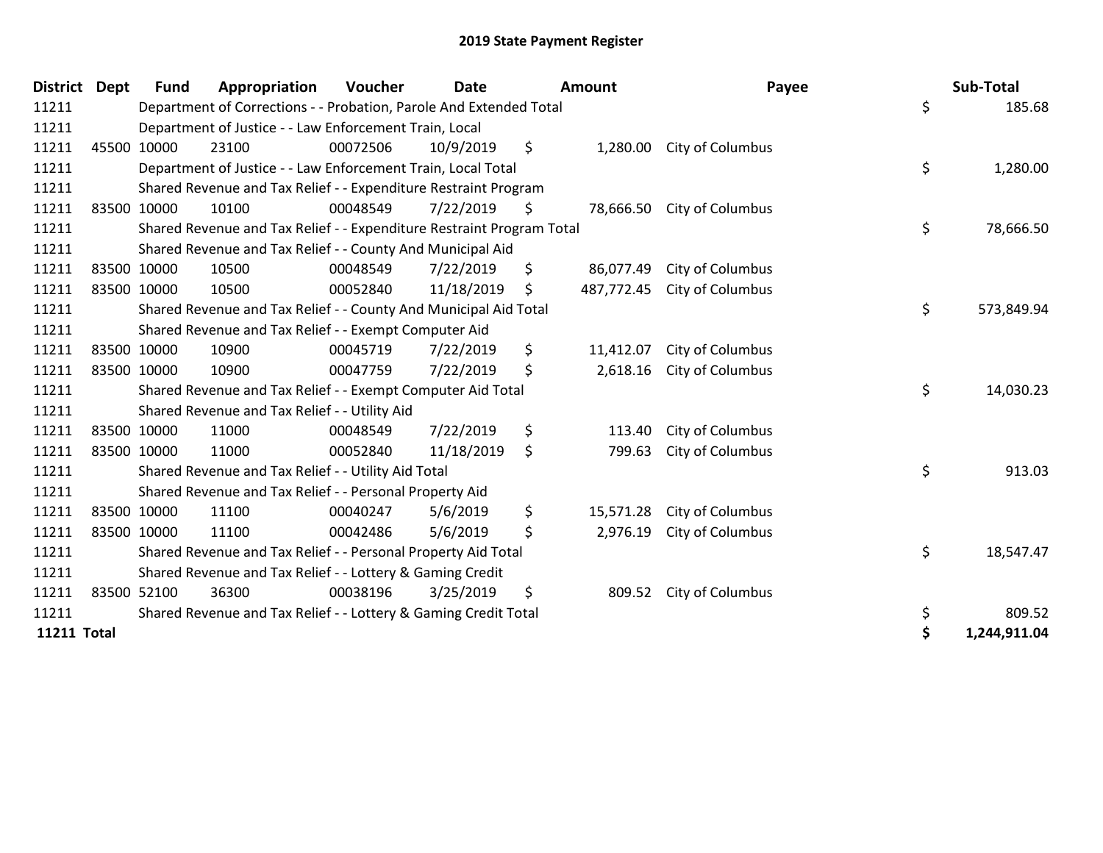| <b>District Dept</b> |             | <b>Fund</b> | Appropriation                                                         | Voucher  | <b>Date</b> | Amount           | Payee            | Sub-Total          |
|----------------------|-------------|-------------|-----------------------------------------------------------------------|----------|-------------|------------------|------------------|--------------------|
| 11211                |             |             | Department of Corrections - - Probation, Parole And Extended Total    |          |             |                  |                  | \$<br>185.68       |
| 11211                |             |             | Department of Justice - - Law Enforcement Train, Local                |          |             |                  |                  |                    |
| 11211                | 45500 10000 |             | 23100                                                                 | 00072506 | 10/9/2019   | \$<br>1,280.00   | City of Columbus |                    |
| 11211                |             |             | Department of Justice - - Law Enforcement Train, Local Total          |          |             |                  |                  | \$<br>1,280.00     |
| 11211                |             |             | Shared Revenue and Tax Relief - - Expenditure Restraint Program       |          |             |                  |                  |                    |
| 11211                | 83500 10000 |             | 10100                                                                 | 00048549 | 7/22/2019   | \$<br>78,666.50  | City of Columbus |                    |
| 11211                |             |             | Shared Revenue and Tax Relief - - Expenditure Restraint Program Total |          |             |                  |                  | \$<br>78,666.50    |
| 11211                |             |             | Shared Revenue and Tax Relief - - County And Municipal Aid            |          |             |                  |                  |                    |
| 11211                | 83500 10000 |             | 10500                                                                 | 00048549 | 7/22/2019   | \$<br>86,077.49  | City of Columbus |                    |
| 11211                | 83500 10000 |             | 10500                                                                 | 00052840 | 11/18/2019  | \$<br>487,772.45 | City of Columbus |                    |
| 11211                |             |             | Shared Revenue and Tax Relief - - County And Municipal Aid Total      |          |             |                  |                  | \$<br>573,849.94   |
| 11211                |             |             | Shared Revenue and Tax Relief - - Exempt Computer Aid                 |          |             |                  |                  |                    |
| 11211                | 83500 10000 |             | 10900                                                                 | 00045719 | 7/22/2019   | \$<br>11,412.07  | City of Columbus |                    |
| 11211                | 83500 10000 |             | 10900                                                                 | 00047759 | 7/22/2019   | \$<br>2,618.16   | City of Columbus |                    |
| 11211                |             |             | Shared Revenue and Tax Relief - - Exempt Computer Aid Total           |          |             |                  |                  | \$<br>14,030.23    |
| 11211                |             |             | Shared Revenue and Tax Relief - - Utility Aid                         |          |             |                  |                  |                    |
| 11211                | 83500 10000 |             | 11000                                                                 | 00048549 | 7/22/2019   | \$<br>113.40     | City of Columbus |                    |
| 11211                | 83500 10000 |             | 11000                                                                 | 00052840 | 11/18/2019  | \$<br>799.63     | City of Columbus |                    |
| 11211                |             |             | Shared Revenue and Tax Relief - - Utility Aid Total                   |          |             |                  |                  | \$<br>913.03       |
| 11211                |             |             | Shared Revenue and Tax Relief - - Personal Property Aid               |          |             |                  |                  |                    |
| 11211                | 83500 10000 |             | 11100                                                                 | 00040247 | 5/6/2019    | \$<br>15,571.28  | City of Columbus |                    |
| 11211                | 83500 10000 |             | 11100                                                                 | 00042486 | 5/6/2019    | \$<br>2,976.19   | City of Columbus |                    |
| 11211                |             |             | Shared Revenue and Tax Relief - - Personal Property Aid Total         |          |             |                  |                  | \$<br>18,547.47    |
| 11211                |             |             | Shared Revenue and Tax Relief - - Lottery & Gaming Credit             |          |             |                  |                  |                    |
| 11211                | 83500 52100 |             | 36300                                                                 | 00038196 | 3/25/2019   | \$<br>809.52     | City of Columbus |                    |
| 11211                |             |             | Shared Revenue and Tax Relief - - Lottery & Gaming Credit Total       |          |             |                  |                  | \$<br>809.52       |
| <b>11211 Total</b>   |             |             |                                                                       |          |             |                  |                  | \$<br>1,244,911.04 |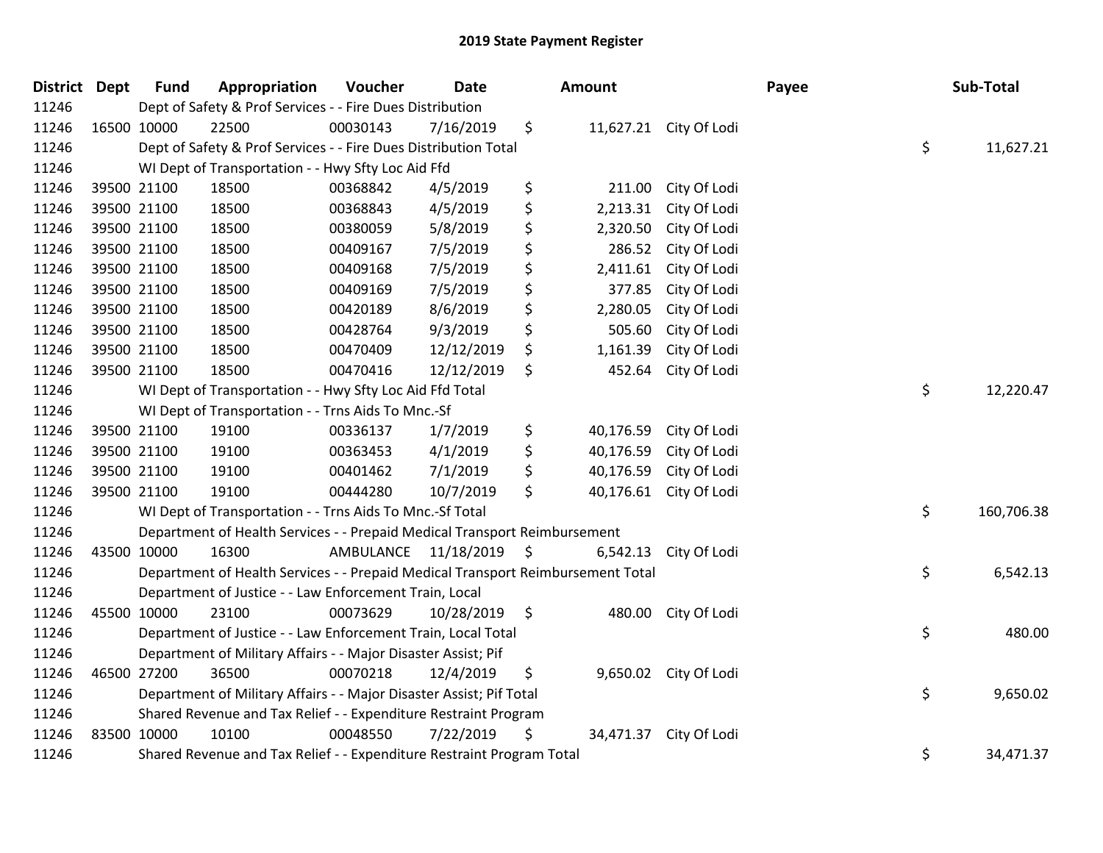| District Dept | <b>Fund</b> | Appropriation                                                                   | Voucher                 | <b>Date</b> |      | Amount    |                        | Payee | Sub-Total        |
|---------------|-------------|---------------------------------------------------------------------------------|-------------------------|-------------|------|-----------|------------------------|-------|------------------|
| 11246         |             | Dept of Safety & Prof Services - - Fire Dues Distribution                       |                         |             |      |           |                        |       |                  |
| 11246         | 16500 10000 | 22500                                                                           | 00030143                | 7/16/2019   | \$   |           | 11,627.21 City Of Lodi |       |                  |
| 11246         |             | Dept of Safety & Prof Services - - Fire Dues Distribution Total                 |                         |             |      |           |                        |       | \$<br>11,627.21  |
| 11246         |             | WI Dept of Transportation - - Hwy Sfty Loc Aid Ffd                              |                         |             |      |           |                        |       |                  |
| 11246         | 39500 21100 | 18500                                                                           | 00368842                | 4/5/2019    | \$   | 211.00    | City Of Lodi           |       |                  |
| 11246         | 39500 21100 | 18500                                                                           | 00368843                | 4/5/2019    | \$   | 2,213.31  | City Of Lodi           |       |                  |
| 11246         | 39500 21100 | 18500                                                                           | 00380059                | 5/8/2019    | \$   | 2,320.50  | City Of Lodi           |       |                  |
| 11246         | 39500 21100 | 18500                                                                           | 00409167                | 7/5/2019    | \$   | 286.52    | City Of Lodi           |       |                  |
| 11246         | 39500 21100 | 18500                                                                           | 00409168                | 7/5/2019    | \$   | 2,411.61  | City Of Lodi           |       |                  |
| 11246         | 39500 21100 | 18500                                                                           | 00409169                | 7/5/2019    | \$   | 377.85    | City Of Lodi           |       |                  |
| 11246         | 39500 21100 | 18500                                                                           | 00420189                | 8/6/2019    | \$   | 2,280.05  | City Of Lodi           |       |                  |
| 11246         | 39500 21100 | 18500                                                                           | 00428764                | 9/3/2019    | \$   | 505.60    | City Of Lodi           |       |                  |
| 11246         | 39500 21100 | 18500                                                                           | 00470409                | 12/12/2019  | \$   | 1,161.39  | City Of Lodi           |       |                  |
| 11246         | 39500 21100 | 18500                                                                           | 00470416                | 12/12/2019  | \$   | 452.64    | City Of Lodi           |       |                  |
| 11246         |             | WI Dept of Transportation - - Hwy Sfty Loc Aid Ffd Total                        |                         |             |      |           |                        |       | \$<br>12,220.47  |
| 11246         |             | WI Dept of Transportation - - Trns Aids To Mnc.-Sf                              |                         |             |      |           |                        |       |                  |
| 11246         | 39500 21100 | 19100                                                                           | 00336137                | 1/7/2019    | \$   | 40,176.59 | City Of Lodi           |       |                  |
| 11246         | 39500 21100 | 19100                                                                           | 00363453                | 4/1/2019    | \$   | 40,176.59 | City Of Lodi           |       |                  |
| 11246         | 39500 21100 | 19100                                                                           | 00401462                | 7/1/2019    | \$   | 40,176.59 | City Of Lodi           |       |                  |
| 11246         | 39500 21100 | 19100                                                                           | 00444280                | 10/7/2019   | \$   | 40,176.61 | City Of Lodi           |       |                  |
| 11246         |             | WI Dept of Transportation - - Trns Aids To Mnc.-Sf Total                        |                         |             |      |           |                        |       | \$<br>160,706.38 |
| 11246         |             | Department of Health Services - - Prepaid Medical Transport Reimbursement       |                         |             |      |           |                        |       |                  |
| 11246         | 43500 10000 | 16300                                                                           | AMBULANCE 11/18/2019 \$ |             |      | 6,542.13  | City Of Lodi           |       |                  |
| 11246         |             | Department of Health Services - - Prepaid Medical Transport Reimbursement Total |                         |             |      |           |                        |       | \$<br>6,542.13   |
| 11246         |             | Department of Justice - - Law Enforcement Train, Local                          |                         |             |      |           |                        |       |                  |
| 11246         | 45500 10000 | 23100                                                                           | 00073629                | 10/28/2019  | - \$ | 480.00    | City Of Lodi           |       |                  |
| 11246         |             | Department of Justice - - Law Enforcement Train, Local Total                    |                         |             |      |           |                        |       | \$<br>480.00     |
| 11246         |             | Department of Military Affairs - - Major Disaster Assist; Pif                   |                         |             |      |           |                        |       |                  |
| 11246         | 46500 27200 | 36500                                                                           | 00070218                | 12/4/2019   | \$   |           | 9,650.02 City Of Lodi  |       |                  |
| 11246         |             | Department of Military Affairs - - Major Disaster Assist; Pif Total             |                         |             |      |           |                        |       | \$<br>9,650.02   |
| 11246         |             | Shared Revenue and Tax Relief - - Expenditure Restraint Program                 |                         |             |      |           |                        |       |                  |
| 11246         | 83500 10000 | 10100                                                                           | 00048550                | 7/22/2019   | \$   | 34,471.37 | City Of Lodi           |       |                  |
| 11246         |             | Shared Revenue and Tax Relief - - Expenditure Restraint Program Total           |                         |             |      |           |                        |       | \$<br>34,471.37  |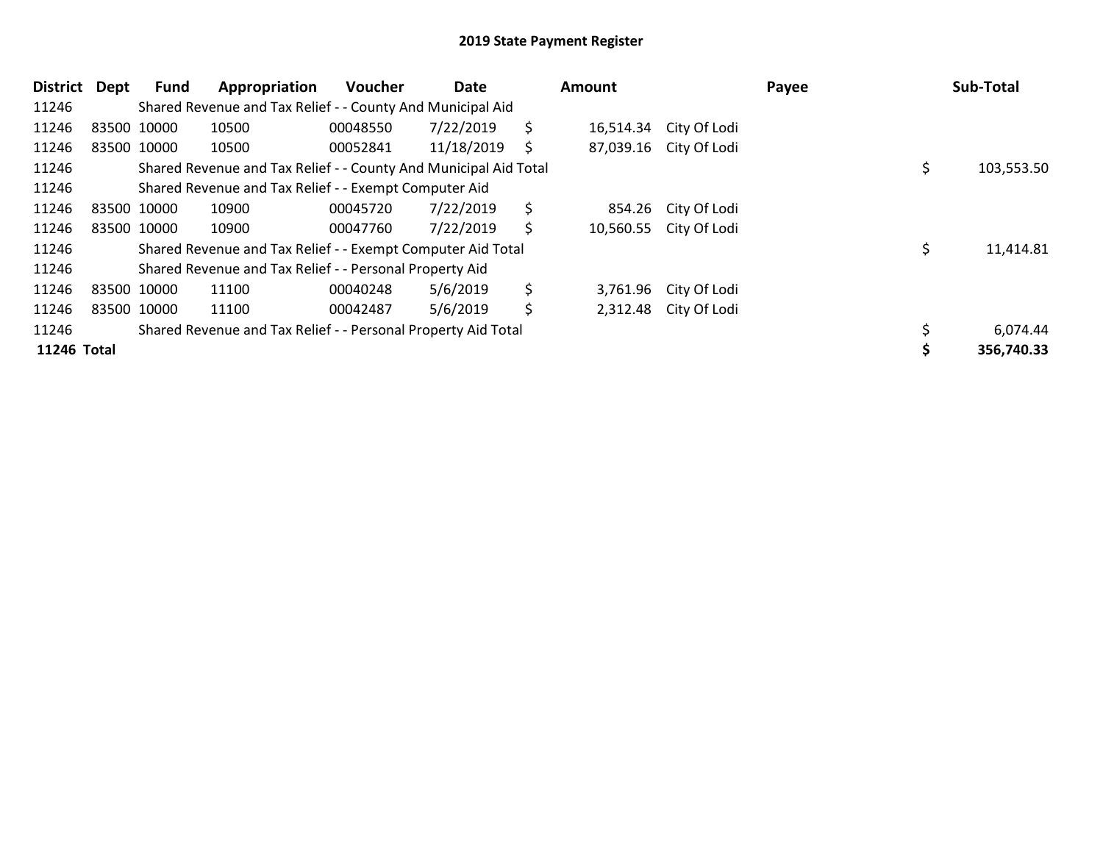| District    | <b>Dept</b> | Fund        | Appropriation                                                    | <b>Voucher</b> | Date       |    | <b>Amount</b> |                        | Payee | Sub-Total  |
|-------------|-------------|-------------|------------------------------------------------------------------|----------------|------------|----|---------------|------------------------|-------|------------|
| 11246       |             |             | Shared Revenue and Tax Relief - - County And Municipal Aid       |                |            |    |               |                        |       |            |
| 11246       |             | 83500 10000 | 10500                                                            | 00048550       | 7/22/2019  | \$ | 16,514.34     | City Of Lodi           |       |            |
| 11246       |             | 83500 10000 | 10500                                                            | 00052841       | 11/18/2019 | S  |               | 87,039.16 City Of Lodi |       |            |
| 11246       |             |             | Shared Revenue and Tax Relief - - County And Municipal Aid Total |                |            |    |               |                        |       | 103,553.50 |
| 11246       |             |             | Shared Revenue and Tax Relief - - Exempt Computer Aid            |                |            |    |               |                        |       |            |
| 11246       |             | 83500 10000 | 10900                                                            | 00045720       | 7/22/2019  | \$ | 854.26        | City Of Lodi           |       |            |
| 11246       |             | 83500 10000 | 10900                                                            | 00047760       | 7/22/2019  | \$ | 10,560.55     | City Of Lodi           |       |            |
| 11246       |             |             | Shared Revenue and Tax Relief - - Exempt Computer Aid Total      |                |            |    |               |                        |       | 11,414.81  |
| 11246       |             |             | Shared Revenue and Tax Relief - - Personal Property Aid          |                |            |    |               |                        |       |            |
| 11246       |             | 83500 10000 | 11100                                                            | 00040248       | 5/6/2019   | \$ | 3,761.96      | City Of Lodi           |       |            |
| 11246       |             | 83500 10000 | 11100                                                            | 00042487       | 5/6/2019   | \$ |               | 2,312.48 City Of Lodi  |       |            |
| 11246       |             |             | Shared Revenue and Tax Relief - - Personal Property Aid Total    |                |            |    |               |                        |       | 6,074.44   |
| 11246 Total |             |             |                                                                  |                |            |    |               |                        |       | 356,740.33 |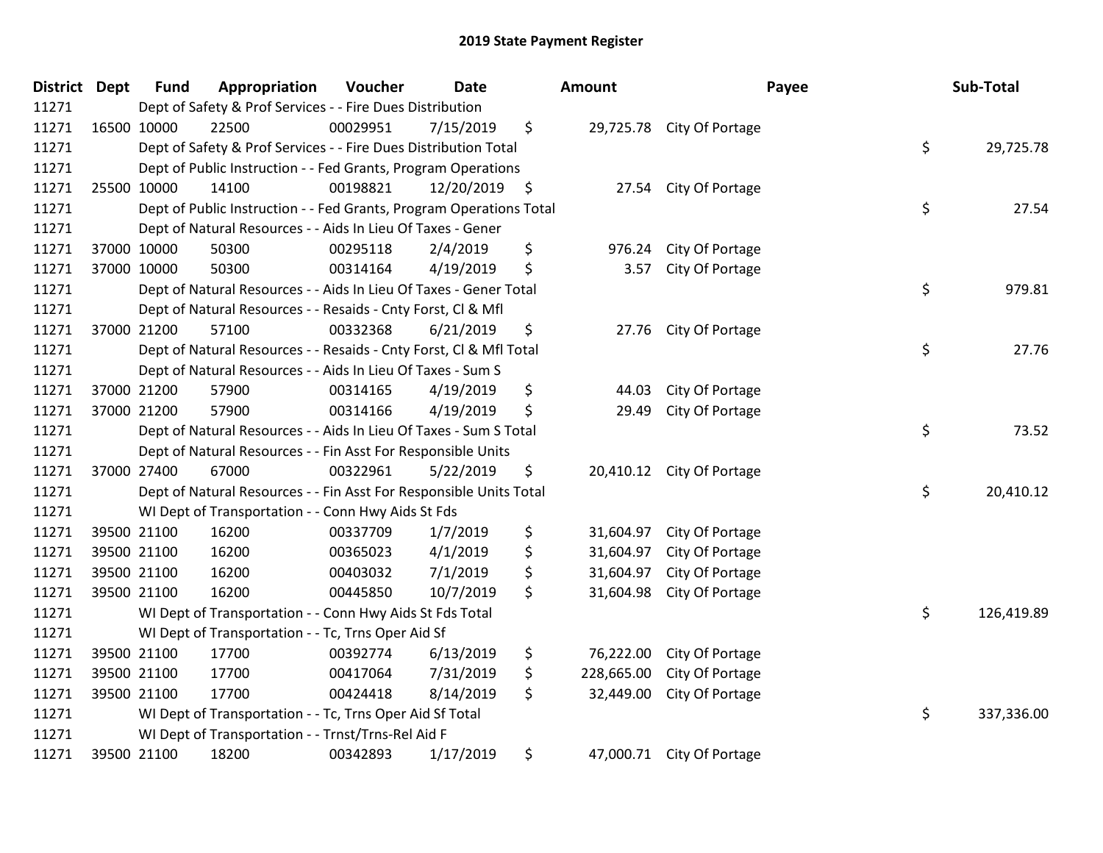| District Dept | <b>Fund</b>                                                               | Appropriation | Voucher  | <b>Date</b>   |    | Amount     |                           | Payee | Sub-Total  |
|---------------|---------------------------------------------------------------------------|---------------|----------|---------------|----|------------|---------------------------|-------|------------|
| 11271         | Dept of Safety & Prof Services - - Fire Dues Distribution                 |               |          |               |    |            |                           |       |            |
| 11271         | 16500 10000                                                               | 22500         | 00029951 | 7/15/2019     | \$ |            | 29,725.78 City Of Portage |       |            |
| 11271         | \$<br>Dept of Safety & Prof Services - - Fire Dues Distribution Total     |               |          |               |    |            |                           |       | 29,725.78  |
| 11271         | Dept of Public Instruction - - Fed Grants, Program Operations             |               |          |               |    |            |                           |       |            |
| 11271         | 25500 10000                                                               | 14100         | 00198821 | 12/20/2019 \$ |    | 27.54      | City Of Portage           |       |            |
| 11271         | \$<br>Dept of Public Instruction - - Fed Grants, Program Operations Total |               |          |               |    |            |                           |       |            |
| 11271         | Dept of Natural Resources - - Aids In Lieu Of Taxes - Gener               |               |          |               |    |            |                           |       |            |
| 11271         | 37000 10000                                                               | 50300         | 00295118 | 2/4/2019      | \$ | 976.24     | City Of Portage           |       |            |
| 11271         | 37000 10000                                                               | 50300         | 00314164 | 4/19/2019     | \$ | 3.57       | City Of Portage           |       |            |
| 11271         | \$<br>Dept of Natural Resources - - Aids In Lieu Of Taxes - Gener Total   |               |          |               |    |            |                           |       | 979.81     |
| 11271         | Dept of Natural Resources - - Resaids - Cnty Forst, Cl & Mfl              |               |          |               |    |            |                           |       |            |
| 11271         | 37000 21200                                                               | 57100         | 00332368 | 6/21/2019     | \$ | 27.76      | City Of Portage           |       |            |
| 11271         | \$<br>Dept of Natural Resources - - Resaids - Cnty Forst, Cl & Mfl Total  |               |          |               |    |            |                           |       | 27.76      |
| 11271         | Dept of Natural Resources - - Aids In Lieu Of Taxes - Sum S               |               |          |               |    |            |                           |       |            |
| 11271         | 37000 21200                                                               | 57900         | 00314165 | 4/19/2019     | \$ | 44.03      | City Of Portage           |       |            |
| 11271         | 37000 21200                                                               | 57900         | 00314166 | 4/19/2019     | \$ | 29.49      | City Of Portage           |       |            |
| 11271         | Dept of Natural Resources - - Aids In Lieu Of Taxes - Sum S Total         |               |          |               |    |            |                           |       | 73.52      |
| 11271         | Dept of Natural Resources - - Fin Asst For Responsible Units              |               |          |               |    |            |                           |       |            |
| 11271         | 37000 27400                                                               | 67000         | 00322961 | 5/22/2019     | \$ |            | 20,410.12 City Of Portage |       |            |
| 11271         | \$<br>Dept of Natural Resources - - Fin Asst For Responsible Units Total  |               |          |               |    |            |                           |       | 20,410.12  |
| 11271         | WI Dept of Transportation - - Conn Hwy Aids St Fds                        |               |          |               |    |            |                           |       |            |
| 11271         | 39500 21100                                                               | 16200         | 00337709 | 1/7/2019      | \$ |            | 31,604.97 City Of Portage |       |            |
| 11271         | 39500 21100                                                               | 16200         | 00365023 | 4/1/2019      | \$ | 31,604.97  | City Of Portage           |       |            |
| 11271         | 39500 21100                                                               | 16200         | 00403032 | 7/1/2019      | \$ | 31,604.97  | City Of Portage           |       |            |
| 11271         | 39500 21100                                                               | 16200         | 00445850 | 10/7/2019     | \$ | 31,604.98  | City Of Portage           |       |            |
| 11271         | WI Dept of Transportation - - Conn Hwy Aids St Fds Total                  |               |          |               |    |            |                           | \$    | 126,419.89 |
| 11271         | WI Dept of Transportation - - Tc, Trns Oper Aid Sf                        |               |          |               |    |            |                           |       |            |
| 11271         | 39500 21100                                                               | 17700         | 00392774 | 6/13/2019     | \$ | 76,222.00  | City Of Portage           |       |            |
| 11271         | 39500 21100                                                               | 17700         | 00417064 | 7/31/2019     | \$ | 228,665.00 | City Of Portage           |       |            |
| 11271         | 39500 21100                                                               | 17700         | 00424418 | 8/14/2019     | \$ | 32,449.00  | City Of Portage           |       |            |
| 11271         | \$<br>WI Dept of Transportation - - Tc, Trns Oper Aid Sf Total            |               |          |               |    |            |                           |       | 337,336.00 |
| 11271         | WI Dept of Transportation - - Trnst/Trns-Rel Aid F                        |               |          |               |    |            |                           |       |            |
| 11271         | 39500 21100                                                               | 18200         | 00342893 | 1/17/2019     | \$ |            | 47,000.71 City Of Portage |       |            |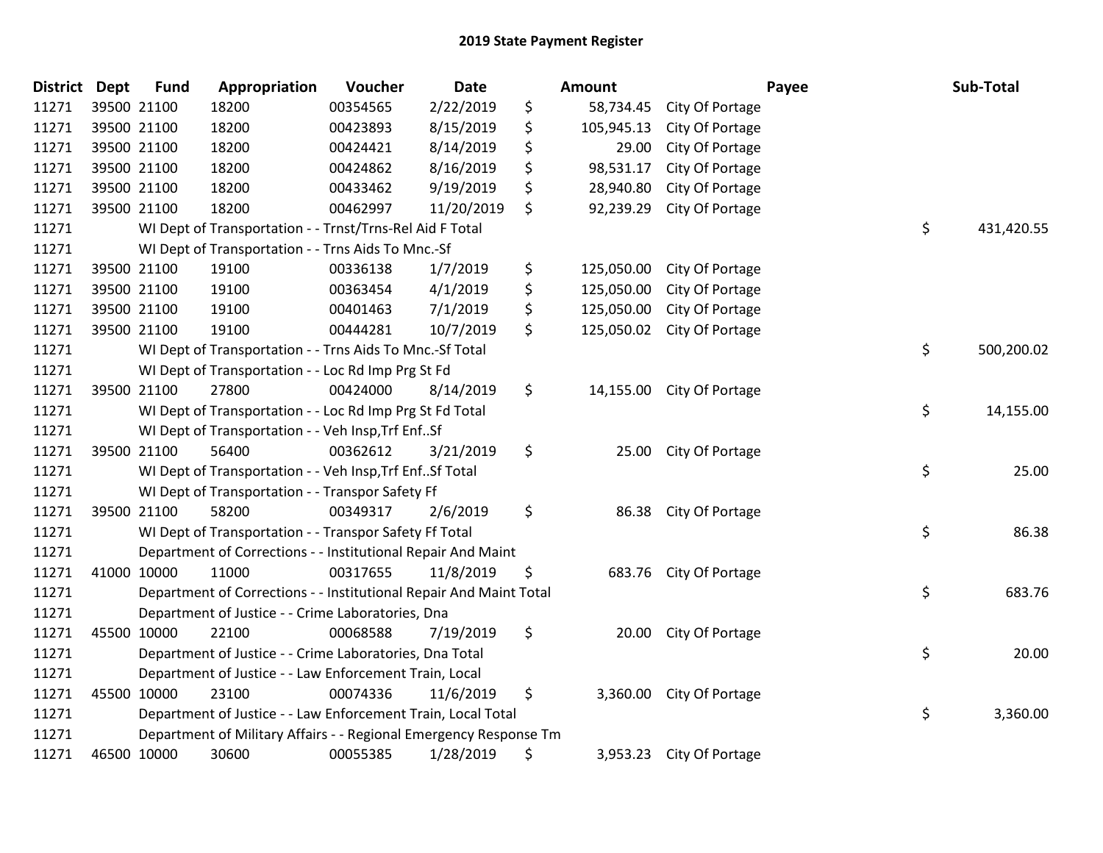| <b>District</b> | <b>Dept</b> | <b>Fund</b> | Appropriation                                                      | Voucher  | Date       | Amount           |                 | Payee | Sub-Total  |
|-----------------|-------------|-------------|--------------------------------------------------------------------|----------|------------|------------------|-----------------|-------|------------|
| 11271           |             | 39500 21100 | 18200                                                              | 00354565 | 2/22/2019  | \$<br>58,734.45  | City Of Portage |       |            |
| 11271           |             | 39500 21100 | 18200                                                              | 00423893 | 8/15/2019  | \$<br>105,945.13 | City Of Portage |       |            |
| 11271           |             | 39500 21100 | 18200                                                              | 00424421 | 8/14/2019  | \$<br>29.00      | City Of Portage |       |            |
| 11271           |             | 39500 21100 | 18200                                                              | 00424862 | 8/16/2019  | \$<br>98,531.17  | City Of Portage |       |            |
| 11271           |             | 39500 21100 | 18200                                                              | 00433462 | 9/19/2019  | \$<br>28,940.80  | City Of Portage |       |            |
| 11271           |             | 39500 21100 | 18200                                                              | 00462997 | 11/20/2019 | \$<br>92,239.29  | City Of Portage |       |            |
| 11271           |             |             | WI Dept of Transportation - - Trnst/Trns-Rel Aid F Total           |          |            |                  |                 | \$    | 431,420.55 |
| 11271           |             |             | WI Dept of Transportation - - Trns Aids To Mnc.-Sf                 |          |            |                  |                 |       |            |
| 11271           |             | 39500 21100 | 19100                                                              | 00336138 | 1/7/2019   | \$<br>125,050.00 | City Of Portage |       |            |
| 11271           |             | 39500 21100 | 19100                                                              | 00363454 | 4/1/2019   | \$<br>125,050.00 | City Of Portage |       |            |
| 11271           |             | 39500 21100 | 19100                                                              | 00401463 | 7/1/2019   | \$<br>125,050.00 | City Of Portage |       |            |
| 11271           |             | 39500 21100 | 19100                                                              | 00444281 | 10/7/2019  | \$<br>125,050.02 | City Of Portage |       |            |
| 11271           |             |             | WI Dept of Transportation - - Trns Aids To Mnc.-Sf Total           |          |            |                  |                 | \$    | 500,200.02 |
| 11271           |             |             | WI Dept of Transportation - - Loc Rd Imp Prg St Fd                 |          |            |                  |                 |       |            |
| 11271           |             | 39500 21100 | 27800                                                              | 00424000 | 8/14/2019  | \$<br>14,155.00  | City Of Portage |       |            |
| 11271           |             |             | WI Dept of Transportation - - Loc Rd Imp Prg St Fd Total           |          |            |                  |                 | \$    | 14,155.00  |
| 11271           |             |             | WI Dept of Transportation - - Veh Insp, Trf EnfSf                  |          |            |                  |                 |       |            |
| 11271           |             | 39500 21100 | 56400                                                              | 00362612 | 3/21/2019  | \$<br>25.00      | City Of Portage |       |            |
| 11271           |             |             | WI Dept of Transportation - - Veh Insp, Trf Enf Sf Total           |          |            |                  |                 | \$    | 25.00      |
| 11271           |             |             | WI Dept of Transportation - - Transpor Safety Ff                   |          |            |                  |                 |       |            |
| 11271           |             | 39500 21100 | 58200                                                              | 00349317 | 2/6/2019   | \$<br>86.38      | City Of Portage |       |            |
| 11271           |             |             | WI Dept of Transportation - - Transpor Safety Ff Total             |          |            |                  |                 | \$    | 86.38      |
| 11271           |             |             | Department of Corrections - - Institutional Repair And Maint       |          |            |                  |                 |       |            |
| 11271           | 41000 10000 |             | 11000                                                              | 00317655 | 11/8/2019  | \$<br>683.76     | City Of Portage |       |            |
| 11271           |             |             | Department of Corrections - - Institutional Repair And Maint Total |          |            |                  |                 | \$    | 683.76     |
| 11271           |             |             | Department of Justice - - Crime Laboratories, Dna                  |          |            |                  |                 |       |            |
| 11271           | 45500 10000 |             | 22100                                                              | 00068588 | 7/19/2019  | \$<br>20.00      | City Of Portage |       |            |
| 11271           |             |             | Department of Justice - - Crime Laboratories, Dna Total            |          |            |                  |                 | \$    | 20.00      |
| 11271           |             |             | Department of Justice - - Law Enforcement Train, Local             |          |            |                  |                 |       |            |
| 11271           | 45500 10000 |             | 23100                                                              | 00074336 | 11/6/2019  | \$<br>3,360.00   | City Of Portage |       |            |
| 11271           |             |             | Department of Justice - - Law Enforcement Train, Local Total       |          |            |                  |                 | \$    | 3,360.00   |
| 11271           |             |             | Department of Military Affairs - - Regional Emergency Response Tm  |          |            |                  |                 |       |            |
| 11271           |             | 46500 10000 | 30600                                                              | 00055385 | 1/28/2019  | \$<br>3,953.23   | City Of Portage |       |            |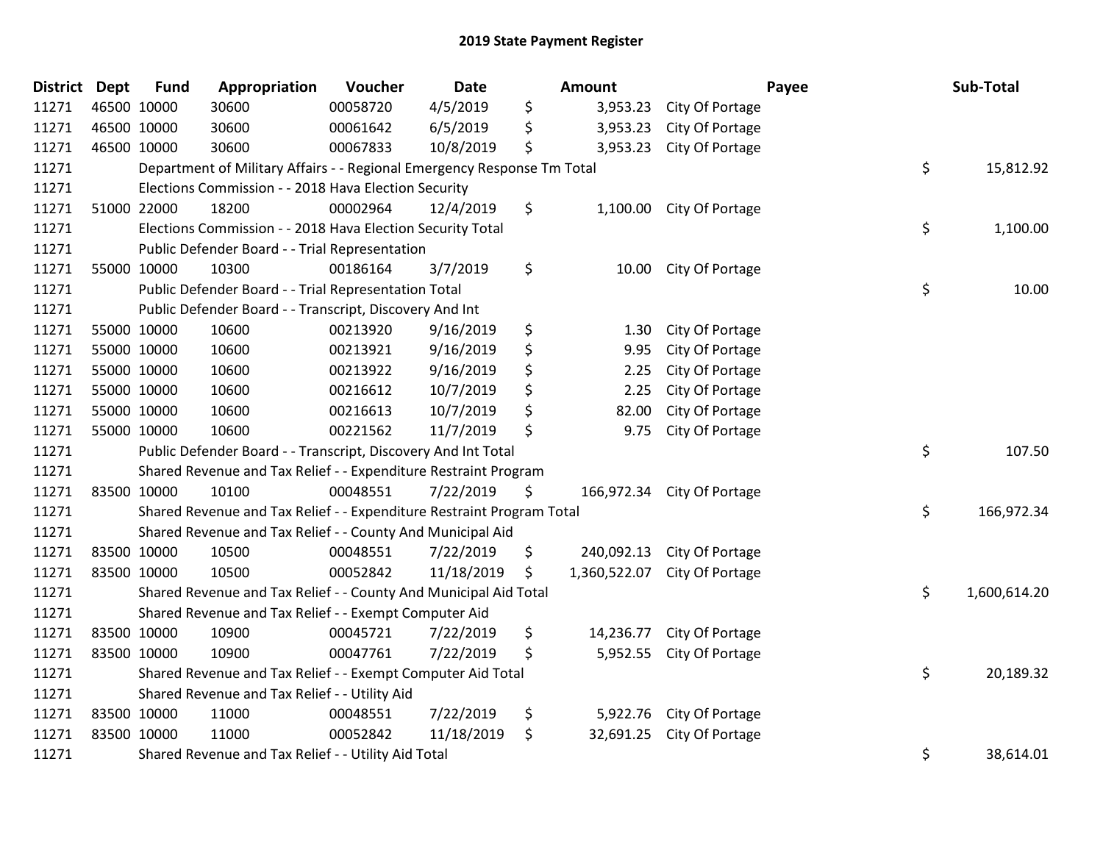## 2019 State Payment Register

| <b>District</b> | <b>Dept</b> | <b>Fund</b>                                         | Appropriation                                                           | Voucher  | <b>Date</b> |    | <b>Amount</b> |                 | Payee | Sub-Total    |
|-----------------|-------------|-----------------------------------------------------|-------------------------------------------------------------------------|----------|-------------|----|---------------|-----------------|-------|--------------|
| 11271           |             | 46500 10000                                         | 30600                                                                   | 00058720 | 4/5/2019    | \$ | 3,953.23      | City Of Portage |       |              |
| 11271           | 46500 10000 |                                                     | 30600                                                                   | 00061642 | 6/5/2019    | \$ | 3,953.23      | City Of Portage |       |              |
| 11271           | 46500 10000 |                                                     | 30600                                                                   | 00067833 | 10/8/2019   | \$ | 3,953.23      | City Of Portage |       |              |
| 11271           |             |                                                     | Department of Military Affairs - - Regional Emergency Response Tm Total |          |             |    |               |                 | \$    | 15,812.92    |
| 11271           |             |                                                     | Elections Commission - - 2018 Hava Election Security                    |          |             |    |               |                 |       |              |
| 11271           |             | 51000 22000                                         | 18200                                                                   | 00002964 | 12/4/2019   | \$ | 1,100.00      | City Of Portage |       |              |
| 11271           |             |                                                     | Elections Commission - - 2018 Hava Election Security Total              |          |             |    |               |                 | \$    | 1,100.00     |
| 11271           |             |                                                     | Public Defender Board - - Trial Representation                          |          |             |    |               |                 |       |              |
| 11271           |             | 55000 10000                                         | 10300                                                                   | 00186164 | 3/7/2019    | \$ | 10.00         | City Of Portage |       |              |
| 11271           |             |                                                     | Public Defender Board - - Trial Representation Total                    |          |             |    |               |                 | \$    | 10.00        |
| 11271           |             |                                                     | Public Defender Board - - Transcript, Discovery And Int                 |          |             |    |               |                 |       |              |
| 11271           |             | 55000 10000                                         | 10600                                                                   | 00213920 | 9/16/2019   | \$ | 1.30          | City Of Portage |       |              |
| 11271           | 55000 10000 |                                                     | 10600                                                                   | 00213921 | 9/16/2019   | \$ | 9.95          | City Of Portage |       |              |
| 11271           | 55000 10000 |                                                     | 10600                                                                   | 00213922 | 9/16/2019   | \$ | 2.25          | City Of Portage |       |              |
| 11271           |             | 55000 10000                                         | 10600                                                                   | 00216612 | 10/7/2019   | \$ | 2.25          | City Of Portage |       |              |
| 11271           |             | 55000 10000                                         | 10600                                                                   | 00216613 | 10/7/2019   | \$ | 82.00         | City Of Portage |       |              |
| 11271           |             | 55000 10000                                         | 10600                                                                   | 00221562 | 11/7/2019   | \$ | 9.75          | City Of Portage |       |              |
| 11271           |             |                                                     | Public Defender Board - - Transcript, Discovery And Int Total           |          |             |    |               |                 | \$    | 107.50       |
| 11271           |             |                                                     | Shared Revenue and Tax Relief - - Expenditure Restraint Program         |          |             |    |               |                 |       |              |
| 11271           | 83500 10000 |                                                     | 10100                                                                   | 00048551 | 7/22/2019   | \$ | 166,972.34    | City Of Portage |       |              |
| 11271           |             |                                                     | Shared Revenue and Tax Relief - - Expenditure Restraint Program Total   |          |             |    |               |                 | \$    | 166,972.34   |
| 11271           |             |                                                     | Shared Revenue and Tax Relief - - County And Municipal Aid              |          |             |    |               |                 |       |              |
| 11271           |             | 83500 10000                                         | 10500                                                                   | 00048551 | 7/22/2019   | \$ | 240,092.13    | City Of Portage |       |              |
| 11271           | 83500 10000 |                                                     | 10500                                                                   | 00052842 | 11/18/2019  | \$ | 1,360,522.07  | City Of Portage |       |              |
| 11271           |             |                                                     | Shared Revenue and Tax Relief - - County And Municipal Aid Total        |          |             |    |               |                 | \$    | 1,600,614.20 |
| 11271           |             |                                                     | Shared Revenue and Tax Relief - - Exempt Computer Aid                   |          |             |    |               |                 |       |              |
| 11271           |             | 83500 10000                                         | 10900                                                                   | 00045721 | 7/22/2019   | \$ | 14,236.77     | City Of Portage |       |              |
| 11271           | 83500 10000 |                                                     | 10900                                                                   | 00047761 | 7/22/2019   | \$ | 5,952.55      | City Of Portage |       |              |
| 11271           |             |                                                     | Shared Revenue and Tax Relief - - Exempt Computer Aid Total             |          |             |    |               |                 | \$    | 20,189.32    |
| 11271           |             | Shared Revenue and Tax Relief - - Utility Aid       |                                                                         |          |             |    |               |                 |       |              |
| 11271           |             | 83500 10000                                         | 11000                                                                   | 00048551 | 7/22/2019   | \$ | 5,922.76      | City Of Portage |       |              |
| 11271           | 83500 10000 |                                                     | 11000                                                                   | 00052842 | 11/18/2019  | \$ | 32,691.25     | City Of Portage |       |              |
| 11271           |             | Shared Revenue and Tax Relief - - Utility Aid Total |                                                                         |          |             |    |               |                 |       | 38,614.01    |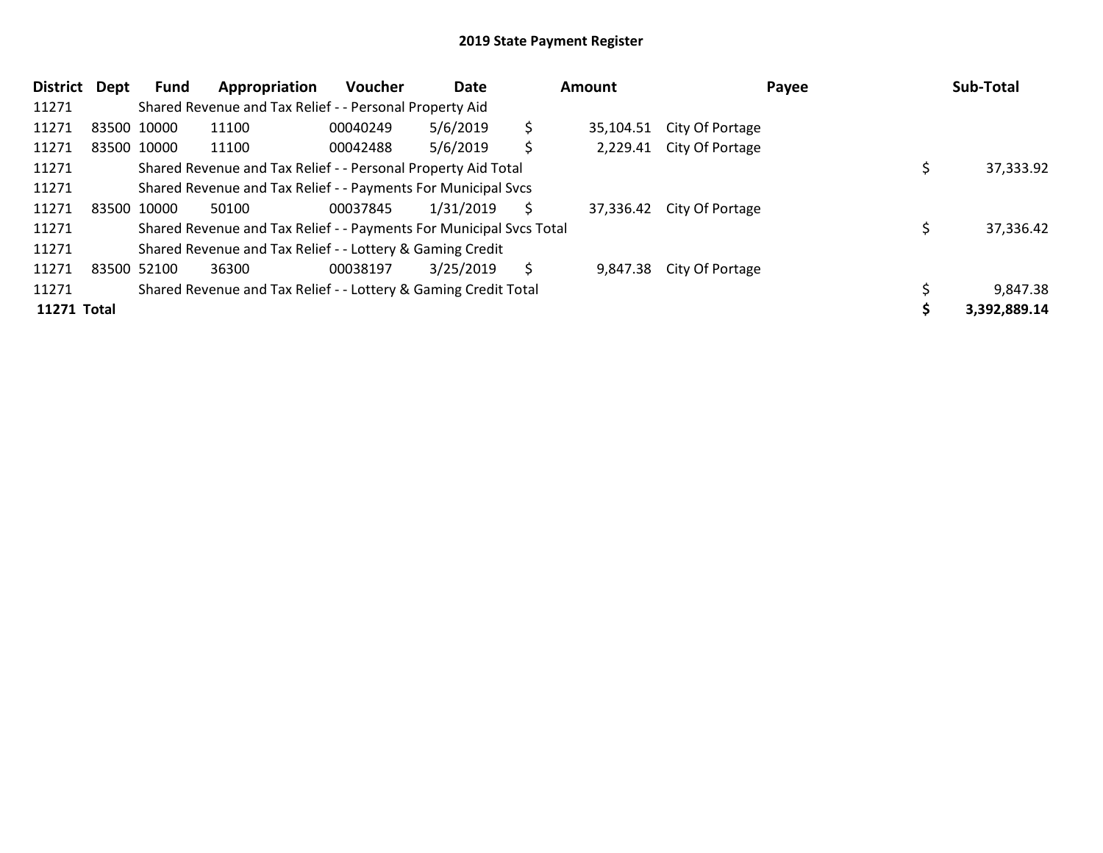## 2019 State Payment Register

| <b>District</b> | Dept | <b>Fund</b>                                               | Appropriation                                                       | <b>Voucher</b> | <b>Date</b> | Amount |           |                          | Payee | Sub-Total    |  |
|-----------------|------|-----------------------------------------------------------|---------------------------------------------------------------------|----------------|-------------|--------|-----------|--------------------------|-------|--------------|--|
| 11271           |      | Shared Revenue and Tax Relief - - Personal Property Aid   |                                                                     |                |             |        |           |                          |       |              |  |
| 11271           |      | 83500 10000                                               | 11100                                                               | 00040249       | 5/6/2019    | \$     | 35,104.51 | City Of Portage          |       |              |  |
| 11271           |      | 83500 10000                                               | 11100                                                               | 00042488       | 5/6/2019    | \$     |           | 2,229.41 City Of Portage |       |              |  |
| 11271           |      |                                                           | Shared Revenue and Tax Relief - - Personal Property Aid Total       |                |             |        |           |                          |       | 37,333.92    |  |
| 11271           |      |                                                           | Shared Revenue and Tax Relief - - Payments For Municipal Svcs       |                |             |        |           |                          |       |              |  |
| 11271           |      | 83500 10000                                               | 50100                                                               | 00037845       | 1/31/2019   | Ś      | 37,336.42 | City Of Portage          |       |              |  |
| 11271           |      |                                                           | Shared Revenue and Tax Relief - - Payments For Municipal Svcs Total |                |             |        |           |                          |       | 37,336.42    |  |
| 11271           |      | Shared Revenue and Tax Relief - - Lottery & Gaming Credit |                                                                     |                |             |        |           |                          |       |              |  |
| 11271           |      | 83500 52100                                               | 36300                                                               | 00038197       | 3/25/2019   | S      | 9,847.38  | City Of Portage          |       |              |  |
| 11271           |      |                                                           | Shared Revenue and Tax Relief - - Lottery & Gaming Credit Total     |                |             |        |           |                          |       | 9,847.38     |  |
| 11271 Total     |      |                                                           |                                                                     |                |             |        |           |                          |       | 3,392,889.14 |  |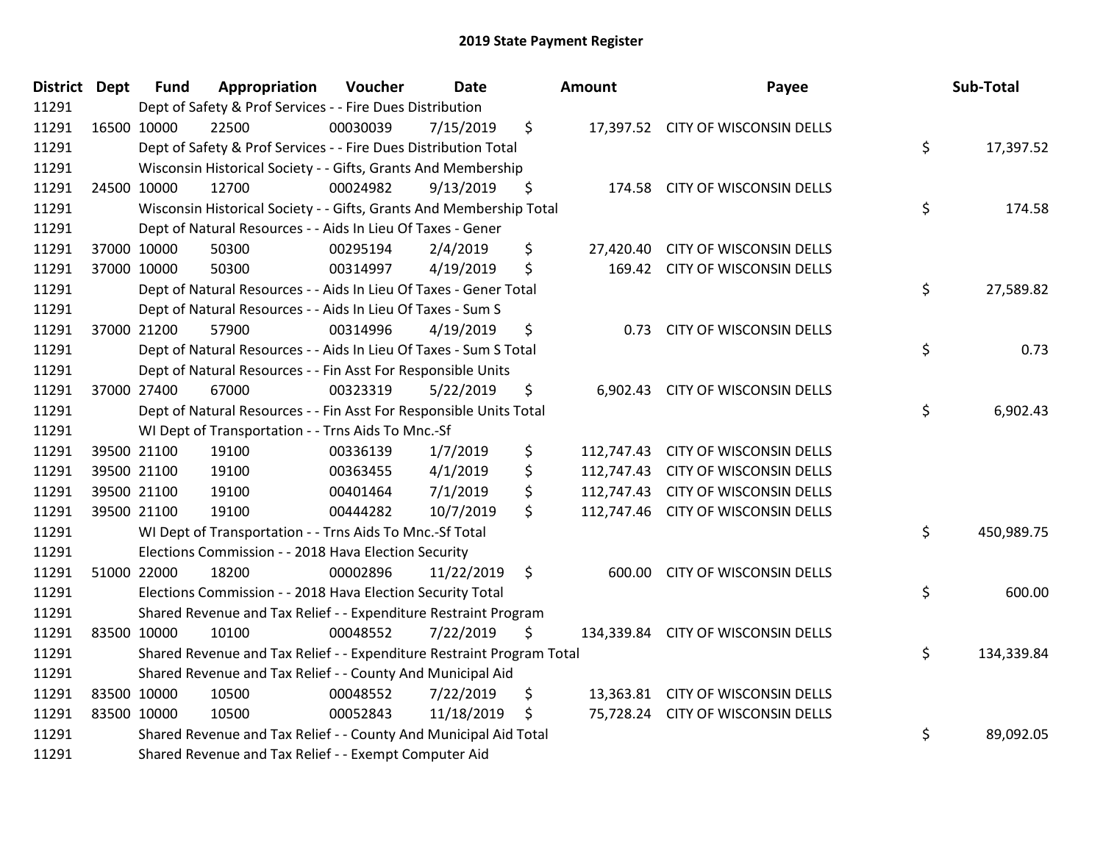## 2019 State Payment Register

| District Dept | <b>Fund</b>                                                     | Appropriation                                                         | Voucher  | <b>Date</b> | Amount  |          | Payee                              |    | Sub-Total  |
|---------------|-----------------------------------------------------------------|-----------------------------------------------------------------------|----------|-------------|---------|----------|------------------------------------|----|------------|
| 11291         |                                                                 | Dept of Safety & Prof Services - - Fire Dues Distribution             |          |             |         |          |                                    |    |            |
| 11291         | 16500 10000                                                     | 22500                                                                 | 00030039 | 7/15/2019   | \$      |          | 17,397.52 CITY OF WISCONSIN DELLS  |    |            |
| 11291         | Dept of Safety & Prof Services - - Fire Dues Distribution Total |                                                                       |          |             |         |          |                                    |    | 17,397.52  |
| 11291         |                                                                 | Wisconsin Historical Society - - Gifts, Grants And Membership         |          |             |         |          |                                    |    |            |
| 11291         | 24500 10000                                                     | 12700                                                                 | 00024982 | 9/13/2019   | \$      |          | 174.58 CITY OF WISCONSIN DELLS     |    |            |
| 11291         |                                                                 | Wisconsin Historical Society - - Gifts, Grants And Membership Total   |          |             |         |          |                                    | \$ | 174.58     |
| 11291         |                                                                 | Dept of Natural Resources - - Aids In Lieu Of Taxes - Gener           |          |             |         |          |                                    |    |            |
| 11291         | 37000 10000                                                     | 50300                                                                 | 00295194 | 2/4/2019    | \$      |          | 27,420.40 CITY OF WISCONSIN DELLS  |    |            |
| 11291         | 37000 10000                                                     | 50300                                                                 | 00314997 | 4/19/2019   | \$      |          | 169.42 CITY OF WISCONSIN DELLS     |    |            |
| 11291         |                                                                 | Dept of Natural Resources - - Aids In Lieu Of Taxes - Gener Total     |          |             |         |          |                                    | \$ | 27,589.82  |
| 11291         |                                                                 | Dept of Natural Resources - - Aids In Lieu Of Taxes - Sum S           |          |             |         |          |                                    |    |            |
| 11291         | 37000 21200                                                     | 57900                                                                 | 00314996 | 4/19/2019   | \$      | 0.73     | CITY OF WISCONSIN DELLS            |    |            |
| 11291         |                                                                 | Dept of Natural Resources - - Aids In Lieu Of Taxes - Sum S Total     |          |             |         |          |                                    | \$ | 0.73       |
| 11291         |                                                                 | Dept of Natural Resources - - Fin Asst For Responsible Units          |          |             |         |          |                                    |    |            |
| 11291         | 37000 27400                                                     | 67000                                                                 | 00323319 | 5/22/2019   | \$      | 6,902.43 | <b>CITY OF WISCONSIN DELLS</b>     |    |            |
| 11291         |                                                                 | Dept of Natural Resources - - Fin Asst For Responsible Units Total    |          |             |         |          |                                    | \$ | 6,902.43   |
| 11291         |                                                                 | WI Dept of Transportation - - Trns Aids To Mnc.-Sf                    |          |             |         |          |                                    |    |            |
| 11291         | 39500 21100                                                     | 19100                                                                 | 00336139 | 1/7/2019    | \$      |          | 112,747.43 CITY OF WISCONSIN DELLS |    |            |
| 11291         | 39500 21100                                                     | 19100                                                                 | 00363455 | 4/1/2019    | \$      |          | 112,747.43 CITY OF WISCONSIN DELLS |    |            |
| 11291         | 39500 21100                                                     | 19100                                                                 | 00401464 | 7/1/2019    | \$      |          | 112,747.43 CITY OF WISCONSIN DELLS |    |            |
| 11291         | 39500 21100                                                     | 19100                                                                 | 00444282 | 10/7/2019   | \$      |          | 112,747.46 CITY OF WISCONSIN DELLS |    |            |
| 11291         |                                                                 | WI Dept of Transportation - - Trns Aids To Mnc.-Sf Total              |          |             |         |          |                                    | \$ | 450,989.75 |
| 11291         |                                                                 | Elections Commission - - 2018 Hava Election Security                  |          |             |         |          |                                    |    |            |
| 11291         | 51000 22000                                                     | 18200                                                                 | 00002896 | 11/22/2019  | $\zeta$ | 600.00   | CITY OF WISCONSIN DELLS            |    |            |
| 11291         |                                                                 | Elections Commission - - 2018 Hava Election Security Total            |          |             |         |          |                                    | \$ | 600.00     |
| 11291         |                                                                 | Shared Revenue and Tax Relief - - Expenditure Restraint Program       |          |             |         |          |                                    |    |            |
| 11291         | 83500 10000                                                     | 10100                                                                 | 00048552 | 7/22/2019   | \$      |          | 134,339.84 CITY OF WISCONSIN DELLS |    |            |
| 11291         |                                                                 | Shared Revenue and Tax Relief - - Expenditure Restraint Program Total |          |             |         |          |                                    | \$ | 134,339.84 |
| 11291         | Shared Revenue and Tax Relief - - County And Municipal Aid      |                                                                       |          |             |         |          |                                    |    |            |
| 11291         | 83500 10000                                                     | 10500                                                                 | 00048552 | 7/22/2019   | \$      |          | 13,363.81 CITY OF WISCONSIN DELLS  |    |            |
| 11291         | 83500 10000                                                     | 10500                                                                 | 00052843 | 11/18/2019  | \$      |          | 75,728.24 CITY OF WISCONSIN DELLS  |    |            |
| 11291         |                                                                 | Shared Revenue and Tax Relief - - County And Municipal Aid Total      |          |             |         |          |                                    | \$ | 89,092.05  |
| 11291         | Shared Revenue and Tax Relief - - Exempt Computer Aid           |                                                                       |          |             |         |          |                                    |    |            |